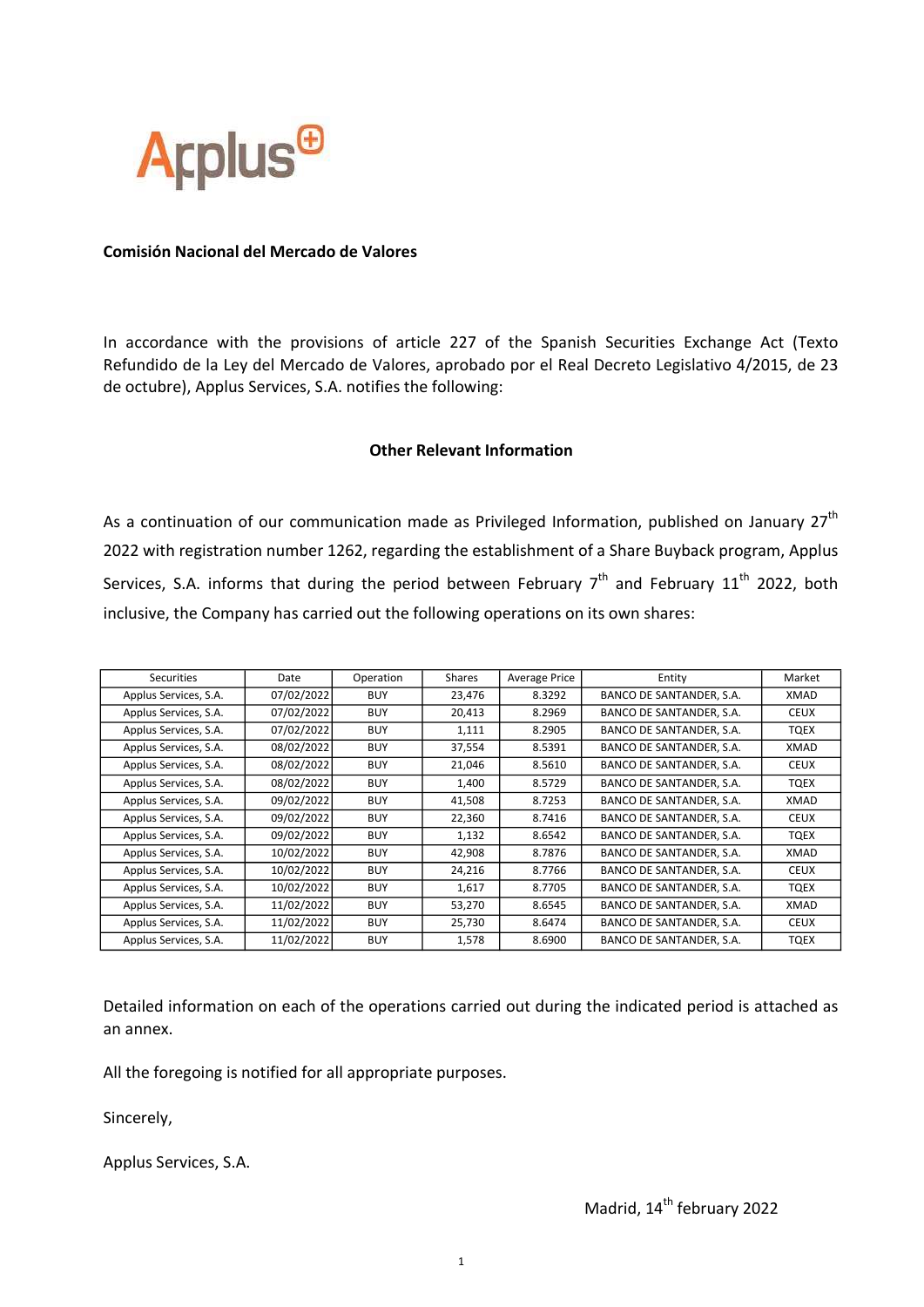

## Comisión Nacional del Mercado de Valores

In accordance with the provisions of article 227 of the Spanish Securities Exchange Act (Texto Refundido de la Ley del Mercado de Valores, aprobado por el Real Decreto Legislativo 4/2015, de 23 de octubre), Applus Services, S.A. notifies the following:

## Other Relevant Information

As a continuation of our communication made as Privileged Information, published on January  $27<sup>th</sup>$ 2022 with registration number 1262, regarding the establishment of a Share Buyback program, Applus Services, S.A. informs that during the period between February  $7<sup>th</sup>$  and February 11<sup>th</sup> 2022, both inclusive, the Company has carried out the following operations on its own shares:

| Securities            | Date       | Operation  | Shares | <b>Average Price</b> | Entity                   | Market      |
|-----------------------|------------|------------|--------|----------------------|--------------------------|-------------|
| Applus Services, S.A. | 07/02/2022 | <b>BUY</b> | 23,476 | 8.3292               | BANCO DE SANTANDER, S.A. | XMAD        |
| Applus Services, S.A. | 07/02/2022 | <b>BUY</b> | 20,413 | 8.2969               | BANCO DE SANTANDER, S.A. | <b>CEUX</b> |
| Applus Services, S.A. | 07/02/2022 | <b>BUY</b> | 1,111  | 8.2905               | BANCO DE SANTANDER, S.A. | TQEX        |
| Applus Services, S.A. | 08/02/2022 | <b>BUY</b> | 37,554 | 8.5391               | BANCO DE SANTANDER, S.A. | XMAD        |
| Applus Services, S.A. | 08/02/2022 | <b>BUY</b> | 21,046 | 8.5610               | BANCO DE SANTANDER, S.A. | <b>CEUX</b> |
| Applus Services, S.A. | 08/02/2022 | <b>BUY</b> | 1,400  | 8.5729               | BANCO DE SANTANDER, S.A. | TQEX        |
| Applus Services, S.A. | 09/02/2022 | <b>BUY</b> | 41,508 | 8.7253               | BANCO DE SANTANDER, S.A. | XMAD        |
| Applus Services, S.A. | 09/02/2022 | <b>BUY</b> | 22,360 | 8.7416               | BANCO DE SANTANDER, S.A. | <b>CEUX</b> |
| Applus Services, S.A. | 09/02/2022 | <b>BUY</b> | 1,132  | 8.6542               | BANCO DE SANTANDER, S.A. | TQEX        |
| Applus Services, S.A. | 10/02/2022 | <b>BUY</b> | 42,908 | 8.7876               | BANCO DE SANTANDER, S.A. | XMAD        |
| Applus Services, S.A. | 10/02/2022 | <b>BUY</b> | 24,216 | 8.7766               | BANCO DE SANTANDER, S.A. | <b>CEUX</b> |
| Applus Services, S.A. | 10/02/2022 | <b>BUY</b> | 1,617  | 8.7705               | BANCO DE SANTANDER, S.A. | TQEX        |
| Applus Services, S.A. | 11/02/2022 | <b>BUY</b> | 53,270 | 8.6545               | BANCO DE SANTANDER, S.A. | XMAD        |
| Applus Services, S.A. | 11/02/2022 | <b>BUY</b> | 25,730 | 8.6474               | BANCO DE SANTANDER, S.A. | <b>CEUX</b> |
| Applus Services, S.A. | 11/02/2022 | <b>BUY</b> | 1,578  | 8.6900               | BANCO DE SANTANDER, S.A. | <b>TQEX</b> |

Detailed information on each of the operations carried out during the indicated period is attached as an annex.

All the foregoing is notified for all appropriate purposes.

Sincerely,

Applus Services, S.A.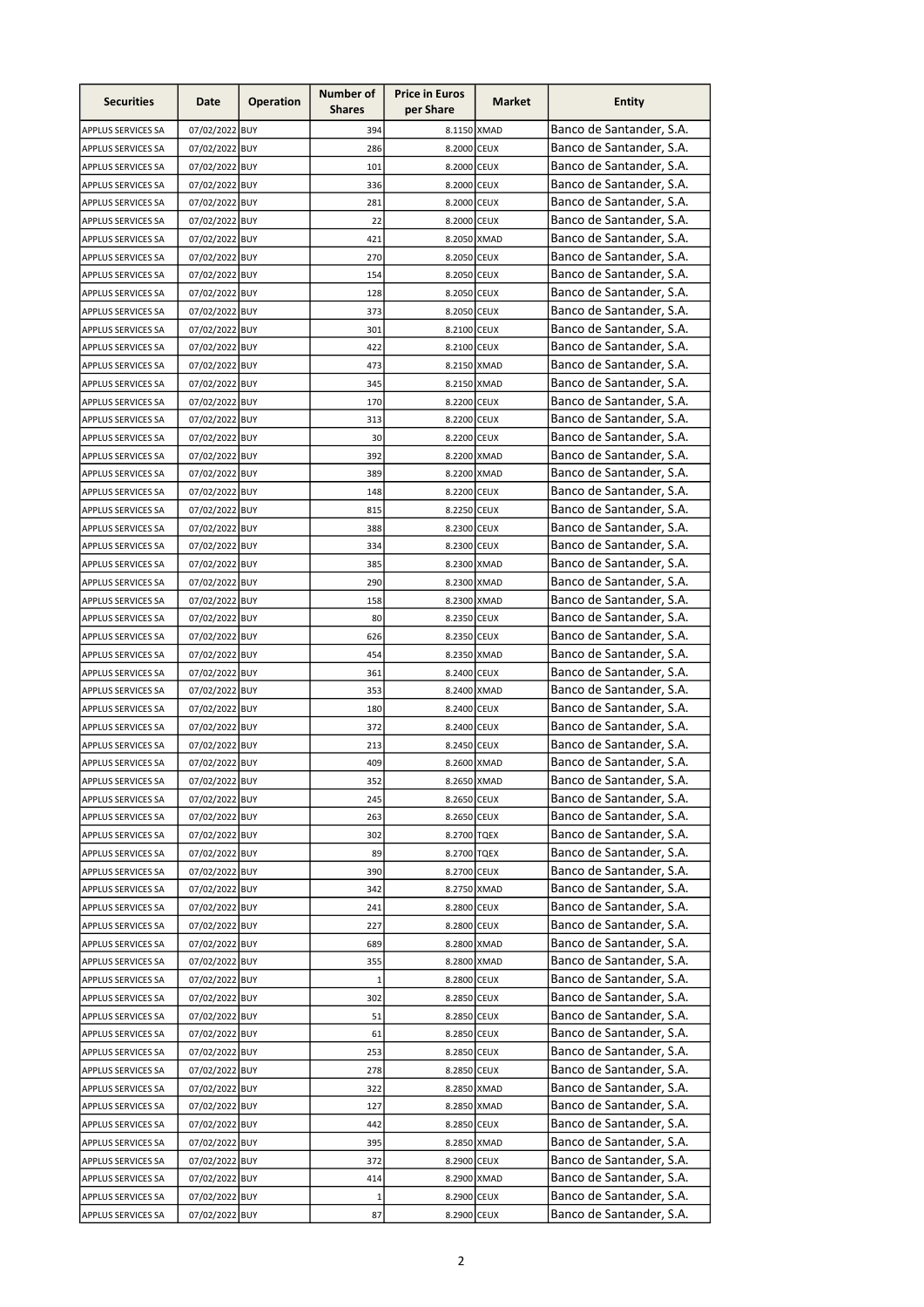| <b>Securities</b>         | Date           | <b>Operation</b> | Number of<br><b>Shares</b> | <b>Price in Euros</b><br>per Share | Market | <b>Entity</b>            |
|---------------------------|----------------|------------------|----------------------------|------------------------------------|--------|--------------------------|
| APPLUS SERVICES SA        | 07/02/2022 BUY |                  | 394                        | 8.1150 XMAD                        |        | Banco de Santander, S.A. |
| APPLUS SERVICES SA        | 07/02/2022 BUY |                  | 286                        | 8.2000 CEUX                        |        | Banco de Santander, S.A. |
| <b>APPLUS SERVICES SA</b> | 07/02/2022 BUY |                  | 101                        | 8.2000 CEUX                        |        | Banco de Santander, S.A. |
| APPLUS SERVICES SA        | 07/02/2022 BUY |                  | 336                        | 8.2000 CEUX                        |        | Banco de Santander, S.A. |
| APPLUS SERVICES SA        | 07/02/2022 BUY |                  | 281                        | 8.2000 CEUX                        |        | Banco de Santander, S.A. |
| APPLUS SERVICES SA        | 07/02/2022 BUY |                  | 22                         | 8.2000 CEUX                        |        | Banco de Santander, S.A. |
| APPLUS SERVICES SA        | 07/02/2022 BUY |                  | 421                        | 8.2050 XMAD                        |        | Banco de Santander, S.A. |
| APPLUS SERVICES SA        | 07/02/2022 BUY |                  | 270                        | 8.2050 CEUX                        |        | Banco de Santander, S.A. |
| APPLUS SERVICES SA        | 07/02/2022 BUY |                  | 154                        | 8.2050 CEUX                        |        | Banco de Santander, S.A. |
| APPLUS SERVICES SA        | 07/02/2022 BUY |                  | 128                        | 8.2050 CEUX                        |        | Banco de Santander, S.A. |
| APPLUS SERVICES SA        | 07/02/2022 BUY |                  | 373                        | 8.2050 CEUX                        |        | Banco de Santander, S.A. |
| APPLUS SERVICES SA        | 07/02/2022 BUY |                  | 301                        | 8.2100 CEUX                        |        | Banco de Santander, S.A. |
| APPLUS SERVICES SA        | 07/02/2022 BUY |                  | 422                        | 8.2100 CEUX                        |        | Banco de Santander, S.A. |
| <b>APPLUS SERVICES SA</b> | 07/02/2022 BUY |                  | 473                        | 8.2150 XMAD                        |        | Banco de Santander, S.A. |
| APPLUS SERVICES SA        | 07/02/2022 BUY |                  | 345                        | 8.2150 XMAD                        |        | Banco de Santander, S.A. |
| APPLUS SERVICES SA        | 07/02/2022 BUY |                  | 170                        | 8.2200 CEUX                        |        | Banco de Santander, S.A. |
| APPLUS SERVICES SA        | 07/02/2022 BUY |                  | 313                        | 8.2200 CEUX                        |        | Banco de Santander, S.A. |
| APPLUS SERVICES SA        | 07/02/2022 BUY |                  | 30                         | 8.2200 CEUX                        |        | Banco de Santander, S.A. |
| APPLUS SERVICES SA        | 07/02/2022 BUY |                  | 392                        | 8.2200 XMAD                        |        | Banco de Santander, S.A. |
| APPLUS SERVICES SA        | 07/02/2022 BUY |                  | 389                        | 8.2200 XMAD                        |        | Banco de Santander, S.A. |
| APPLUS SERVICES SA        | 07/02/2022 BUY |                  | 148                        | 8.2200 CEUX                        |        | Banco de Santander, S.A. |
| APPLUS SERVICES SA        | 07/02/2022 BUY |                  | 815                        | 8.2250 CEUX                        |        | Banco de Santander, S.A. |
| <b>APPLUS SERVICES SA</b> | 07/02/2022 BUY |                  | 388                        | 8.2300 CEUX                        |        | Banco de Santander, S.A. |
|                           |                |                  |                            | 8.2300 CEUX                        |        | Banco de Santander, S.A. |
| APPLUS SERVICES SA        | 07/02/2022 BUY |                  | 334                        |                                    |        | Banco de Santander, S.A. |
| APPLUS SERVICES SA        | 07/02/2022 BUY |                  | 385                        | 8.2300 XMAD                        |        | Banco de Santander, S.A. |
| APPLUS SERVICES SA        | 07/02/2022 BUY |                  | 290                        | 8.2300 XMAD                        |        |                          |
| <b>APPLUS SERVICES SA</b> | 07/02/2022 BUY |                  | 158                        | 8.2300 XMAD                        |        | Banco de Santander, S.A. |
| APPLUS SERVICES SA        | 07/02/2022 BUY |                  | 80                         | 8.2350 CEUX                        |        | Banco de Santander, S.A. |
| APPLUS SERVICES SA        | 07/02/2022 BUY |                  | 626                        | 8.2350 CEUX                        |        | Banco de Santander, S.A. |
| APPLUS SERVICES SA        | 07/02/2022 BUY |                  | 454                        | 8.2350 XMAD                        |        | Banco de Santander, S.A. |
| APPLUS SERVICES SA        | 07/02/2022 BUY |                  | 361                        | 8.2400 CEUX                        |        | Banco de Santander, S.A. |
| APPLUS SERVICES SA        | 07/02/2022 BUY |                  | 353                        | 8.2400 XMAD                        |        | Banco de Santander, S.A. |
| APPLUS SERVICES SA        | 07/02/2022 BUY |                  | 180                        | 8.2400 CEUX                        |        | Banco de Santander, S.A. |
| APPLUS SERVICES SA        | 07/02/2022 BUY |                  | 372                        | 8.2400 CEUX                        |        | Banco de Santander, S.A. |
| APPLUS SERVICES SA        | 07/02/2022 BUY |                  | 213                        | 8.2450 CEUX                        |        | Banco de Santander, S.A. |
| APPLUS SERVICES SA        | 07/02/2022 BUY |                  | 409                        | 8.2600 XMAD                        |        | Banco de Santander, S.A. |
| <b>APPLUS SERVICES SA</b> | 07/02/2022 BUY |                  | 352                        | 8.2650 XMAD                        |        | Banco de Santander, S.A. |
| APPLUS SERVICES SA        | 07/02/2022 BUY |                  | 245                        | 8.2650 CEUX                        |        | Banco de Santander, S.A. |
| APPLUS SERVICES SA        | 07/02/2022 BUY |                  | 263                        | 8.2650 CEUX                        |        | Banco de Santander, S.A. |
| APPLUS SERVICES SA        | 07/02/2022 BUY |                  | 302                        | 8.2700 TQEX                        |        | Banco de Santander, S.A. |
| APPLUS SERVICES SA        | 07/02/2022 BUY |                  | 89                         | 8.2700 TQEX                        |        | Banco de Santander, S.A. |
| APPLUS SERVICES SA        | 07/02/2022 BUY |                  | 390                        | 8.2700 CEUX                        |        | Banco de Santander, S.A. |
| APPLUS SERVICES SA        | 07/02/2022 BUY |                  | 342                        | 8.2750 XMAD                        |        | Banco de Santander, S.A. |
| APPLUS SERVICES SA        | 07/02/2022 BUY |                  | 241                        | 8.2800 CEUX                        |        | Banco de Santander, S.A. |
| APPLUS SERVICES SA        | 07/02/2022 BUY |                  | 227                        | 8.2800 CEUX                        |        | Banco de Santander, S.A. |
| APPLUS SERVICES SA        | 07/02/2022 BUY |                  | 689                        | 8.2800 XMAD                        |        | Banco de Santander, S.A. |
| APPLUS SERVICES SA        | 07/02/2022 BUY |                  | 355                        | 8.2800 XMAD                        |        | Banco de Santander, S.A. |
| APPLUS SERVICES SA        | 07/02/2022 BUY |                  | $\mathbf{1}$               | 8.2800 CEUX                        |        | Banco de Santander, S.A. |
| APPLUS SERVICES SA        | 07/02/2022 BUY |                  | 302                        | 8.2850 CEUX                        |        | Banco de Santander, S.A. |
| APPLUS SERVICES SA        | 07/02/2022 BUY |                  | 51                         | 8.2850 CEUX                        |        | Banco de Santander, S.A. |
| APPLUS SERVICES SA        | 07/02/2022 BUY |                  | 61                         | 8.2850 CEUX                        |        | Banco de Santander, S.A. |
| APPLUS SERVICES SA        | 07/02/2022 BUY |                  | 253                        | 8.2850 CEUX                        |        | Banco de Santander, S.A. |
| APPLUS SERVICES SA        | 07/02/2022 BUY |                  | 278                        | 8.2850 CEUX                        |        | Banco de Santander, S.A. |
| APPLUS SERVICES SA        | 07/02/2022 BUY |                  | 322                        | 8.2850 XMAD                        |        | Banco de Santander, S.A. |
| APPLUS SERVICES SA        | 07/02/2022 BUY |                  | 127                        | 8.2850 XMAD                        |        | Banco de Santander, S.A. |
| APPLUS SERVICES SA        | 07/02/2022 BUY |                  | 442                        | 8.2850 CEUX                        |        | Banco de Santander, S.A. |
| APPLUS SERVICES SA        | 07/02/2022 BUY |                  | 395                        | 8.2850 XMAD                        |        | Banco de Santander, S.A. |
| <b>APPLUS SERVICES SA</b> | 07/02/2022 BUY |                  | 372                        | 8.2900 CEUX                        |        | Banco de Santander, S.A. |
| APPLUS SERVICES SA        | 07/02/2022 BUY |                  | 414                        | 8.2900 XMAD                        |        | Banco de Santander, S.A. |
| APPLUS SERVICES SA        | 07/02/2022 BUY |                  | $\mathbf 1$                | 8.2900 CEUX                        |        | Banco de Santander, S.A. |
| APPLUS SERVICES SA        | 07/02/2022 BUY |                  | 87                         | 8.2900 CEUX                        |        | Banco de Santander, S.A. |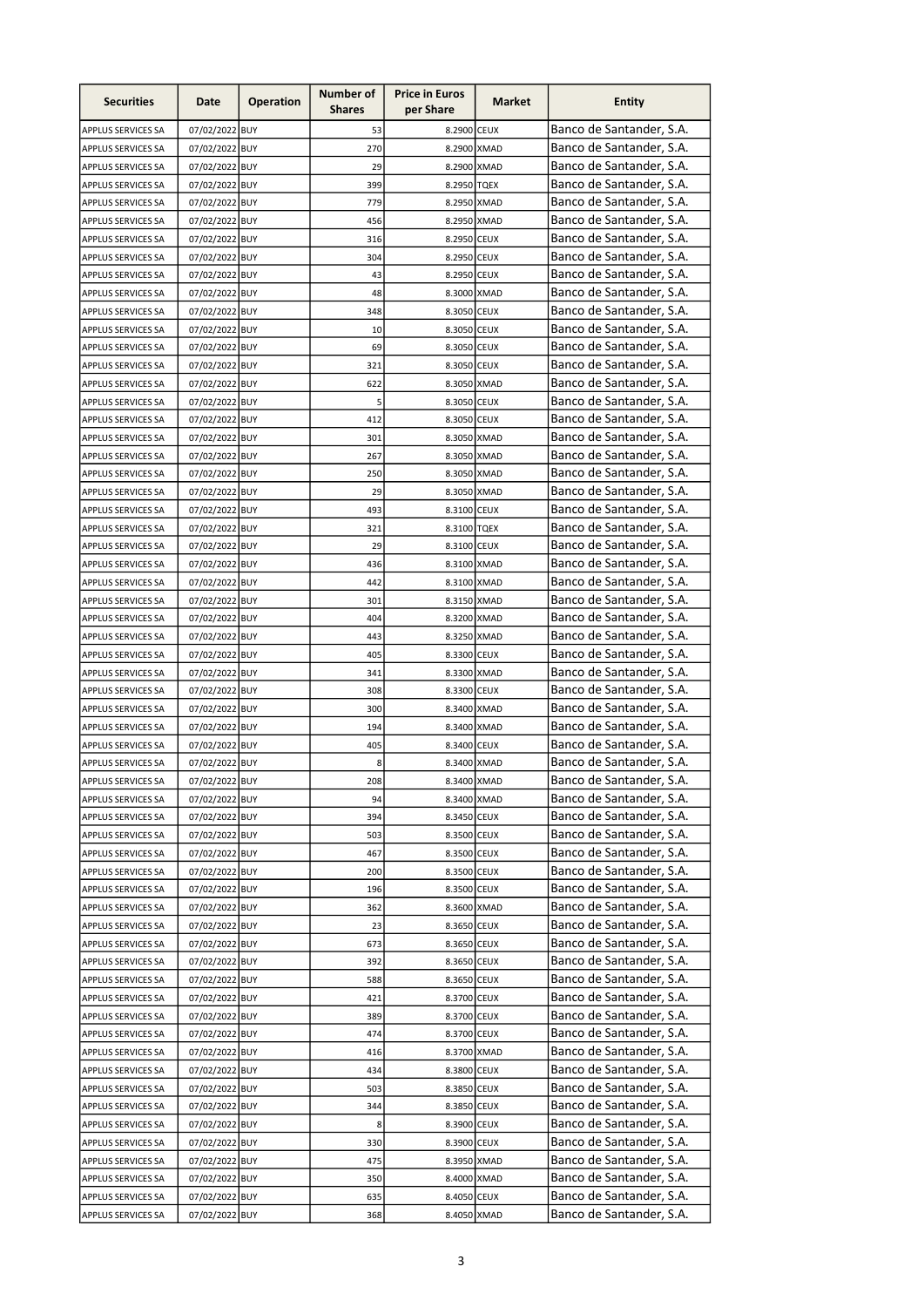| <b>Securities</b>                        | Date                             | <b>Operation</b> | Number of<br><b>Shares</b> | <b>Price in Euros</b><br>per Share | Market | <b>Entity</b>                                        |
|------------------------------------------|----------------------------------|------------------|----------------------------|------------------------------------|--------|------------------------------------------------------|
| APPLUS SERVICES SA                       | 07/02/2022 BUY                   |                  | 53                         | 8.2900 CEUX                        |        | Banco de Santander, S.A.                             |
| APPLUS SERVICES SA                       | 07/02/2022 BUY                   |                  | 270                        | 8.2900 XMAD                        |        | Banco de Santander, S.A.                             |
| APPLUS SERVICES SA                       | 07/02/2022 BUY                   |                  | 29                         | 8.2900 XMAD                        |        | Banco de Santander, S.A.                             |
| APPLUS SERVICES SA                       | 07/02/2022 BUY                   |                  | 399                        | 8.2950 TQEX                        |        | Banco de Santander, S.A.                             |
| APPLUS SERVICES SA                       | 07/02/2022 BUY                   |                  | 779                        | 8.2950 XMAD                        |        | Banco de Santander, S.A.                             |
| <b>APPLUS SERVICES SA</b>                | 07/02/2022 BUY                   |                  | 456                        | 8.2950 XMAD                        |        | Banco de Santander, S.A.                             |
| APPLUS SERVICES SA                       | 07/02/2022 BUY                   |                  | 316                        | 8.2950 CEUX                        |        | Banco de Santander, S.A.                             |
| APPLUS SERVICES SA                       | 07/02/2022 BUY                   |                  | 304                        | 8.2950 CEUX                        |        | Banco de Santander, S.A.                             |
| APPLUS SERVICES SA                       | 07/02/2022 BUY                   |                  | 43                         | 8.2950 CEUX                        |        | Banco de Santander, S.A.                             |
| APPLUS SERVICES SA                       | 07/02/2022 BUY                   |                  | 48                         | 8.3000 XMAD                        |        | Banco de Santander, S.A.                             |
| APPLUS SERVICES SA                       | 07/02/2022 BUY                   |                  | 348                        | 8.3050 CEUX                        |        | Banco de Santander, S.A.                             |
| APPLUS SERVICES SA                       | 07/02/2022 BUY                   |                  | 10                         | 8.3050 CEUX                        |        | Banco de Santander, S.A.                             |
| APPLUS SERVICES SA                       | 07/02/2022 BUY                   |                  | 69                         | 8.3050 CEUX                        |        | Banco de Santander, S.A.                             |
| APPLUS SERVICES SA                       | 07/02/2022 BUY                   |                  | 321                        | 8.3050 CEUX                        |        | Banco de Santander, S.A.                             |
| <b>APPLUS SERVICES SA</b>                | 07/02/2022 BUY                   |                  | 622                        | 8.3050 XMAD                        |        | Banco de Santander, S.A.                             |
| APPLUS SERVICES SA                       | 07/02/2022 BUY                   |                  | 5                          | 8.3050 CEUX                        |        | Banco de Santander, S.A.                             |
| APPLUS SERVICES SA                       | 07/02/2022 BUY                   |                  | 412                        | 8.3050 CEUX                        |        | Banco de Santander, S.A.                             |
| APPLUS SERVICES SA                       | 07/02/2022 BUY                   |                  | 301                        | 8.3050 XMAD<br>8.3050 XMAD         |        | Banco de Santander, S.A.<br>Banco de Santander, S.A. |
| APPLUS SERVICES SA                       | 07/02/2022 BUY                   |                  | 267                        |                                    |        | Banco de Santander, S.A.                             |
| APPLUS SERVICES SA                       | 07/02/2022 BUY                   |                  | 250                        | 8.3050 XMAD                        |        | Banco de Santander, S.A.                             |
| APPLUS SERVICES SA                       | 07/02/2022 BUY                   |                  | 29                         | 8.3050 XMAD                        |        | Banco de Santander, S.A.                             |
| APPLUS SERVICES SA                       | 07/02/2022 BUY<br>07/02/2022 BUY |                  | 493<br>321                 | 8.3100 CEUX<br>8.3100 TQEX         |        | Banco de Santander, S.A.                             |
| APPLUS SERVICES SA                       | 07/02/2022 BUY                   |                  | 29                         | 8.3100 CEUX                        |        | Banco de Santander, S.A.                             |
| APPLUS SERVICES SA<br>APPLUS SERVICES SA | 07/02/2022 BUY                   |                  | 436                        | 8.3100 XMAD                        |        | Banco de Santander, S.A.                             |
| APPLUS SERVICES SA                       | 07/02/2022 BUY                   |                  | 442                        | 8.3100 XMAD                        |        | Banco de Santander, S.A.                             |
| APPLUS SERVICES SA                       | 07/02/2022 BUY                   |                  | 301                        | 8.3150 XMAD                        |        | Banco de Santander, S.A.                             |
| APPLUS SERVICES SA                       | 07/02/2022 BUY                   |                  | 404                        | 8.3200 XMAD                        |        | Banco de Santander, S.A.                             |
| APPLUS SERVICES SA                       | 07/02/2022 BUY                   |                  | 443                        | 8.3250 XMAD                        |        | Banco de Santander, S.A.                             |
| APPLUS SERVICES SA                       | 07/02/2022 BUY                   |                  | 405                        | 8.3300 CEUX                        |        | Banco de Santander, S.A.                             |
| APPLUS SERVICES SA                       | 07/02/2022 BUY                   |                  | 341                        | 8.3300 XMAD                        |        | Banco de Santander, S.A.                             |
| APPLUS SERVICES SA                       | 07/02/2022 BUY                   |                  | 308                        | 8.3300 CEUX                        |        | Banco de Santander, S.A.                             |
| APPLUS SERVICES SA                       | 07/02/2022 BUY                   |                  | 300                        | 8.3400 XMAD                        |        | Banco de Santander, S.A.                             |
| APPLUS SERVICES SA                       | 07/02/2022 BUY                   |                  | 194                        | 8.3400 XMAD                        |        | Banco de Santander, S.A.                             |
| APPLUS SERVICES SA                       | 07/02/2022 BUY                   |                  | 405                        | 8.3400 CEUX                        |        | Banco de Santander, S.A.                             |
| APPLUS SERVICES SA                       | 07/02/2022 BUY                   |                  | 8                          | 8.3400 XMAD                        |        | Banco de Santander, S.A.                             |
| APPLUS SERVICES SA                       | 07/02/2022 BUY                   |                  | 208                        | 8.3400 XMAD                        |        | Banco de Santander, S.A.                             |
| APPLUS SERVICES SA                       | 07/02/2022 BUY                   |                  | 94                         | 8.3400 XMAD                        |        | Banco de Santander, S.A.                             |
| APPLUS SERVICES SA                       | 07/02/2022 BUY                   |                  | 394                        | 8.3450 CEUX                        |        | Banco de Santander, S.A.                             |
| APPLUS SERVICES SA                       | 07/02/2022 BUY                   |                  | 503                        | 8.3500 CEUX                        |        | Banco de Santander, S.A.                             |
| APPLUS SERVICES SA                       | 07/02/2022 BUY                   |                  | 467                        | 8.3500 CEUX                        |        | Banco de Santander, S.A.                             |
| APPLUS SERVICES SA                       | 07/02/2022 BUY                   |                  | 200                        | 8.3500 CEUX                        |        | Banco de Santander, S.A.                             |
| APPLUS SERVICES SA                       | 07/02/2022 BUY                   |                  | 196                        | 8.3500 CEUX                        |        | Banco de Santander, S.A.                             |
| APPLUS SERVICES SA                       | 07/02/2022 BUY                   |                  | 362                        | 8.3600 XMAD                        |        | Banco de Santander, S.A.                             |
| APPLUS SERVICES SA                       | 07/02/2022 BUY                   |                  | 23                         | 8.3650 CEUX                        |        | Banco de Santander, S.A.                             |
| APPLUS SERVICES SA                       | 07/02/2022 BUY                   |                  | 673                        | 8.3650 CEUX                        |        | Banco de Santander, S.A.                             |
| APPLUS SERVICES SA                       | 07/02/2022 BUY                   |                  | 392                        | 8.3650 CEUX                        |        | Banco de Santander, S.A.                             |
| APPLUS SERVICES SA                       | 07/02/2022 BUY                   |                  | 588                        | 8.3650 CEUX                        |        | Banco de Santander, S.A.                             |
| APPLUS SERVICES SA                       | 07/02/2022 BUY                   |                  | 421                        | 8.3700 CEUX                        |        | Banco de Santander, S.A.                             |
| APPLUS SERVICES SA                       | 07/02/2022 BUY                   |                  | 389                        | 8.3700 CEUX                        |        | Banco de Santander, S.A.                             |
| APPLUS SERVICES SA                       | 07/02/2022 BUY                   |                  | 474                        | 8.3700 CEUX                        |        | Banco de Santander, S.A.                             |
| APPLUS SERVICES SA                       | 07/02/2022 BUY                   |                  | 416                        | 8.3700 XMAD                        |        | Banco de Santander, S.A.                             |
| APPLUS SERVICES SA                       | 07/02/2022 BUY                   |                  | 434                        | 8.3800 CEUX                        |        | Banco de Santander, S.A.                             |
| APPLUS SERVICES SA                       | 07/02/2022 BUY                   |                  | 503                        | 8.3850 CEUX                        |        | Banco de Santander, S.A.                             |
| APPLUS SERVICES SA                       | 07/02/2022 BUY                   |                  | 344                        | 8.3850 CEUX                        |        | Banco de Santander, S.A.                             |
| APPLUS SERVICES SA                       | 07/02/2022 BUY                   |                  | 8                          | 8.3900 CEUX                        |        | Banco de Santander, S.A.<br>Banco de Santander, S.A. |
| APPLUS SERVICES SA                       | 07/02/2022 BUY                   |                  | 330                        | 8.3900 CEUX                        |        | Banco de Santander, S.A.                             |
| APPLUS SERVICES SA                       | 07/02/2022 BUY                   |                  | 475                        | 8.3950 XMAD                        |        | Banco de Santander, S.A.                             |
| APPLUS SERVICES SA<br>APPLUS SERVICES SA | 07/02/2022 BUY<br>07/02/2022 BUY |                  | 350<br>635                 | 8.4000 XMAD<br>8.4050 CEUX         |        | Banco de Santander, S.A.                             |
| APPLUS SERVICES SA                       | 07/02/2022 BUY                   |                  | 368                        | 8.4050 XMAD                        |        | Banco de Santander, S.A.                             |
|                                          |                                  |                  |                            |                                    |        |                                                      |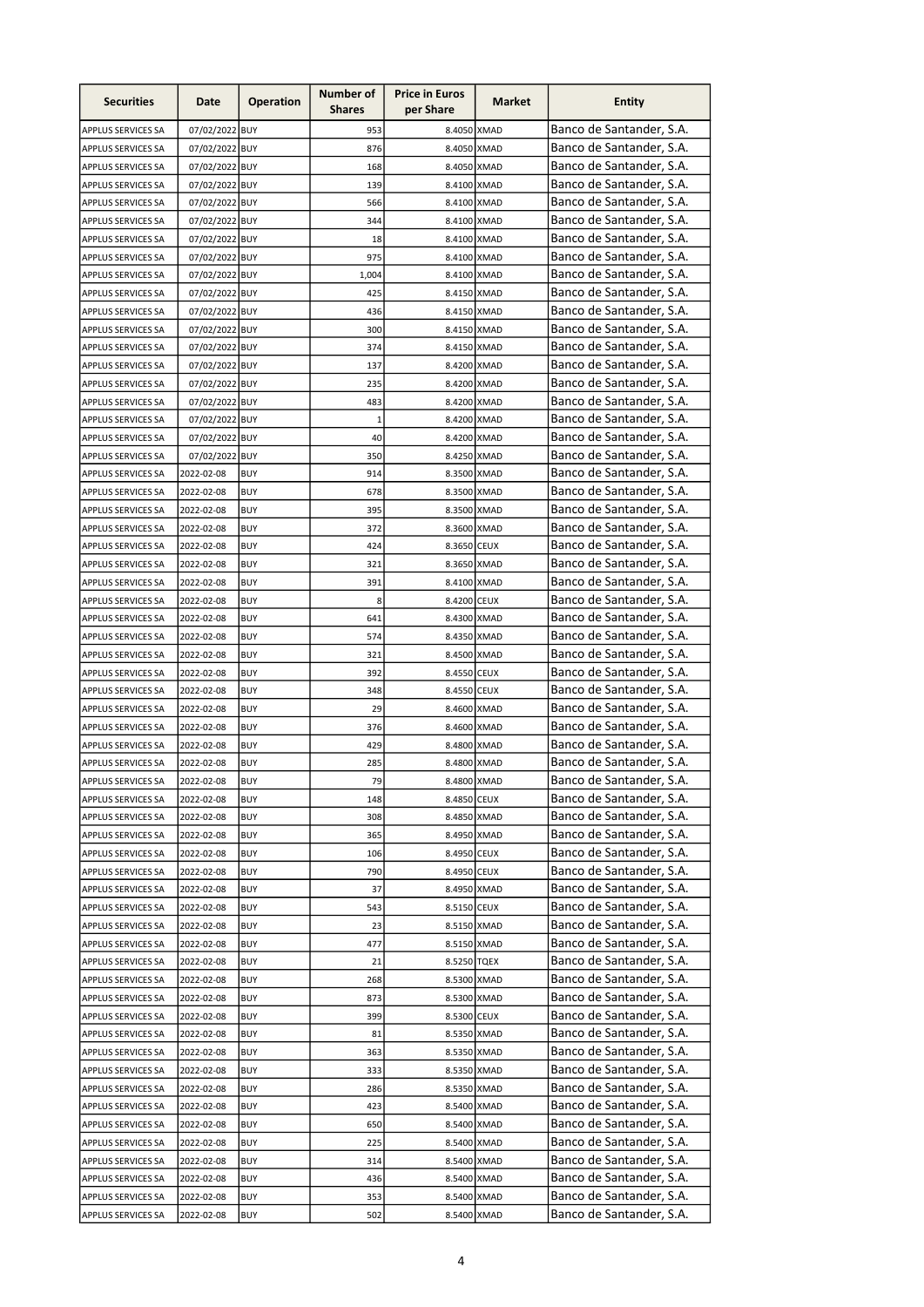| <b>Securities</b>         | Date           | <b>Operation</b> | Number of<br><b>Shares</b> | <b>Price in Euros</b><br>per Share | Market | <b>Entity</b>            |
|---------------------------|----------------|------------------|----------------------------|------------------------------------|--------|--------------------------|
| APPLUS SERVICES SA        | 07/02/2022 BUY |                  | 953                        | 8.4050 XMAD                        |        | Banco de Santander, S.A. |
| APPLUS SERVICES SA        | 07/02/2022 BUY |                  | 876                        | 8.4050 XMAD                        |        | Banco de Santander, S.A. |
| APPLUS SERVICES SA        | 07/02/2022 BUY |                  | 168                        | 8.4050 XMAD                        |        | Banco de Santander, S.A. |
| APPLUS SERVICES SA        | 07/02/2022 BUY |                  | 139                        | 8.4100 XMAD                        |        | Banco de Santander, S.A. |
| <b>APPLUS SERVICES SA</b> | 07/02/2022 BUY |                  | 566                        | 8.4100 XMAD                        |        | Banco de Santander, S.A. |
| APPLUS SERVICES SA        | 07/02/2022 BUY |                  | 344                        | 8.4100 XMAD                        |        | Banco de Santander, S.A. |
| APPLUS SERVICES SA        | 07/02/2022 BUY |                  | 18                         | 8.4100 XMAD                        |        | Banco de Santander, S.A. |
| APPLUS SERVICES SA        | 07/02/2022 BUY |                  | 975                        | 8.4100 XMAD                        |        | Banco de Santander, S.A. |
| APPLUS SERVICES SA        | 07/02/2022 BUY |                  | 1,004                      | 8.4100 XMAD                        |        | Banco de Santander, S.A. |
| APPLUS SERVICES SA        | 07/02/2022 BUY |                  | 425                        | 8.4150 XMAD                        |        | Banco de Santander, S.A. |
| APPLUS SERVICES SA        | 07/02/2022 BUY |                  | 436                        | 8.4150 XMAD                        |        | Banco de Santander, S.A. |
| APPLUS SERVICES SA        | 07/02/2022 BUY |                  | 300                        | 8.4150 XMAD                        |        | Banco de Santander, S.A. |
| <b>APPLUS SERVICES SA</b> | 07/02/2022 BUY |                  | 374                        | 8.4150 XMAD                        |        | Banco de Santander, S.A. |
| <b>APPLUS SERVICES SA</b> | 07/02/2022 BUY |                  | 137                        | 8.4200 XMAD                        |        | Banco de Santander, S.A. |
| APPLUS SERVICES SA        | 07/02/2022 BUY |                  | 235                        | 8.4200 XMAD                        |        | Banco de Santander, S.A. |
| APPLUS SERVICES SA        | 07/02/2022 BUY |                  | 483                        | 8.4200 XMAD                        |        | Banco de Santander, S.A. |
| APPLUS SERVICES SA        | 07/02/2022 BUY |                  | $\mathbf{1}$               | 8.4200 XMAD                        |        | Banco de Santander, S.A. |
| APPLUS SERVICES SA        | 07/02/2022 BUY |                  | 40                         | 8.4200 XMAD                        |        | Banco de Santander, S.A. |
| <b>APPLUS SERVICES SA</b> | 07/02/2022 BUY |                  | 350                        | 8.4250 XMAD                        |        | Banco de Santander, S.A. |
|                           |                | <b>BUY</b>       | 914                        | 8.3500 XMAD                        |        | Banco de Santander, S.A. |
| APPLUS SERVICES SA        | 2022-02-08     |                  |                            |                                    |        |                          |
| APPLUS SERVICES SA        | 2022-02-08     | <b>BUY</b>       | 678                        | 8.3500 XMAD                        |        | Banco de Santander, S.A. |
| APPLUS SERVICES SA        | 2022-02-08     | <b>BUY</b>       | 395                        | 8.3500 XMAD                        |        | Banco de Santander, S.A. |
| APPLUS SERVICES SA        | 2022-02-08     | <b>BUY</b>       | 372                        | 8.3600 XMAD                        |        | Banco de Santander, S.A. |
| APPLUS SERVICES SA        | 2022-02-08     | <b>BUY</b>       | 424                        | 8.3650 CEUX                        |        | Banco de Santander, S.A. |
| APPLUS SERVICES SA        | 2022-02-08     | <b>BUY</b>       | 321                        | 8.3650 XMAD                        |        | Banco de Santander, S.A. |
| APPLUS SERVICES SA        | 2022-02-08     | <b>BUY</b>       | 391                        | 8.4100 XMAD                        |        | Banco de Santander, S.A. |
| <b>APPLUS SERVICES SA</b> | 2022-02-08     | <b>BUY</b>       | 8                          | 8.4200 CEUX                        |        | Banco de Santander, S.A. |
| APPLUS SERVICES SA        | 2022-02-08     | <b>BUY</b>       | 641                        | 8.4300 XMAD                        |        | Banco de Santander, S.A. |
| APPLUS SERVICES SA        | 2022-02-08     | <b>BUY</b>       | 574                        | 8.4350 XMAD                        |        | Banco de Santander, S.A. |
| APPLUS SERVICES SA        | 2022-02-08     | <b>BUY</b>       | 321                        | 8.4500 XMAD                        |        | Banco de Santander, S.A. |
| APPLUS SERVICES SA        | 2022-02-08     | <b>BUY</b>       | 392                        | 8.4550 CEUX                        |        | Banco de Santander, S.A. |
| APPLUS SERVICES SA        | 2022-02-08     | <b>BUY</b>       | 348                        | 8.4550 CEUX                        |        | Banco de Santander, S.A. |
| APPLUS SERVICES SA        | 2022-02-08     | <b>BUY</b>       | 29                         | 8.4600 XMAD                        |        | Banco de Santander, S.A. |
| APPLUS SERVICES SA        | 2022-02-08     | <b>BUY</b>       | 376                        | 8.4600 XMAD                        |        | Banco de Santander, S.A. |
| APPLUS SERVICES SA        | 2022-02-08     | <b>BUY</b>       | 429                        | 8.4800 XMAD                        |        | Banco de Santander, S.A. |
| APPLUS SERVICES SA        | 2022-02-08     | <b>BUY</b>       | 285                        | 8.4800 XMAD                        |        | Banco de Santander, S.A. |
| <b>APPLUS SERVICES SA</b> | 2022-02-08     | <b>BUY</b>       | 79                         | 8.4800 XMAD                        |        | Banco de Santander, S.A. |
| APPLUS SERVICES SA        | 2022-02-08     | <b>BUY</b>       | 148                        | 8.4850 CEUX                        |        | Banco de Santander, S.A. |
| APPLUS SERVICES SA        | 2022-02-08     | <b>BUY</b>       | 308                        | 8.4850 XMAD                        |        | Banco de Santander, S.A. |
| APPLUS SERVICES SA        | 2022-02-08     | BUY              | 365                        | 8.4950 XMAD                        |        | Banco de Santander, S.A. |
| APPLUS SERVICES SA        | 2022-02-08     | <b>BUY</b>       | 106                        | 8.4950 CEUX                        |        | Banco de Santander, S.A. |
| APPLUS SERVICES SA        | 2022-02-08     | <b>BUY</b>       | 790                        | 8.4950 CEUX                        |        | Banco de Santander, S.A. |
| APPLUS SERVICES SA        | 2022-02-08     | <b>BUY</b>       | 37                         | 8.4950 XMAD                        |        | Banco de Santander, S.A. |
| <b>APPLUS SERVICES SA</b> | 2022-02-08     | <b>BUY</b>       | 543                        | 8.5150 CEUX                        |        | Banco de Santander, S.A. |
| APPLUS SERVICES SA        | 2022-02-08     | <b>BUY</b>       | 23                         | 8.5150 XMAD                        |        | Banco de Santander, S.A. |
| APPLUS SERVICES SA        | 2022-02-08     | <b>BUY</b>       | 477                        | 8.5150 XMAD                        |        | Banco de Santander, S.A. |
| APPLUS SERVICES SA        | 2022-02-08     | <b>BUY</b>       | 21                         | 8.5250 TQEX                        |        | Banco de Santander, S.A. |
| APPLUS SERVICES SA        | 2022-02-08     | BUY              | 268                        | 8.5300 XMAD                        |        | Banco de Santander, S.A. |
| APPLUS SERVICES SA        | 2022-02-08     | BUY              | 873                        | 8.5300 XMAD                        |        | Banco de Santander, S.A. |
| APPLUS SERVICES SA        | 2022-02-08     | <b>BUY</b>       | 399                        | 8.5300 CEUX                        |        | Banco de Santander, S.A. |
| APPLUS SERVICES SA        | 2022-02-08     | <b>BUY</b>       | 81                         | 8.5350 XMAD                        |        | Banco de Santander, S.A. |
| APPLUS SERVICES SA        | 2022-02-08     | <b>BUY</b>       | 363                        | 8.5350 XMAD                        |        | Banco de Santander, S.A. |
| APPLUS SERVICES SA        | 2022-02-08     | <b>BUY</b>       | 333                        | 8.5350 XMAD                        |        | Banco de Santander, S.A. |
| APPLUS SERVICES SA        | 2022-02-08     | <b>BUY</b>       | 286                        | 8.5350 XMAD                        |        | Banco de Santander, S.A. |
| APPLUS SERVICES SA        | 2022-02-08     | BUY              | 423                        | 8.5400 XMAD                        |        | Banco de Santander, S.A. |
| APPLUS SERVICES SA        | 2022-02-08     | BUY              | 650                        | 8.5400 XMAD                        |        | Banco de Santander, S.A. |
| APPLUS SERVICES SA        | 2022-02-08     | <b>BUY</b>       | 225                        | 8.5400 XMAD                        |        | Banco de Santander, S.A. |
| <b>APPLUS SERVICES SA</b> | 2022-02-08     | <b>BUY</b>       | 314                        | 8.5400 XMAD                        |        | Banco de Santander, S.A. |
| APPLUS SERVICES SA        | 2022-02-08     | <b>BUY</b>       | 436                        | 8.5400 XMAD                        |        | Banco de Santander, S.A. |
| APPLUS SERVICES SA        | 2022-02-08     | <b>BUY</b>       | 353                        | 8.5400 XMAD                        |        | Banco de Santander, S.A. |
| APPLUS SERVICES SA        | 2022-02-08     | <b>BUY</b>       | 502                        | 8.5400 XMAD                        |        | Banco de Santander, S.A. |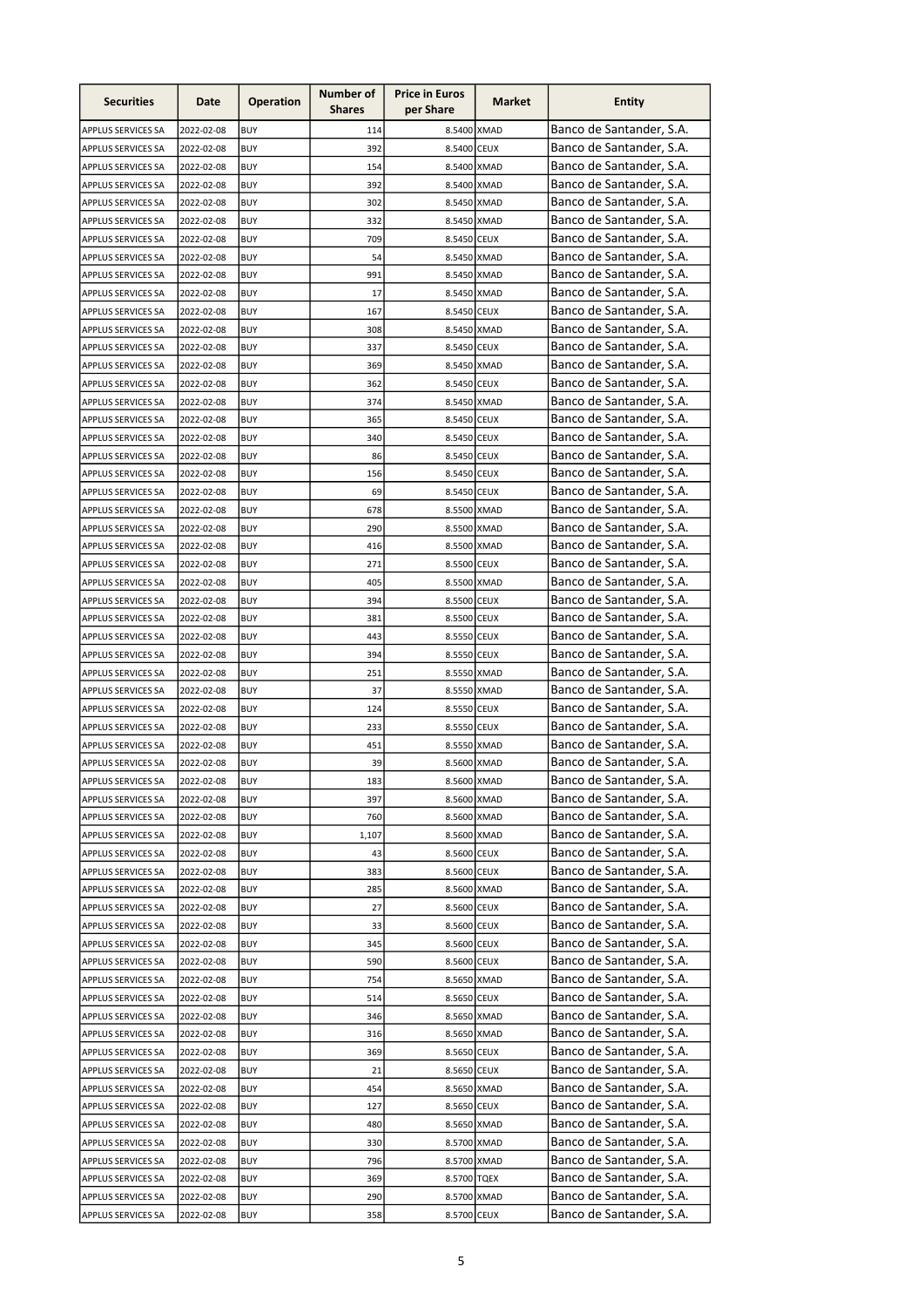| Banco de Santander, S.A.<br>114<br>8.5400 XMAD<br>2022-02-08<br><b>BUY</b><br>APPLUS SERVICES SA<br>Banco de Santander, S.A.<br>392<br>8.5400 CEUX<br><b>BUY</b><br>APPLUS SERVICES SA<br>2022-02-08<br>Banco de Santander, S.A.<br>8.5400 XMAD<br>APPLUS SERVICES SA<br>2022-02-08<br><b>BUY</b><br>154<br>Banco de Santander, S.A.<br>APPLUS SERVICES SA<br>2022-02-08<br><b>BUY</b><br>392<br>8.5400 XMAD<br>Banco de Santander, S.A.<br>8.5450 XMAD<br>2022-02-08<br><b>BUY</b><br>302<br>APPLUS SERVICES SA<br>Banco de Santander, S.A.<br><b>BUY</b><br>APPLUS SERVICES SA<br>2022-02-08<br>332<br>8.5450 XMAD<br>Banco de Santander, S.A.<br><b>BUY</b><br>709<br>APPLUS SERVICES SA<br>2022-02-08<br>8.5450 CEUX<br>Banco de Santander, S.A.<br>8.5450 XMAD<br>APPLUS SERVICES SA<br>2022-02-08<br><b>BUY</b><br>54<br>Banco de Santander, S.A.<br>991<br>8.5450 XMAD<br>2022-02-08<br><b>BUY</b><br>APPLUS SERVICES SA<br>Banco de Santander, S.A.<br>8.5450 XMAD<br>APPLUS SERVICES SA<br>2022-02-08<br><b>BUY</b><br>17<br>Banco de Santander, S.A.<br>8.5450 CEUX<br>APPLUS SERVICES SA<br>2022-02-08<br><b>BUY</b><br>167<br>Banco de Santander, S.A.<br><b>APPLUS SERVICES SA</b><br>2022-02-08<br><b>BUY</b><br>308<br>8.5450 XMAD<br>Banco de Santander, S.A.<br>337<br><b>APPLUS SERVICES SA</b><br>2022-02-08<br><b>BUY</b><br>8.5450 CEUX<br>Banco de Santander, S.A.<br>APPLUS SERVICES SA<br>2022-02-08<br><b>BUY</b><br>369<br>8.5450 XMAD<br>Banco de Santander, S.A.<br>APPLUS SERVICES SA<br>2022-02-08<br><b>BUY</b><br>362<br>8.5450 CEUX<br>Banco de Santander, S.A.<br>APPLUS SERVICES SA<br>2022-02-08<br><b>BUY</b><br>374<br>8.5450 XMAD<br>Banco de Santander, S.A.<br>APPLUS SERVICES SA<br>2022-02-08<br><b>BUY</b><br>365<br>8.5450 CEUX<br>Banco de Santander, S.A.<br>340<br>8.5450 CEUX<br>APPLUS SERVICES SA<br>2022-02-08<br>BUY<br>Banco de Santander, S.A.<br>2022-02-08<br><b>BUY</b><br>86<br>8.5450 CEUX<br>APPLUS SERVICES SA<br>Banco de Santander, S.A.<br>APPLUS SERVICES SA<br>2022-02-08<br><b>BUY</b><br>156<br>8.5450 CEUX<br>Banco de Santander, S.A.<br>69<br>APPLUS SERVICES SA<br>2022-02-08<br><b>BUY</b><br>8.5450 CEUX<br>Banco de Santander, S.A.<br>2022-02-08<br><b>BUY</b><br>678<br>8.5500 XMAD<br>APPLUS SERVICES SA<br>Banco de Santander, S.A.<br>290<br><b>BUY</b><br>8.5500 XMAD<br>APPLUS SERVICES SA<br>2022-02-08<br>Banco de Santander, S.A.<br>2022-02-08<br><b>BUY</b><br>416<br>8.5500 XMAD<br>APPLUS SERVICES SA<br>Banco de Santander, S.A.<br>2022-02-08<br><b>BUY</b><br>271<br>8.5500 CEUX<br><b>APPLUS SERVICES SA</b><br>Banco de Santander, S.A.<br><b>BUY</b><br>405<br>8.5500 XMAD<br>APPLUS SERVICES SA<br>2022-02-08<br>Banco de Santander, S.A.<br><b>BUY</b><br>394<br>8.5500 CEUX<br>APPLUS SERVICES SA<br>2022-02-08<br>Banco de Santander, S.A.<br>APPLUS SERVICES SA<br>2022-02-08<br><b>BUY</b><br>381<br>8.5500 CEUX<br>Banco de Santander, S.A.<br>APPLUS SERVICES SA<br>2022-02-08<br><b>BUY</b><br>443<br>8.5550 CEUX<br>Banco de Santander, S.A.<br>394<br>APPLUS SERVICES SA<br>2022-02-08<br><b>BUY</b><br>8.5550 CEUX<br>Banco de Santander, S.A.<br>251<br>APPLUS SERVICES SA<br>2022-02-08<br><b>BUY</b><br>8.5550 XMAD<br>Banco de Santander, S.A.<br>37<br>APPLUS SERVICES SA<br>2022-02-08<br><b>BUY</b><br>8.5550 XMAD<br>Banco de Santander, S.A.<br><b>APPLUS SERVICES SA</b><br>2022-02-08<br><b>BUY</b><br>124<br>8.5550 CEUX<br>Banco de Santander, S.A.<br>APPLUS SERVICES SA<br>2022-02-08<br><b>BUY</b><br>233<br>8.5550 CEUX<br>Banco de Santander, S.A.<br>451<br>APPLUS SERVICES SA<br>2022-02-08<br>8.5550 XMAD<br>BUY<br>Banco de Santander, S.A.<br>39<br>8.5600 XMAD<br>2022-02-08<br><b>BUY</b><br>APPLUS SERVICES SA<br>Banco de Santander, S.A.<br>2022-02-08<br>8.5600 XMAD<br>APPLUS SERVICES SA<br><b>BUY</b><br>183<br>Banco de Santander, S.A.<br>APPLUS SERVICES SA<br>2022-02-08<br><b>BUY</b><br>397<br>8.5600 XMAD<br>Banco de Santander, S.A.<br><b>BUY</b><br>8.5600 XMAD<br>APPLUS SERVICES SA<br>2022-02-08<br>760<br>Banco de Santander, S.A.<br><b>BUY</b><br>8.5600 XMAD<br>2022-02-08<br>1,107<br>APPLUS SERVICES SA<br>Banco de Santander, S.A.<br>2022-02-08<br><b>BUY</b><br>43<br>8.5600 CEUX<br>APPLUS SERVICES SA<br>Banco de Santander, S.A.<br>8.5600 CEUX<br>APPLUS SERVICES SA<br>2022-02-08<br><b>BUY</b><br>383<br>Banco de Santander, S.A.<br>8.5600 XMAD<br>2022-02-08<br><b>BUY</b><br>285<br>APPLUS SERVICES SA<br>Banco de Santander, S.A.<br>27<br>8.5600 CEUX<br>APPLUS SERVICES SA<br>2022-02-08<br><b>BUY</b><br>Banco de Santander, S.A.<br>8.5600 CEUX<br>APPLUS SERVICES SA<br>2022-02-08<br><b>BUY</b><br>33<br>Banco de Santander, S.A.<br>345<br>8.5600 CEUX<br>APPLUS SERVICES SA<br>2022-02-08<br><b>BUY</b><br>Banco de Santander, S.A.<br>590<br>8.5600 CEUX<br>APPLUS SERVICES SA<br>2022-02-08<br>BUY<br>Banco de Santander, S.A.<br>754<br>APPLUS SERVICES SA<br>2022-02-08<br>BUY<br>8.5650 XMAD<br>Banco de Santander, S.A.<br>514<br>APPLUS SERVICES SA<br>2022-02-08<br><b>BUY</b><br>8.5650 CEUX<br>Banco de Santander, S.A.<br>APPLUS SERVICES SA<br>2022-02-08<br>BUY<br>346<br>8.5650 XMAD<br>Banco de Santander, S.A.<br>2022-02-08<br><b>BUY</b><br>316<br>8.5650 XMAD<br>APPLUS SERVICES SA<br>Banco de Santander, S.A.<br>369<br>2022-02-08<br>8.5650 CEUX<br>APPLUS SERVICES SA<br>BUY<br>Banco de Santander, S.A.<br>21<br>8.5650 CEUX<br>APPLUS SERVICES SA<br>2022-02-08<br>BUY<br>Banco de Santander, S.A.<br>454<br>8.5650 XMAD<br>APPLUS SERVICES SA<br>2022-02-08<br>BUY<br>Banco de Santander, S.A.<br>8.5650 CEUX<br>APPLUS SERVICES SA<br>2022-02-08<br><b>BUY</b><br>127<br>Banco de Santander, S.A.<br><b>BUY</b><br>480<br>8.5650 XMAD<br>APPLUS SERVICES SA<br>2022-02-08<br>Banco de Santander, S.A.<br>8.5700 XMAD<br>APPLUS SERVICES SA<br>2022-02-08<br><b>BUY</b><br>330<br>Banco de Santander, S.A.<br>APPLUS SERVICES SA<br>2022-02-08<br><b>BUY</b><br>796<br>8.5700 XMAD<br>Banco de Santander, S.A.<br>8.5700 TQEX<br>APPLUS SERVICES SA<br>2022-02-08<br><b>BUY</b><br>369<br>Banco de Santander, S.A.<br>2022-02-08<br><b>BUY</b><br>290<br>8.5700 XMAD<br>APPLUS SERVICES SA<br>Banco de Santander, S.A.<br>8.5700 CEUX<br>APPLUS SERVICES SA<br>2022-02-08<br><b>BUY</b><br>358 | <b>Securities</b> | Date | <b>Operation</b> | Number of<br><b>Shares</b> | <b>Price in Euros</b><br>per Share | Market | <b>Entity</b> |
|--------------------------------------------------------------------------------------------------------------------------------------------------------------------------------------------------------------------------------------------------------------------------------------------------------------------------------------------------------------------------------------------------------------------------------------------------------------------------------------------------------------------------------------------------------------------------------------------------------------------------------------------------------------------------------------------------------------------------------------------------------------------------------------------------------------------------------------------------------------------------------------------------------------------------------------------------------------------------------------------------------------------------------------------------------------------------------------------------------------------------------------------------------------------------------------------------------------------------------------------------------------------------------------------------------------------------------------------------------------------------------------------------------------------------------------------------------------------------------------------------------------------------------------------------------------------------------------------------------------------------------------------------------------------------------------------------------------------------------------------------------------------------------------------------------------------------------------------------------------------------------------------------------------------------------------------------------------------------------------------------------------------------------------------------------------------------------------------------------------------------------------------------------------------------------------------------------------------------------------------------------------------------------------------------------------------------------------------------------------------------------------------------------------------------------------------------------------------------------------------------------------------------------------------------------------------------------------------------------------------------------------------------------------------------------------------------------------------------------------------------------------------------------------------------------------------------------------------------------------------------------------------------------------------------------------------------------------------------------------------------------------------------------------------------------------------------------------------------------------------------------------------------------------------------------------------------------------------------------------------------------------------------------------------------------------------------------------------------------------------------------------------------------------------------------------------------------------------------------------------------------------------------------------------------------------------------------------------------------------------------------------------------------------------------------------------------------------------------------------------------------------------------------------------------------------------------------------------------------------------------------------------------------------------------------------------------------------------------------------------------------------------------------------------------------------------------------------------------------------------------------------------------------------------------------------------------------------------------------------------------------------------------------------------------------------------------------------------------------------------------------------------------------------------------------------------------------------------------------------------------------------------------------------------------------------------------------------------------------------------------------------------------------------------------------------------------------------------------------------------------------------------------------------------------------------------------------------------------------------------------------------------------------------------------------------------------------------------------------------------------------------------------------------------------------------------------------------------------------------------------------------------------------------------------------------------------------------------------------------------------------------------------------------------------------------------------------------------------------------------------------------------------------------------------------------------------------------------------------------------------------------------------------------------------------------------------------------------------------------------------------------------------------------------------------------------------------------------------------------------------------------------------------------------------------------------------------------------------------------------------------------------------------------------------------------------------------------------------------------------------------------------------------------------------------------------------------------------------------------------------------------------------------------------------------------------------------------------------------------------------------------------------------------------------------------|-------------------|------|------------------|----------------------------|------------------------------------|--------|---------------|
|                                                                                                                                                                                                                                                                                                                                                                                                                                                                                                                                                                                                                                                                                                                                                                                                                                                                                                                                                                                                                                                                                                                                                                                                                                                                                                                                                                                                                                                                                                                                                                                                                                                                                                                                                                                                                                                                                                                                                                                                                                                                                                                                                                                                                                                                                                                                                                                                                                                                                                                                                                                                                                                                                                                                                                                                                                                                                                                                                                                                                                                                                                                                                                                                                                                                                                                                                                                                                                                                                                                                                                                                                                                                                                                                                                                                                                                                                                                                                                                                                                                                                                                                                                                                                                                                                                                                                                                                                                                                                                                                                                                                                                                                                                                                                                                                                                                                                                                                                                                                                                                                                                                                                                                                                                                                                                                                                                                                                                                                                                                                                                                                                                                                                                                                                                                                                                                                                                                                                                                                                                                                                                                                                                                                                                                                                                              |                   |      |                  |                            |                                    |        |               |
|                                                                                                                                                                                                                                                                                                                                                                                                                                                                                                                                                                                                                                                                                                                                                                                                                                                                                                                                                                                                                                                                                                                                                                                                                                                                                                                                                                                                                                                                                                                                                                                                                                                                                                                                                                                                                                                                                                                                                                                                                                                                                                                                                                                                                                                                                                                                                                                                                                                                                                                                                                                                                                                                                                                                                                                                                                                                                                                                                                                                                                                                                                                                                                                                                                                                                                                                                                                                                                                                                                                                                                                                                                                                                                                                                                                                                                                                                                                                                                                                                                                                                                                                                                                                                                                                                                                                                                                                                                                                                                                                                                                                                                                                                                                                                                                                                                                                                                                                                                                                                                                                                                                                                                                                                                                                                                                                                                                                                                                                                                                                                                                                                                                                                                                                                                                                                                                                                                                                                                                                                                                                                                                                                                                                                                                                                                              |                   |      |                  |                            |                                    |        |               |
|                                                                                                                                                                                                                                                                                                                                                                                                                                                                                                                                                                                                                                                                                                                                                                                                                                                                                                                                                                                                                                                                                                                                                                                                                                                                                                                                                                                                                                                                                                                                                                                                                                                                                                                                                                                                                                                                                                                                                                                                                                                                                                                                                                                                                                                                                                                                                                                                                                                                                                                                                                                                                                                                                                                                                                                                                                                                                                                                                                                                                                                                                                                                                                                                                                                                                                                                                                                                                                                                                                                                                                                                                                                                                                                                                                                                                                                                                                                                                                                                                                                                                                                                                                                                                                                                                                                                                                                                                                                                                                                                                                                                                                                                                                                                                                                                                                                                                                                                                                                                                                                                                                                                                                                                                                                                                                                                                                                                                                                                                                                                                                                                                                                                                                                                                                                                                                                                                                                                                                                                                                                                                                                                                                                                                                                                                                              |                   |      |                  |                            |                                    |        |               |
|                                                                                                                                                                                                                                                                                                                                                                                                                                                                                                                                                                                                                                                                                                                                                                                                                                                                                                                                                                                                                                                                                                                                                                                                                                                                                                                                                                                                                                                                                                                                                                                                                                                                                                                                                                                                                                                                                                                                                                                                                                                                                                                                                                                                                                                                                                                                                                                                                                                                                                                                                                                                                                                                                                                                                                                                                                                                                                                                                                                                                                                                                                                                                                                                                                                                                                                                                                                                                                                                                                                                                                                                                                                                                                                                                                                                                                                                                                                                                                                                                                                                                                                                                                                                                                                                                                                                                                                                                                                                                                                                                                                                                                                                                                                                                                                                                                                                                                                                                                                                                                                                                                                                                                                                                                                                                                                                                                                                                                                                                                                                                                                                                                                                                                                                                                                                                                                                                                                                                                                                                                                                                                                                                                                                                                                                                                              |                   |      |                  |                            |                                    |        |               |
|                                                                                                                                                                                                                                                                                                                                                                                                                                                                                                                                                                                                                                                                                                                                                                                                                                                                                                                                                                                                                                                                                                                                                                                                                                                                                                                                                                                                                                                                                                                                                                                                                                                                                                                                                                                                                                                                                                                                                                                                                                                                                                                                                                                                                                                                                                                                                                                                                                                                                                                                                                                                                                                                                                                                                                                                                                                                                                                                                                                                                                                                                                                                                                                                                                                                                                                                                                                                                                                                                                                                                                                                                                                                                                                                                                                                                                                                                                                                                                                                                                                                                                                                                                                                                                                                                                                                                                                                                                                                                                                                                                                                                                                                                                                                                                                                                                                                                                                                                                                                                                                                                                                                                                                                                                                                                                                                                                                                                                                                                                                                                                                                                                                                                                                                                                                                                                                                                                                                                                                                                                                                                                                                                                                                                                                                                                              |                   |      |                  |                            |                                    |        |               |
|                                                                                                                                                                                                                                                                                                                                                                                                                                                                                                                                                                                                                                                                                                                                                                                                                                                                                                                                                                                                                                                                                                                                                                                                                                                                                                                                                                                                                                                                                                                                                                                                                                                                                                                                                                                                                                                                                                                                                                                                                                                                                                                                                                                                                                                                                                                                                                                                                                                                                                                                                                                                                                                                                                                                                                                                                                                                                                                                                                                                                                                                                                                                                                                                                                                                                                                                                                                                                                                                                                                                                                                                                                                                                                                                                                                                                                                                                                                                                                                                                                                                                                                                                                                                                                                                                                                                                                                                                                                                                                                                                                                                                                                                                                                                                                                                                                                                                                                                                                                                                                                                                                                                                                                                                                                                                                                                                                                                                                                                                                                                                                                                                                                                                                                                                                                                                                                                                                                                                                                                                                                                                                                                                                                                                                                                                                              |                   |      |                  |                            |                                    |        |               |
|                                                                                                                                                                                                                                                                                                                                                                                                                                                                                                                                                                                                                                                                                                                                                                                                                                                                                                                                                                                                                                                                                                                                                                                                                                                                                                                                                                                                                                                                                                                                                                                                                                                                                                                                                                                                                                                                                                                                                                                                                                                                                                                                                                                                                                                                                                                                                                                                                                                                                                                                                                                                                                                                                                                                                                                                                                                                                                                                                                                                                                                                                                                                                                                                                                                                                                                                                                                                                                                                                                                                                                                                                                                                                                                                                                                                                                                                                                                                                                                                                                                                                                                                                                                                                                                                                                                                                                                                                                                                                                                                                                                                                                                                                                                                                                                                                                                                                                                                                                                                                                                                                                                                                                                                                                                                                                                                                                                                                                                                                                                                                                                                                                                                                                                                                                                                                                                                                                                                                                                                                                                                                                                                                                                                                                                                                                              |                   |      |                  |                            |                                    |        |               |
|                                                                                                                                                                                                                                                                                                                                                                                                                                                                                                                                                                                                                                                                                                                                                                                                                                                                                                                                                                                                                                                                                                                                                                                                                                                                                                                                                                                                                                                                                                                                                                                                                                                                                                                                                                                                                                                                                                                                                                                                                                                                                                                                                                                                                                                                                                                                                                                                                                                                                                                                                                                                                                                                                                                                                                                                                                                                                                                                                                                                                                                                                                                                                                                                                                                                                                                                                                                                                                                                                                                                                                                                                                                                                                                                                                                                                                                                                                                                                                                                                                                                                                                                                                                                                                                                                                                                                                                                                                                                                                                                                                                                                                                                                                                                                                                                                                                                                                                                                                                                                                                                                                                                                                                                                                                                                                                                                                                                                                                                                                                                                                                                                                                                                                                                                                                                                                                                                                                                                                                                                                                                                                                                                                                                                                                                                                              |                   |      |                  |                            |                                    |        |               |
|                                                                                                                                                                                                                                                                                                                                                                                                                                                                                                                                                                                                                                                                                                                                                                                                                                                                                                                                                                                                                                                                                                                                                                                                                                                                                                                                                                                                                                                                                                                                                                                                                                                                                                                                                                                                                                                                                                                                                                                                                                                                                                                                                                                                                                                                                                                                                                                                                                                                                                                                                                                                                                                                                                                                                                                                                                                                                                                                                                                                                                                                                                                                                                                                                                                                                                                                                                                                                                                                                                                                                                                                                                                                                                                                                                                                                                                                                                                                                                                                                                                                                                                                                                                                                                                                                                                                                                                                                                                                                                                                                                                                                                                                                                                                                                                                                                                                                                                                                                                                                                                                                                                                                                                                                                                                                                                                                                                                                                                                                                                                                                                                                                                                                                                                                                                                                                                                                                                                                                                                                                                                                                                                                                                                                                                                                                              |                   |      |                  |                            |                                    |        |               |
|                                                                                                                                                                                                                                                                                                                                                                                                                                                                                                                                                                                                                                                                                                                                                                                                                                                                                                                                                                                                                                                                                                                                                                                                                                                                                                                                                                                                                                                                                                                                                                                                                                                                                                                                                                                                                                                                                                                                                                                                                                                                                                                                                                                                                                                                                                                                                                                                                                                                                                                                                                                                                                                                                                                                                                                                                                                                                                                                                                                                                                                                                                                                                                                                                                                                                                                                                                                                                                                                                                                                                                                                                                                                                                                                                                                                                                                                                                                                                                                                                                                                                                                                                                                                                                                                                                                                                                                                                                                                                                                                                                                                                                                                                                                                                                                                                                                                                                                                                                                                                                                                                                                                                                                                                                                                                                                                                                                                                                                                                                                                                                                                                                                                                                                                                                                                                                                                                                                                                                                                                                                                                                                                                                                                                                                                                                              |                   |      |                  |                            |                                    |        |               |
|                                                                                                                                                                                                                                                                                                                                                                                                                                                                                                                                                                                                                                                                                                                                                                                                                                                                                                                                                                                                                                                                                                                                                                                                                                                                                                                                                                                                                                                                                                                                                                                                                                                                                                                                                                                                                                                                                                                                                                                                                                                                                                                                                                                                                                                                                                                                                                                                                                                                                                                                                                                                                                                                                                                                                                                                                                                                                                                                                                                                                                                                                                                                                                                                                                                                                                                                                                                                                                                                                                                                                                                                                                                                                                                                                                                                                                                                                                                                                                                                                                                                                                                                                                                                                                                                                                                                                                                                                                                                                                                                                                                                                                                                                                                                                                                                                                                                                                                                                                                                                                                                                                                                                                                                                                                                                                                                                                                                                                                                                                                                                                                                                                                                                                                                                                                                                                                                                                                                                                                                                                                                                                                                                                                                                                                                                                              |                   |      |                  |                            |                                    |        |               |
|                                                                                                                                                                                                                                                                                                                                                                                                                                                                                                                                                                                                                                                                                                                                                                                                                                                                                                                                                                                                                                                                                                                                                                                                                                                                                                                                                                                                                                                                                                                                                                                                                                                                                                                                                                                                                                                                                                                                                                                                                                                                                                                                                                                                                                                                                                                                                                                                                                                                                                                                                                                                                                                                                                                                                                                                                                                                                                                                                                                                                                                                                                                                                                                                                                                                                                                                                                                                                                                                                                                                                                                                                                                                                                                                                                                                                                                                                                                                                                                                                                                                                                                                                                                                                                                                                                                                                                                                                                                                                                                                                                                                                                                                                                                                                                                                                                                                                                                                                                                                                                                                                                                                                                                                                                                                                                                                                                                                                                                                                                                                                                                                                                                                                                                                                                                                                                                                                                                                                                                                                                                                                                                                                                                                                                                                                                              |                   |      |                  |                            |                                    |        |               |
|                                                                                                                                                                                                                                                                                                                                                                                                                                                                                                                                                                                                                                                                                                                                                                                                                                                                                                                                                                                                                                                                                                                                                                                                                                                                                                                                                                                                                                                                                                                                                                                                                                                                                                                                                                                                                                                                                                                                                                                                                                                                                                                                                                                                                                                                                                                                                                                                                                                                                                                                                                                                                                                                                                                                                                                                                                                                                                                                                                                                                                                                                                                                                                                                                                                                                                                                                                                                                                                                                                                                                                                                                                                                                                                                                                                                                                                                                                                                                                                                                                                                                                                                                                                                                                                                                                                                                                                                                                                                                                                                                                                                                                                                                                                                                                                                                                                                                                                                                                                                                                                                                                                                                                                                                                                                                                                                                                                                                                                                                                                                                                                                                                                                                                                                                                                                                                                                                                                                                                                                                                                                                                                                                                                                                                                                                                              |                   |      |                  |                            |                                    |        |               |
|                                                                                                                                                                                                                                                                                                                                                                                                                                                                                                                                                                                                                                                                                                                                                                                                                                                                                                                                                                                                                                                                                                                                                                                                                                                                                                                                                                                                                                                                                                                                                                                                                                                                                                                                                                                                                                                                                                                                                                                                                                                                                                                                                                                                                                                                                                                                                                                                                                                                                                                                                                                                                                                                                                                                                                                                                                                                                                                                                                                                                                                                                                                                                                                                                                                                                                                                                                                                                                                                                                                                                                                                                                                                                                                                                                                                                                                                                                                                                                                                                                                                                                                                                                                                                                                                                                                                                                                                                                                                                                                                                                                                                                                                                                                                                                                                                                                                                                                                                                                                                                                                                                                                                                                                                                                                                                                                                                                                                                                                                                                                                                                                                                                                                                                                                                                                                                                                                                                                                                                                                                                                                                                                                                                                                                                                                                              |                   |      |                  |                            |                                    |        |               |
|                                                                                                                                                                                                                                                                                                                                                                                                                                                                                                                                                                                                                                                                                                                                                                                                                                                                                                                                                                                                                                                                                                                                                                                                                                                                                                                                                                                                                                                                                                                                                                                                                                                                                                                                                                                                                                                                                                                                                                                                                                                                                                                                                                                                                                                                                                                                                                                                                                                                                                                                                                                                                                                                                                                                                                                                                                                                                                                                                                                                                                                                                                                                                                                                                                                                                                                                                                                                                                                                                                                                                                                                                                                                                                                                                                                                                                                                                                                                                                                                                                                                                                                                                                                                                                                                                                                                                                                                                                                                                                                                                                                                                                                                                                                                                                                                                                                                                                                                                                                                                                                                                                                                                                                                                                                                                                                                                                                                                                                                                                                                                                                                                                                                                                                                                                                                                                                                                                                                                                                                                                                                                                                                                                                                                                                                                                              |                   |      |                  |                            |                                    |        |               |
|                                                                                                                                                                                                                                                                                                                                                                                                                                                                                                                                                                                                                                                                                                                                                                                                                                                                                                                                                                                                                                                                                                                                                                                                                                                                                                                                                                                                                                                                                                                                                                                                                                                                                                                                                                                                                                                                                                                                                                                                                                                                                                                                                                                                                                                                                                                                                                                                                                                                                                                                                                                                                                                                                                                                                                                                                                                                                                                                                                                                                                                                                                                                                                                                                                                                                                                                                                                                                                                                                                                                                                                                                                                                                                                                                                                                                                                                                                                                                                                                                                                                                                                                                                                                                                                                                                                                                                                                                                                                                                                                                                                                                                                                                                                                                                                                                                                                                                                                                                                                                                                                                                                                                                                                                                                                                                                                                                                                                                                                                                                                                                                                                                                                                                                                                                                                                                                                                                                                                                                                                                                                                                                                                                                                                                                                                                              |                   |      |                  |                            |                                    |        |               |
|                                                                                                                                                                                                                                                                                                                                                                                                                                                                                                                                                                                                                                                                                                                                                                                                                                                                                                                                                                                                                                                                                                                                                                                                                                                                                                                                                                                                                                                                                                                                                                                                                                                                                                                                                                                                                                                                                                                                                                                                                                                                                                                                                                                                                                                                                                                                                                                                                                                                                                                                                                                                                                                                                                                                                                                                                                                                                                                                                                                                                                                                                                                                                                                                                                                                                                                                                                                                                                                                                                                                                                                                                                                                                                                                                                                                                                                                                                                                                                                                                                                                                                                                                                                                                                                                                                                                                                                                                                                                                                                                                                                                                                                                                                                                                                                                                                                                                                                                                                                                                                                                                                                                                                                                                                                                                                                                                                                                                                                                                                                                                                                                                                                                                                                                                                                                                                                                                                                                                                                                                                                                                                                                                                                                                                                                                                              |                   |      |                  |                            |                                    |        |               |
|                                                                                                                                                                                                                                                                                                                                                                                                                                                                                                                                                                                                                                                                                                                                                                                                                                                                                                                                                                                                                                                                                                                                                                                                                                                                                                                                                                                                                                                                                                                                                                                                                                                                                                                                                                                                                                                                                                                                                                                                                                                                                                                                                                                                                                                                                                                                                                                                                                                                                                                                                                                                                                                                                                                                                                                                                                                                                                                                                                                                                                                                                                                                                                                                                                                                                                                                                                                                                                                                                                                                                                                                                                                                                                                                                                                                                                                                                                                                                                                                                                                                                                                                                                                                                                                                                                                                                                                                                                                                                                                                                                                                                                                                                                                                                                                                                                                                                                                                                                                                                                                                                                                                                                                                                                                                                                                                                                                                                                                                                                                                                                                                                                                                                                                                                                                                                                                                                                                                                                                                                                                                                                                                                                                                                                                                                                              |                   |      |                  |                            |                                    |        |               |
|                                                                                                                                                                                                                                                                                                                                                                                                                                                                                                                                                                                                                                                                                                                                                                                                                                                                                                                                                                                                                                                                                                                                                                                                                                                                                                                                                                                                                                                                                                                                                                                                                                                                                                                                                                                                                                                                                                                                                                                                                                                                                                                                                                                                                                                                                                                                                                                                                                                                                                                                                                                                                                                                                                                                                                                                                                                                                                                                                                                                                                                                                                                                                                                                                                                                                                                                                                                                                                                                                                                                                                                                                                                                                                                                                                                                                                                                                                                                                                                                                                                                                                                                                                                                                                                                                                                                                                                                                                                                                                                                                                                                                                                                                                                                                                                                                                                                                                                                                                                                                                                                                                                                                                                                                                                                                                                                                                                                                                                                                                                                                                                                                                                                                                                                                                                                                                                                                                                                                                                                                                                                                                                                                                                                                                                                                                              |                   |      |                  |                            |                                    |        |               |
|                                                                                                                                                                                                                                                                                                                                                                                                                                                                                                                                                                                                                                                                                                                                                                                                                                                                                                                                                                                                                                                                                                                                                                                                                                                                                                                                                                                                                                                                                                                                                                                                                                                                                                                                                                                                                                                                                                                                                                                                                                                                                                                                                                                                                                                                                                                                                                                                                                                                                                                                                                                                                                                                                                                                                                                                                                                                                                                                                                                                                                                                                                                                                                                                                                                                                                                                                                                                                                                                                                                                                                                                                                                                                                                                                                                                                                                                                                                                                                                                                                                                                                                                                                                                                                                                                                                                                                                                                                                                                                                                                                                                                                                                                                                                                                                                                                                                                                                                                                                                                                                                                                                                                                                                                                                                                                                                                                                                                                                                                                                                                                                                                                                                                                                                                                                                                                                                                                                                                                                                                                                                                                                                                                                                                                                                                                              |                   |      |                  |                            |                                    |        |               |
|                                                                                                                                                                                                                                                                                                                                                                                                                                                                                                                                                                                                                                                                                                                                                                                                                                                                                                                                                                                                                                                                                                                                                                                                                                                                                                                                                                                                                                                                                                                                                                                                                                                                                                                                                                                                                                                                                                                                                                                                                                                                                                                                                                                                                                                                                                                                                                                                                                                                                                                                                                                                                                                                                                                                                                                                                                                                                                                                                                                                                                                                                                                                                                                                                                                                                                                                                                                                                                                                                                                                                                                                                                                                                                                                                                                                                                                                                                                                                                                                                                                                                                                                                                                                                                                                                                                                                                                                                                                                                                                                                                                                                                                                                                                                                                                                                                                                                                                                                                                                                                                                                                                                                                                                                                                                                                                                                                                                                                                                                                                                                                                                                                                                                                                                                                                                                                                                                                                                                                                                                                                                                                                                                                                                                                                                                                              |                   |      |                  |                            |                                    |        |               |
|                                                                                                                                                                                                                                                                                                                                                                                                                                                                                                                                                                                                                                                                                                                                                                                                                                                                                                                                                                                                                                                                                                                                                                                                                                                                                                                                                                                                                                                                                                                                                                                                                                                                                                                                                                                                                                                                                                                                                                                                                                                                                                                                                                                                                                                                                                                                                                                                                                                                                                                                                                                                                                                                                                                                                                                                                                                                                                                                                                                                                                                                                                                                                                                                                                                                                                                                                                                                                                                                                                                                                                                                                                                                                                                                                                                                                                                                                                                                                                                                                                                                                                                                                                                                                                                                                                                                                                                                                                                                                                                                                                                                                                                                                                                                                                                                                                                                                                                                                                                                                                                                                                                                                                                                                                                                                                                                                                                                                                                                                                                                                                                                                                                                                                                                                                                                                                                                                                                                                                                                                                                                                                                                                                                                                                                                                                              |                   |      |                  |                            |                                    |        |               |
|                                                                                                                                                                                                                                                                                                                                                                                                                                                                                                                                                                                                                                                                                                                                                                                                                                                                                                                                                                                                                                                                                                                                                                                                                                                                                                                                                                                                                                                                                                                                                                                                                                                                                                                                                                                                                                                                                                                                                                                                                                                                                                                                                                                                                                                                                                                                                                                                                                                                                                                                                                                                                                                                                                                                                                                                                                                                                                                                                                                                                                                                                                                                                                                                                                                                                                                                                                                                                                                                                                                                                                                                                                                                                                                                                                                                                                                                                                                                                                                                                                                                                                                                                                                                                                                                                                                                                                                                                                                                                                                                                                                                                                                                                                                                                                                                                                                                                                                                                                                                                                                                                                                                                                                                                                                                                                                                                                                                                                                                                                                                                                                                                                                                                                                                                                                                                                                                                                                                                                                                                                                                                                                                                                                                                                                                                                              |                   |      |                  |                            |                                    |        |               |
|                                                                                                                                                                                                                                                                                                                                                                                                                                                                                                                                                                                                                                                                                                                                                                                                                                                                                                                                                                                                                                                                                                                                                                                                                                                                                                                                                                                                                                                                                                                                                                                                                                                                                                                                                                                                                                                                                                                                                                                                                                                                                                                                                                                                                                                                                                                                                                                                                                                                                                                                                                                                                                                                                                                                                                                                                                                                                                                                                                                                                                                                                                                                                                                                                                                                                                                                                                                                                                                                                                                                                                                                                                                                                                                                                                                                                                                                                                                                                                                                                                                                                                                                                                                                                                                                                                                                                                                                                                                                                                                                                                                                                                                                                                                                                                                                                                                                                                                                                                                                                                                                                                                                                                                                                                                                                                                                                                                                                                                                                                                                                                                                                                                                                                                                                                                                                                                                                                                                                                                                                                                                                                                                                                                                                                                                                                              |                   |      |                  |                            |                                    |        |               |
|                                                                                                                                                                                                                                                                                                                                                                                                                                                                                                                                                                                                                                                                                                                                                                                                                                                                                                                                                                                                                                                                                                                                                                                                                                                                                                                                                                                                                                                                                                                                                                                                                                                                                                                                                                                                                                                                                                                                                                                                                                                                                                                                                                                                                                                                                                                                                                                                                                                                                                                                                                                                                                                                                                                                                                                                                                                                                                                                                                                                                                                                                                                                                                                                                                                                                                                                                                                                                                                                                                                                                                                                                                                                                                                                                                                                                                                                                                                                                                                                                                                                                                                                                                                                                                                                                                                                                                                                                                                                                                                                                                                                                                                                                                                                                                                                                                                                                                                                                                                                                                                                                                                                                                                                                                                                                                                                                                                                                                                                                                                                                                                                                                                                                                                                                                                                                                                                                                                                                                                                                                                                                                                                                                                                                                                                                                              |                   |      |                  |                            |                                    |        |               |
|                                                                                                                                                                                                                                                                                                                                                                                                                                                                                                                                                                                                                                                                                                                                                                                                                                                                                                                                                                                                                                                                                                                                                                                                                                                                                                                                                                                                                                                                                                                                                                                                                                                                                                                                                                                                                                                                                                                                                                                                                                                                                                                                                                                                                                                                                                                                                                                                                                                                                                                                                                                                                                                                                                                                                                                                                                                                                                                                                                                                                                                                                                                                                                                                                                                                                                                                                                                                                                                                                                                                                                                                                                                                                                                                                                                                                                                                                                                                                                                                                                                                                                                                                                                                                                                                                                                                                                                                                                                                                                                                                                                                                                                                                                                                                                                                                                                                                                                                                                                                                                                                                                                                                                                                                                                                                                                                                                                                                                                                                                                                                                                                                                                                                                                                                                                                                                                                                                                                                                                                                                                                                                                                                                                                                                                                                                              |                   |      |                  |                            |                                    |        |               |
|                                                                                                                                                                                                                                                                                                                                                                                                                                                                                                                                                                                                                                                                                                                                                                                                                                                                                                                                                                                                                                                                                                                                                                                                                                                                                                                                                                                                                                                                                                                                                                                                                                                                                                                                                                                                                                                                                                                                                                                                                                                                                                                                                                                                                                                                                                                                                                                                                                                                                                                                                                                                                                                                                                                                                                                                                                                                                                                                                                                                                                                                                                                                                                                                                                                                                                                                                                                                                                                                                                                                                                                                                                                                                                                                                                                                                                                                                                                                                                                                                                                                                                                                                                                                                                                                                                                                                                                                                                                                                                                                                                                                                                                                                                                                                                                                                                                                                                                                                                                                                                                                                                                                                                                                                                                                                                                                                                                                                                                                                                                                                                                                                                                                                                                                                                                                                                                                                                                                                                                                                                                                                                                                                                                                                                                                                                              |                   |      |                  |                            |                                    |        |               |
|                                                                                                                                                                                                                                                                                                                                                                                                                                                                                                                                                                                                                                                                                                                                                                                                                                                                                                                                                                                                                                                                                                                                                                                                                                                                                                                                                                                                                                                                                                                                                                                                                                                                                                                                                                                                                                                                                                                                                                                                                                                                                                                                                                                                                                                                                                                                                                                                                                                                                                                                                                                                                                                                                                                                                                                                                                                                                                                                                                                                                                                                                                                                                                                                                                                                                                                                                                                                                                                                                                                                                                                                                                                                                                                                                                                                                                                                                                                                                                                                                                                                                                                                                                                                                                                                                                                                                                                                                                                                                                                                                                                                                                                                                                                                                                                                                                                                                                                                                                                                                                                                                                                                                                                                                                                                                                                                                                                                                                                                                                                                                                                                                                                                                                                                                                                                                                                                                                                                                                                                                                                                                                                                                                                                                                                                                                              |                   |      |                  |                            |                                    |        |               |
|                                                                                                                                                                                                                                                                                                                                                                                                                                                                                                                                                                                                                                                                                                                                                                                                                                                                                                                                                                                                                                                                                                                                                                                                                                                                                                                                                                                                                                                                                                                                                                                                                                                                                                                                                                                                                                                                                                                                                                                                                                                                                                                                                                                                                                                                                                                                                                                                                                                                                                                                                                                                                                                                                                                                                                                                                                                                                                                                                                                                                                                                                                                                                                                                                                                                                                                                                                                                                                                                                                                                                                                                                                                                                                                                                                                                                                                                                                                                                                                                                                                                                                                                                                                                                                                                                                                                                                                                                                                                                                                                                                                                                                                                                                                                                                                                                                                                                                                                                                                                                                                                                                                                                                                                                                                                                                                                                                                                                                                                                                                                                                                                                                                                                                                                                                                                                                                                                                                                                                                                                                                                                                                                                                                                                                                                                                              |                   |      |                  |                            |                                    |        |               |
|                                                                                                                                                                                                                                                                                                                                                                                                                                                                                                                                                                                                                                                                                                                                                                                                                                                                                                                                                                                                                                                                                                                                                                                                                                                                                                                                                                                                                                                                                                                                                                                                                                                                                                                                                                                                                                                                                                                                                                                                                                                                                                                                                                                                                                                                                                                                                                                                                                                                                                                                                                                                                                                                                                                                                                                                                                                                                                                                                                                                                                                                                                                                                                                                                                                                                                                                                                                                                                                                                                                                                                                                                                                                                                                                                                                                                                                                                                                                                                                                                                                                                                                                                                                                                                                                                                                                                                                                                                                                                                                                                                                                                                                                                                                                                                                                                                                                                                                                                                                                                                                                                                                                                                                                                                                                                                                                                                                                                                                                                                                                                                                                                                                                                                                                                                                                                                                                                                                                                                                                                                                                                                                                                                                                                                                                                                              |                   |      |                  |                            |                                    |        |               |
|                                                                                                                                                                                                                                                                                                                                                                                                                                                                                                                                                                                                                                                                                                                                                                                                                                                                                                                                                                                                                                                                                                                                                                                                                                                                                                                                                                                                                                                                                                                                                                                                                                                                                                                                                                                                                                                                                                                                                                                                                                                                                                                                                                                                                                                                                                                                                                                                                                                                                                                                                                                                                                                                                                                                                                                                                                                                                                                                                                                                                                                                                                                                                                                                                                                                                                                                                                                                                                                                                                                                                                                                                                                                                                                                                                                                                                                                                                                                                                                                                                                                                                                                                                                                                                                                                                                                                                                                                                                                                                                                                                                                                                                                                                                                                                                                                                                                                                                                                                                                                                                                                                                                                                                                                                                                                                                                                                                                                                                                                                                                                                                                                                                                                                                                                                                                                                                                                                                                                                                                                                                                                                                                                                                                                                                                                                              |                   |      |                  |                            |                                    |        |               |
|                                                                                                                                                                                                                                                                                                                                                                                                                                                                                                                                                                                                                                                                                                                                                                                                                                                                                                                                                                                                                                                                                                                                                                                                                                                                                                                                                                                                                                                                                                                                                                                                                                                                                                                                                                                                                                                                                                                                                                                                                                                                                                                                                                                                                                                                                                                                                                                                                                                                                                                                                                                                                                                                                                                                                                                                                                                                                                                                                                                                                                                                                                                                                                                                                                                                                                                                                                                                                                                                                                                                                                                                                                                                                                                                                                                                                                                                                                                                                                                                                                                                                                                                                                                                                                                                                                                                                                                                                                                                                                                                                                                                                                                                                                                                                                                                                                                                                                                                                                                                                                                                                                                                                                                                                                                                                                                                                                                                                                                                                                                                                                                                                                                                                                                                                                                                                                                                                                                                                                                                                                                                                                                                                                                                                                                                                                              |                   |      |                  |                            |                                    |        |               |
|                                                                                                                                                                                                                                                                                                                                                                                                                                                                                                                                                                                                                                                                                                                                                                                                                                                                                                                                                                                                                                                                                                                                                                                                                                                                                                                                                                                                                                                                                                                                                                                                                                                                                                                                                                                                                                                                                                                                                                                                                                                                                                                                                                                                                                                                                                                                                                                                                                                                                                                                                                                                                                                                                                                                                                                                                                                                                                                                                                                                                                                                                                                                                                                                                                                                                                                                                                                                                                                                                                                                                                                                                                                                                                                                                                                                                                                                                                                                                                                                                                                                                                                                                                                                                                                                                                                                                                                                                                                                                                                                                                                                                                                                                                                                                                                                                                                                                                                                                                                                                                                                                                                                                                                                                                                                                                                                                                                                                                                                                                                                                                                                                                                                                                                                                                                                                                                                                                                                                                                                                                                                                                                                                                                                                                                                                                              |                   |      |                  |                            |                                    |        |               |
|                                                                                                                                                                                                                                                                                                                                                                                                                                                                                                                                                                                                                                                                                                                                                                                                                                                                                                                                                                                                                                                                                                                                                                                                                                                                                                                                                                                                                                                                                                                                                                                                                                                                                                                                                                                                                                                                                                                                                                                                                                                                                                                                                                                                                                                                                                                                                                                                                                                                                                                                                                                                                                                                                                                                                                                                                                                                                                                                                                                                                                                                                                                                                                                                                                                                                                                                                                                                                                                                                                                                                                                                                                                                                                                                                                                                                                                                                                                                                                                                                                                                                                                                                                                                                                                                                                                                                                                                                                                                                                                                                                                                                                                                                                                                                                                                                                                                                                                                                                                                                                                                                                                                                                                                                                                                                                                                                                                                                                                                                                                                                                                                                                                                                                                                                                                                                                                                                                                                                                                                                                                                                                                                                                                                                                                                                                              |                   |      |                  |                            |                                    |        |               |
|                                                                                                                                                                                                                                                                                                                                                                                                                                                                                                                                                                                                                                                                                                                                                                                                                                                                                                                                                                                                                                                                                                                                                                                                                                                                                                                                                                                                                                                                                                                                                                                                                                                                                                                                                                                                                                                                                                                                                                                                                                                                                                                                                                                                                                                                                                                                                                                                                                                                                                                                                                                                                                                                                                                                                                                                                                                                                                                                                                                                                                                                                                                                                                                                                                                                                                                                                                                                                                                                                                                                                                                                                                                                                                                                                                                                                                                                                                                                                                                                                                                                                                                                                                                                                                                                                                                                                                                                                                                                                                                                                                                                                                                                                                                                                                                                                                                                                                                                                                                                                                                                                                                                                                                                                                                                                                                                                                                                                                                                                                                                                                                                                                                                                                                                                                                                                                                                                                                                                                                                                                                                                                                                                                                                                                                                                                              |                   |      |                  |                            |                                    |        |               |
|                                                                                                                                                                                                                                                                                                                                                                                                                                                                                                                                                                                                                                                                                                                                                                                                                                                                                                                                                                                                                                                                                                                                                                                                                                                                                                                                                                                                                                                                                                                                                                                                                                                                                                                                                                                                                                                                                                                                                                                                                                                                                                                                                                                                                                                                                                                                                                                                                                                                                                                                                                                                                                                                                                                                                                                                                                                                                                                                                                                                                                                                                                                                                                                                                                                                                                                                                                                                                                                                                                                                                                                                                                                                                                                                                                                                                                                                                                                                                                                                                                                                                                                                                                                                                                                                                                                                                                                                                                                                                                                                                                                                                                                                                                                                                                                                                                                                                                                                                                                                                                                                                                                                                                                                                                                                                                                                                                                                                                                                                                                                                                                                                                                                                                                                                                                                                                                                                                                                                                                                                                                                                                                                                                                                                                                                                                              |                   |      |                  |                            |                                    |        |               |
|                                                                                                                                                                                                                                                                                                                                                                                                                                                                                                                                                                                                                                                                                                                                                                                                                                                                                                                                                                                                                                                                                                                                                                                                                                                                                                                                                                                                                                                                                                                                                                                                                                                                                                                                                                                                                                                                                                                                                                                                                                                                                                                                                                                                                                                                                                                                                                                                                                                                                                                                                                                                                                                                                                                                                                                                                                                                                                                                                                                                                                                                                                                                                                                                                                                                                                                                                                                                                                                                                                                                                                                                                                                                                                                                                                                                                                                                                                                                                                                                                                                                                                                                                                                                                                                                                                                                                                                                                                                                                                                                                                                                                                                                                                                                                                                                                                                                                                                                                                                                                                                                                                                                                                                                                                                                                                                                                                                                                                                                                                                                                                                                                                                                                                                                                                                                                                                                                                                                                                                                                                                                                                                                                                                                                                                                                                              |                   |      |                  |                            |                                    |        |               |
|                                                                                                                                                                                                                                                                                                                                                                                                                                                                                                                                                                                                                                                                                                                                                                                                                                                                                                                                                                                                                                                                                                                                                                                                                                                                                                                                                                                                                                                                                                                                                                                                                                                                                                                                                                                                                                                                                                                                                                                                                                                                                                                                                                                                                                                                                                                                                                                                                                                                                                                                                                                                                                                                                                                                                                                                                                                                                                                                                                                                                                                                                                                                                                                                                                                                                                                                                                                                                                                                                                                                                                                                                                                                                                                                                                                                                                                                                                                                                                                                                                                                                                                                                                                                                                                                                                                                                                                                                                                                                                                                                                                                                                                                                                                                                                                                                                                                                                                                                                                                                                                                                                                                                                                                                                                                                                                                                                                                                                                                                                                                                                                                                                                                                                                                                                                                                                                                                                                                                                                                                                                                                                                                                                                                                                                                                                              |                   |      |                  |                            |                                    |        |               |
|                                                                                                                                                                                                                                                                                                                                                                                                                                                                                                                                                                                                                                                                                                                                                                                                                                                                                                                                                                                                                                                                                                                                                                                                                                                                                                                                                                                                                                                                                                                                                                                                                                                                                                                                                                                                                                                                                                                                                                                                                                                                                                                                                                                                                                                                                                                                                                                                                                                                                                                                                                                                                                                                                                                                                                                                                                                                                                                                                                                                                                                                                                                                                                                                                                                                                                                                                                                                                                                                                                                                                                                                                                                                                                                                                                                                                                                                                                                                                                                                                                                                                                                                                                                                                                                                                                                                                                                                                                                                                                                                                                                                                                                                                                                                                                                                                                                                                                                                                                                                                                                                                                                                                                                                                                                                                                                                                                                                                                                                                                                                                                                                                                                                                                                                                                                                                                                                                                                                                                                                                                                                                                                                                                                                                                                                                                              |                   |      |                  |                            |                                    |        |               |
|                                                                                                                                                                                                                                                                                                                                                                                                                                                                                                                                                                                                                                                                                                                                                                                                                                                                                                                                                                                                                                                                                                                                                                                                                                                                                                                                                                                                                                                                                                                                                                                                                                                                                                                                                                                                                                                                                                                                                                                                                                                                                                                                                                                                                                                                                                                                                                                                                                                                                                                                                                                                                                                                                                                                                                                                                                                                                                                                                                                                                                                                                                                                                                                                                                                                                                                                                                                                                                                                                                                                                                                                                                                                                                                                                                                                                                                                                                                                                                                                                                                                                                                                                                                                                                                                                                                                                                                                                                                                                                                                                                                                                                                                                                                                                                                                                                                                                                                                                                                                                                                                                                                                                                                                                                                                                                                                                                                                                                                                                                                                                                                                                                                                                                                                                                                                                                                                                                                                                                                                                                                                                                                                                                                                                                                                                                              |                   |      |                  |                            |                                    |        |               |
|                                                                                                                                                                                                                                                                                                                                                                                                                                                                                                                                                                                                                                                                                                                                                                                                                                                                                                                                                                                                                                                                                                                                                                                                                                                                                                                                                                                                                                                                                                                                                                                                                                                                                                                                                                                                                                                                                                                                                                                                                                                                                                                                                                                                                                                                                                                                                                                                                                                                                                                                                                                                                                                                                                                                                                                                                                                                                                                                                                                                                                                                                                                                                                                                                                                                                                                                                                                                                                                                                                                                                                                                                                                                                                                                                                                                                                                                                                                                                                                                                                                                                                                                                                                                                                                                                                                                                                                                                                                                                                                                                                                                                                                                                                                                                                                                                                                                                                                                                                                                                                                                                                                                                                                                                                                                                                                                                                                                                                                                                                                                                                                                                                                                                                                                                                                                                                                                                                                                                                                                                                                                                                                                                                                                                                                                                                              |                   |      |                  |                            |                                    |        |               |
|                                                                                                                                                                                                                                                                                                                                                                                                                                                                                                                                                                                                                                                                                                                                                                                                                                                                                                                                                                                                                                                                                                                                                                                                                                                                                                                                                                                                                                                                                                                                                                                                                                                                                                                                                                                                                                                                                                                                                                                                                                                                                                                                                                                                                                                                                                                                                                                                                                                                                                                                                                                                                                                                                                                                                                                                                                                                                                                                                                                                                                                                                                                                                                                                                                                                                                                                                                                                                                                                                                                                                                                                                                                                                                                                                                                                                                                                                                                                                                                                                                                                                                                                                                                                                                                                                                                                                                                                                                                                                                                                                                                                                                                                                                                                                                                                                                                                                                                                                                                                                                                                                                                                                                                                                                                                                                                                                                                                                                                                                                                                                                                                                                                                                                                                                                                                                                                                                                                                                                                                                                                                                                                                                                                                                                                                                                              |                   |      |                  |                            |                                    |        |               |
|                                                                                                                                                                                                                                                                                                                                                                                                                                                                                                                                                                                                                                                                                                                                                                                                                                                                                                                                                                                                                                                                                                                                                                                                                                                                                                                                                                                                                                                                                                                                                                                                                                                                                                                                                                                                                                                                                                                                                                                                                                                                                                                                                                                                                                                                                                                                                                                                                                                                                                                                                                                                                                                                                                                                                                                                                                                                                                                                                                                                                                                                                                                                                                                                                                                                                                                                                                                                                                                                                                                                                                                                                                                                                                                                                                                                                                                                                                                                                                                                                                                                                                                                                                                                                                                                                                                                                                                                                                                                                                                                                                                                                                                                                                                                                                                                                                                                                                                                                                                                                                                                                                                                                                                                                                                                                                                                                                                                                                                                                                                                                                                                                                                                                                                                                                                                                                                                                                                                                                                                                                                                                                                                                                                                                                                                                                              |                   |      |                  |                            |                                    |        |               |
|                                                                                                                                                                                                                                                                                                                                                                                                                                                                                                                                                                                                                                                                                                                                                                                                                                                                                                                                                                                                                                                                                                                                                                                                                                                                                                                                                                                                                                                                                                                                                                                                                                                                                                                                                                                                                                                                                                                                                                                                                                                                                                                                                                                                                                                                                                                                                                                                                                                                                                                                                                                                                                                                                                                                                                                                                                                                                                                                                                                                                                                                                                                                                                                                                                                                                                                                                                                                                                                                                                                                                                                                                                                                                                                                                                                                                                                                                                                                                                                                                                                                                                                                                                                                                                                                                                                                                                                                                                                                                                                                                                                                                                                                                                                                                                                                                                                                                                                                                                                                                                                                                                                                                                                                                                                                                                                                                                                                                                                                                                                                                                                                                                                                                                                                                                                                                                                                                                                                                                                                                                                                                                                                                                                                                                                                                                              |                   |      |                  |                            |                                    |        |               |
|                                                                                                                                                                                                                                                                                                                                                                                                                                                                                                                                                                                                                                                                                                                                                                                                                                                                                                                                                                                                                                                                                                                                                                                                                                                                                                                                                                                                                                                                                                                                                                                                                                                                                                                                                                                                                                                                                                                                                                                                                                                                                                                                                                                                                                                                                                                                                                                                                                                                                                                                                                                                                                                                                                                                                                                                                                                                                                                                                                                                                                                                                                                                                                                                                                                                                                                                                                                                                                                                                                                                                                                                                                                                                                                                                                                                                                                                                                                                                                                                                                                                                                                                                                                                                                                                                                                                                                                                                                                                                                                                                                                                                                                                                                                                                                                                                                                                                                                                                                                                                                                                                                                                                                                                                                                                                                                                                                                                                                                                                                                                                                                                                                                                                                                                                                                                                                                                                                                                                                                                                                                                                                                                                                                                                                                                                                              |                   |      |                  |                            |                                    |        |               |
|                                                                                                                                                                                                                                                                                                                                                                                                                                                                                                                                                                                                                                                                                                                                                                                                                                                                                                                                                                                                                                                                                                                                                                                                                                                                                                                                                                                                                                                                                                                                                                                                                                                                                                                                                                                                                                                                                                                                                                                                                                                                                                                                                                                                                                                                                                                                                                                                                                                                                                                                                                                                                                                                                                                                                                                                                                                                                                                                                                                                                                                                                                                                                                                                                                                                                                                                                                                                                                                                                                                                                                                                                                                                                                                                                                                                                                                                                                                                                                                                                                                                                                                                                                                                                                                                                                                                                                                                                                                                                                                                                                                                                                                                                                                                                                                                                                                                                                                                                                                                                                                                                                                                                                                                                                                                                                                                                                                                                                                                                                                                                                                                                                                                                                                                                                                                                                                                                                                                                                                                                                                                                                                                                                                                                                                                                                              |                   |      |                  |                            |                                    |        |               |
|                                                                                                                                                                                                                                                                                                                                                                                                                                                                                                                                                                                                                                                                                                                                                                                                                                                                                                                                                                                                                                                                                                                                                                                                                                                                                                                                                                                                                                                                                                                                                                                                                                                                                                                                                                                                                                                                                                                                                                                                                                                                                                                                                                                                                                                                                                                                                                                                                                                                                                                                                                                                                                                                                                                                                                                                                                                                                                                                                                                                                                                                                                                                                                                                                                                                                                                                                                                                                                                                                                                                                                                                                                                                                                                                                                                                                                                                                                                                                                                                                                                                                                                                                                                                                                                                                                                                                                                                                                                                                                                                                                                                                                                                                                                                                                                                                                                                                                                                                                                                                                                                                                                                                                                                                                                                                                                                                                                                                                                                                                                                                                                                                                                                                                                                                                                                                                                                                                                                                                                                                                                                                                                                                                                                                                                                                                              |                   |      |                  |                            |                                    |        |               |
|                                                                                                                                                                                                                                                                                                                                                                                                                                                                                                                                                                                                                                                                                                                                                                                                                                                                                                                                                                                                                                                                                                                                                                                                                                                                                                                                                                                                                                                                                                                                                                                                                                                                                                                                                                                                                                                                                                                                                                                                                                                                                                                                                                                                                                                                                                                                                                                                                                                                                                                                                                                                                                                                                                                                                                                                                                                                                                                                                                                                                                                                                                                                                                                                                                                                                                                                                                                                                                                                                                                                                                                                                                                                                                                                                                                                                                                                                                                                                                                                                                                                                                                                                                                                                                                                                                                                                                                                                                                                                                                                                                                                                                                                                                                                                                                                                                                                                                                                                                                                                                                                                                                                                                                                                                                                                                                                                                                                                                                                                                                                                                                                                                                                                                                                                                                                                                                                                                                                                                                                                                                                                                                                                                                                                                                                                                              |                   |      |                  |                            |                                    |        |               |
|                                                                                                                                                                                                                                                                                                                                                                                                                                                                                                                                                                                                                                                                                                                                                                                                                                                                                                                                                                                                                                                                                                                                                                                                                                                                                                                                                                                                                                                                                                                                                                                                                                                                                                                                                                                                                                                                                                                                                                                                                                                                                                                                                                                                                                                                                                                                                                                                                                                                                                                                                                                                                                                                                                                                                                                                                                                                                                                                                                                                                                                                                                                                                                                                                                                                                                                                                                                                                                                                                                                                                                                                                                                                                                                                                                                                                                                                                                                                                                                                                                                                                                                                                                                                                                                                                                                                                                                                                                                                                                                                                                                                                                                                                                                                                                                                                                                                                                                                                                                                                                                                                                                                                                                                                                                                                                                                                                                                                                                                                                                                                                                                                                                                                                                                                                                                                                                                                                                                                                                                                                                                                                                                                                                                                                                                                                              |                   |      |                  |                            |                                    |        |               |
|                                                                                                                                                                                                                                                                                                                                                                                                                                                                                                                                                                                                                                                                                                                                                                                                                                                                                                                                                                                                                                                                                                                                                                                                                                                                                                                                                                                                                                                                                                                                                                                                                                                                                                                                                                                                                                                                                                                                                                                                                                                                                                                                                                                                                                                                                                                                                                                                                                                                                                                                                                                                                                                                                                                                                                                                                                                                                                                                                                                                                                                                                                                                                                                                                                                                                                                                                                                                                                                                                                                                                                                                                                                                                                                                                                                                                                                                                                                                                                                                                                                                                                                                                                                                                                                                                                                                                                                                                                                                                                                                                                                                                                                                                                                                                                                                                                                                                                                                                                                                                                                                                                                                                                                                                                                                                                                                                                                                                                                                                                                                                                                                                                                                                                                                                                                                                                                                                                                                                                                                                                                                                                                                                                                                                                                                                                              |                   |      |                  |                            |                                    |        |               |
|                                                                                                                                                                                                                                                                                                                                                                                                                                                                                                                                                                                                                                                                                                                                                                                                                                                                                                                                                                                                                                                                                                                                                                                                                                                                                                                                                                                                                                                                                                                                                                                                                                                                                                                                                                                                                                                                                                                                                                                                                                                                                                                                                                                                                                                                                                                                                                                                                                                                                                                                                                                                                                                                                                                                                                                                                                                                                                                                                                                                                                                                                                                                                                                                                                                                                                                                                                                                                                                                                                                                                                                                                                                                                                                                                                                                                                                                                                                                                                                                                                                                                                                                                                                                                                                                                                                                                                                                                                                                                                                                                                                                                                                                                                                                                                                                                                                                                                                                                                                                                                                                                                                                                                                                                                                                                                                                                                                                                                                                                                                                                                                                                                                                                                                                                                                                                                                                                                                                                                                                                                                                                                                                                                                                                                                                                                              |                   |      |                  |                            |                                    |        |               |
|                                                                                                                                                                                                                                                                                                                                                                                                                                                                                                                                                                                                                                                                                                                                                                                                                                                                                                                                                                                                                                                                                                                                                                                                                                                                                                                                                                                                                                                                                                                                                                                                                                                                                                                                                                                                                                                                                                                                                                                                                                                                                                                                                                                                                                                                                                                                                                                                                                                                                                                                                                                                                                                                                                                                                                                                                                                                                                                                                                                                                                                                                                                                                                                                                                                                                                                                                                                                                                                                                                                                                                                                                                                                                                                                                                                                                                                                                                                                                                                                                                                                                                                                                                                                                                                                                                                                                                                                                                                                                                                                                                                                                                                                                                                                                                                                                                                                                                                                                                                                                                                                                                                                                                                                                                                                                                                                                                                                                                                                                                                                                                                                                                                                                                                                                                                                                                                                                                                                                                                                                                                                                                                                                                                                                                                                                                              |                   |      |                  |                            |                                    |        |               |
|                                                                                                                                                                                                                                                                                                                                                                                                                                                                                                                                                                                                                                                                                                                                                                                                                                                                                                                                                                                                                                                                                                                                                                                                                                                                                                                                                                                                                                                                                                                                                                                                                                                                                                                                                                                                                                                                                                                                                                                                                                                                                                                                                                                                                                                                                                                                                                                                                                                                                                                                                                                                                                                                                                                                                                                                                                                                                                                                                                                                                                                                                                                                                                                                                                                                                                                                                                                                                                                                                                                                                                                                                                                                                                                                                                                                                                                                                                                                                                                                                                                                                                                                                                                                                                                                                                                                                                                                                                                                                                                                                                                                                                                                                                                                                                                                                                                                                                                                                                                                                                                                                                                                                                                                                                                                                                                                                                                                                                                                                                                                                                                                                                                                                                                                                                                                                                                                                                                                                                                                                                                                                                                                                                                                                                                                                                              |                   |      |                  |                            |                                    |        |               |
|                                                                                                                                                                                                                                                                                                                                                                                                                                                                                                                                                                                                                                                                                                                                                                                                                                                                                                                                                                                                                                                                                                                                                                                                                                                                                                                                                                                                                                                                                                                                                                                                                                                                                                                                                                                                                                                                                                                                                                                                                                                                                                                                                                                                                                                                                                                                                                                                                                                                                                                                                                                                                                                                                                                                                                                                                                                                                                                                                                                                                                                                                                                                                                                                                                                                                                                                                                                                                                                                                                                                                                                                                                                                                                                                                                                                                                                                                                                                                                                                                                                                                                                                                                                                                                                                                                                                                                                                                                                                                                                                                                                                                                                                                                                                                                                                                                                                                                                                                                                                                                                                                                                                                                                                                                                                                                                                                                                                                                                                                                                                                                                                                                                                                                                                                                                                                                                                                                                                                                                                                                                                                                                                                                                                                                                                                                              |                   |      |                  |                            |                                    |        |               |
|                                                                                                                                                                                                                                                                                                                                                                                                                                                                                                                                                                                                                                                                                                                                                                                                                                                                                                                                                                                                                                                                                                                                                                                                                                                                                                                                                                                                                                                                                                                                                                                                                                                                                                                                                                                                                                                                                                                                                                                                                                                                                                                                                                                                                                                                                                                                                                                                                                                                                                                                                                                                                                                                                                                                                                                                                                                                                                                                                                                                                                                                                                                                                                                                                                                                                                                                                                                                                                                                                                                                                                                                                                                                                                                                                                                                                                                                                                                                                                                                                                                                                                                                                                                                                                                                                                                                                                                                                                                                                                                                                                                                                                                                                                                                                                                                                                                                                                                                                                                                                                                                                                                                                                                                                                                                                                                                                                                                                                                                                                                                                                                                                                                                                                                                                                                                                                                                                                                                                                                                                                                                                                                                                                                                                                                                                                              |                   |      |                  |                            |                                    |        |               |
|                                                                                                                                                                                                                                                                                                                                                                                                                                                                                                                                                                                                                                                                                                                                                                                                                                                                                                                                                                                                                                                                                                                                                                                                                                                                                                                                                                                                                                                                                                                                                                                                                                                                                                                                                                                                                                                                                                                                                                                                                                                                                                                                                                                                                                                                                                                                                                                                                                                                                                                                                                                                                                                                                                                                                                                                                                                                                                                                                                                                                                                                                                                                                                                                                                                                                                                                                                                                                                                                                                                                                                                                                                                                                                                                                                                                                                                                                                                                                                                                                                                                                                                                                                                                                                                                                                                                                                                                                                                                                                                                                                                                                                                                                                                                                                                                                                                                                                                                                                                                                                                                                                                                                                                                                                                                                                                                                                                                                                                                                                                                                                                                                                                                                                                                                                                                                                                                                                                                                                                                                                                                                                                                                                                                                                                                                                              |                   |      |                  |                            |                                    |        |               |
|                                                                                                                                                                                                                                                                                                                                                                                                                                                                                                                                                                                                                                                                                                                                                                                                                                                                                                                                                                                                                                                                                                                                                                                                                                                                                                                                                                                                                                                                                                                                                                                                                                                                                                                                                                                                                                                                                                                                                                                                                                                                                                                                                                                                                                                                                                                                                                                                                                                                                                                                                                                                                                                                                                                                                                                                                                                                                                                                                                                                                                                                                                                                                                                                                                                                                                                                                                                                                                                                                                                                                                                                                                                                                                                                                                                                                                                                                                                                                                                                                                                                                                                                                                                                                                                                                                                                                                                                                                                                                                                                                                                                                                                                                                                                                                                                                                                                                                                                                                                                                                                                                                                                                                                                                                                                                                                                                                                                                                                                                                                                                                                                                                                                                                                                                                                                                                                                                                                                                                                                                                                                                                                                                                                                                                                                                                              |                   |      |                  |                            |                                    |        |               |
|                                                                                                                                                                                                                                                                                                                                                                                                                                                                                                                                                                                                                                                                                                                                                                                                                                                                                                                                                                                                                                                                                                                                                                                                                                                                                                                                                                                                                                                                                                                                                                                                                                                                                                                                                                                                                                                                                                                                                                                                                                                                                                                                                                                                                                                                                                                                                                                                                                                                                                                                                                                                                                                                                                                                                                                                                                                                                                                                                                                                                                                                                                                                                                                                                                                                                                                                                                                                                                                                                                                                                                                                                                                                                                                                                                                                                                                                                                                                                                                                                                                                                                                                                                                                                                                                                                                                                                                                                                                                                                                                                                                                                                                                                                                                                                                                                                                                                                                                                                                                                                                                                                                                                                                                                                                                                                                                                                                                                                                                                                                                                                                                                                                                                                                                                                                                                                                                                                                                                                                                                                                                                                                                                                                                                                                                                                              |                   |      |                  |                            |                                    |        |               |
|                                                                                                                                                                                                                                                                                                                                                                                                                                                                                                                                                                                                                                                                                                                                                                                                                                                                                                                                                                                                                                                                                                                                                                                                                                                                                                                                                                                                                                                                                                                                                                                                                                                                                                                                                                                                                                                                                                                                                                                                                                                                                                                                                                                                                                                                                                                                                                                                                                                                                                                                                                                                                                                                                                                                                                                                                                                                                                                                                                                                                                                                                                                                                                                                                                                                                                                                                                                                                                                                                                                                                                                                                                                                                                                                                                                                                                                                                                                                                                                                                                                                                                                                                                                                                                                                                                                                                                                                                                                                                                                                                                                                                                                                                                                                                                                                                                                                                                                                                                                                                                                                                                                                                                                                                                                                                                                                                                                                                                                                                                                                                                                                                                                                                                                                                                                                                                                                                                                                                                                                                                                                                                                                                                                                                                                                                                              |                   |      |                  |                            |                                    |        |               |
|                                                                                                                                                                                                                                                                                                                                                                                                                                                                                                                                                                                                                                                                                                                                                                                                                                                                                                                                                                                                                                                                                                                                                                                                                                                                                                                                                                                                                                                                                                                                                                                                                                                                                                                                                                                                                                                                                                                                                                                                                                                                                                                                                                                                                                                                                                                                                                                                                                                                                                                                                                                                                                                                                                                                                                                                                                                                                                                                                                                                                                                                                                                                                                                                                                                                                                                                                                                                                                                                                                                                                                                                                                                                                                                                                                                                                                                                                                                                                                                                                                                                                                                                                                                                                                                                                                                                                                                                                                                                                                                                                                                                                                                                                                                                                                                                                                                                                                                                                                                                                                                                                                                                                                                                                                                                                                                                                                                                                                                                                                                                                                                                                                                                                                                                                                                                                                                                                                                                                                                                                                                                                                                                                                                                                                                                                                              |                   |      |                  |                            |                                    |        |               |
|                                                                                                                                                                                                                                                                                                                                                                                                                                                                                                                                                                                                                                                                                                                                                                                                                                                                                                                                                                                                                                                                                                                                                                                                                                                                                                                                                                                                                                                                                                                                                                                                                                                                                                                                                                                                                                                                                                                                                                                                                                                                                                                                                                                                                                                                                                                                                                                                                                                                                                                                                                                                                                                                                                                                                                                                                                                                                                                                                                                                                                                                                                                                                                                                                                                                                                                                                                                                                                                                                                                                                                                                                                                                                                                                                                                                                                                                                                                                                                                                                                                                                                                                                                                                                                                                                                                                                                                                                                                                                                                                                                                                                                                                                                                                                                                                                                                                                                                                                                                                                                                                                                                                                                                                                                                                                                                                                                                                                                                                                                                                                                                                                                                                                                                                                                                                                                                                                                                                                                                                                                                                                                                                                                                                                                                                                                              |                   |      |                  |                            |                                    |        |               |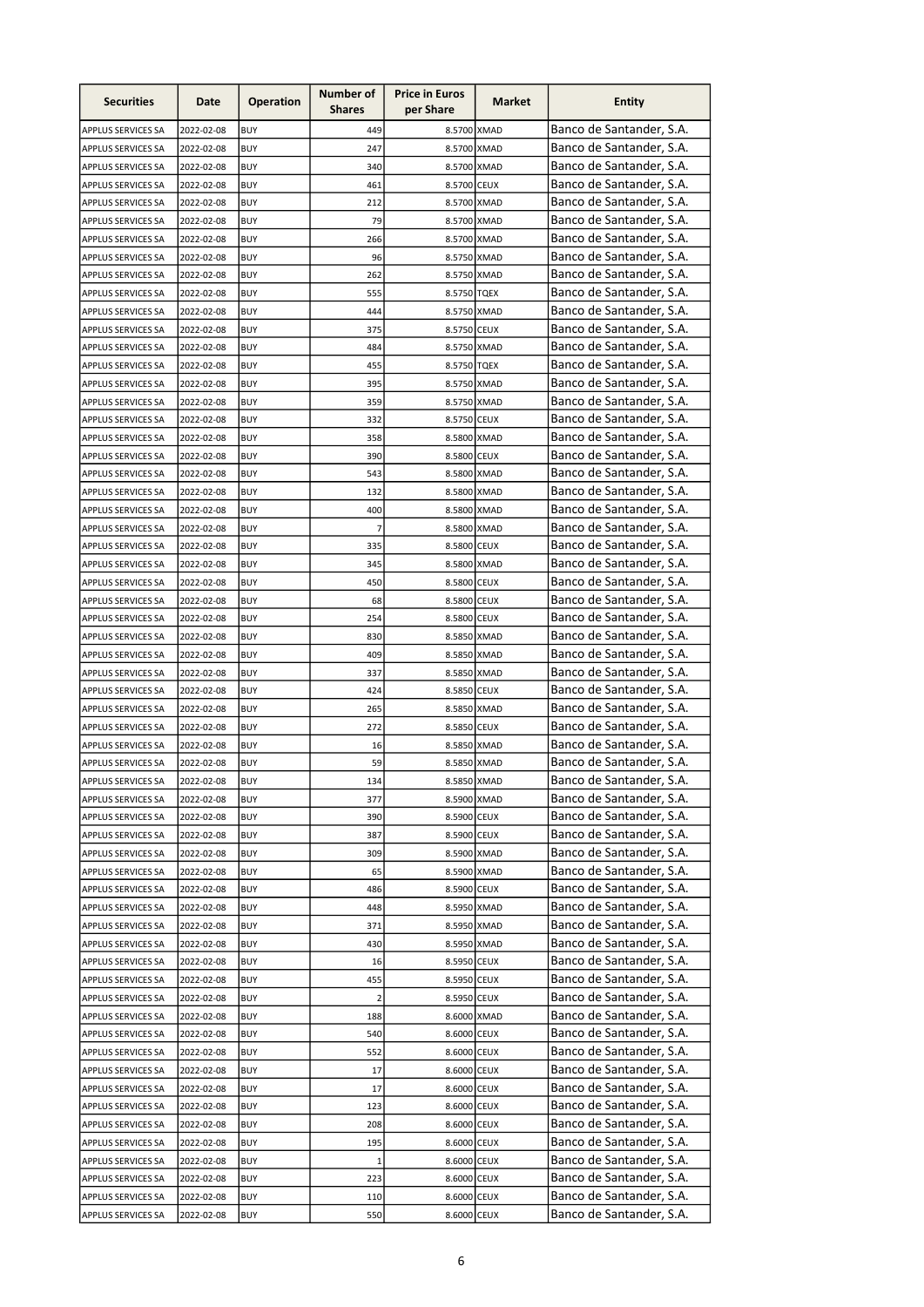| Banco de Santander, S.A.<br>449<br>8.5700 XMAD<br>2022-02-08<br><b>BUY</b><br><b>APPLUS SERVICES SA</b><br>Banco de Santander, S.A.<br>247<br>8.5700 XMAD<br>2022-02-08<br><b>BUY</b><br><b>APPLUS SERVICES SA</b><br>Banco de Santander, S.A.<br>340<br><b>BUY</b><br>8.5700 XMAD<br>APPLUS SERVICES SA<br>2022-02-08<br>Banco de Santander, S.A.<br>8.5700 CEUX<br>APPLUS SERVICES SA<br>2022-02-08<br><b>BUY</b><br>461<br>Banco de Santander, S.A.<br>8.5700 XMAD<br>APPLUS SERVICES SA<br>2022-02-08<br><b>BUY</b><br>212<br>Banco de Santander, S.A.<br>79<br>8.5700 XMAD<br>APPLUS SERVICES SA<br>2022-02-08<br><b>BUY</b><br>Banco de Santander, S.A.<br><b>BUY</b><br>APPLUS SERVICES SA<br>2022-02-08<br>266<br>8.5700 XMAD<br>Banco de Santander, S.A.<br><b>BUY</b><br>96<br>8.5750 XMAD<br>APPLUS SERVICES SA<br>2022-02-08<br>Banco de Santander, S.A.<br>8.5750 XMAD<br>APPLUS SERVICES SA<br>2022-02-08<br><b>BUY</b><br>262<br>Banco de Santander, S.A.<br>555<br>APPLUS SERVICES SA<br>2022-02-08<br><b>BUY</b><br>8.5750 TQEX<br>Banco de Santander, S.A.<br>444<br>8.5750 XMAD<br>APPLUS SERVICES SA<br>2022-02-08<br><b>BUY</b><br>Banco de Santander, S.A.<br>8.5750 CEUX<br>APPLUS SERVICES SA<br>2022-02-08<br><b>BUY</b><br>375<br>Banco de Santander, S.A.<br>8.5750 XMAD<br>APPLUS SERVICES SA<br>2022-02-08<br><b>BUY</b><br>484<br>Banco de Santander, S.A.<br>455<br>8.5750 TQEX<br>APPLUS SERVICES SA<br>2022-02-08<br><b>BUY</b><br>Banco de Santander, S.A.<br><b>BUY</b><br>395<br>APPLUS SERVICES SA<br>2022-02-08<br>8.5750 XMAD<br>Banco de Santander, S.A.<br>359<br>APPLUS SERVICES SA<br>2022-02-08<br><b>BUY</b><br>8.5750 XMAD<br>Banco de Santander, S.A.<br>APPLUS SERVICES SA<br>2022-02-08<br><b>BUY</b><br>332<br>8.5750 CEUX<br>Banco de Santander, S.A.<br>APPLUS SERVICES SA<br>2022-02-08<br><b>BUY</b><br>358<br>8.5800 XMAD<br>Banco de Santander, S.A.<br>390<br>APPLUS SERVICES SA<br>2022-02-08<br>8.5800 CEUX<br>BUY<br>Banco de Santander, S.A.<br>543<br>2022-02-08<br><b>BUY</b><br>8.5800 XMAD<br><b>APPLUS SERVICES SA</b><br>Banco de Santander, S.A.<br>2022-02-08<br><b>BUY</b><br>132<br>8.5800 XMAD<br><b>APPLUS SERVICES SA</b><br>Banco de Santander, S.A.<br>APPLUS SERVICES SA<br>2022-02-08<br><b>BUY</b><br>400<br>8.5800 XMAD<br>Banco de Santander, S.A.<br>7<br>2022-02-08<br><b>BUY</b><br>8.5800 XMAD<br><b>APPLUS SERVICES SA</b><br>Banco de Santander, S.A.<br><b>BUY</b><br>335<br>8.5800 CEUX<br>APPLUS SERVICES SA<br>2022-02-08<br>Banco de Santander, S.A.<br>345<br>2022-02-08<br><b>BUY</b><br>8.5800 XMAD<br>APPLUS SERVICES SA<br>Banco de Santander, S.A.<br>APPLUS SERVICES SA<br>2022-02-08<br><b>BUY</b><br>450<br>8.5800 CEUX<br>Banco de Santander, S.A.<br>2022-02-08<br><b>BUY</b><br>68<br>8.5800 CEUX<br><b>APPLUS SERVICES SA</b><br>Banco de Santander, S.A.<br>APPLUS SERVICES SA<br><b>BUY</b><br>254<br>8.5800 CEUX<br>2022-02-08<br>Banco de Santander, S.A.<br>8.5850 XMAD<br>APPLUS SERVICES SA<br>2022-02-08<br><b>BUY</b><br>830<br>Banco de Santander, S.A.<br>APPLUS SERVICES SA<br>2022-02-08<br><b>BUY</b><br>409<br>8.5850 XMAD<br>Banco de Santander, S.A.<br>337<br>APPLUS SERVICES SA<br>2022-02-08<br><b>BUY</b><br>8.5850 XMAD<br>Banco de Santander, S.A.<br>424<br>APPLUS SERVICES SA<br>2022-02-08<br><b>BUY</b><br>8.5850 CEUX<br>Banco de Santander, S.A.<br>265<br>APPLUS SERVICES SA<br>2022-02-08<br><b>BUY</b><br>8.5850 XMAD<br>Banco de Santander, S.A.<br>272<br>APPLUS SERVICES SA<br>2022-02-08<br><b>BUY</b><br>8.5850 CEUX<br>Banco de Santander, S.A.<br>APPLUS SERVICES SA<br>2022-02-08<br><b>BUY</b><br>16<br>8.5850 XMAD<br>Banco de Santander, S.A.<br>59<br>APPLUS SERVICES SA<br>2022-02-08<br>8.5850 XMAD<br>BUY<br>Banco de Santander, S.A.<br>APPLUS SERVICES SA<br>2022-02-08<br>8.5850 XMAD<br><b>BUY</b><br>134<br>Banco de Santander, S.A.<br>APPLUS SERVICES SA<br>2022-02-08<br>BUY<br>377<br>8.5900 XMAD<br>Banco de Santander, S.A.<br>8.5900 CEUX<br>APPLUS SERVICES SA<br>2022-02-08<br><b>BUY</b><br>390<br>Banco de Santander, S.A.<br>8.5900 CEUX<br>2022-02-08<br><b>BUY</b><br>387<br><b>APPLUS SERVICES SA</b><br>Banco de Santander, S.A.<br><b>BUY</b><br>309<br>8.5900 XMAD<br>APPLUS SERVICES SA<br>2022-02-08<br>Banco de Santander, S.A.<br>8.5900 XMAD<br>2022-02-08<br><b>BUY</b><br>65<br>APPLUS SERVICES SA<br>Banco de Santander, S.A.<br>8.5900 CEUX<br>APPLUS SERVICES SA<br>2022-02-08<br><b>BUY</b><br>486<br>Banco de Santander, S.A.<br>8.5950 XMAD<br>2022-02-08<br><b>BUY</b><br>448<br>APPLUS SERVICES SA<br>Banco de Santander, S.A.<br>8.5950 XMAD<br>APPLUS SERVICES SA<br>2022-02-08<br><b>BUY</b><br>371<br>Banco de Santander, S.A.<br>8.5950 XMAD<br>APPLUS SERVICES SA<br>2022-02-08<br><b>BUY</b><br>430<br>Banco de Santander, S.A.<br>8.5950 CEUX<br>APPLUS SERVICES SA<br>2022-02-08<br><b>BUY</b><br>16<br>Banco de Santander, S.A.<br>455<br>8.5950 CEUX<br>APPLUS SERVICES SA<br>2022-02-08<br>BUY<br>Banco de Santander, S.A.<br>$\overline{2}$<br>8.5950 CEUX<br>APPLUS SERVICES SA<br>2022-02-08<br>BUY<br>Banco de Santander, S.A.<br>APPLUS SERVICES SA<br>2022-02-08<br>BUY<br>188<br>8.6000 XMAD<br>Banco de Santander, S.A.<br>540<br>APPLUS SERVICES SA<br>2022-02-08<br>BUY<br>8.6000 CEUX<br>Banco de Santander, S.A.<br>8.6000 CEUX<br>APPLUS SERVICES SA<br>2022-02-08<br><b>BUY</b><br>552<br>Banco de Santander, S.A.<br>8.6000 CEUX<br>2022-02-08<br>17<br>APPLUS SERVICES SA<br>BUY<br>Banco de Santander, S.A.<br>APPLUS SERVICES SA<br>2022-02-08<br><b>BUY</b><br>17<br>8.6000 CEUX<br>Banco de Santander, S.A.<br>APPLUS SERVICES SA<br>2022-02-08<br>BUY<br>123<br>8.6000 CEUX<br>Banco de Santander, S.A.<br>208<br>8.6000 CEUX<br>APPLUS SERVICES SA<br>2022-02-08<br><b>BUY</b><br>Banco de Santander, S.A.<br><b>BUY</b><br>195<br>8.6000 CEUX<br>APPLUS SERVICES SA<br>2022-02-08<br>Banco de Santander, S.A.<br>APPLUS SERVICES SA<br>2022-02-08<br><b>BUY</b><br>$\mathbf 1$<br>8.6000 CEUX<br>Banco de Santander, S.A.<br><b>BUY</b><br>223<br>8.6000 CEUX<br>APPLUS SERVICES SA<br>2022-02-08<br>Banco de Santander, S.A.<br><b>BUY</b><br>8.6000 CEUX<br>APPLUS SERVICES SA<br>2022-02-08<br>110<br>Banco de Santander, S.A.<br>2022-02-08<br>550<br>8.6000 CEUX<br>APPLUS SERVICES SA<br><b>BUY</b> | <b>Securities</b> | Date | <b>Operation</b> | Number of<br><b>Shares</b> | <b>Price in Euros</b><br>per Share | Market | <b>Entity</b> |
|--------------------------------------------------------------------------------------------------------------------------------------------------------------------------------------------------------------------------------------------------------------------------------------------------------------------------------------------------------------------------------------------------------------------------------------------------------------------------------------------------------------------------------------------------------------------------------------------------------------------------------------------------------------------------------------------------------------------------------------------------------------------------------------------------------------------------------------------------------------------------------------------------------------------------------------------------------------------------------------------------------------------------------------------------------------------------------------------------------------------------------------------------------------------------------------------------------------------------------------------------------------------------------------------------------------------------------------------------------------------------------------------------------------------------------------------------------------------------------------------------------------------------------------------------------------------------------------------------------------------------------------------------------------------------------------------------------------------------------------------------------------------------------------------------------------------------------------------------------------------------------------------------------------------------------------------------------------------------------------------------------------------------------------------------------------------------------------------------------------------------------------------------------------------------------------------------------------------------------------------------------------------------------------------------------------------------------------------------------------------------------------------------------------------------------------------------------------------------------------------------------------------------------------------------------------------------------------------------------------------------------------------------------------------------------------------------------------------------------------------------------------------------------------------------------------------------------------------------------------------------------------------------------------------------------------------------------------------------------------------------------------------------------------------------------------------------------------------------------------------------------------------------------------------------------------------------------------------------------------------------------------------------------------------------------------------------------------------------------------------------------------------------------------------------------------------------------------------------------------------------------------------------------------------------------------------------------------------------------------------------------------------------------------------------------------------------------------------------------------------------------------------------------------------------------------------------------------------------------------------------------------------------------------------------------------------------------------------------------------------------------------------------------------------------------------------------------------------------------------------------------------------------------------------------------------------------------------------------------------------------------------------------------------------------------------------------------------------------------------------------------------------------------------------------------------------------------------------------------------------------------------------------------------------------------------------------------------------------------------------------------------------------------------------------------------------------------------------------------------------------------------------------------------------------------------------------------------------------------------------------------------------------------------------------------------------------------------------------------------------------------------------------------------------------------------------------------------------------------------------------------------------------------------------------------------------------------------------------------------------------------------------------------------------------------------------------------------------------------------------------------------------------------------------------------------------------------------------------------------------------------------------------------------------------------------------------------------------------------------------------------------------------------------------------------------------------------------------------------------------------------------------------------------------------------------------------------------------------------------------------------------------------------------------------------------------------------------------------------------------------------------------------------------------------------------------------------------------------------------------------------------------------------------------------------------------------------------------------------------------------------------------------------------------------------------------------------------------|-------------------|------|------------------|----------------------------|------------------------------------|--------|---------------|
|                                                                                                                                                                                                                                                                                                                                                                                                                                                                                                                                                                                                                                                                                                                                                                                                                                                                                                                                                                                                                                                                                                                                                                                                                                                                                                                                                                                                                                                                                                                                                                                                                                                                                                                                                                                                                                                                                                                                                                                                                                                                                                                                                                                                                                                                                                                                                                                                                                                                                                                                                                                                                                                                                                                                                                                                                                                                                                                                                                                                                                                                                                                                                                                                                                                                                                                                                                                                                                                                                                                                                                                                                                                                                                                                                                                                                                                                                                                                                                                                                                                                                                                                                                                                                                                                                                                                                                                                                                                                                                                                                                                                                                                                                                                                                                                                                                                                                                                                                                                                                                                                                                                                                                                                                                                                                                                                                                                                                                                                                                                                                                                                                                                                                                                                                                                                                                                                                                                                                                                                                                                                                                                                                                                                                                                                                                                                            |                   |      |                  |                            |                                    |        |               |
|                                                                                                                                                                                                                                                                                                                                                                                                                                                                                                                                                                                                                                                                                                                                                                                                                                                                                                                                                                                                                                                                                                                                                                                                                                                                                                                                                                                                                                                                                                                                                                                                                                                                                                                                                                                                                                                                                                                                                                                                                                                                                                                                                                                                                                                                                                                                                                                                                                                                                                                                                                                                                                                                                                                                                                                                                                                                                                                                                                                                                                                                                                                                                                                                                                                                                                                                                                                                                                                                                                                                                                                                                                                                                                                                                                                                                                                                                                                                                                                                                                                                                                                                                                                                                                                                                                                                                                                                                                                                                                                                                                                                                                                                                                                                                                                                                                                                                                                                                                                                                                                                                                                                                                                                                                                                                                                                                                                                                                                                                                                                                                                                                                                                                                                                                                                                                                                                                                                                                                                                                                                                                                                                                                                                                                                                                                                                            |                   |      |                  |                            |                                    |        |               |
|                                                                                                                                                                                                                                                                                                                                                                                                                                                                                                                                                                                                                                                                                                                                                                                                                                                                                                                                                                                                                                                                                                                                                                                                                                                                                                                                                                                                                                                                                                                                                                                                                                                                                                                                                                                                                                                                                                                                                                                                                                                                                                                                                                                                                                                                                                                                                                                                                                                                                                                                                                                                                                                                                                                                                                                                                                                                                                                                                                                                                                                                                                                                                                                                                                                                                                                                                                                                                                                                                                                                                                                                                                                                                                                                                                                                                                                                                                                                                                                                                                                                                                                                                                                                                                                                                                                                                                                                                                                                                                                                                                                                                                                                                                                                                                                                                                                                                                                                                                                                                                                                                                                                                                                                                                                                                                                                                                                                                                                                                                                                                                                                                                                                                                                                                                                                                                                                                                                                                                                                                                                                                                                                                                                                                                                                                                                                            |                   |      |                  |                            |                                    |        |               |
|                                                                                                                                                                                                                                                                                                                                                                                                                                                                                                                                                                                                                                                                                                                                                                                                                                                                                                                                                                                                                                                                                                                                                                                                                                                                                                                                                                                                                                                                                                                                                                                                                                                                                                                                                                                                                                                                                                                                                                                                                                                                                                                                                                                                                                                                                                                                                                                                                                                                                                                                                                                                                                                                                                                                                                                                                                                                                                                                                                                                                                                                                                                                                                                                                                                                                                                                                                                                                                                                                                                                                                                                                                                                                                                                                                                                                                                                                                                                                                                                                                                                                                                                                                                                                                                                                                                                                                                                                                                                                                                                                                                                                                                                                                                                                                                                                                                                                                                                                                                                                                                                                                                                                                                                                                                                                                                                                                                                                                                                                                                                                                                                                                                                                                                                                                                                                                                                                                                                                                                                                                                                                                                                                                                                                                                                                                                                            |                   |      |                  |                            |                                    |        |               |
|                                                                                                                                                                                                                                                                                                                                                                                                                                                                                                                                                                                                                                                                                                                                                                                                                                                                                                                                                                                                                                                                                                                                                                                                                                                                                                                                                                                                                                                                                                                                                                                                                                                                                                                                                                                                                                                                                                                                                                                                                                                                                                                                                                                                                                                                                                                                                                                                                                                                                                                                                                                                                                                                                                                                                                                                                                                                                                                                                                                                                                                                                                                                                                                                                                                                                                                                                                                                                                                                                                                                                                                                                                                                                                                                                                                                                                                                                                                                                                                                                                                                                                                                                                                                                                                                                                                                                                                                                                                                                                                                                                                                                                                                                                                                                                                                                                                                                                                                                                                                                                                                                                                                                                                                                                                                                                                                                                                                                                                                                                                                                                                                                                                                                                                                                                                                                                                                                                                                                                                                                                                                                                                                                                                                                                                                                                                                            |                   |      |                  |                            |                                    |        |               |
|                                                                                                                                                                                                                                                                                                                                                                                                                                                                                                                                                                                                                                                                                                                                                                                                                                                                                                                                                                                                                                                                                                                                                                                                                                                                                                                                                                                                                                                                                                                                                                                                                                                                                                                                                                                                                                                                                                                                                                                                                                                                                                                                                                                                                                                                                                                                                                                                                                                                                                                                                                                                                                                                                                                                                                                                                                                                                                                                                                                                                                                                                                                                                                                                                                                                                                                                                                                                                                                                                                                                                                                                                                                                                                                                                                                                                                                                                                                                                                                                                                                                                                                                                                                                                                                                                                                                                                                                                                                                                                                                                                                                                                                                                                                                                                                                                                                                                                                                                                                                                                                                                                                                                                                                                                                                                                                                                                                                                                                                                                                                                                                                                                                                                                                                                                                                                                                                                                                                                                                                                                                                                                                                                                                                                                                                                                                                            |                   |      |                  |                            |                                    |        |               |
|                                                                                                                                                                                                                                                                                                                                                                                                                                                                                                                                                                                                                                                                                                                                                                                                                                                                                                                                                                                                                                                                                                                                                                                                                                                                                                                                                                                                                                                                                                                                                                                                                                                                                                                                                                                                                                                                                                                                                                                                                                                                                                                                                                                                                                                                                                                                                                                                                                                                                                                                                                                                                                                                                                                                                                                                                                                                                                                                                                                                                                                                                                                                                                                                                                                                                                                                                                                                                                                                                                                                                                                                                                                                                                                                                                                                                                                                                                                                                                                                                                                                                                                                                                                                                                                                                                                                                                                                                                                                                                                                                                                                                                                                                                                                                                                                                                                                                                                                                                                                                                                                                                                                                                                                                                                                                                                                                                                                                                                                                                                                                                                                                                                                                                                                                                                                                                                                                                                                                                                                                                                                                                                                                                                                                                                                                                                                            |                   |      |                  |                            |                                    |        |               |
|                                                                                                                                                                                                                                                                                                                                                                                                                                                                                                                                                                                                                                                                                                                                                                                                                                                                                                                                                                                                                                                                                                                                                                                                                                                                                                                                                                                                                                                                                                                                                                                                                                                                                                                                                                                                                                                                                                                                                                                                                                                                                                                                                                                                                                                                                                                                                                                                                                                                                                                                                                                                                                                                                                                                                                                                                                                                                                                                                                                                                                                                                                                                                                                                                                                                                                                                                                                                                                                                                                                                                                                                                                                                                                                                                                                                                                                                                                                                                                                                                                                                                                                                                                                                                                                                                                                                                                                                                                                                                                                                                                                                                                                                                                                                                                                                                                                                                                                                                                                                                                                                                                                                                                                                                                                                                                                                                                                                                                                                                                                                                                                                                                                                                                                                                                                                                                                                                                                                                                                                                                                                                                                                                                                                                                                                                                                                            |                   |      |                  |                            |                                    |        |               |
|                                                                                                                                                                                                                                                                                                                                                                                                                                                                                                                                                                                                                                                                                                                                                                                                                                                                                                                                                                                                                                                                                                                                                                                                                                                                                                                                                                                                                                                                                                                                                                                                                                                                                                                                                                                                                                                                                                                                                                                                                                                                                                                                                                                                                                                                                                                                                                                                                                                                                                                                                                                                                                                                                                                                                                                                                                                                                                                                                                                                                                                                                                                                                                                                                                                                                                                                                                                                                                                                                                                                                                                                                                                                                                                                                                                                                                                                                                                                                                                                                                                                                                                                                                                                                                                                                                                                                                                                                                                                                                                                                                                                                                                                                                                                                                                                                                                                                                                                                                                                                                                                                                                                                                                                                                                                                                                                                                                                                                                                                                                                                                                                                                                                                                                                                                                                                                                                                                                                                                                                                                                                                                                                                                                                                                                                                                                                            |                   |      |                  |                            |                                    |        |               |
|                                                                                                                                                                                                                                                                                                                                                                                                                                                                                                                                                                                                                                                                                                                                                                                                                                                                                                                                                                                                                                                                                                                                                                                                                                                                                                                                                                                                                                                                                                                                                                                                                                                                                                                                                                                                                                                                                                                                                                                                                                                                                                                                                                                                                                                                                                                                                                                                                                                                                                                                                                                                                                                                                                                                                                                                                                                                                                                                                                                                                                                                                                                                                                                                                                                                                                                                                                                                                                                                                                                                                                                                                                                                                                                                                                                                                                                                                                                                                                                                                                                                                                                                                                                                                                                                                                                                                                                                                                                                                                                                                                                                                                                                                                                                                                                                                                                                                                                                                                                                                                                                                                                                                                                                                                                                                                                                                                                                                                                                                                                                                                                                                                                                                                                                                                                                                                                                                                                                                                                                                                                                                                                                                                                                                                                                                                                                            |                   |      |                  |                            |                                    |        |               |
|                                                                                                                                                                                                                                                                                                                                                                                                                                                                                                                                                                                                                                                                                                                                                                                                                                                                                                                                                                                                                                                                                                                                                                                                                                                                                                                                                                                                                                                                                                                                                                                                                                                                                                                                                                                                                                                                                                                                                                                                                                                                                                                                                                                                                                                                                                                                                                                                                                                                                                                                                                                                                                                                                                                                                                                                                                                                                                                                                                                                                                                                                                                                                                                                                                                                                                                                                                                                                                                                                                                                                                                                                                                                                                                                                                                                                                                                                                                                                                                                                                                                                                                                                                                                                                                                                                                                                                                                                                                                                                                                                                                                                                                                                                                                                                                                                                                                                                                                                                                                                                                                                                                                                                                                                                                                                                                                                                                                                                                                                                                                                                                                                                                                                                                                                                                                                                                                                                                                                                                                                                                                                                                                                                                                                                                                                                                                            |                   |      |                  |                            |                                    |        |               |
|                                                                                                                                                                                                                                                                                                                                                                                                                                                                                                                                                                                                                                                                                                                                                                                                                                                                                                                                                                                                                                                                                                                                                                                                                                                                                                                                                                                                                                                                                                                                                                                                                                                                                                                                                                                                                                                                                                                                                                                                                                                                                                                                                                                                                                                                                                                                                                                                                                                                                                                                                                                                                                                                                                                                                                                                                                                                                                                                                                                                                                                                                                                                                                                                                                                                                                                                                                                                                                                                                                                                                                                                                                                                                                                                                                                                                                                                                                                                                                                                                                                                                                                                                                                                                                                                                                                                                                                                                                                                                                                                                                                                                                                                                                                                                                                                                                                                                                                                                                                                                                                                                                                                                                                                                                                                                                                                                                                                                                                                                                                                                                                                                                                                                                                                                                                                                                                                                                                                                                                                                                                                                                                                                                                                                                                                                                                                            |                   |      |                  |                            |                                    |        |               |
|                                                                                                                                                                                                                                                                                                                                                                                                                                                                                                                                                                                                                                                                                                                                                                                                                                                                                                                                                                                                                                                                                                                                                                                                                                                                                                                                                                                                                                                                                                                                                                                                                                                                                                                                                                                                                                                                                                                                                                                                                                                                                                                                                                                                                                                                                                                                                                                                                                                                                                                                                                                                                                                                                                                                                                                                                                                                                                                                                                                                                                                                                                                                                                                                                                                                                                                                                                                                                                                                                                                                                                                                                                                                                                                                                                                                                                                                                                                                                                                                                                                                                                                                                                                                                                                                                                                                                                                                                                                                                                                                                                                                                                                                                                                                                                                                                                                                                                                                                                                                                                                                                                                                                                                                                                                                                                                                                                                                                                                                                                                                                                                                                                                                                                                                                                                                                                                                                                                                                                                                                                                                                                                                                                                                                                                                                                                                            |                   |      |                  |                            |                                    |        |               |
|                                                                                                                                                                                                                                                                                                                                                                                                                                                                                                                                                                                                                                                                                                                                                                                                                                                                                                                                                                                                                                                                                                                                                                                                                                                                                                                                                                                                                                                                                                                                                                                                                                                                                                                                                                                                                                                                                                                                                                                                                                                                                                                                                                                                                                                                                                                                                                                                                                                                                                                                                                                                                                                                                                                                                                                                                                                                                                                                                                                                                                                                                                                                                                                                                                                                                                                                                                                                                                                                                                                                                                                                                                                                                                                                                                                                                                                                                                                                                                                                                                                                                                                                                                                                                                                                                                                                                                                                                                                                                                                                                                                                                                                                                                                                                                                                                                                                                                                                                                                                                                                                                                                                                                                                                                                                                                                                                                                                                                                                                                                                                                                                                                                                                                                                                                                                                                                                                                                                                                                                                                                                                                                                                                                                                                                                                                                                            |                   |      |                  |                            |                                    |        |               |
|                                                                                                                                                                                                                                                                                                                                                                                                                                                                                                                                                                                                                                                                                                                                                                                                                                                                                                                                                                                                                                                                                                                                                                                                                                                                                                                                                                                                                                                                                                                                                                                                                                                                                                                                                                                                                                                                                                                                                                                                                                                                                                                                                                                                                                                                                                                                                                                                                                                                                                                                                                                                                                                                                                                                                                                                                                                                                                                                                                                                                                                                                                                                                                                                                                                                                                                                                                                                                                                                                                                                                                                                                                                                                                                                                                                                                                                                                                                                                                                                                                                                                                                                                                                                                                                                                                                                                                                                                                                                                                                                                                                                                                                                                                                                                                                                                                                                                                                                                                                                                                                                                                                                                                                                                                                                                                                                                                                                                                                                                                                                                                                                                                                                                                                                                                                                                                                                                                                                                                                                                                                                                                                                                                                                                                                                                                                                            |                   |      |                  |                            |                                    |        |               |
|                                                                                                                                                                                                                                                                                                                                                                                                                                                                                                                                                                                                                                                                                                                                                                                                                                                                                                                                                                                                                                                                                                                                                                                                                                                                                                                                                                                                                                                                                                                                                                                                                                                                                                                                                                                                                                                                                                                                                                                                                                                                                                                                                                                                                                                                                                                                                                                                                                                                                                                                                                                                                                                                                                                                                                                                                                                                                                                                                                                                                                                                                                                                                                                                                                                                                                                                                                                                                                                                                                                                                                                                                                                                                                                                                                                                                                                                                                                                                                                                                                                                                                                                                                                                                                                                                                                                                                                                                                                                                                                                                                                                                                                                                                                                                                                                                                                                                                                                                                                                                                                                                                                                                                                                                                                                                                                                                                                                                                                                                                                                                                                                                                                                                                                                                                                                                                                                                                                                                                                                                                                                                                                                                                                                                                                                                                                                            |                   |      |                  |                            |                                    |        |               |
|                                                                                                                                                                                                                                                                                                                                                                                                                                                                                                                                                                                                                                                                                                                                                                                                                                                                                                                                                                                                                                                                                                                                                                                                                                                                                                                                                                                                                                                                                                                                                                                                                                                                                                                                                                                                                                                                                                                                                                                                                                                                                                                                                                                                                                                                                                                                                                                                                                                                                                                                                                                                                                                                                                                                                                                                                                                                                                                                                                                                                                                                                                                                                                                                                                                                                                                                                                                                                                                                                                                                                                                                                                                                                                                                                                                                                                                                                                                                                                                                                                                                                                                                                                                                                                                                                                                                                                                                                                                                                                                                                                                                                                                                                                                                                                                                                                                                                                                                                                                                                                                                                                                                                                                                                                                                                                                                                                                                                                                                                                                                                                                                                                                                                                                                                                                                                                                                                                                                                                                                                                                                                                                                                                                                                                                                                                                                            |                   |      |                  |                            |                                    |        |               |
|                                                                                                                                                                                                                                                                                                                                                                                                                                                                                                                                                                                                                                                                                                                                                                                                                                                                                                                                                                                                                                                                                                                                                                                                                                                                                                                                                                                                                                                                                                                                                                                                                                                                                                                                                                                                                                                                                                                                                                                                                                                                                                                                                                                                                                                                                                                                                                                                                                                                                                                                                                                                                                                                                                                                                                                                                                                                                                                                                                                                                                                                                                                                                                                                                                                                                                                                                                                                                                                                                                                                                                                                                                                                                                                                                                                                                                                                                                                                                                                                                                                                                                                                                                                                                                                                                                                                                                                                                                                                                                                                                                                                                                                                                                                                                                                                                                                                                                                                                                                                                                                                                                                                                                                                                                                                                                                                                                                                                                                                                                                                                                                                                                                                                                                                                                                                                                                                                                                                                                                                                                                                                                                                                                                                                                                                                                                                            |                   |      |                  |                            |                                    |        |               |
|                                                                                                                                                                                                                                                                                                                                                                                                                                                                                                                                                                                                                                                                                                                                                                                                                                                                                                                                                                                                                                                                                                                                                                                                                                                                                                                                                                                                                                                                                                                                                                                                                                                                                                                                                                                                                                                                                                                                                                                                                                                                                                                                                                                                                                                                                                                                                                                                                                                                                                                                                                                                                                                                                                                                                                                                                                                                                                                                                                                                                                                                                                                                                                                                                                                                                                                                                                                                                                                                                                                                                                                                                                                                                                                                                                                                                                                                                                                                                                                                                                                                                                                                                                                                                                                                                                                                                                                                                                                                                                                                                                                                                                                                                                                                                                                                                                                                                                                                                                                                                                                                                                                                                                                                                                                                                                                                                                                                                                                                                                                                                                                                                                                                                                                                                                                                                                                                                                                                                                                                                                                                                                                                                                                                                                                                                                                                            |                   |      |                  |                            |                                    |        |               |
|                                                                                                                                                                                                                                                                                                                                                                                                                                                                                                                                                                                                                                                                                                                                                                                                                                                                                                                                                                                                                                                                                                                                                                                                                                                                                                                                                                                                                                                                                                                                                                                                                                                                                                                                                                                                                                                                                                                                                                                                                                                                                                                                                                                                                                                                                                                                                                                                                                                                                                                                                                                                                                                                                                                                                                                                                                                                                                                                                                                                                                                                                                                                                                                                                                                                                                                                                                                                                                                                                                                                                                                                                                                                                                                                                                                                                                                                                                                                                                                                                                                                                                                                                                                                                                                                                                                                                                                                                                                                                                                                                                                                                                                                                                                                                                                                                                                                                                                                                                                                                                                                                                                                                                                                                                                                                                                                                                                                                                                                                                                                                                                                                                                                                                                                                                                                                                                                                                                                                                                                                                                                                                                                                                                                                                                                                                                                            |                   |      |                  |                            |                                    |        |               |
|                                                                                                                                                                                                                                                                                                                                                                                                                                                                                                                                                                                                                                                                                                                                                                                                                                                                                                                                                                                                                                                                                                                                                                                                                                                                                                                                                                                                                                                                                                                                                                                                                                                                                                                                                                                                                                                                                                                                                                                                                                                                                                                                                                                                                                                                                                                                                                                                                                                                                                                                                                                                                                                                                                                                                                                                                                                                                                                                                                                                                                                                                                                                                                                                                                                                                                                                                                                                                                                                                                                                                                                                                                                                                                                                                                                                                                                                                                                                                                                                                                                                                                                                                                                                                                                                                                                                                                                                                                                                                                                                                                                                                                                                                                                                                                                                                                                                                                                                                                                                                                                                                                                                                                                                                                                                                                                                                                                                                                                                                                                                                                                                                                                                                                                                                                                                                                                                                                                                                                                                                                                                                                                                                                                                                                                                                                                                            |                   |      |                  |                            |                                    |        |               |
|                                                                                                                                                                                                                                                                                                                                                                                                                                                                                                                                                                                                                                                                                                                                                                                                                                                                                                                                                                                                                                                                                                                                                                                                                                                                                                                                                                                                                                                                                                                                                                                                                                                                                                                                                                                                                                                                                                                                                                                                                                                                                                                                                                                                                                                                                                                                                                                                                                                                                                                                                                                                                                                                                                                                                                                                                                                                                                                                                                                                                                                                                                                                                                                                                                                                                                                                                                                                                                                                                                                                                                                                                                                                                                                                                                                                                                                                                                                                                                                                                                                                                                                                                                                                                                                                                                                                                                                                                                                                                                                                                                                                                                                                                                                                                                                                                                                                                                                                                                                                                                                                                                                                                                                                                                                                                                                                                                                                                                                                                                                                                                                                                                                                                                                                                                                                                                                                                                                                                                                                                                                                                                                                                                                                                                                                                                                                            |                   |      |                  |                            |                                    |        |               |
|                                                                                                                                                                                                                                                                                                                                                                                                                                                                                                                                                                                                                                                                                                                                                                                                                                                                                                                                                                                                                                                                                                                                                                                                                                                                                                                                                                                                                                                                                                                                                                                                                                                                                                                                                                                                                                                                                                                                                                                                                                                                                                                                                                                                                                                                                                                                                                                                                                                                                                                                                                                                                                                                                                                                                                                                                                                                                                                                                                                                                                                                                                                                                                                                                                                                                                                                                                                                                                                                                                                                                                                                                                                                                                                                                                                                                                                                                                                                                                                                                                                                                                                                                                                                                                                                                                                                                                                                                                                                                                                                                                                                                                                                                                                                                                                                                                                                                                                                                                                                                                                                                                                                                                                                                                                                                                                                                                                                                                                                                                                                                                                                                                                                                                                                                                                                                                                                                                                                                                                                                                                                                                                                                                                                                                                                                                                                            |                   |      |                  |                            |                                    |        |               |
|                                                                                                                                                                                                                                                                                                                                                                                                                                                                                                                                                                                                                                                                                                                                                                                                                                                                                                                                                                                                                                                                                                                                                                                                                                                                                                                                                                                                                                                                                                                                                                                                                                                                                                                                                                                                                                                                                                                                                                                                                                                                                                                                                                                                                                                                                                                                                                                                                                                                                                                                                                                                                                                                                                                                                                                                                                                                                                                                                                                                                                                                                                                                                                                                                                                                                                                                                                                                                                                                                                                                                                                                                                                                                                                                                                                                                                                                                                                                                                                                                                                                                                                                                                                                                                                                                                                                                                                                                                                                                                                                                                                                                                                                                                                                                                                                                                                                                                                                                                                                                                                                                                                                                                                                                                                                                                                                                                                                                                                                                                                                                                                                                                                                                                                                                                                                                                                                                                                                                                                                                                                                                                                                                                                                                                                                                                                                            |                   |      |                  |                            |                                    |        |               |
|                                                                                                                                                                                                                                                                                                                                                                                                                                                                                                                                                                                                                                                                                                                                                                                                                                                                                                                                                                                                                                                                                                                                                                                                                                                                                                                                                                                                                                                                                                                                                                                                                                                                                                                                                                                                                                                                                                                                                                                                                                                                                                                                                                                                                                                                                                                                                                                                                                                                                                                                                                                                                                                                                                                                                                                                                                                                                                                                                                                                                                                                                                                                                                                                                                                                                                                                                                                                                                                                                                                                                                                                                                                                                                                                                                                                                                                                                                                                                                                                                                                                                                                                                                                                                                                                                                                                                                                                                                                                                                                                                                                                                                                                                                                                                                                                                                                                                                                                                                                                                                                                                                                                                                                                                                                                                                                                                                                                                                                                                                                                                                                                                                                                                                                                                                                                                                                                                                                                                                                                                                                                                                                                                                                                                                                                                                                                            |                   |      |                  |                            |                                    |        |               |
|                                                                                                                                                                                                                                                                                                                                                                                                                                                                                                                                                                                                                                                                                                                                                                                                                                                                                                                                                                                                                                                                                                                                                                                                                                                                                                                                                                                                                                                                                                                                                                                                                                                                                                                                                                                                                                                                                                                                                                                                                                                                                                                                                                                                                                                                                                                                                                                                                                                                                                                                                                                                                                                                                                                                                                                                                                                                                                                                                                                                                                                                                                                                                                                                                                                                                                                                                                                                                                                                                                                                                                                                                                                                                                                                                                                                                                                                                                                                                                                                                                                                                                                                                                                                                                                                                                                                                                                                                                                                                                                                                                                                                                                                                                                                                                                                                                                                                                                                                                                                                                                                                                                                                                                                                                                                                                                                                                                                                                                                                                                                                                                                                                                                                                                                                                                                                                                                                                                                                                                                                                                                                                                                                                                                                                                                                                                                            |                   |      |                  |                            |                                    |        |               |
|                                                                                                                                                                                                                                                                                                                                                                                                                                                                                                                                                                                                                                                                                                                                                                                                                                                                                                                                                                                                                                                                                                                                                                                                                                                                                                                                                                                                                                                                                                                                                                                                                                                                                                                                                                                                                                                                                                                                                                                                                                                                                                                                                                                                                                                                                                                                                                                                                                                                                                                                                                                                                                                                                                                                                                                                                                                                                                                                                                                                                                                                                                                                                                                                                                                                                                                                                                                                                                                                                                                                                                                                                                                                                                                                                                                                                                                                                                                                                                                                                                                                                                                                                                                                                                                                                                                                                                                                                                                                                                                                                                                                                                                                                                                                                                                                                                                                                                                                                                                                                                                                                                                                                                                                                                                                                                                                                                                                                                                                                                                                                                                                                                                                                                                                                                                                                                                                                                                                                                                                                                                                                                                                                                                                                                                                                                                                            |                   |      |                  |                            |                                    |        |               |
|                                                                                                                                                                                                                                                                                                                                                                                                                                                                                                                                                                                                                                                                                                                                                                                                                                                                                                                                                                                                                                                                                                                                                                                                                                                                                                                                                                                                                                                                                                                                                                                                                                                                                                                                                                                                                                                                                                                                                                                                                                                                                                                                                                                                                                                                                                                                                                                                                                                                                                                                                                                                                                                                                                                                                                                                                                                                                                                                                                                                                                                                                                                                                                                                                                                                                                                                                                                                                                                                                                                                                                                                                                                                                                                                                                                                                                                                                                                                                                                                                                                                                                                                                                                                                                                                                                                                                                                                                                                                                                                                                                                                                                                                                                                                                                                                                                                                                                                                                                                                                                                                                                                                                                                                                                                                                                                                                                                                                                                                                                                                                                                                                                                                                                                                                                                                                                                                                                                                                                                                                                                                                                                                                                                                                                                                                                                                            |                   |      |                  |                            |                                    |        |               |
|                                                                                                                                                                                                                                                                                                                                                                                                                                                                                                                                                                                                                                                                                                                                                                                                                                                                                                                                                                                                                                                                                                                                                                                                                                                                                                                                                                                                                                                                                                                                                                                                                                                                                                                                                                                                                                                                                                                                                                                                                                                                                                                                                                                                                                                                                                                                                                                                                                                                                                                                                                                                                                                                                                                                                                                                                                                                                                                                                                                                                                                                                                                                                                                                                                                                                                                                                                                                                                                                                                                                                                                                                                                                                                                                                                                                                                                                                                                                                                                                                                                                                                                                                                                                                                                                                                                                                                                                                                                                                                                                                                                                                                                                                                                                                                                                                                                                                                                                                                                                                                                                                                                                                                                                                                                                                                                                                                                                                                                                                                                                                                                                                                                                                                                                                                                                                                                                                                                                                                                                                                                                                                                                                                                                                                                                                                                                            |                   |      |                  |                            |                                    |        |               |
|                                                                                                                                                                                                                                                                                                                                                                                                                                                                                                                                                                                                                                                                                                                                                                                                                                                                                                                                                                                                                                                                                                                                                                                                                                                                                                                                                                                                                                                                                                                                                                                                                                                                                                                                                                                                                                                                                                                                                                                                                                                                                                                                                                                                                                                                                                                                                                                                                                                                                                                                                                                                                                                                                                                                                                                                                                                                                                                                                                                                                                                                                                                                                                                                                                                                                                                                                                                                                                                                                                                                                                                                                                                                                                                                                                                                                                                                                                                                                                                                                                                                                                                                                                                                                                                                                                                                                                                                                                                                                                                                                                                                                                                                                                                                                                                                                                                                                                                                                                                                                                                                                                                                                                                                                                                                                                                                                                                                                                                                                                                                                                                                                                                                                                                                                                                                                                                                                                                                                                                                                                                                                                                                                                                                                                                                                                                                            |                   |      |                  |                            |                                    |        |               |
|                                                                                                                                                                                                                                                                                                                                                                                                                                                                                                                                                                                                                                                                                                                                                                                                                                                                                                                                                                                                                                                                                                                                                                                                                                                                                                                                                                                                                                                                                                                                                                                                                                                                                                                                                                                                                                                                                                                                                                                                                                                                                                                                                                                                                                                                                                                                                                                                                                                                                                                                                                                                                                                                                                                                                                                                                                                                                                                                                                                                                                                                                                                                                                                                                                                                                                                                                                                                                                                                                                                                                                                                                                                                                                                                                                                                                                                                                                                                                                                                                                                                                                                                                                                                                                                                                                                                                                                                                                                                                                                                                                                                                                                                                                                                                                                                                                                                                                                                                                                                                                                                                                                                                                                                                                                                                                                                                                                                                                                                                                                                                                                                                                                                                                                                                                                                                                                                                                                                                                                                                                                                                                                                                                                                                                                                                                                                            |                   |      |                  |                            |                                    |        |               |
|                                                                                                                                                                                                                                                                                                                                                                                                                                                                                                                                                                                                                                                                                                                                                                                                                                                                                                                                                                                                                                                                                                                                                                                                                                                                                                                                                                                                                                                                                                                                                                                                                                                                                                                                                                                                                                                                                                                                                                                                                                                                                                                                                                                                                                                                                                                                                                                                                                                                                                                                                                                                                                                                                                                                                                                                                                                                                                                                                                                                                                                                                                                                                                                                                                                                                                                                                                                                                                                                                                                                                                                                                                                                                                                                                                                                                                                                                                                                                                                                                                                                                                                                                                                                                                                                                                                                                                                                                                                                                                                                                                                                                                                                                                                                                                                                                                                                                                                                                                                                                                                                                                                                                                                                                                                                                                                                                                                                                                                                                                                                                                                                                                                                                                                                                                                                                                                                                                                                                                                                                                                                                                                                                                                                                                                                                                                                            |                   |      |                  |                            |                                    |        |               |
|                                                                                                                                                                                                                                                                                                                                                                                                                                                                                                                                                                                                                                                                                                                                                                                                                                                                                                                                                                                                                                                                                                                                                                                                                                                                                                                                                                                                                                                                                                                                                                                                                                                                                                                                                                                                                                                                                                                                                                                                                                                                                                                                                                                                                                                                                                                                                                                                                                                                                                                                                                                                                                                                                                                                                                                                                                                                                                                                                                                                                                                                                                                                                                                                                                                                                                                                                                                                                                                                                                                                                                                                                                                                                                                                                                                                                                                                                                                                                                                                                                                                                                                                                                                                                                                                                                                                                                                                                                                                                                                                                                                                                                                                                                                                                                                                                                                                                                                                                                                                                                                                                                                                                                                                                                                                                                                                                                                                                                                                                                                                                                                                                                                                                                                                                                                                                                                                                                                                                                                                                                                                                                                                                                                                                                                                                                                                            |                   |      |                  |                            |                                    |        |               |
|                                                                                                                                                                                                                                                                                                                                                                                                                                                                                                                                                                                                                                                                                                                                                                                                                                                                                                                                                                                                                                                                                                                                                                                                                                                                                                                                                                                                                                                                                                                                                                                                                                                                                                                                                                                                                                                                                                                                                                                                                                                                                                                                                                                                                                                                                                                                                                                                                                                                                                                                                                                                                                                                                                                                                                                                                                                                                                                                                                                                                                                                                                                                                                                                                                                                                                                                                                                                                                                                                                                                                                                                                                                                                                                                                                                                                                                                                                                                                                                                                                                                                                                                                                                                                                                                                                                                                                                                                                                                                                                                                                                                                                                                                                                                                                                                                                                                                                                                                                                                                                                                                                                                                                                                                                                                                                                                                                                                                                                                                                                                                                                                                                                                                                                                                                                                                                                                                                                                                                                                                                                                                                                                                                                                                                                                                                                                            |                   |      |                  |                            |                                    |        |               |
|                                                                                                                                                                                                                                                                                                                                                                                                                                                                                                                                                                                                                                                                                                                                                                                                                                                                                                                                                                                                                                                                                                                                                                                                                                                                                                                                                                                                                                                                                                                                                                                                                                                                                                                                                                                                                                                                                                                                                                                                                                                                                                                                                                                                                                                                                                                                                                                                                                                                                                                                                                                                                                                                                                                                                                                                                                                                                                                                                                                                                                                                                                                                                                                                                                                                                                                                                                                                                                                                                                                                                                                                                                                                                                                                                                                                                                                                                                                                                                                                                                                                                                                                                                                                                                                                                                                                                                                                                                                                                                                                                                                                                                                                                                                                                                                                                                                                                                                                                                                                                                                                                                                                                                                                                                                                                                                                                                                                                                                                                                                                                                                                                                                                                                                                                                                                                                                                                                                                                                                                                                                                                                                                                                                                                                                                                                                                            |                   |      |                  |                            |                                    |        |               |
|                                                                                                                                                                                                                                                                                                                                                                                                                                                                                                                                                                                                                                                                                                                                                                                                                                                                                                                                                                                                                                                                                                                                                                                                                                                                                                                                                                                                                                                                                                                                                                                                                                                                                                                                                                                                                                                                                                                                                                                                                                                                                                                                                                                                                                                                                                                                                                                                                                                                                                                                                                                                                                                                                                                                                                                                                                                                                                                                                                                                                                                                                                                                                                                                                                                                                                                                                                                                                                                                                                                                                                                                                                                                                                                                                                                                                                                                                                                                                                                                                                                                                                                                                                                                                                                                                                                                                                                                                                                                                                                                                                                                                                                                                                                                                                                                                                                                                                                                                                                                                                                                                                                                                                                                                                                                                                                                                                                                                                                                                                                                                                                                                                                                                                                                                                                                                                                                                                                                                                                                                                                                                                                                                                                                                                                                                                                                            |                   |      |                  |                            |                                    |        |               |
|                                                                                                                                                                                                                                                                                                                                                                                                                                                                                                                                                                                                                                                                                                                                                                                                                                                                                                                                                                                                                                                                                                                                                                                                                                                                                                                                                                                                                                                                                                                                                                                                                                                                                                                                                                                                                                                                                                                                                                                                                                                                                                                                                                                                                                                                                                                                                                                                                                                                                                                                                                                                                                                                                                                                                                                                                                                                                                                                                                                                                                                                                                                                                                                                                                                                                                                                                                                                                                                                                                                                                                                                                                                                                                                                                                                                                                                                                                                                                                                                                                                                                                                                                                                                                                                                                                                                                                                                                                                                                                                                                                                                                                                                                                                                                                                                                                                                                                                                                                                                                                                                                                                                                                                                                                                                                                                                                                                                                                                                                                                                                                                                                                                                                                                                                                                                                                                                                                                                                                                                                                                                                                                                                                                                                                                                                                                                            |                   |      |                  |                            |                                    |        |               |
|                                                                                                                                                                                                                                                                                                                                                                                                                                                                                                                                                                                                                                                                                                                                                                                                                                                                                                                                                                                                                                                                                                                                                                                                                                                                                                                                                                                                                                                                                                                                                                                                                                                                                                                                                                                                                                                                                                                                                                                                                                                                                                                                                                                                                                                                                                                                                                                                                                                                                                                                                                                                                                                                                                                                                                                                                                                                                                                                                                                                                                                                                                                                                                                                                                                                                                                                                                                                                                                                                                                                                                                                                                                                                                                                                                                                                                                                                                                                                                                                                                                                                                                                                                                                                                                                                                                                                                                                                                                                                                                                                                                                                                                                                                                                                                                                                                                                                                                                                                                                                                                                                                                                                                                                                                                                                                                                                                                                                                                                                                                                                                                                                                                                                                                                                                                                                                                                                                                                                                                                                                                                                                                                                                                                                                                                                                                                            |                   |      |                  |                            |                                    |        |               |
|                                                                                                                                                                                                                                                                                                                                                                                                                                                                                                                                                                                                                                                                                                                                                                                                                                                                                                                                                                                                                                                                                                                                                                                                                                                                                                                                                                                                                                                                                                                                                                                                                                                                                                                                                                                                                                                                                                                                                                                                                                                                                                                                                                                                                                                                                                                                                                                                                                                                                                                                                                                                                                                                                                                                                                                                                                                                                                                                                                                                                                                                                                                                                                                                                                                                                                                                                                                                                                                                                                                                                                                                                                                                                                                                                                                                                                                                                                                                                                                                                                                                                                                                                                                                                                                                                                                                                                                                                                                                                                                                                                                                                                                                                                                                                                                                                                                                                                                                                                                                                                                                                                                                                                                                                                                                                                                                                                                                                                                                                                                                                                                                                                                                                                                                                                                                                                                                                                                                                                                                                                                                                                                                                                                                                                                                                                                                            |                   |      |                  |                            |                                    |        |               |
|                                                                                                                                                                                                                                                                                                                                                                                                                                                                                                                                                                                                                                                                                                                                                                                                                                                                                                                                                                                                                                                                                                                                                                                                                                                                                                                                                                                                                                                                                                                                                                                                                                                                                                                                                                                                                                                                                                                                                                                                                                                                                                                                                                                                                                                                                                                                                                                                                                                                                                                                                                                                                                                                                                                                                                                                                                                                                                                                                                                                                                                                                                                                                                                                                                                                                                                                                                                                                                                                                                                                                                                                                                                                                                                                                                                                                                                                                                                                                                                                                                                                                                                                                                                                                                                                                                                                                                                                                                                                                                                                                                                                                                                                                                                                                                                                                                                                                                                                                                                                                                                                                                                                                                                                                                                                                                                                                                                                                                                                                                                                                                                                                                                                                                                                                                                                                                                                                                                                                                                                                                                                                                                                                                                                                                                                                                                                            |                   |      |                  |                            |                                    |        |               |
|                                                                                                                                                                                                                                                                                                                                                                                                                                                                                                                                                                                                                                                                                                                                                                                                                                                                                                                                                                                                                                                                                                                                                                                                                                                                                                                                                                                                                                                                                                                                                                                                                                                                                                                                                                                                                                                                                                                                                                                                                                                                                                                                                                                                                                                                                                                                                                                                                                                                                                                                                                                                                                                                                                                                                                                                                                                                                                                                                                                                                                                                                                                                                                                                                                                                                                                                                                                                                                                                                                                                                                                                                                                                                                                                                                                                                                                                                                                                                                                                                                                                                                                                                                                                                                                                                                                                                                                                                                                                                                                                                                                                                                                                                                                                                                                                                                                                                                                                                                                                                                                                                                                                                                                                                                                                                                                                                                                                                                                                                                                                                                                                                                                                                                                                                                                                                                                                                                                                                                                                                                                                                                                                                                                                                                                                                                                                            |                   |      |                  |                            |                                    |        |               |
|                                                                                                                                                                                                                                                                                                                                                                                                                                                                                                                                                                                                                                                                                                                                                                                                                                                                                                                                                                                                                                                                                                                                                                                                                                                                                                                                                                                                                                                                                                                                                                                                                                                                                                                                                                                                                                                                                                                                                                                                                                                                                                                                                                                                                                                                                                                                                                                                                                                                                                                                                                                                                                                                                                                                                                                                                                                                                                                                                                                                                                                                                                                                                                                                                                                                                                                                                                                                                                                                                                                                                                                                                                                                                                                                                                                                                                                                                                                                                                                                                                                                                                                                                                                                                                                                                                                                                                                                                                                                                                                                                                                                                                                                                                                                                                                                                                                                                                                                                                                                                                                                                                                                                                                                                                                                                                                                                                                                                                                                                                                                                                                                                                                                                                                                                                                                                                                                                                                                                                                                                                                                                                                                                                                                                                                                                                                                            |                   |      |                  |                            |                                    |        |               |
|                                                                                                                                                                                                                                                                                                                                                                                                                                                                                                                                                                                                                                                                                                                                                                                                                                                                                                                                                                                                                                                                                                                                                                                                                                                                                                                                                                                                                                                                                                                                                                                                                                                                                                                                                                                                                                                                                                                                                                                                                                                                                                                                                                                                                                                                                                                                                                                                                                                                                                                                                                                                                                                                                                                                                                                                                                                                                                                                                                                                                                                                                                                                                                                                                                                                                                                                                                                                                                                                                                                                                                                                                                                                                                                                                                                                                                                                                                                                                                                                                                                                                                                                                                                                                                                                                                                                                                                                                                                                                                                                                                                                                                                                                                                                                                                                                                                                                                                                                                                                                                                                                                                                                                                                                                                                                                                                                                                                                                                                                                                                                                                                                                                                                                                                                                                                                                                                                                                                                                                                                                                                                                                                                                                                                                                                                                                                            |                   |      |                  |                            |                                    |        |               |
|                                                                                                                                                                                                                                                                                                                                                                                                                                                                                                                                                                                                                                                                                                                                                                                                                                                                                                                                                                                                                                                                                                                                                                                                                                                                                                                                                                                                                                                                                                                                                                                                                                                                                                                                                                                                                                                                                                                                                                                                                                                                                                                                                                                                                                                                                                                                                                                                                                                                                                                                                                                                                                                                                                                                                                                                                                                                                                                                                                                                                                                                                                                                                                                                                                                                                                                                                                                                                                                                                                                                                                                                                                                                                                                                                                                                                                                                                                                                                                                                                                                                                                                                                                                                                                                                                                                                                                                                                                                                                                                                                                                                                                                                                                                                                                                                                                                                                                                                                                                                                                                                                                                                                                                                                                                                                                                                                                                                                                                                                                                                                                                                                                                                                                                                                                                                                                                                                                                                                                                                                                                                                                                                                                                                                                                                                                                                            |                   |      |                  |                            |                                    |        |               |
|                                                                                                                                                                                                                                                                                                                                                                                                                                                                                                                                                                                                                                                                                                                                                                                                                                                                                                                                                                                                                                                                                                                                                                                                                                                                                                                                                                                                                                                                                                                                                                                                                                                                                                                                                                                                                                                                                                                                                                                                                                                                                                                                                                                                                                                                                                                                                                                                                                                                                                                                                                                                                                                                                                                                                                                                                                                                                                                                                                                                                                                                                                                                                                                                                                                                                                                                                                                                                                                                                                                                                                                                                                                                                                                                                                                                                                                                                                                                                                                                                                                                                                                                                                                                                                                                                                                                                                                                                                                                                                                                                                                                                                                                                                                                                                                                                                                                                                                                                                                                                                                                                                                                                                                                                                                                                                                                                                                                                                                                                                                                                                                                                                                                                                                                                                                                                                                                                                                                                                                                                                                                                                                                                                                                                                                                                                                                            |                   |      |                  |                            |                                    |        |               |
|                                                                                                                                                                                                                                                                                                                                                                                                                                                                                                                                                                                                                                                                                                                                                                                                                                                                                                                                                                                                                                                                                                                                                                                                                                                                                                                                                                                                                                                                                                                                                                                                                                                                                                                                                                                                                                                                                                                                                                                                                                                                                                                                                                                                                                                                                                                                                                                                                                                                                                                                                                                                                                                                                                                                                                                                                                                                                                                                                                                                                                                                                                                                                                                                                                                                                                                                                                                                                                                                                                                                                                                                                                                                                                                                                                                                                                                                                                                                                                                                                                                                                                                                                                                                                                                                                                                                                                                                                                                                                                                                                                                                                                                                                                                                                                                                                                                                                                                                                                                                                                                                                                                                                                                                                                                                                                                                                                                                                                                                                                                                                                                                                                                                                                                                                                                                                                                                                                                                                                                                                                                                                                                                                                                                                                                                                                                                            |                   |      |                  |                            |                                    |        |               |
|                                                                                                                                                                                                                                                                                                                                                                                                                                                                                                                                                                                                                                                                                                                                                                                                                                                                                                                                                                                                                                                                                                                                                                                                                                                                                                                                                                                                                                                                                                                                                                                                                                                                                                                                                                                                                                                                                                                                                                                                                                                                                                                                                                                                                                                                                                                                                                                                                                                                                                                                                                                                                                                                                                                                                                                                                                                                                                                                                                                                                                                                                                                                                                                                                                                                                                                                                                                                                                                                                                                                                                                                                                                                                                                                                                                                                                                                                                                                                                                                                                                                                                                                                                                                                                                                                                                                                                                                                                                                                                                                                                                                                                                                                                                                                                                                                                                                                                                                                                                                                                                                                                                                                                                                                                                                                                                                                                                                                                                                                                                                                                                                                                                                                                                                                                                                                                                                                                                                                                                                                                                                                                                                                                                                                                                                                                                                            |                   |      |                  |                            |                                    |        |               |
|                                                                                                                                                                                                                                                                                                                                                                                                                                                                                                                                                                                                                                                                                                                                                                                                                                                                                                                                                                                                                                                                                                                                                                                                                                                                                                                                                                                                                                                                                                                                                                                                                                                                                                                                                                                                                                                                                                                                                                                                                                                                                                                                                                                                                                                                                                                                                                                                                                                                                                                                                                                                                                                                                                                                                                                                                                                                                                                                                                                                                                                                                                                                                                                                                                                                                                                                                                                                                                                                                                                                                                                                                                                                                                                                                                                                                                                                                                                                                                                                                                                                                                                                                                                                                                                                                                                                                                                                                                                                                                                                                                                                                                                                                                                                                                                                                                                                                                                                                                                                                                                                                                                                                                                                                                                                                                                                                                                                                                                                                                                                                                                                                                                                                                                                                                                                                                                                                                                                                                                                                                                                                                                                                                                                                                                                                                                                            |                   |      |                  |                            |                                    |        |               |
|                                                                                                                                                                                                                                                                                                                                                                                                                                                                                                                                                                                                                                                                                                                                                                                                                                                                                                                                                                                                                                                                                                                                                                                                                                                                                                                                                                                                                                                                                                                                                                                                                                                                                                                                                                                                                                                                                                                                                                                                                                                                                                                                                                                                                                                                                                                                                                                                                                                                                                                                                                                                                                                                                                                                                                                                                                                                                                                                                                                                                                                                                                                                                                                                                                                                                                                                                                                                                                                                                                                                                                                                                                                                                                                                                                                                                                                                                                                                                                                                                                                                                                                                                                                                                                                                                                                                                                                                                                                                                                                                                                                                                                                                                                                                                                                                                                                                                                                                                                                                                                                                                                                                                                                                                                                                                                                                                                                                                                                                                                                                                                                                                                                                                                                                                                                                                                                                                                                                                                                                                                                                                                                                                                                                                                                                                                                                            |                   |      |                  |                            |                                    |        |               |
|                                                                                                                                                                                                                                                                                                                                                                                                                                                                                                                                                                                                                                                                                                                                                                                                                                                                                                                                                                                                                                                                                                                                                                                                                                                                                                                                                                                                                                                                                                                                                                                                                                                                                                                                                                                                                                                                                                                                                                                                                                                                                                                                                                                                                                                                                                                                                                                                                                                                                                                                                                                                                                                                                                                                                                                                                                                                                                                                                                                                                                                                                                                                                                                                                                                                                                                                                                                                                                                                                                                                                                                                                                                                                                                                                                                                                                                                                                                                                                                                                                                                                                                                                                                                                                                                                                                                                                                                                                                                                                                                                                                                                                                                                                                                                                                                                                                                                                                                                                                                                                                                                                                                                                                                                                                                                                                                                                                                                                                                                                                                                                                                                                                                                                                                                                                                                                                                                                                                                                                                                                                                                                                                                                                                                                                                                                                                            |                   |      |                  |                            |                                    |        |               |
|                                                                                                                                                                                                                                                                                                                                                                                                                                                                                                                                                                                                                                                                                                                                                                                                                                                                                                                                                                                                                                                                                                                                                                                                                                                                                                                                                                                                                                                                                                                                                                                                                                                                                                                                                                                                                                                                                                                                                                                                                                                                                                                                                                                                                                                                                                                                                                                                                                                                                                                                                                                                                                                                                                                                                                                                                                                                                                                                                                                                                                                                                                                                                                                                                                                                                                                                                                                                                                                                                                                                                                                                                                                                                                                                                                                                                                                                                                                                                                                                                                                                                                                                                                                                                                                                                                                                                                                                                                                                                                                                                                                                                                                                                                                                                                                                                                                                                                                                                                                                                                                                                                                                                                                                                                                                                                                                                                                                                                                                                                                                                                                                                                                                                                                                                                                                                                                                                                                                                                                                                                                                                                                                                                                                                                                                                                                                            |                   |      |                  |                            |                                    |        |               |
|                                                                                                                                                                                                                                                                                                                                                                                                                                                                                                                                                                                                                                                                                                                                                                                                                                                                                                                                                                                                                                                                                                                                                                                                                                                                                                                                                                                                                                                                                                                                                                                                                                                                                                                                                                                                                                                                                                                                                                                                                                                                                                                                                                                                                                                                                                                                                                                                                                                                                                                                                                                                                                                                                                                                                                                                                                                                                                                                                                                                                                                                                                                                                                                                                                                                                                                                                                                                                                                                                                                                                                                                                                                                                                                                                                                                                                                                                                                                                                                                                                                                                                                                                                                                                                                                                                                                                                                                                                                                                                                                                                                                                                                                                                                                                                                                                                                                                                                                                                                                                                                                                                                                                                                                                                                                                                                                                                                                                                                                                                                                                                                                                                                                                                                                                                                                                                                                                                                                                                                                                                                                                                                                                                                                                                                                                                                                            |                   |      |                  |                            |                                    |        |               |
|                                                                                                                                                                                                                                                                                                                                                                                                                                                                                                                                                                                                                                                                                                                                                                                                                                                                                                                                                                                                                                                                                                                                                                                                                                                                                                                                                                                                                                                                                                                                                                                                                                                                                                                                                                                                                                                                                                                                                                                                                                                                                                                                                                                                                                                                                                                                                                                                                                                                                                                                                                                                                                                                                                                                                                                                                                                                                                                                                                                                                                                                                                                                                                                                                                                                                                                                                                                                                                                                                                                                                                                                                                                                                                                                                                                                                                                                                                                                                                                                                                                                                                                                                                                                                                                                                                                                                                                                                                                                                                                                                                                                                                                                                                                                                                                                                                                                                                                                                                                                                                                                                                                                                                                                                                                                                                                                                                                                                                                                                                                                                                                                                                                                                                                                                                                                                                                                                                                                                                                                                                                                                                                                                                                                                                                                                                                                            |                   |      |                  |                            |                                    |        |               |
|                                                                                                                                                                                                                                                                                                                                                                                                                                                                                                                                                                                                                                                                                                                                                                                                                                                                                                                                                                                                                                                                                                                                                                                                                                                                                                                                                                                                                                                                                                                                                                                                                                                                                                                                                                                                                                                                                                                                                                                                                                                                                                                                                                                                                                                                                                                                                                                                                                                                                                                                                                                                                                                                                                                                                                                                                                                                                                                                                                                                                                                                                                                                                                                                                                                                                                                                                                                                                                                                                                                                                                                                                                                                                                                                                                                                                                                                                                                                                                                                                                                                                                                                                                                                                                                                                                                                                                                                                                                                                                                                                                                                                                                                                                                                                                                                                                                                                                                                                                                                                                                                                                                                                                                                                                                                                                                                                                                                                                                                                                                                                                                                                                                                                                                                                                                                                                                                                                                                                                                                                                                                                                                                                                                                                                                                                                                                            |                   |      |                  |                            |                                    |        |               |
|                                                                                                                                                                                                                                                                                                                                                                                                                                                                                                                                                                                                                                                                                                                                                                                                                                                                                                                                                                                                                                                                                                                                                                                                                                                                                                                                                                                                                                                                                                                                                                                                                                                                                                                                                                                                                                                                                                                                                                                                                                                                                                                                                                                                                                                                                                                                                                                                                                                                                                                                                                                                                                                                                                                                                                                                                                                                                                                                                                                                                                                                                                                                                                                                                                                                                                                                                                                                                                                                                                                                                                                                                                                                                                                                                                                                                                                                                                                                                                                                                                                                                                                                                                                                                                                                                                                                                                                                                                                                                                                                                                                                                                                                                                                                                                                                                                                                                                                                                                                                                                                                                                                                                                                                                                                                                                                                                                                                                                                                                                                                                                                                                                                                                                                                                                                                                                                                                                                                                                                                                                                                                                                                                                                                                                                                                                                                            |                   |      |                  |                            |                                    |        |               |
|                                                                                                                                                                                                                                                                                                                                                                                                                                                                                                                                                                                                                                                                                                                                                                                                                                                                                                                                                                                                                                                                                                                                                                                                                                                                                                                                                                                                                                                                                                                                                                                                                                                                                                                                                                                                                                                                                                                                                                                                                                                                                                                                                                                                                                                                                                                                                                                                                                                                                                                                                                                                                                                                                                                                                                                                                                                                                                                                                                                                                                                                                                                                                                                                                                                                                                                                                                                                                                                                                                                                                                                                                                                                                                                                                                                                                                                                                                                                                                                                                                                                                                                                                                                                                                                                                                                                                                                                                                                                                                                                                                                                                                                                                                                                                                                                                                                                                                                                                                                                                                                                                                                                                                                                                                                                                                                                                                                                                                                                                                                                                                                                                                                                                                                                                                                                                                                                                                                                                                                                                                                                                                                                                                                                                                                                                                                                            |                   |      |                  |                            |                                    |        |               |
|                                                                                                                                                                                                                                                                                                                                                                                                                                                                                                                                                                                                                                                                                                                                                                                                                                                                                                                                                                                                                                                                                                                                                                                                                                                                                                                                                                                                                                                                                                                                                                                                                                                                                                                                                                                                                                                                                                                                                                                                                                                                                                                                                                                                                                                                                                                                                                                                                                                                                                                                                                                                                                                                                                                                                                                                                                                                                                                                                                                                                                                                                                                                                                                                                                                                                                                                                                                                                                                                                                                                                                                                                                                                                                                                                                                                                                                                                                                                                                                                                                                                                                                                                                                                                                                                                                                                                                                                                                                                                                                                                                                                                                                                                                                                                                                                                                                                                                                                                                                                                                                                                                                                                                                                                                                                                                                                                                                                                                                                                                                                                                                                                                                                                                                                                                                                                                                                                                                                                                                                                                                                                                                                                                                                                                                                                                                                            |                   |      |                  |                            |                                    |        |               |
|                                                                                                                                                                                                                                                                                                                                                                                                                                                                                                                                                                                                                                                                                                                                                                                                                                                                                                                                                                                                                                                                                                                                                                                                                                                                                                                                                                                                                                                                                                                                                                                                                                                                                                                                                                                                                                                                                                                                                                                                                                                                                                                                                                                                                                                                                                                                                                                                                                                                                                                                                                                                                                                                                                                                                                                                                                                                                                                                                                                                                                                                                                                                                                                                                                                                                                                                                                                                                                                                                                                                                                                                                                                                                                                                                                                                                                                                                                                                                                                                                                                                                                                                                                                                                                                                                                                                                                                                                                                                                                                                                                                                                                                                                                                                                                                                                                                                                                                                                                                                                                                                                                                                                                                                                                                                                                                                                                                                                                                                                                                                                                                                                                                                                                                                                                                                                                                                                                                                                                                                                                                                                                                                                                                                                                                                                                                                            |                   |      |                  |                            |                                    |        |               |
|                                                                                                                                                                                                                                                                                                                                                                                                                                                                                                                                                                                                                                                                                                                                                                                                                                                                                                                                                                                                                                                                                                                                                                                                                                                                                                                                                                                                                                                                                                                                                                                                                                                                                                                                                                                                                                                                                                                                                                                                                                                                                                                                                                                                                                                                                                                                                                                                                                                                                                                                                                                                                                                                                                                                                                                                                                                                                                                                                                                                                                                                                                                                                                                                                                                                                                                                                                                                                                                                                                                                                                                                                                                                                                                                                                                                                                                                                                                                                                                                                                                                                                                                                                                                                                                                                                                                                                                                                                                                                                                                                                                                                                                                                                                                                                                                                                                                                                                                                                                                                                                                                                                                                                                                                                                                                                                                                                                                                                                                                                                                                                                                                                                                                                                                                                                                                                                                                                                                                                                                                                                                                                                                                                                                                                                                                                                                            |                   |      |                  |                            |                                    |        |               |
|                                                                                                                                                                                                                                                                                                                                                                                                                                                                                                                                                                                                                                                                                                                                                                                                                                                                                                                                                                                                                                                                                                                                                                                                                                                                                                                                                                                                                                                                                                                                                                                                                                                                                                                                                                                                                                                                                                                                                                                                                                                                                                                                                                                                                                                                                                                                                                                                                                                                                                                                                                                                                                                                                                                                                                                                                                                                                                                                                                                                                                                                                                                                                                                                                                                                                                                                                                                                                                                                                                                                                                                                                                                                                                                                                                                                                                                                                                                                                                                                                                                                                                                                                                                                                                                                                                                                                                                                                                                                                                                                                                                                                                                                                                                                                                                                                                                                                                                                                                                                                                                                                                                                                                                                                                                                                                                                                                                                                                                                                                                                                                                                                                                                                                                                                                                                                                                                                                                                                                                                                                                                                                                                                                                                                                                                                                                                            |                   |      |                  |                            |                                    |        |               |
|                                                                                                                                                                                                                                                                                                                                                                                                                                                                                                                                                                                                                                                                                                                                                                                                                                                                                                                                                                                                                                                                                                                                                                                                                                                                                                                                                                                                                                                                                                                                                                                                                                                                                                                                                                                                                                                                                                                                                                                                                                                                                                                                                                                                                                                                                                                                                                                                                                                                                                                                                                                                                                                                                                                                                                                                                                                                                                                                                                                                                                                                                                                                                                                                                                                                                                                                                                                                                                                                                                                                                                                                                                                                                                                                                                                                                                                                                                                                                                                                                                                                                                                                                                                                                                                                                                                                                                                                                                                                                                                                                                                                                                                                                                                                                                                                                                                                                                                                                                                                                                                                                                                                                                                                                                                                                                                                                                                                                                                                                                                                                                                                                                                                                                                                                                                                                                                                                                                                                                                                                                                                                                                                                                                                                                                                                                                                            |                   |      |                  |                            |                                    |        |               |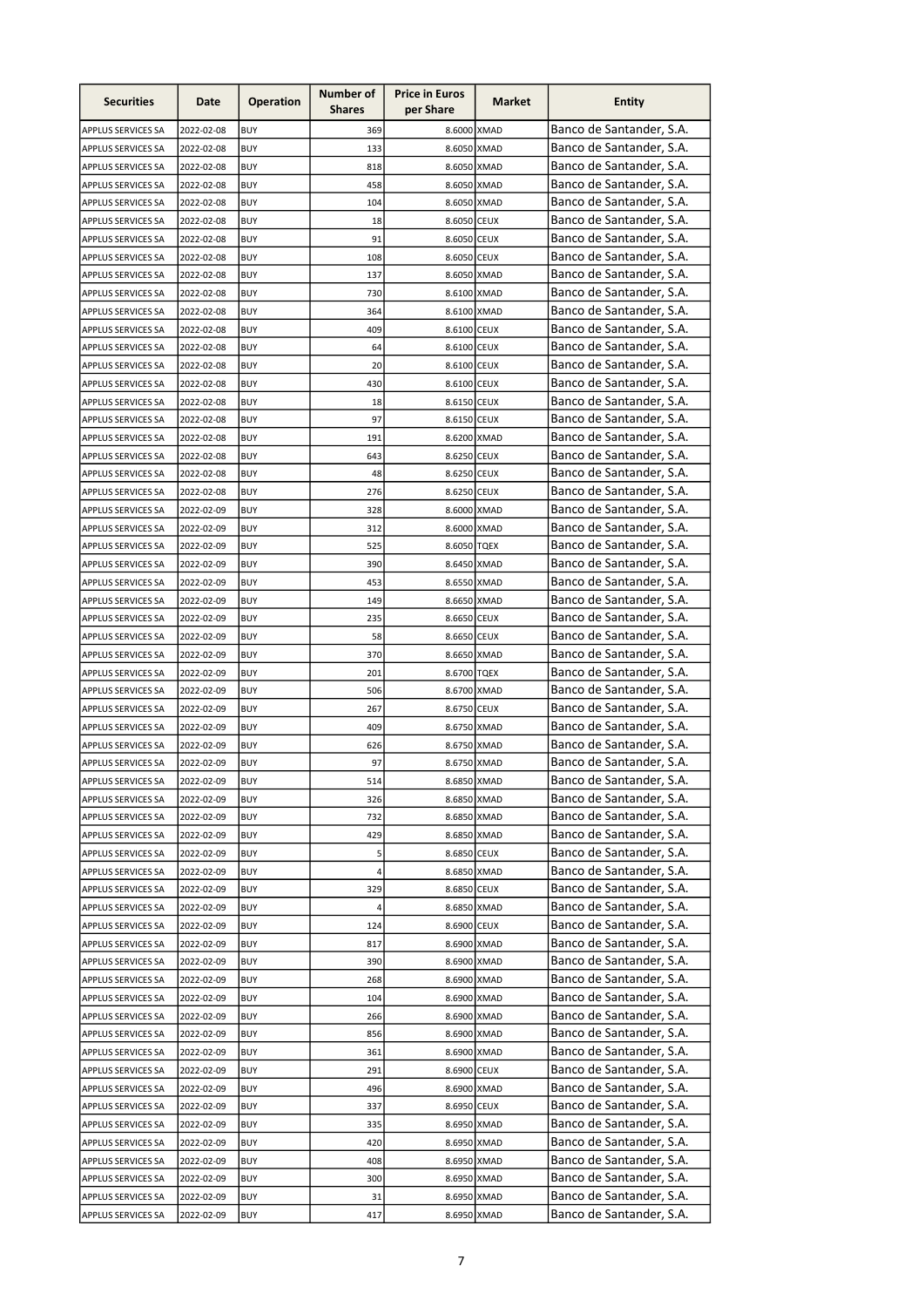| Banco de Santander, S.A.<br>369<br>8.6000 XMAD<br><b>BUY</b><br><b>APPLUS SERVICES SA</b><br>2022-02-08<br>Banco de Santander, S.A.<br>8.6050 XMAD<br>2022-02-08<br><b>BUY</b><br>133<br><b>APPLUS SERVICES SA</b><br>Banco de Santander, S.A.<br>8.6050 XMAD<br><b>BUY</b><br>818<br>APPLUS SERVICES SA<br>2022-02-08<br>Banco de Santander, S.A.<br>8.6050 XMAD<br>APPLUS SERVICES SA<br>2022-02-08<br><b>BUY</b><br>458<br>Banco de Santander, S.A.<br>APPLUS SERVICES SA<br>2022-02-08<br><b>BUY</b><br>104<br>8.6050 XMAD<br>Banco de Santander, S.A.<br>18<br>8.6050 CEUX<br>2022-02-08<br><b>BUY</b><br><b>APPLUS SERVICES SA</b><br>Banco de Santander, S.A.<br><b>BUY</b><br>91<br>8.6050 CEUX<br>APPLUS SERVICES SA<br>2022-02-08<br>Banco de Santander, S.A.<br><b>BUY</b><br>108<br>8.6050 CEUX<br>APPLUS SERVICES SA<br>2022-02-08<br>Banco de Santander, S.A.<br>APPLUS SERVICES SA<br>2022-02-08<br><b>BUY</b><br>137<br>8.6050 XMAD<br>Banco de Santander, S.A.<br>8.6100 XMAD<br>2022-02-08<br><b>BUY</b><br>730<br><b>APPLUS SERVICES SA</b><br>Banco de Santander, S.A.<br>APPLUS SERVICES SA<br>2022-02-08<br><b>BUY</b><br>364<br>8.6100 XMAD<br>Banco de Santander, S.A.<br>409<br>8.6100 CEUX<br>APPLUS SERVICES SA<br>2022-02-08<br><b>BUY</b><br>Banco de Santander, S.A.<br>APPLUS SERVICES SA<br>2022-02-08<br><b>BUY</b><br>64<br>8.6100 CEUX<br>Banco de Santander, S.A.<br>20<br>8.6100 CEUX<br>APPLUS SERVICES SA<br>2022-02-08<br><b>BUY</b><br>Banco de Santander, S.A.<br><b>BUY</b><br>430<br>8.6100 CEUX<br>APPLUS SERVICES SA<br>2022-02-08<br>Banco de Santander, S.A.<br>18<br>APPLUS SERVICES SA<br>2022-02-08<br><b>BUY</b><br>8.6150 CEUX<br>Banco de Santander, S.A.<br>97<br>APPLUS SERVICES SA<br>2022-02-08<br><b>BUY</b><br>8.6150 CEUX<br>Banco de Santander, S.A.<br>APPLUS SERVICES SA<br>2022-02-08<br><b>BUY</b><br>191<br>8.6200 XMAD<br>Banco de Santander, S.A.<br>643<br>APPLUS SERVICES SA<br>2022-02-08<br>8.6250 CEUX<br>BUY<br>Banco de Santander, S.A.<br>2022-02-08<br><b>BUY</b><br>48<br>8.6250 CEUX<br>APPLUS SERVICES SA<br>Banco de Santander, S.A.<br>2022-02-08<br><b>BUY</b><br>276<br>8.6250 CEUX<br><b>APPLUS SERVICES SA</b><br>Banco de Santander, S.A.<br>APPLUS SERVICES SA<br>2022-02-09<br><b>BUY</b><br>328<br>8.6000 XMAD<br>Banco de Santander, S.A.<br>2022-02-09<br><b>BUY</b><br>312<br>8.6000 XMAD<br><b>APPLUS SERVICES SA</b><br>Banco de Santander, S.A.<br><b>BUY</b><br>525<br>8.6050 TQEX<br>APPLUS SERVICES SA<br>2022-02-09<br>Banco de Santander, S.A.<br>390<br>2022-02-09<br><b>BUY</b><br>8.6450 XMAD<br>APPLUS SERVICES SA<br>Banco de Santander, S.A.<br>APPLUS SERVICES SA<br>2022-02-09<br><b>BUY</b><br>453<br>8.6550 XMAD<br>Banco de Santander, S.A.<br>8.6650 XMAD<br>2022-02-09<br><b>BUY</b><br>149<br><b>APPLUS SERVICES SA</b><br>Banco de Santander, S.A.<br><b>BUY</b><br>235<br>8.6650 CEUX<br>APPLUS SERVICES SA<br>2022-02-09<br>Banco de Santander, S.A.<br>APPLUS SERVICES SA<br>2022-02-09<br><b>BUY</b><br>58<br>8.6650 CEUX<br>Banco de Santander, S.A.<br>370<br>APPLUS SERVICES SA<br>2022-02-09<br><b>BUY</b><br>8.6650 XMAD<br>Banco de Santander, S.A.<br>201<br>APPLUS SERVICES SA<br>2022-02-09<br><b>BUY</b><br>8.6700 TQEX<br>Banco de Santander, S.A.<br>506<br>APPLUS SERVICES SA<br>2022-02-09<br><b>BUY</b><br>8.6700 XMAD<br>Banco de Santander, S.A.<br>267<br>APPLUS SERVICES SA<br>2022-02-09<br><b>BUY</b><br>8.6750 CEUX<br>Banco de Santander, S.A.<br>409<br>APPLUS SERVICES SA<br>2022-02-09<br><b>BUY</b><br>8.6750 XMAD<br>Banco de Santander, S.A.<br>APPLUS SERVICES SA<br>2022-02-09<br><b>BUY</b><br>626<br>8.6750 XMAD<br>Banco de Santander, S.A.<br>97<br>APPLUS SERVICES SA<br>2022-02-09<br>8.6750 XMAD<br>BUY<br>Banco de Santander, S.A.<br><b>APPLUS SERVICES SA</b><br>2022-02-09<br>8.6850 XMAD<br><b>BUY</b><br>514<br>Banco de Santander, S.A.<br>APPLUS SERVICES SA<br>2022-02-09<br><b>BUY</b><br>326<br>8.6850 XMAD<br>Banco de Santander, S.A.<br>8.6850 XMAD<br>2022-02-09<br><b>BUY</b><br>732<br>APPLUS SERVICES SA<br>Banco de Santander, S.A.<br>8.6850 XMAD<br>2022-02-09<br>BUY<br>429<br><b>APPLUS SERVICES SA</b><br>Banco de Santander, S.A.<br><b>BUY</b><br>5<br>8.6850 CEUX<br>2022-02-09<br>APPLUS SERVICES SA<br>Banco de Santander, S.A.<br>4<br>8.6850 XMAD<br>2022-02-09<br><b>BUY</b><br>APPLUS SERVICES SA<br>Banco de Santander, S.A.<br>2022-02-09<br><b>BUY</b><br>329<br>8.6850 CEUX<br>APPLUS SERVICES SA<br>Banco de Santander, S.A.<br>8.6850 XMAD<br>2022-02-09<br><b>BUY</b><br>APPLUS SERVICES SA<br>4<br>Banco de Santander, S.A.<br>8.6900 CEUX<br>APPLUS SERVICES SA<br>2022-02-09<br><b>BUY</b><br>124<br>Banco de Santander, S.A.<br>8.6900 XMAD<br>APPLUS SERVICES SA<br>2022-02-09<br><b>BUY</b><br>817<br>Banco de Santander, S.A.<br>APPLUS SERVICES SA<br>2022-02-09<br><b>BUY</b><br>390<br>8.6900 XMAD<br>Banco de Santander, S.A.<br>8.6900 XMAD<br>APPLUS SERVICES SA<br>2022-02-09<br>BUY<br>268<br>Banco de Santander, S.A.<br>APPLUS SERVICES SA<br>2022-02-09<br>BUY<br>104<br>8.6900 XMAD<br>Banco de Santander, S.A.<br>APPLUS SERVICES SA<br>2022-02-09<br><b>BUY</b><br>266<br>8.6900 XMAD<br>Banco de Santander, S.A.<br>APPLUS SERVICES SA<br>2022-02-09<br>BUY<br>856<br>8.6900 XMAD<br>Banco de Santander, S.A.<br>2022-02-09<br><b>BUY</b><br>361<br>8.6900 XMAD<br>APPLUS SERVICES SA<br>Banco de Santander, S.A.<br>2022-02-09<br>291<br>8.6900 CEUX<br>APPLUS SERVICES SA<br>BUY<br>Banco de Santander, S.A.<br>496<br>2022-02-09<br><b>BUY</b><br>8.6900 XMAD<br><b>APPLUS SERVICES SA</b><br>Banco de Santander, S.A.<br>APPLUS SERVICES SA<br>2022-02-09<br><b>BUY</b><br>337<br>8.6950 CEUX<br>Banco de Santander, S.A.<br>8.6950 XMAD<br>APPLUS SERVICES SA<br>2022-02-09<br><b>BUY</b><br>335<br>Banco de Santander, S.A.<br><b>BUY</b><br>APPLUS SERVICES SA<br>2022-02-09<br>420<br>8.6950 XMAD<br>Banco de Santander, S.A.<br>APPLUS SERVICES SA<br>2022-02-09<br><b>BUY</b><br>408<br>8.6950 XMAD<br>Banco de Santander, S.A.<br>300<br>8.6950 XMAD<br>APPLUS SERVICES SA<br>2022-02-09<br><b>BUY</b><br>Banco de Santander, S.A.<br><b>BUY</b><br>8.6950 XMAD<br>APPLUS SERVICES SA<br>2022-02-09<br>31<br>Banco de Santander, S.A.<br>8.6950 XMAD<br>APPLUS SERVICES SA<br>2022-02-09<br><b>BUY</b><br>417 | <b>Securities</b> | Date | <b>Operation</b> | Number of<br><b>Shares</b> | <b>Price in Euros</b><br>per Share | Market | <b>Entity</b> |
|-------------------------------------------------------------------------------------------------------------------------------------------------------------------------------------------------------------------------------------------------------------------------------------------------------------------------------------------------------------------------------------------------------------------------------------------------------------------------------------------------------------------------------------------------------------------------------------------------------------------------------------------------------------------------------------------------------------------------------------------------------------------------------------------------------------------------------------------------------------------------------------------------------------------------------------------------------------------------------------------------------------------------------------------------------------------------------------------------------------------------------------------------------------------------------------------------------------------------------------------------------------------------------------------------------------------------------------------------------------------------------------------------------------------------------------------------------------------------------------------------------------------------------------------------------------------------------------------------------------------------------------------------------------------------------------------------------------------------------------------------------------------------------------------------------------------------------------------------------------------------------------------------------------------------------------------------------------------------------------------------------------------------------------------------------------------------------------------------------------------------------------------------------------------------------------------------------------------------------------------------------------------------------------------------------------------------------------------------------------------------------------------------------------------------------------------------------------------------------------------------------------------------------------------------------------------------------------------------------------------------------------------------------------------------------------------------------------------------------------------------------------------------------------------------------------------------------------------------------------------------------------------------------------------------------------------------------------------------------------------------------------------------------------------------------------------------------------------------------------------------------------------------------------------------------------------------------------------------------------------------------------------------------------------------------------------------------------------------------------------------------------------------------------------------------------------------------------------------------------------------------------------------------------------------------------------------------------------------------------------------------------------------------------------------------------------------------------------------------------------------------------------------------------------------------------------------------------------------------------------------------------------------------------------------------------------------------------------------------------------------------------------------------------------------------------------------------------------------------------------------------------------------------------------------------------------------------------------------------------------------------------------------------------------------------------------------------------------------------------------------------------------------------------------------------------------------------------------------------------------------------------------------------------------------------------------------------------------------------------------------------------------------------------------------------------------------------------------------------------------------------------------------------------------------------------------------------------------------------------------------------------------------------------------------------------------------------------------------------------------------------------------------------------------------------------------------------------------------------------------------------------------------------------------------------------------------------------------------------------------------------------------------------------------------------------------------------------------------------------------------------------------------------------------------------------------------------------------------------------------------------------------------------------------------------------------------------------------------------------------------------------------------------------------------------------------------------------------------------------------------------------------------------------------------------------------------------------------------------------------------------------------------------------------------------------------------------------------------------------------------------------------------------------------------------------------------------------------------------------------------------------------------------------------------------------------------------------------------------------------------------------------------------------------------------------------------------------------------------|-------------------|------|------------------|----------------------------|------------------------------------|--------|---------------|
|                                                                                                                                                                                                                                                                                                                                                                                                                                                                                                                                                                                                                                                                                                                                                                                                                                                                                                                                                                                                                                                                                                                                                                                                                                                                                                                                                                                                                                                                                                                                                                                                                                                                                                                                                                                                                                                                                                                                                                                                                                                                                                                                                                                                                                                                                                                                                                                                                                                                                                                                                                                                                                                                                                                                                                                                                                                                                                                                                                                                                                                                                                                                                                                                                                                                                                                                                                                                                                                                                                                                                                                                                                                                                                                                                                                                                                                                                                                                                                                                                                                                                                                                                                                                                                                                                                                                                                                                                                                                                                                                                                                                                                                                                                                                                                                                                                                                                                                                                                                                                                                                                                                                                                                                                                                                                                                                                                                                                                                                                                                                                                                                                                                                                                                                                                                                                                                                                                                                                                                                                                                                                                                                                                                                                                                                                                                                                       |                   |      |                  |                            |                                    |        |               |
|                                                                                                                                                                                                                                                                                                                                                                                                                                                                                                                                                                                                                                                                                                                                                                                                                                                                                                                                                                                                                                                                                                                                                                                                                                                                                                                                                                                                                                                                                                                                                                                                                                                                                                                                                                                                                                                                                                                                                                                                                                                                                                                                                                                                                                                                                                                                                                                                                                                                                                                                                                                                                                                                                                                                                                                                                                                                                                                                                                                                                                                                                                                                                                                                                                                                                                                                                                                                                                                                                                                                                                                                                                                                                                                                                                                                                                                                                                                                                                                                                                                                                                                                                                                                                                                                                                                                                                                                                                                                                                                                                                                                                                                                                                                                                                                                                                                                                                                                                                                                                                                                                                                                                                                                                                                                                                                                                                                                                                                                                                                                                                                                                                                                                                                                                                                                                                                                                                                                                                                                                                                                                                                                                                                                                                                                                                                                                       |                   |      |                  |                            |                                    |        |               |
|                                                                                                                                                                                                                                                                                                                                                                                                                                                                                                                                                                                                                                                                                                                                                                                                                                                                                                                                                                                                                                                                                                                                                                                                                                                                                                                                                                                                                                                                                                                                                                                                                                                                                                                                                                                                                                                                                                                                                                                                                                                                                                                                                                                                                                                                                                                                                                                                                                                                                                                                                                                                                                                                                                                                                                                                                                                                                                                                                                                                                                                                                                                                                                                                                                                                                                                                                                                                                                                                                                                                                                                                                                                                                                                                                                                                                                                                                                                                                                                                                                                                                                                                                                                                                                                                                                                                                                                                                                                                                                                                                                                                                                                                                                                                                                                                                                                                                                                                                                                                                                                                                                                                                                                                                                                                                                                                                                                                                                                                                                                                                                                                                                                                                                                                                                                                                                                                                                                                                                                                                                                                                                                                                                                                                                                                                                                                                       |                   |      |                  |                            |                                    |        |               |
|                                                                                                                                                                                                                                                                                                                                                                                                                                                                                                                                                                                                                                                                                                                                                                                                                                                                                                                                                                                                                                                                                                                                                                                                                                                                                                                                                                                                                                                                                                                                                                                                                                                                                                                                                                                                                                                                                                                                                                                                                                                                                                                                                                                                                                                                                                                                                                                                                                                                                                                                                                                                                                                                                                                                                                                                                                                                                                                                                                                                                                                                                                                                                                                                                                                                                                                                                                                                                                                                                                                                                                                                                                                                                                                                                                                                                                                                                                                                                                                                                                                                                                                                                                                                                                                                                                                                                                                                                                                                                                                                                                                                                                                                                                                                                                                                                                                                                                                                                                                                                                                                                                                                                                                                                                                                                                                                                                                                                                                                                                                                                                                                                                                                                                                                                                                                                                                                                                                                                                                                                                                                                                                                                                                                                                                                                                                                                       |                   |      |                  |                            |                                    |        |               |
|                                                                                                                                                                                                                                                                                                                                                                                                                                                                                                                                                                                                                                                                                                                                                                                                                                                                                                                                                                                                                                                                                                                                                                                                                                                                                                                                                                                                                                                                                                                                                                                                                                                                                                                                                                                                                                                                                                                                                                                                                                                                                                                                                                                                                                                                                                                                                                                                                                                                                                                                                                                                                                                                                                                                                                                                                                                                                                                                                                                                                                                                                                                                                                                                                                                                                                                                                                                                                                                                                                                                                                                                                                                                                                                                                                                                                                                                                                                                                                                                                                                                                                                                                                                                                                                                                                                                                                                                                                                                                                                                                                                                                                                                                                                                                                                                                                                                                                                                                                                                                                                                                                                                                                                                                                                                                                                                                                                                                                                                                                                                                                                                                                                                                                                                                                                                                                                                                                                                                                                                                                                                                                                                                                                                                                                                                                                                                       |                   |      |                  |                            |                                    |        |               |
|                                                                                                                                                                                                                                                                                                                                                                                                                                                                                                                                                                                                                                                                                                                                                                                                                                                                                                                                                                                                                                                                                                                                                                                                                                                                                                                                                                                                                                                                                                                                                                                                                                                                                                                                                                                                                                                                                                                                                                                                                                                                                                                                                                                                                                                                                                                                                                                                                                                                                                                                                                                                                                                                                                                                                                                                                                                                                                                                                                                                                                                                                                                                                                                                                                                                                                                                                                                                                                                                                                                                                                                                                                                                                                                                                                                                                                                                                                                                                                                                                                                                                                                                                                                                                                                                                                                                                                                                                                                                                                                                                                                                                                                                                                                                                                                                                                                                                                                                                                                                                                                                                                                                                                                                                                                                                                                                                                                                                                                                                                                                                                                                                                                                                                                                                                                                                                                                                                                                                                                                                                                                                                                                                                                                                                                                                                                                                       |                   |      |                  |                            |                                    |        |               |
|                                                                                                                                                                                                                                                                                                                                                                                                                                                                                                                                                                                                                                                                                                                                                                                                                                                                                                                                                                                                                                                                                                                                                                                                                                                                                                                                                                                                                                                                                                                                                                                                                                                                                                                                                                                                                                                                                                                                                                                                                                                                                                                                                                                                                                                                                                                                                                                                                                                                                                                                                                                                                                                                                                                                                                                                                                                                                                                                                                                                                                                                                                                                                                                                                                                                                                                                                                                                                                                                                                                                                                                                                                                                                                                                                                                                                                                                                                                                                                                                                                                                                                                                                                                                                                                                                                                                                                                                                                                                                                                                                                                                                                                                                                                                                                                                                                                                                                                                                                                                                                                                                                                                                                                                                                                                                                                                                                                                                                                                                                                                                                                                                                                                                                                                                                                                                                                                                                                                                                                                                                                                                                                                                                                                                                                                                                                                                       |                   |      |                  |                            |                                    |        |               |
|                                                                                                                                                                                                                                                                                                                                                                                                                                                                                                                                                                                                                                                                                                                                                                                                                                                                                                                                                                                                                                                                                                                                                                                                                                                                                                                                                                                                                                                                                                                                                                                                                                                                                                                                                                                                                                                                                                                                                                                                                                                                                                                                                                                                                                                                                                                                                                                                                                                                                                                                                                                                                                                                                                                                                                                                                                                                                                                                                                                                                                                                                                                                                                                                                                                                                                                                                                                                                                                                                                                                                                                                                                                                                                                                                                                                                                                                                                                                                                                                                                                                                                                                                                                                                                                                                                                                                                                                                                                                                                                                                                                                                                                                                                                                                                                                                                                                                                                                                                                                                                                                                                                                                                                                                                                                                                                                                                                                                                                                                                                                                                                                                                                                                                                                                                                                                                                                                                                                                                                                                                                                                                                                                                                                                                                                                                                                                       |                   |      |                  |                            |                                    |        |               |
|                                                                                                                                                                                                                                                                                                                                                                                                                                                                                                                                                                                                                                                                                                                                                                                                                                                                                                                                                                                                                                                                                                                                                                                                                                                                                                                                                                                                                                                                                                                                                                                                                                                                                                                                                                                                                                                                                                                                                                                                                                                                                                                                                                                                                                                                                                                                                                                                                                                                                                                                                                                                                                                                                                                                                                                                                                                                                                                                                                                                                                                                                                                                                                                                                                                                                                                                                                                                                                                                                                                                                                                                                                                                                                                                                                                                                                                                                                                                                                                                                                                                                                                                                                                                                                                                                                                                                                                                                                                                                                                                                                                                                                                                                                                                                                                                                                                                                                                                                                                                                                                                                                                                                                                                                                                                                                                                                                                                                                                                                                                                                                                                                                                                                                                                                                                                                                                                                                                                                                                                                                                                                                                                                                                                                                                                                                                                                       |                   |      |                  |                            |                                    |        |               |
|                                                                                                                                                                                                                                                                                                                                                                                                                                                                                                                                                                                                                                                                                                                                                                                                                                                                                                                                                                                                                                                                                                                                                                                                                                                                                                                                                                                                                                                                                                                                                                                                                                                                                                                                                                                                                                                                                                                                                                                                                                                                                                                                                                                                                                                                                                                                                                                                                                                                                                                                                                                                                                                                                                                                                                                                                                                                                                                                                                                                                                                                                                                                                                                                                                                                                                                                                                                                                                                                                                                                                                                                                                                                                                                                                                                                                                                                                                                                                                                                                                                                                                                                                                                                                                                                                                                                                                                                                                                                                                                                                                                                                                                                                                                                                                                                                                                                                                                                                                                                                                                                                                                                                                                                                                                                                                                                                                                                                                                                                                                                                                                                                                                                                                                                                                                                                                                                                                                                                                                                                                                                                                                                                                                                                                                                                                                                                       |                   |      |                  |                            |                                    |        |               |
|                                                                                                                                                                                                                                                                                                                                                                                                                                                                                                                                                                                                                                                                                                                                                                                                                                                                                                                                                                                                                                                                                                                                                                                                                                                                                                                                                                                                                                                                                                                                                                                                                                                                                                                                                                                                                                                                                                                                                                                                                                                                                                                                                                                                                                                                                                                                                                                                                                                                                                                                                                                                                                                                                                                                                                                                                                                                                                                                                                                                                                                                                                                                                                                                                                                                                                                                                                                                                                                                                                                                                                                                                                                                                                                                                                                                                                                                                                                                                                                                                                                                                                                                                                                                                                                                                                                                                                                                                                                                                                                                                                                                                                                                                                                                                                                                                                                                                                                                                                                                                                                                                                                                                                                                                                                                                                                                                                                                                                                                                                                                                                                                                                                                                                                                                                                                                                                                                                                                                                                                                                                                                                                                                                                                                                                                                                                                                       |                   |      |                  |                            |                                    |        |               |
|                                                                                                                                                                                                                                                                                                                                                                                                                                                                                                                                                                                                                                                                                                                                                                                                                                                                                                                                                                                                                                                                                                                                                                                                                                                                                                                                                                                                                                                                                                                                                                                                                                                                                                                                                                                                                                                                                                                                                                                                                                                                                                                                                                                                                                                                                                                                                                                                                                                                                                                                                                                                                                                                                                                                                                                                                                                                                                                                                                                                                                                                                                                                                                                                                                                                                                                                                                                                                                                                                                                                                                                                                                                                                                                                                                                                                                                                                                                                                                                                                                                                                                                                                                                                                                                                                                                                                                                                                                                                                                                                                                                                                                                                                                                                                                                                                                                                                                                                                                                                                                                                                                                                                                                                                                                                                                                                                                                                                                                                                                                                                                                                                                                                                                                                                                                                                                                                                                                                                                                                                                                                                                                                                                                                                                                                                                                                                       |                   |      |                  |                            |                                    |        |               |
|                                                                                                                                                                                                                                                                                                                                                                                                                                                                                                                                                                                                                                                                                                                                                                                                                                                                                                                                                                                                                                                                                                                                                                                                                                                                                                                                                                                                                                                                                                                                                                                                                                                                                                                                                                                                                                                                                                                                                                                                                                                                                                                                                                                                                                                                                                                                                                                                                                                                                                                                                                                                                                                                                                                                                                                                                                                                                                                                                                                                                                                                                                                                                                                                                                                                                                                                                                                                                                                                                                                                                                                                                                                                                                                                                                                                                                                                                                                                                                                                                                                                                                                                                                                                                                                                                                                                                                                                                                                                                                                                                                                                                                                                                                                                                                                                                                                                                                                                                                                                                                                                                                                                                                                                                                                                                                                                                                                                                                                                                                                                                                                                                                                                                                                                                                                                                                                                                                                                                                                                                                                                                                                                                                                                                                                                                                                                                       |                   |      |                  |                            |                                    |        |               |
|                                                                                                                                                                                                                                                                                                                                                                                                                                                                                                                                                                                                                                                                                                                                                                                                                                                                                                                                                                                                                                                                                                                                                                                                                                                                                                                                                                                                                                                                                                                                                                                                                                                                                                                                                                                                                                                                                                                                                                                                                                                                                                                                                                                                                                                                                                                                                                                                                                                                                                                                                                                                                                                                                                                                                                                                                                                                                                                                                                                                                                                                                                                                                                                                                                                                                                                                                                                                                                                                                                                                                                                                                                                                                                                                                                                                                                                                                                                                                                                                                                                                                                                                                                                                                                                                                                                                                                                                                                                                                                                                                                                                                                                                                                                                                                                                                                                                                                                                                                                                                                                                                                                                                                                                                                                                                                                                                                                                                                                                                                                                                                                                                                                                                                                                                                                                                                                                                                                                                                                                                                                                                                                                                                                                                                                                                                                                                       |                   |      |                  |                            |                                    |        |               |
|                                                                                                                                                                                                                                                                                                                                                                                                                                                                                                                                                                                                                                                                                                                                                                                                                                                                                                                                                                                                                                                                                                                                                                                                                                                                                                                                                                                                                                                                                                                                                                                                                                                                                                                                                                                                                                                                                                                                                                                                                                                                                                                                                                                                                                                                                                                                                                                                                                                                                                                                                                                                                                                                                                                                                                                                                                                                                                                                                                                                                                                                                                                                                                                                                                                                                                                                                                                                                                                                                                                                                                                                                                                                                                                                                                                                                                                                                                                                                                                                                                                                                                                                                                                                                                                                                                                                                                                                                                                                                                                                                                                                                                                                                                                                                                                                                                                                                                                                                                                                                                                                                                                                                                                                                                                                                                                                                                                                                                                                                                                                                                                                                                                                                                                                                                                                                                                                                                                                                                                                                                                                                                                                                                                                                                                                                                                                                       |                   |      |                  |                            |                                    |        |               |
|                                                                                                                                                                                                                                                                                                                                                                                                                                                                                                                                                                                                                                                                                                                                                                                                                                                                                                                                                                                                                                                                                                                                                                                                                                                                                                                                                                                                                                                                                                                                                                                                                                                                                                                                                                                                                                                                                                                                                                                                                                                                                                                                                                                                                                                                                                                                                                                                                                                                                                                                                                                                                                                                                                                                                                                                                                                                                                                                                                                                                                                                                                                                                                                                                                                                                                                                                                                                                                                                                                                                                                                                                                                                                                                                                                                                                                                                                                                                                                                                                                                                                                                                                                                                                                                                                                                                                                                                                                                                                                                                                                                                                                                                                                                                                                                                                                                                                                                                                                                                                                                                                                                                                                                                                                                                                                                                                                                                                                                                                                                                                                                                                                                                                                                                                                                                                                                                                                                                                                                                                                                                                                                                                                                                                                                                                                                                                       |                   |      |                  |                            |                                    |        |               |
|                                                                                                                                                                                                                                                                                                                                                                                                                                                                                                                                                                                                                                                                                                                                                                                                                                                                                                                                                                                                                                                                                                                                                                                                                                                                                                                                                                                                                                                                                                                                                                                                                                                                                                                                                                                                                                                                                                                                                                                                                                                                                                                                                                                                                                                                                                                                                                                                                                                                                                                                                                                                                                                                                                                                                                                                                                                                                                                                                                                                                                                                                                                                                                                                                                                                                                                                                                                                                                                                                                                                                                                                                                                                                                                                                                                                                                                                                                                                                                                                                                                                                                                                                                                                                                                                                                                                                                                                                                                                                                                                                                                                                                                                                                                                                                                                                                                                                                                                                                                                                                                                                                                                                                                                                                                                                                                                                                                                                                                                                                                                                                                                                                                                                                                                                                                                                                                                                                                                                                                                                                                                                                                                                                                                                                                                                                                                                       |                   |      |                  |                            |                                    |        |               |
|                                                                                                                                                                                                                                                                                                                                                                                                                                                                                                                                                                                                                                                                                                                                                                                                                                                                                                                                                                                                                                                                                                                                                                                                                                                                                                                                                                                                                                                                                                                                                                                                                                                                                                                                                                                                                                                                                                                                                                                                                                                                                                                                                                                                                                                                                                                                                                                                                                                                                                                                                                                                                                                                                                                                                                                                                                                                                                                                                                                                                                                                                                                                                                                                                                                                                                                                                                                                                                                                                                                                                                                                                                                                                                                                                                                                                                                                                                                                                                                                                                                                                                                                                                                                                                                                                                                                                                                                                                                                                                                                                                                                                                                                                                                                                                                                                                                                                                                                                                                                                                                                                                                                                                                                                                                                                                                                                                                                                                                                                                                                                                                                                                                                                                                                                                                                                                                                                                                                                                                                                                                                                                                                                                                                                                                                                                                                                       |                   |      |                  |                            |                                    |        |               |
|                                                                                                                                                                                                                                                                                                                                                                                                                                                                                                                                                                                                                                                                                                                                                                                                                                                                                                                                                                                                                                                                                                                                                                                                                                                                                                                                                                                                                                                                                                                                                                                                                                                                                                                                                                                                                                                                                                                                                                                                                                                                                                                                                                                                                                                                                                                                                                                                                                                                                                                                                                                                                                                                                                                                                                                                                                                                                                                                                                                                                                                                                                                                                                                                                                                                                                                                                                                                                                                                                                                                                                                                                                                                                                                                                                                                                                                                                                                                                                                                                                                                                                                                                                                                                                                                                                                                                                                                                                                                                                                                                                                                                                                                                                                                                                                                                                                                                                                                                                                                                                                                                                                                                                                                                                                                                                                                                                                                                                                                                                                                                                                                                                                                                                                                                                                                                                                                                                                                                                                                                                                                                                                                                                                                                                                                                                                                                       |                   |      |                  |                            |                                    |        |               |
|                                                                                                                                                                                                                                                                                                                                                                                                                                                                                                                                                                                                                                                                                                                                                                                                                                                                                                                                                                                                                                                                                                                                                                                                                                                                                                                                                                                                                                                                                                                                                                                                                                                                                                                                                                                                                                                                                                                                                                                                                                                                                                                                                                                                                                                                                                                                                                                                                                                                                                                                                                                                                                                                                                                                                                                                                                                                                                                                                                                                                                                                                                                                                                                                                                                                                                                                                                                                                                                                                                                                                                                                                                                                                                                                                                                                                                                                                                                                                                                                                                                                                                                                                                                                                                                                                                                                                                                                                                                                                                                                                                                                                                                                                                                                                                                                                                                                                                                                                                                                                                                                                                                                                                                                                                                                                                                                                                                                                                                                                                                                                                                                                                                                                                                                                                                                                                                                                                                                                                                                                                                                                                                                                                                                                                                                                                                                                       |                   |      |                  |                            |                                    |        |               |
|                                                                                                                                                                                                                                                                                                                                                                                                                                                                                                                                                                                                                                                                                                                                                                                                                                                                                                                                                                                                                                                                                                                                                                                                                                                                                                                                                                                                                                                                                                                                                                                                                                                                                                                                                                                                                                                                                                                                                                                                                                                                                                                                                                                                                                                                                                                                                                                                                                                                                                                                                                                                                                                                                                                                                                                                                                                                                                                                                                                                                                                                                                                                                                                                                                                                                                                                                                                                                                                                                                                                                                                                                                                                                                                                                                                                                                                                                                                                                                                                                                                                                                                                                                                                                                                                                                                                                                                                                                                                                                                                                                                                                                                                                                                                                                                                                                                                                                                                                                                                                                                                                                                                                                                                                                                                                                                                                                                                                                                                                                                                                                                                                                                                                                                                                                                                                                                                                                                                                                                                                                                                                                                                                                                                                                                                                                                                                       |                   |      |                  |                            |                                    |        |               |
|                                                                                                                                                                                                                                                                                                                                                                                                                                                                                                                                                                                                                                                                                                                                                                                                                                                                                                                                                                                                                                                                                                                                                                                                                                                                                                                                                                                                                                                                                                                                                                                                                                                                                                                                                                                                                                                                                                                                                                                                                                                                                                                                                                                                                                                                                                                                                                                                                                                                                                                                                                                                                                                                                                                                                                                                                                                                                                                                                                                                                                                                                                                                                                                                                                                                                                                                                                                                                                                                                                                                                                                                                                                                                                                                                                                                                                                                                                                                                                                                                                                                                                                                                                                                                                                                                                                                                                                                                                                                                                                                                                                                                                                                                                                                                                                                                                                                                                                                                                                                                                                                                                                                                                                                                                                                                                                                                                                                                                                                                                                                                                                                                                                                                                                                                                                                                                                                                                                                                                                                                                                                                                                                                                                                                                                                                                                                                       |                   |      |                  |                            |                                    |        |               |
|                                                                                                                                                                                                                                                                                                                                                                                                                                                                                                                                                                                                                                                                                                                                                                                                                                                                                                                                                                                                                                                                                                                                                                                                                                                                                                                                                                                                                                                                                                                                                                                                                                                                                                                                                                                                                                                                                                                                                                                                                                                                                                                                                                                                                                                                                                                                                                                                                                                                                                                                                                                                                                                                                                                                                                                                                                                                                                                                                                                                                                                                                                                                                                                                                                                                                                                                                                                                                                                                                                                                                                                                                                                                                                                                                                                                                                                                                                                                                                                                                                                                                                                                                                                                                                                                                                                                                                                                                                                                                                                                                                                                                                                                                                                                                                                                                                                                                                                                                                                                                                                                                                                                                                                                                                                                                                                                                                                                                                                                                                                                                                                                                                                                                                                                                                                                                                                                                                                                                                                                                                                                                                                                                                                                                                                                                                                                                       |                   |      |                  |                            |                                    |        |               |
|                                                                                                                                                                                                                                                                                                                                                                                                                                                                                                                                                                                                                                                                                                                                                                                                                                                                                                                                                                                                                                                                                                                                                                                                                                                                                                                                                                                                                                                                                                                                                                                                                                                                                                                                                                                                                                                                                                                                                                                                                                                                                                                                                                                                                                                                                                                                                                                                                                                                                                                                                                                                                                                                                                                                                                                                                                                                                                                                                                                                                                                                                                                                                                                                                                                                                                                                                                                                                                                                                                                                                                                                                                                                                                                                                                                                                                                                                                                                                                                                                                                                                                                                                                                                                                                                                                                                                                                                                                                                                                                                                                                                                                                                                                                                                                                                                                                                                                                                                                                                                                                                                                                                                                                                                                                                                                                                                                                                                                                                                                                                                                                                                                                                                                                                                                                                                                                                                                                                                                                                                                                                                                                                                                                                                                                                                                                                                       |                   |      |                  |                            |                                    |        |               |
|                                                                                                                                                                                                                                                                                                                                                                                                                                                                                                                                                                                                                                                                                                                                                                                                                                                                                                                                                                                                                                                                                                                                                                                                                                                                                                                                                                                                                                                                                                                                                                                                                                                                                                                                                                                                                                                                                                                                                                                                                                                                                                                                                                                                                                                                                                                                                                                                                                                                                                                                                                                                                                                                                                                                                                                                                                                                                                                                                                                                                                                                                                                                                                                                                                                                                                                                                                                                                                                                                                                                                                                                                                                                                                                                                                                                                                                                                                                                                                                                                                                                                                                                                                                                                                                                                                                                                                                                                                                                                                                                                                                                                                                                                                                                                                                                                                                                                                                                                                                                                                                                                                                                                                                                                                                                                                                                                                                                                                                                                                                                                                                                                                                                                                                                                                                                                                                                                                                                                                                                                                                                                                                                                                                                                                                                                                                                                       |                   |      |                  |                            |                                    |        |               |
|                                                                                                                                                                                                                                                                                                                                                                                                                                                                                                                                                                                                                                                                                                                                                                                                                                                                                                                                                                                                                                                                                                                                                                                                                                                                                                                                                                                                                                                                                                                                                                                                                                                                                                                                                                                                                                                                                                                                                                                                                                                                                                                                                                                                                                                                                                                                                                                                                                                                                                                                                                                                                                                                                                                                                                                                                                                                                                                                                                                                                                                                                                                                                                                                                                                                                                                                                                                                                                                                                                                                                                                                                                                                                                                                                                                                                                                                                                                                                                                                                                                                                                                                                                                                                                                                                                                                                                                                                                                                                                                                                                                                                                                                                                                                                                                                                                                                                                                                                                                                                                                                                                                                                                                                                                                                                                                                                                                                                                                                                                                                                                                                                                                                                                                                                                                                                                                                                                                                                                                                                                                                                                                                                                                                                                                                                                                                                       |                   |      |                  |                            |                                    |        |               |
|                                                                                                                                                                                                                                                                                                                                                                                                                                                                                                                                                                                                                                                                                                                                                                                                                                                                                                                                                                                                                                                                                                                                                                                                                                                                                                                                                                                                                                                                                                                                                                                                                                                                                                                                                                                                                                                                                                                                                                                                                                                                                                                                                                                                                                                                                                                                                                                                                                                                                                                                                                                                                                                                                                                                                                                                                                                                                                                                                                                                                                                                                                                                                                                                                                                                                                                                                                                                                                                                                                                                                                                                                                                                                                                                                                                                                                                                                                                                                                                                                                                                                                                                                                                                                                                                                                                                                                                                                                                                                                                                                                                                                                                                                                                                                                                                                                                                                                                                                                                                                                                                                                                                                                                                                                                                                                                                                                                                                                                                                                                                                                                                                                                                                                                                                                                                                                                                                                                                                                                                                                                                                                                                                                                                                                                                                                                                                       |                   |      |                  |                            |                                    |        |               |
|                                                                                                                                                                                                                                                                                                                                                                                                                                                                                                                                                                                                                                                                                                                                                                                                                                                                                                                                                                                                                                                                                                                                                                                                                                                                                                                                                                                                                                                                                                                                                                                                                                                                                                                                                                                                                                                                                                                                                                                                                                                                                                                                                                                                                                                                                                                                                                                                                                                                                                                                                                                                                                                                                                                                                                                                                                                                                                                                                                                                                                                                                                                                                                                                                                                                                                                                                                                                                                                                                                                                                                                                                                                                                                                                                                                                                                                                                                                                                                                                                                                                                                                                                                                                                                                                                                                                                                                                                                                                                                                                                                                                                                                                                                                                                                                                                                                                                                                                                                                                                                                                                                                                                                                                                                                                                                                                                                                                                                                                                                                                                                                                                                                                                                                                                                                                                                                                                                                                                                                                                                                                                                                                                                                                                                                                                                                                                       |                   |      |                  |                            |                                    |        |               |
|                                                                                                                                                                                                                                                                                                                                                                                                                                                                                                                                                                                                                                                                                                                                                                                                                                                                                                                                                                                                                                                                                                                                                                                                                                                                                                                                                                                                                                                                                                                                                                                                                                                                                                                                                                                                                                                                                                                                                                                                                                                                                                                                                                                                                                                                                                                                                                                                                                                                                                                                                                                                                                                                                                                                                                                                                                                                                                                                                                                                                                                                                                                                                                                                                                                                                                                                                                                                                                                                                                                                                                                                                                                                                                                                                                                                                                                                                                                                                                                                                                                                                                                                                                                                                                                                                                                                                                                                                                                                                                                                                                                                                                                                                                                                                                                                                                                                                                                                                                                                                                                                                                                                                                                                                                                                                                                                                                                                                                                                                                                                                                                                                                                                                                                                                                                                                                                                                                                                                                                                                                                                                                                                                                                                                                                                                                                                                       |                   |      |                  |                            |                                    |        |               |
|                                                                                                                                                                                                                                                                                                                                                                                                                                                                                                                                                                                                                                                                                                                                                                                                                                                                                                                                                                                                                                                                                                                                                                                                                                                                                                                                                                                                                                                                                                                                                                                                                                                                                                                                                                                                                                                                                                                                                                                                                                                                                                                                                                                                                                                                                                                                                                                                                                                                                                                                                                                                                                                                                                                                                                                                                                                                                                                                                                                                                                                                                                                                                                                                                                                                                                                                                                                                                                                                                                                                                                                                                                                                                                                                                                                                                                                                                                                                                                                                                                                                                                                                                                                                                                                                                                                                                                                                                                                                                                                                                                                                                                                                                                                                                                                                                                                                                                                                                                                                                                                                                                                                                                                                                                                                                                                                                                                                                                                                                                                                                                                                                                                                                                                                                                                                                                                                                                                                                                                                                                                                                                                                                                                                                                                                                                                                                       |                   |      |                  |                            |                                    |        |               |
|                                                                                                                                                                                                                                                                                                                                                                                                                                                                                                                                                                                                                                                                                                                                                                                                                                                                                                                                                                                                                                                                                                                                                                                                                                                                                                                                                                                                                                                                                                                                                                                                                                                                                                                                                                                                                                                                                                                                                                                                                                                                                                                                                                                                                                                                                                                                                                                                                                                                                                                                                                                                                                                                                                                                                                                                                                                                                                                                                                                                                                                                                                                                                                                                                                                                                                                                                                                                                                                                                                                                                                                                                                                                                                                                                                                                                                                                                                                                                                                                                                                                                                                                                                                                                                                                                                                                                                                                                                                                                                                                                                                                                                                                                                                                                                                                                                                                                                                                                                                                                                                                                                                                                                                                                                                                                                                                                                                                                                                                                                                                                                                                                                                                                                                                                                                                                                                                                                                                                                                                                                                                                                                                                                                                                                                                                                                                                       |                   |      |                  |                            |                                    |        |               |
|                                                                                                                                                                                                                                                                                                                                                                                                                                                                                                                                                                                                                                                                                                                                                                                                                                                                                                                                                                                                                                                                                                                                                                                                                                                                                                                                                                                                                                                                                                                                                                                                                                                                                                                                                                                                                                                                                                                                                                                                                                                                                                                                                                                                                                                                                                                                                                                                                                                                                                                                                                                                                                                                                                                                                                                                                                                                                                                                                                                                                                                                                                                                                                                                                                                                                                                                                                                                                                                                                                                                                                                                                                                                                                                                                                                                                                                                                                                                                                                                                                                                                                                                                                                                                                                                                                                                                                                                                                                                                                                                                                                                                                                                                                                                                                                                                                                                                                                                                                                                                                                                                                                                                                                                                                                                                                                                                                                                                                                                                                                                                                                                                                                                                                                                                                                                                                                                                                                                                                                                                                                                                                                                                                                                                                                                                                                                                       |                   |      |                  |                            |                                    |        |               |
|                                                                                                                                                                                                                                                                                                                                                                                                                                                                                                                                                                                                                                                                                                                                                                                                                                                                                                                                                                                                                                                                                                                                                                                                                                                                                                                                                                                                                                                                                                                                                                                                                                                                                                                                                                                                                                                                                                                                                                                                                                                                                                                                                                                                                                                                                                                                                                                                                                                                                                                                                                                                                                                                                                                                                                                                                                                                                                                                                                                                                                                                                                                                                                                                                                                                                                                                                                                                                                                                                                                                                                                                                                                                                                                                                                                                                                                                                                                                                                                                                                                                                                                                                                                                                                                                                                                                                                                                                                                                                                                                                                                                                                                                                                                                                                                                                                                                                                                                                                                                                                                                                                                                                                                                                                                                                                                                                                                                                                                                                                                                                                                                                                                                                                                                                                                                                                                                                                                                                                                                                                                                                                                                                                                                                                                                                                                                                       |                   |      |                  |                            |                                    |        |               |
|                                                                                                                                                                                                                                                                                                                                                                                                                                                                                                                                                                                                                                                                                                                                                                                                                                                                                                                                                                                                                                                                                                                                                                                                                                                                                                                                                                                                                                                                                                                                                                                                                                                                                                                                                                                                                                                                                                                                                                                                                                                                                                                                                                                                                                                                                                                                                                                                                                                                                                                                                                                                                                                                                                                                                                                                                                                                                                                                                                                                                                                                                                                                                                                                                                                                                                                                                                                                                                                                                                                                                                                                                                                                                                                                                                                                                                                                                                                                                                                                                                                                                                                                                                                                                                                                                                                                                                                                                                                                                                                                                                                                                                                                                                                                                                                                                                                                                                                                                                                                                                                                                                                                                                                                                                                                                                                                                                                                                                                                                                                                                                                                                                                                                                                                                                                                                                                                                                                                                                                                                                                                                                                                                                                                                                                                                                                                                       |                   |      |                  |                            |                                    |        |               |
|                                                                                                                                                                                                                                                                                                                                                                                                                                                                                                                                                                                                                                                                                                                                                                                                                                                                                                                                                                                                                                                                                                                                                                                                                                                                                                                                                                                                                                                                                                                                                                                                                                                                                                                                                                                                                                                                                                                                                                                                                                                                                                                                                                                                                                                                                                                                                                                                                                                                                                                                                                                                                                                                                                                                                                                                                                                                                                                                                                                                                                                                                                                                                                                                                                                                                                                                                                                                                                                                                                                                                                                                                                                                                                                                                                                                                                                                                                                                                                                                                                                                                                                                                                                                                                                                                                                                                                                                                                                                                                                                                                                                                                                                                                                                                                                                                                                                                                                                                                                                                                                                                                                                                                                                                                                                                                                                                                                                                                                                                                                                                                                                                                                                                                                                                                                                                                                                                                                                                                                                                                                                                                                                                                                                                                                                                                                                                       |                   |      |                  |                            |                                    |        |               |
|                                                                                                                                                                                                                                                                                                                                                                                                                                                                                                                                                                                                                                                                                                                                                                                                                                                                                                                                                                                                                                                                                                                                                                                                                                                                                                                                                                                                                                                                                                                                                                                                                                                                                                                                                                                                                                                                                                                                                                                                                                                                                                                                                                                                                                                                                                                                                                                                                                                                                                                                                                                                                                                                                                                                                                                                                                                                                                                                                                                                                                                                                                                                                                                                                                                                                                                                                                                                                                                                                                                                                                                                                                                                                                                                                                                                                                                                                                                                                                                                                                                                                                                                                                                                                                                                                                                                                                                                                                                                                                                                                                                                                                                                                                                                                                                                                                                                                                                                                                                                                                                                                                                                                                                                                                                                                                                                                                                                                                                                                                                                                                                                                                                                                                                                                                                                                                                                                                                                                                                                                                                                                                                                                                                                                                                                                                                                                       |                   |      |                  |                            |                                    |        |               |
|                                                                                                                                                                                                                                                                                                                                                                                                                                                                                                                                                                                                                                                                                                                                                                                                                                                                                                                                                                                                                                                                                                                                                                                                                                                                                                                                                                                                                                                                                                                                                                                                                                                                                                                                                                                                                                                                                                                                                                                                                                                                                                                                                                                                                                                                                                                                                                                                                                                                                                                                                                                                                                                                                                                                                                                                                                                                                                                                                                                                                                                                                                                                                                                                                                                                                                                                                                                                                                                                                                                                                                                                                                                                                                                                                                                                                                                                                                                                                                                                                                                                                                                                                                                                                                                                                                                                                                                                                                                                                                                                                                                                                                                                                                                                                                                                                                                                                                                                                                                                                                                                                                                                                                                                                                                                                                                                                                                                                                                                                                                                                                                                                                                                                                                                                                                                                                                                                                                                                                                                                                                                                                                                                                                                                                                                                                                                                       |                   |      |                  |                            |                                    |        |               |
|                                                                                                                                                                                                                                                                                                                                                                                                                                                                                                                                                                                                                                                                                                                                                                                                                                                                                                                                                                                                                                                                                                                                                                                                                                                                                                                                                                                                                                                                                                                                                                                                                                                                                                                                                                                                                                                                                                                                                                                                                                                                                                                                                                                                                                                                                                                                                                                                                                                                                                                                                                                                                                                                                                                                                                                                                                                                                                                                                                                                                                                                                                                                                                                                                                                                                                                                                                                                                                                                                                                                                                                                                                                                                                                                                                                                                                                                                                                                                                                                                                                                                                                                                                                                                                                                                                                                                                                                                                                                                                                                                                                                                                                                                                                                                                                                                                                                                                                                                                                                                                                                                                                                                                                                                                                                                                                                                                                                                                                                                                                                                                                                                                                                                                                                                                                                                                                                                                                                                                                                                                                                                                                                                                                                                                                                                                                                                       |                   |      |                  |                            |                                    |        |               |
|                                                                                                                                                                                                                                                                                                                                                                                                                                                                                                                                                                                                                                                                                                                                                                                                                                                                                                                                                                                                                                                                                                                                                                                                                                                                                                                                                                                                                                                                                                                                                                                                                                                                                                                                                                                                                                                                                                                                                                                                                                                                                                                                                                                                                                                                                                                                                                                                                                                                                                                                                                                                                                                                                                                                                                                                                                                                                                                                                                                                                                                                                                                                                                                                                                                                                                                                                                                                                                                                                                                                                                                                                                                                                                                                                                                                                                                                                                                                                                                                                                                                                                                                                                                                                                                                                                                                                                                                                                                                                                                                                                                                                                                                                                                                                                                                                                                                                                                                                                                                                                                                                                                                                                                                                                                                                                                                                                                                                                                                                                                                                                                                                                                                                                                                                                                                                                                                                                                                                                                                                                                                                                                                                                                                                                                                                                                                                       |                   |      |                  |                            |                                    |        |               |
|                                                                                                                                                                                                                                                                                                                                                                                                                                                                                                                                                                                                                                                                                                                                                                                                                                                                                                                                                                                                                                                                                                                                                                                                                                                                                                                                                                                                                                                                                                                                                                                                                                                                                                                                                                                                                                                                                                                                                                                                                                                                                                                                                                                                                                                                                                                                                                                                                                                                                                                                                                                                                                                                                                                                                                                                                                                                                                                                                                                                                                                                                                                                                                                                                                                                                                                                                                                                                                                                                                                                                                                                                                                                                                                                                                                                                                                                                                                                                                                                                                                                                                                                                                                                                                                                                                                                                                                                                                                                                                                                                                                                                                                                                                                                                                                                                                                                                                                                                                                                                                                                                                                                                                                                                                                                                                                                                                                                                                                                                                                                                                                                                                                                                                                                                                                                                                                                                                                                                                                                                                                                                                                                                                                                                                                                                                                                                       |                   |      |                  |                            |                                    |        |               |
|                                                                                                                                                                                                                                                                                                                                                                                                                                                                                                                                                                                                                                                                                                                                                                                                                                                                                                                                                                                                                                                                                                                                                                                                                                                                                                                                                                                                                                                                                                                                                                                                                                                                                                                                                                                                                                                                                                                                                                                                                                                                                                                                                                                                                                                                                                                                                                                                                                                                                                                                                                                                                                                                                                                                                                                                                                                                                                                                                                                                                                                                                                                                                                                                                                                                                                                                                                                                                                                                                                                                                                                                                                                                                                                                                                                                                                                                                                                                                                                                                                                                                                                                                                                                                                                                                                                                                                                                                                                                                                                                                                                                                                                                                                                                                                                                                                                                                                                                                                                                                                                                                                                                                                                                                                                                                                                                                                                                                                                                                                                                                                                                                                                                                                                                                                                                                                                                                                                                                                                                                                                                                                                                                                                                                                                                                                                                                       |                   |      |                  |                            |                                    |        |               |
|                                                                                                                                                                                                                                                                                                                                                                                                                                                                                                                                                                                                                                                                                                                                                                                                                                                                                                                                                                                                                                                                                                                                                                                                                                                                                                                                                                                                                                                                                                                                                                                                                                                                                                                                                                                                                                                                                                                                                                                                                                                                                                                                                                                                                                                                                                                                                                                                                                                                                                                                                                                                                                                                                                                                                                                                                                                                                                                                                                                                                                                                                                                                                                                                                                                                                                                                                                                                                                                                                                                                                                                                                                                                                                                                                                                                                                                                                                                                                                                                                                                                                                                                                                                                                                                                                                                                                                                                                                                                                                                                                                                                                                                                                                                                                                                                                                                                                                                                                                                                                                                                                                                                                                                                                                                                                                                                                                                                                                                                                                                                                                                                                                                                                                                                                                                                                                                                                                                                                                                                                                                                                                                                                                                                                                                                                                                                                       |                   |      |                  |                            |                                    |        |               |
|                                                                                                                                                                                                                                                                                                                                                                                                                                                                                                                                                                                                                                                                                                                                                                                                                                                                                                                                                                                                                                                                                                                                                                                                                                                                                                                                                                                                                                                                                                                                                                                                                                                                                                                                                                                                                                                                                                                                                                                                                                                                                                                                                                                                                                                                                                                                                                                                                                                                                                                                                                                                                                                                                                                                                                                                                                                                                                                                                                                                                                                                                                                                                                                                                                                                                                                                                                                                                                                                                                                                                                                                                                                                                                                                                                                                                                                                                                                                                                                                                                                                                                                                                                                                                                                                                                                                                                                                                                                                                                                                                                                                                                                                                                                                                                                                                                                                                                                                                                                                                                                                                                                                                                                                                                                                                                                                                                                                                                                                                                                                                                                                                                                                                                                                                                                                                                                                                                                                                                                                                                                                                                                                                                                                                                                                                                                                                       |                   |      |                  |                            |                                    |        |               |
|                                                                                                                                                                                                                                                                                                                                                                                                                                                                                                                                                                                                                                                                                                                                                                                                                                                                                                                                                                                                                                                                                                                                                                                                                                                                                                                                                                                                                                                                                                                                                                                                                                                                                                                                                                                                                                                                                                                                                                                                                                                                                                                                                                                                                                                                                                                                                                                                                                                                                                                                                                                                                                                                                                                                                                                                                                                                                                                                                                                                                                                                                                                                                                                                                                                                                                                                                                                                                                                                                                                                                                                                                                                                                                                                                                                                                                                                                                                                                                                                                                                                                                                                                                                                                                                                                                                                                                                                                                                                                                                                                                                                                                                                                                                                                                                                                                                                                                                                                                                                                                                                                                                                                                                                                                                                                                                                                                                                                                                                                                                                                                                                                                                                                                                                                                                                                                                                                                                                                                                                                                                                                                                                                                                                                                                                                                                                                       |                   |      |                  |                            |                                    |        |               |
|                                                                                                                                                                                                                                                                                                                                                                                                                                                                                                                                                                                                                                                                                                                                                                                                                                                                                                                                                                                                                                                                                                                                                                                                                                                                                                                                                                                                                                                                                                                                                                                                                                                                                                                                                                                                                                                                                                                                                                                                                                                                                                                                                                                                                                                                                                                                                                                                                                                                                                                                                                                                                                                                                                                                                                                                                                                                                                                                                                                                                                                                                                                                                                                                                                                                                                                                                                                                                                                                                                                                                                                                                                                                                                                                                                                                                                                                                                                                                                                                                                                                                                                                                                                                                                                                                                                                                                                                                                                                                                                                                                                                                                                                                                                                                                                                                                                                                                                                                                                                                                                                                                                                                                                                                                                                                                                                                                                                                                                                                                                                                                                                                                                                                                                                                                                                                                                                                                                                                                                                                                                                                                                                                                                                                                                                                                                                                       |                   |      |                  |                            |                                    |        |               |
|                                                                                                                                                                                                                                                                                                                                                                                                                                                                                                                                                                                                                                                                                                                                                                                                                                                                                                                                                                                                                                                                                                                                                                                                                                                                                                                                                                                                                                                                                                                                                                                                                                                                                                                                                                                                                                                                                                                                                                                                                                                                                                                                                                                                                                                                                                                                                                                                                                                                                                                                                                                                                                                                                                                                                                                                                                                                                                                                                                                                                                                                                                                                                                                                                                                                                                                                                                                                                                                                                                                                                                                                                                                                                                                                                                                                                                                                                                                                                                                                                                                                                                                                                                                                                                                                                                                                                                                                                                                                                                                                                                                                                                                                                                                                                                                                                                                                                                                                                                                                                                                                                                                                                                                                                                                                                                                                                                                                                                                                                                                                                                                                                                                                                                                                                                                                                                                                                                                                                                                                                                                                                                                                                                                                                                                                                                                                                       |                   |      |                  |                            |                                    |        |               |
|                                                                                                                                                                                                                                                                                                                                                                                                                                                                                                                                                                                                                                                                                                                                                                                                                                                                                                                                                                                                                                                                                                                                                                                                                                                                                                                                                                                                                                                                                                                                                                                                                                                                                                                                                                                                                                                                                                                                                                                                                                                                                                                                                                                                                                                                                                                                                                                                                                                                                                                                                                                                                                                                                                                                                                                                                                                                                                                                                                                                                                                                                                                                                                                                                                                                                                                                                                                                                                                                                                                                                                                                                                                                                                                                                                                                                                                                                                                                                                                                                                                                                                                                                                                                                                                                                                                                                                                                                                                                                                                                                                                                                                                                                                                                                                                                                                                                                                                                                                                                                                                                                                                                                                                                                                                                                                                                                                                                                                                                                                                                                                                                                                                                                                                                                                                                                                                                                                                                                                                                                                                                                                                                                                                                                                                                                                                                                       |                   |      |                  |                            |                                    |        |               |
|                                                                                                                                                                                                                                                                                                                                                                                                                                                                                                                                                                                                                                                                                                                                                                                                                                                                                                                                                                                                                                                                                                                                                                                                                                                                                                                                                                                                                                                                                                                                                                                                                                                                                                                                                                                                                                                                                                                                                                                                                                                                                                                                                                                                                                                                                                                                                                                                                                                                                                                                                                                                                                                                                                                                                                                                                                                                                                                                                                                                                                                                                                                                                                                                                                                                                                                                                                                                                                                                                                                                                                                                                                                                                                                                                                                                                                                                                                                                                                                                                                                                                                                                                                                                                                                                                                                                                                                                                                                                                                                                                                                                                                                                                                                                                                                                                                                                                                                                                                                                                                                                                                                                                                                                                                                                                                                                                                                                                                                                                                                                                                                                                                                                                                                                                                                                                                                                                                                                                                                                                                                                                                                                                                                                                                                                                                                                                       |                   |      |                  |                            |                                    |        |               |
|                                                                                                                                                                                                                                                                                                                                                                                                                                                                                                                                                                                                                                                                                                                                                                                                                                                                                                                                                                                                                                                                                                                                                                                                                                                                                                                                                                                                                                                                                                                                                                                                                                                                                                                                                                                                                                                                                                                                                                                                                                                                                                                                                                                                                                                                                                                                                                                                                                                                                                                                                                                                                                                                                                                                                                                                                                                                                                                                                                                                                                                                                                                                                                                                                                                                                                                                                                                                                                                                                                                                                                                                                                                                                                                                                                                                                                                                                                                                                                                                                                                                                                                                                                                                                                                                                                                                                                                                                                                                                                                                                                                                                                                                                                                                                                                                                                                                                                                                                                                                                                                                                                                                                                                                                                                                                                                                                                                                                                                                                                                                                                                                                                                                                                                                                                                                                                                                                                                                                                                                                                                                                                                                                                                                                                                                                                                                                       |                   |      |                  |                            |                                    |        |               |
|                                                                                                                                                                                                                                                                                                                                                                                                                                                                                                                                                                                                                                                                                                                                                                                                                                                                                                                                                                                                                                                                                                                                                                                                                                                                                                                                                                                                                                                                                                                                                                                                                                                                                                                                                                                                                                                                                                                                                                                                                                                                                                                                                                                                                                                                                                                                                                                                                                                                                                                                                                                                                                                                                                                                                                                                                                                                                                                                                                                                                                                                                                                                                                                                                                                                                                                                                                                                                                                                                                                                                                                                                                                                                                                                                                                                                                                                                                                                                                                                                                                                                                                                                                                                                                                                                                                                                                                                                                                                                                                                                                                                                                                                                                                                                                                                                                                                                                                                                                                                                                                                                                                                                                                                                                                                                                                                                                                                                                                                                                                                                                                                                                                                                                                                                                                                                                                                                                                                                                                                                                                                                                                                                                                                                                                                                                                                                       |                   |      |                  |                            |                                    |        |               |
|                                                                                                                                                                                                                                                                                                                                                                                                                                                                                                                                                                                                                                                                                                                                                                                                                                                                                                                                                                                                                                                                                                                                                                                                                                                                                                                                                                                                                                                                                                                                                                                                                                                                                                                                                                                                                                                                                                                                                                                                                                                                                                                                                                                                                                                                                                                                                                                                                                                                                                                                                                                                                                                                                                                                                                                                                                                                                                                                                                                                                                                                                                                                                                                                                                                                                                                                                                                                                                                                                                                                                                                                                                                                                                                                                                                                                                                                                                                                                                                                                                                                                                                                                                                                                                                                                                                                                                                                                                                                                                                                                                                                                                                                                                                                                                                                                                                                                                                                                                                                                                                                                                                                                                                                                                                                                                                                                                                                                                                                                                                                                                                                                                                                                                                                                                                                                                                                                                                                                                                                                                                                                                                                                                                                                                                                                                                                                       |                   |      |                  |                            |                                    |        |               |
|                                                                                                                                                                                                                                                                                                                                                                                                                                                                                                                                                                                                                                                                                                                                                                                                                                                                                                                                                                                                                                                                                                                                                                                                                                                                                                                                                                                                                                                                                                                                                                                                                                                                                                                                                                                                                                                                                                                                                                                                                                                                                                                                                                                                                                                                                                                                                                                                                                                                                                                                                                                                                                                                                                                                                                                                                                                                                                                                                                                                                                                                                                                                                                                                                                                                                                                                                                                                                                                                                                                                                                                                                                                                                                                                                                                                                                                                                                                                                                                                                                                                                                                                                                                                                                                                                                                                                                                                                                                                                                                                                                                                                                                                                                                                                                                                                                                                                                                                                                                                                                                                                                                                                                                                                                                                                                                                                                                                                                                                                                                                                                                                                                                                                                                                                                                                                                                                                                                                                                                                                                                                                                                                                                                                                                                                                                                                                       |                   |      |                  |                            |                                    |        |               |
|                                                                                                                                                                                                                                                                                                                                                                                                                                                                                                                                                                                                                                                                                                                                                                                                                                                                                                                                                                                                                                                                                                                                                                                                                                                                                                                                                                                                                                                                                                                                                                                                                                                                                                                                                                                                                                                                                                                                                                                                                                                                                                                                                                                                                                                                                                                                                                                                                                                                                                                                                                                                                                                                                                                                                                                                                                                                                                                                                                                                                                                                                                                                                                                                                                                                                                                                                                                                                                                                                                                                                                                                                                                                                                                                                                                                                                                                                                                                                                                                                                                                                                                                                                                                                                                                                                                                                                                                                                                                                                                                                                                                                                                                                                                                                                                                                                                                                                                                                                                                                                                                                                                                                                                                                                                                                                                                                                                                                                                                                                                                                                                                                                                                                                                                                                                                                                                                                                                                                                                                                                                                                                                                                                                                                                                                                                                                                       |                   |      |                  |                            |                                    |        |               |
|                                                                                                                                                                                                                                                                                                                                                                                                                                                                                                                                                                                                                                                                                                                                                                                                                                                                                                                                                                                                                                                                                                                                                                                                                                                                                                                                                                                                                                                                                                                                                                                                                                                                                                                                                                                                                                                                                                                                                                                                                                                                                                                                                                                                                                                                                                                                                                                                                                                                                                                                                                                                                                                                                                                                                                                                                                                                                                                                                                                                                                                                                                                                                                                                                                                                                                                                                                                                                                                                                                                                                                                                                                                                                                                                                                                                                                                                                                                                                                                                                                                                                                                                                                                                                                                                                                                                                                                                                                                                                                                                                                                                                                                                                                                                                                                                                                                                                                                                                                                                                                                                                                                                                                                                                                                                                                                                                                                                                                                                                                                                                                                                                                                                                                                                                                                                                                                                                                                                                                                                                                                                                                                                                                                                                                                                                                                                                       |                   |      |                  |                            |                                    |        |               |
|                                                                                                                                                                                                                                                                                                                                                                                                                                                                                                                                                                                                                                                                                                                                                                                                                                                                                                                                                                                                                                                                                                                                                                                                                                                                                                                                                                                                                                                                                                                                                                                                                                                                                                                                                                                                                                                                                                                                                                                                                                                                                                                                                                                                                                                                                                                                                                                                                                                                                                                                                                                                                                                                                                                                                                                                                                                                                                                                                                                                                                                                                                                                                                                                                                                                                                                                                                                                                                                                                                                                                                                                                                                                                                                                                                                                                                                                                                                                                                                                                                                                                                                                                                                                                                                                                                                                                                                                                                                                                                                                                                                                                                                                                                                                                                                                                                                                                                                                                                                                                                                                                                                                                                                                                                                                                                                                                                                                                                                                                                                                                                                                                                                                                                                                                                                                                                                                                                                                                                                                                                                                                                                                                                                                                                                                                                                                                       |                   |      |                  |                            |                                    |        |               |
|                                                                                                                                                                                                                                                                                                                                                                                                                                                                                                                                                                                                                                                                                                                                                                                                                                                                                                                                                                                                                                                                                                                                                                                                                                                                                                                                                                                                                                                                                                                                                                                                                                                                                                                                                                                                                                                                                                                                                                                                                                                                                                                                                                                                                                                                                                                                                                                                                                                                                                                                                                                                                                                                                                                                                                                                                                                                                                                                                                                                                                                                                                                                                                                                                                                                                                                                                                                                                                                                                                                                                                                                                                                                                                                                                                                                                                                                                                                                                                                                                                                                                                                                                                                                                                                                                                                                                                                                                                                                                                                                                                                                                                                                                                                                                                                                                                                                                                                                                                                                                                                                                                                                                                                                                                                                                                                                                                                                                                                                                                                                                                                                                                                                                                                                                                                                                                                                                                                                                                                                                                                                                                                                                                                                                                                                                                                                                       |                   |      |                  |                            |                                    |        |               |
|                                                                                                                                                                                                                                                                                                                                                                                                                                                                                                                                                                                                                                                                                                                                                                                                                                                                                                                                                                                                                                                                                                                                                                                                                                                                                                                                                                                                                                                                                                                                                                                                                                                                                                                                                                                                                                                                                                                                                                                                                                                                                                                                                                                                                                                                                                                                                                                                                                                                                                                                                                                                                                                                                                                                                                                                                                                                                                                                                                                                                                                                                                                                                                                                                                                                                                                                                                                                                                                                                                                                                                                                                                                                                                                                                                                                                                                                                                                                                                                                                                                                                                                                                                                                                                                                                                                                                                                                                                                                                                                                                                                                                                                                                                                                                                                                                                                                                                                                                                                                                                                                                                                                                                                                                                                                                                                                                                                                                                                                                                                                                                                                                                                                                                                                                                                                                                                                                                                                                                                                                                                                                                                                                                                                                                                                                                                                                       |                   |      |                  |                            |                                    |        |               |
|                                                                                                                                                                                                                                                                                                                                                                                                                                                                                                                                                                                                                                                                                                                                                                                                                                                                                                                                                                                                                                                                                                                                                                                                                                                                                                                                                                                                                                                                                                                                                                                                                                                                                                                                                                                                                                                                                                                                                                                                                                                                                                                                                                                                                                                                                                                                                                                                                                                                                                                                                                                                                                                                                                                                                                                                                                                                                                                                                                                                                                                                                                                                                                                                                                                                                                                                                                                                                                                                                                                                                                                                                                                                                                                                                                                                                                                                                                                                                                                                                                                                                                                                                                                                                                                                                                                                                                                                                                                                                                                                                                                                                                                                                                                                                                                                                                                                                                                                                                                                                                                                                                                                                                                                                                                                                                                                                                                                                                                                                                                                                                                                                                                                                                                                                                                                                                                                                                                                                                                                                                                                                                                                                                                                                                                                                                                                                       |                   |      |                  |                            |                                    |        |               |
|                                                                                                                                                                                                                                                                                                                                                                                                                                                                                                                                                                                                                                                                                                                                                                                                                                                                                                                                                                                                                                                                                                                                                                                                                                                                                                                                                                                                                                                                                                                                                                                                                                                                                                                                                                                                                                                                                                                                                                                                                                                                                                                                                                                                                                                                                                                                                                                                                                                                                                                                                                                                                                                                                                                                                                                                                                                                                                                                                                                                                                                                                                                                                                                                                                                                                                                                                                                                                                                                                                                                                                                                                                                                                                                                                                                                                                                                                                                                                                                                                                                                                                                                                                                                                                                                                                                                                                                                                                                                                                                                                                                                                                                                                                                                                                                                                                                                                                                                                                                                                                                                                                                                                                                                                                                                                                                                                                                                                                                                                                                                                                                                                                                                                                                                                                                                                                                                                                                                                                                                                                                                                                                                                                                                                                                                                                                                                       |                   |      |                  |                            |                                    |        |               |
|                                                                                                                                                                                                                                                                                                                                                                                                                                                                                                                                                                                                                                                                                                                                                                                                                                                                                                                                                                                                                                                                                                                                                                                                                                                                                                                                                                                                                                                                                                                                                                                                                                                                                                                                                                                                                                                                                                                                                                                                                                                                                                                                                                                                                                                                                                                                                                                                                                                                                                                                                                                                                                                                                                                                                                                                                                                                                                                                                                                                                                                                                                                                                                                                                                                                                                                                                                                                                                                                                                                                                                                                                                                                                                                                                                                                                                                                                                                                                                                                                                                                                                                                                                                                                                                                                                                                                                                                                                                                                                                                                                                                                                                                                                                                                                                                                                                                                                                                                                                                                                                                                                                                                                                                                                                                                                                                                                                                                                                                                                                                                                                                                                                                                                                                                                                                                                                                                                                                                                                                                                                                                                                                                                                                                                                                                                                                                       |                   |      |                  |                            |                                    |        |               |
|                                                                                                                                                                                                                                                                                                                                                                                                                                                                                                                                                                                                                                                                                                                                                                                                                                                                                                                                                                                                                                                                                                                                                                                                                                                                                                                                                                                                                                                                                                                                                                                                                                                                                                                                                                                                                                                                                                                                                                                                                                                                                                                                                                                                                                                                                                                                                                                                                                                                                                                                                                                                                                                                                                                                                                                                                                                                                                                                                                                                                                                                                                                                                                                                                                                                                                                                                                                                                                                                                                                                                                                                                                                                                                                                                                                                                                                                                                                                                                                                                                                                                                                                                                                                                                                                                                                                                                                                                                                                                                                                                                                                                                                                                                                                                                                                                                                                                                                                                                                                                                                                                                                                                                                                                                                                                                                                                                                                                                                                                                                                                                                                                                                                                                                                                                                                                                                                                                                                                                                                                                                                                                                                                                                                                                                                                                                                                       |                   |      |                  |                            |                                    |        |               |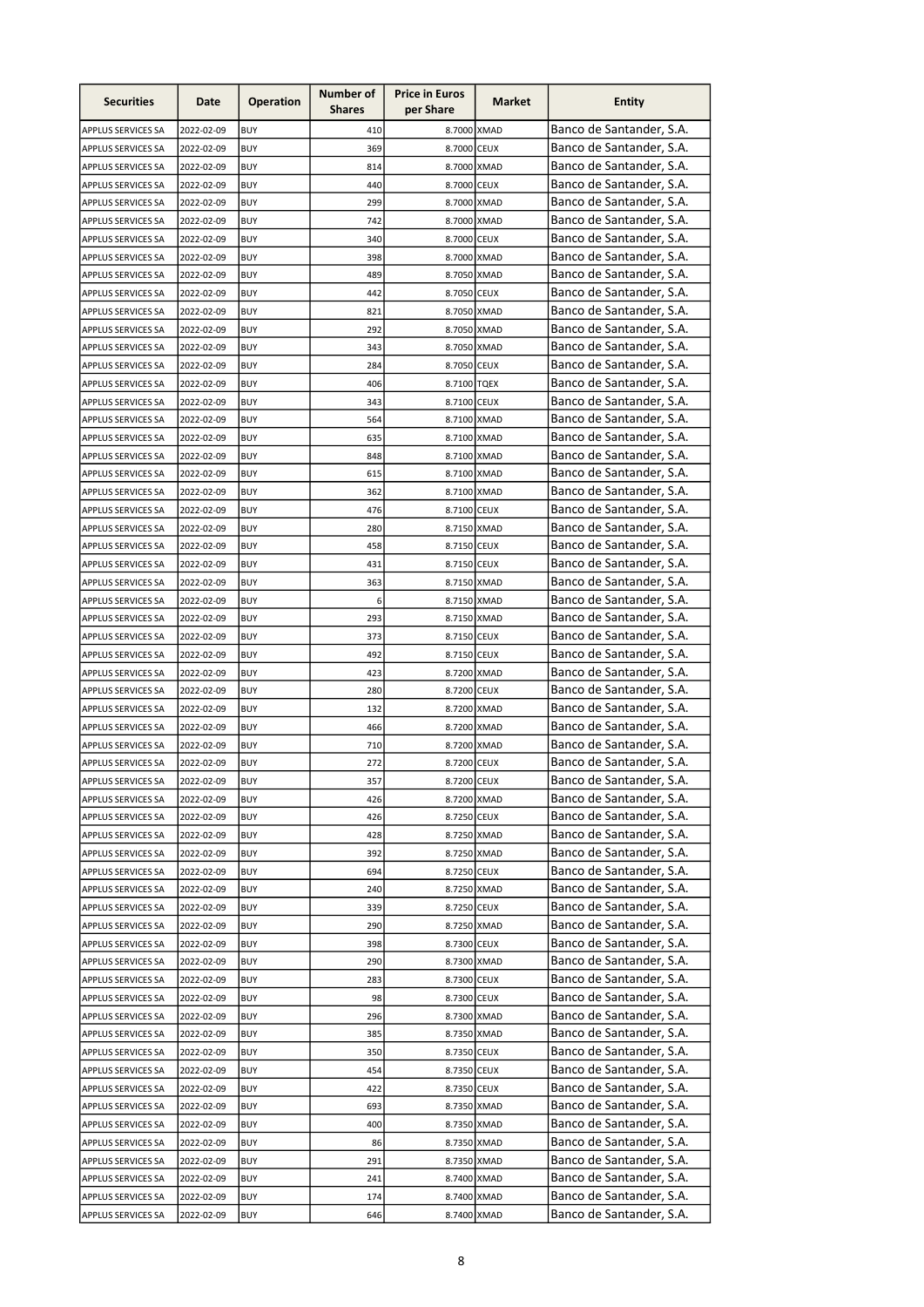| Banco de Santander, S.A.<br>410<br>8.7000 XMAD<br>APPLUS SERVICES SA<br>2022-02-09<br><b>BUY</b><br>Banco de Santander, S.A.<br>369<br>8.7000 CEUX<br>2022-02-09<br><b>BUY</b><br>APPLUS SERVICES SA<br>Banco de Santander, S.A.<br>8.7000 XMAD<br>2022-02-09<br><b>BUY</b><br>814<br><b>APPLUS SERVICES SA</b><br>Banco de Santander, S.A.<br>440<br>8.7000 CEUX<br>APPLUS SERVICES SA<br>2022-02-09<br><b>BUY</b><br>Banco de Santander, S.A.<br>8.7000 XMAD<br>APPLUS SERVICES SA<br>2022-02-09<br><b>BUY</b><br>299<br>Banco de Santander, S.A.<br>742<br>8.7000 XMAD<br>APPLUS SERVICES SA<br>2022-02-09<br><b>BUY</b><br>Banco de Santander, S.A.<br><b>BUY</b><br>340<br>8.7000 CEUX<br>APPLUS SERVICES SA<br>2022-02-09<br>Banco de Santander, S.A.<br><b>BUY</b><br>398<br>8.7000 XMAD<br>APPLUS SERVICES SA<br>2022-02-09<br>Banco de Santander, S.A.<br>8.7050 XMAD<br>APPLUS SERVICES SA<br>2022-02-09<br><b>BUY</b><br>489<br>Banco de Santander, S.A.<br>8.7050 CEUX<br>APPLUS SERVICES SA<br>2022-02-09<br><b>BUY</b><br>442<br>Banco de Santander, S.A.<br>8.7050 XMAD<br>APPLUS SERVICES SA<br>2022-02-09<br><b>BUY</b><br>821<br>Banco de Santander, S.A.<br>8.7050 XMAD<br>APPLUS SERVICES SA<br>2022-02-09<br><b>BUY</b><br>292<br>Banco de Santander, S.A.<br>8.7050 XMAD<br>APPLUS SERVICES SA<br>2022-02-09<br><b>BUY</b><br>343<br>Banco de Santander, S.A.<br>284<br>8.7050 CEUX<br>APPLUS SERVICES SA<br>2022-02-09<br><b>BUY</b><br>Banco de Santander, S.A.<br>406<br>APPLUS SERVICES SA<br>2022-02-09<br><b>BUY</b><br>8.7100 TQEX<br>Banco de Santander, S.A.<br>343<br>APPLUS SERVICES SA<br>2022-02-09<br><b>BUY</b><br>8.7100 CEUX<br>Banco de Santander, S.A.<br>564<br>APPLUS SERVICES SA<br>2022-02-09<br><b>BUY</b><br>8.7100 XMAD<br>Banco de Santander, S.A.<br>APPLUS SERVICES SA<br>2022-02-09<br><b>BUY</b><br>635<br>8.7100 XMAD<br>Banco de Santander, S.A.<br>848<br>2022-02-09<br><b>BUY</b><br>8.7100 XMAD<br>APPLUS SERVICES SA<br>Banco de Santander, S.A.<br>8.7100 XMAD<br>2022-02-09<br><b>BUY</b><br>615<br>APPLUS SERVICES SA<br>Banco de Santander, S.A.<br>8.7100 XMAD<br>2022-02-09<br><b>BUY</b><br>362<br>APPLUS SERVICES SA<br>Banco de Santander, S.A.<br>8.7100 CEUX<br>APPLUS SERVICES SA<br>2022-02-09<br><b>BUY</b><br>476<br>Banco de Santander, S.A.<br>280<br>8.7150 XMAD<br>2022-02-09<br><b>BUY</b><br>APPLUS SERVICES SA<br>Banco de Santander, S.A.<br><b>BUY</b><br>458<br>2022-02-09<br>8.7150 CEUX<br>APPLUS SERVICES SA<br>Banco de Santander, S.A.<br>431<br>APPLUS SERVICES SA<br>2022-02-09<br><b>BUY</b><br>8.7150 CEUX<br>Banco de Santander, S.A.<br>8.7150 XMAD<br>APPLUS SERVICES SA<br>2022-02-09<br><b>BUY</b><br>363<br>Banco de Santander, S.A.<br>6<br>8.7150 XMAD<br>2022-02-09<br><b>BUY</b><br><b>APPLUS SERVICES SA</b><br>Banco de Santander, S.A.<br>293<br>8.7150 XMAD<br>2022-02-09<br><b>BUY</b><br>APPLUS SERVICES SA<br>Banco de Santander, S.A.<br>8.7150 CEUX<br>APPLUS SERVICES SA<br>2022-02-09<br><b>BUY</b><br>373<br>Banco de Santander, S.A.<br>APPLUS SERVICES SA<br>2022-02-09<br><b>BUY</b><br>492<br>8.7150 CEUX<br>Banco de Santander, S.A.<br>423<br>8.7200 XMAD<br>APPLUS SERVICES SA<br>2022-02-09<br><b>BUY</b><br>Banco de Santander, S.A.<br>280<br>APPLUS SERVICES SA<br>2022-02-09<br><b>BUY</b><br>8.7200 CEUX<br>Banco de Santander, S.A.<br>132<br>APPLUS SERVICES SA<br>2022-02-09<br><b>BUY</b><br>8.7200 XMAD<br>Banco de Santander, S.A.<br>466<br>APPLUS SERVICES SA<br>2022-02-09<br><b>BUY</b><br>8.7200 XMAD<br>Banco de Santander, S.A.<br>8.7200 XMAD<br>APPLUS SERVICES SA<br>2022-02-09<br><b>BUY</b><br>710<br>Banco de Santander, S.A.<br>272<br>APPLUS SERVICES SA<br>2022-02-09<br>8.7200 CEUX<br><b>BUY</b><br>Banco de Santander, S.A.<br>2022-02-09<br>8.7200 CEUX<br><b>APPLUS SERVICES SA</b><br><b>BUY</b><br>357<br>Banco de Santander, S.A.<br>APPLUS SERVICES SA<br>2022-02-09<br><b>BUY</b><br>426<br>8.7200 XMAD<br>Banco de Santander, S.A.<br>8.7250 CEUX<br>APPLUS SERVICES SA<br>2022-02-09<br>BUY<br>426<br>Banco de Santander, S.A.<br>8.7250 XMAD<br>APPLUS SERVICES SA<br>2022-02-09<br><b>BUY</b><br>428<br>Banco de Santander, S.A.<br><b>BUY</b><br>8.7250 XMAD<br>APPLUS SERVICES SA<br>2022-02-09<br>392<br>Banco de Santander, S.A.<br><b>BUY</b><br>694<br>8.7250 CEUX<br><b>APPLUS SERVICES SA</b><br>2022-02-09<br>Banco de Santander, S.A.<br>8.7250 XMAD<br><b>APPLUS SERVICES SA</b><br>2022-02-09<br><b>BUY</b><br>240<br>Banco de Santander, S.A.<br>8.7250 CEUX<br>APPLUS SERVICES SA<br>2022-02-09<br><b>BUY</b><br>339<br>Banco de Santander, S.A.<br>8.7250 XMAD<br>APPLUS SERVICES SA<br>2022-02-09<br><b>BUY</b><br>290<br>Banco de Santander, S.A.<br>8.7300 CEUX<br>APPLUS SERVICES SA<br>2022-02-09<br><b>BUY</b><br>398<br>Banco de Santander, S.A.<br>8.7300 XMAD<br>APPLUS SERVICES SA<br>2022-02-09<br><b>BUY</b><br>290<br>Banco de Santander, S.A.<br>283<br>8.7300 CEUX<br>APPLUS SERVICES SA<br>2022-02-09<br>BUY<br>Banco de Santander, S.A.<br>98<br>8.7300 CEUX<br>APPLUS SERVICES SA<br>2022-02-09<br><b>BUY</b><br>Banco de Santander, S.A.<br>296<br>8.7300 XMAD<br>APPLUS SERVICES SA<br>2022-02-09<br><b>BUY</b><br>Banco de Santander, S.A.<br>APPLUS SERVICES SA<br>2022-02-09<br><b>BUY</b><br>385<br>8.7350 XMAD<br>Banco de Santander, S.A.<br>350<br>8.7350 CEUX<br>APPLUS SERVICES SA<br>2022-02-09<br>BUY<br>Banco de Santander, S.A.<br>454<br>8.7350 CEUX<br>APPLUS SERVICES SA<br>2022-02-09<br><b>BUY</b><br>Banco de Santander, S.A.<br>8.7350 CEUX<br>APPLUS SERVICES SA<br>2022-02-09<br><b>BUY</b><br>422<br>Banco de Santander, S.A.<br>8.7350 XMAD<br>APPLUS SERVICES SA<br>2022-02-09<br><b>BUY</b><br>693<br>Banco de Santander, S.A.<br>8.7350 XMAD<br>APPLUS SERVICES SA<br>2022-02-09<br><b>BUY</b><br>400<br>Banco de Santander, S.A.<br>2022-02-09<br><b>BUY</b><br>8.7350 XMAD<br>APPLUS SERVICES SA<br>86<br>Banco de Santander, S.A.<br>291<br>8.7350 XMAD<br><b>APPLUS SERVICES SA</b><br>2022-02-09<br><b>BUY</b><br>Banco de Santander, S.A.<br>2022-02-09<br><b>BUY</b><br>241<br>8.7400 XMAD<br>APPLUS SERVICES SA<br>Banco de Santander, S.A.<br>2022-02-09<br><b>BUY</b><br>8.7400 XMAD<br>APPLUS SERVICES SA<br>174<br>Banco de Santander, S.A.<br>8.7400 XMAD<br><b>APPLUS SERVICES SA</b><br>2022-02-09<br><b>BUY</b><br>646 | <b>Securities</b> | Date | <b>Operation</b> | Number of<br><b>Shares</b> | <b>Price in Euros</b><br>per Share | Market | <b>Entity</b> |
|--------------------------------------------------------------------------------------------------------------------------------------------------------------------------------------------------------------------------------------------------------------------------------------------------------------------------------------------------------------------------------------------------------------------------------------------------------------------------------------------------------------------------------------------------------------------------------------------------------------------------------------------------------------------------------------------------------------------------------------------------------------------------------------------------------------------------------------------------------------------------------------------------------------------------------------------------------------------------------------------------------------------------------------------------------------------------------------------------------------------------------------------------------------------------------------------------------------------------------------------------------------------------------------------------------------------------------------------------------------------------------------------------------------------------------------------------------------------------------------------------------------------------------------------------------------------------------------------------------------------------------------------------------------------------------------------------------------------------------------------------------------------------------------------------------------------------------------------------------------------------------------------------------------------------------------------------------------------------------------------------------------------------------------------------------------------------------------------------------------------------------------------------------------------------------------------------------------------------------------------------------------------------------------------------------------------------------------------------------------------------------------------------------------------------------------------------------------------------------------------------------------------------------------------------------------------------------------------------------------------------------------------------------------------------------------------------------------------------------------------------------------------------------------------------------------------------------------------------------------------------------------------------------------------------------------------------------------------------------------------------------------------------------------------------------------------------------------------------------------------------------------------------------------------------------------------------------------------------------------------------------------------------------------------------------------------------------------------------------------------------------------------------------------------------------------------------------------------------------------------------------------------------------------------------------------------------------------------------------------------------------------------------------------------------------------------------------------------------------------------------------------------------------------------------------------------------------------------------------------------------------------------------------------------------------------------------------------------------------------------------------------------------------------------------------------------------------------------------------------------------------------------------------------------------------------------------------------------------------------------------------------------------------------------------------------------------------------------------------------------------------------------------------------------------------------------------------------------------------------------------------------------------------------------------------------------------------------------------------------------------------------------------------------------------------------------------------------------------------------------------------------------------------------------------------------------------------------------------------------------------------------------------------------------------------------------------------------------------------------------------------------------------------------------------------------------------------------------------------------------------------------------------------------------------------------------------------------------------------------------------------------------------------------------------------------------------------------------------------------------------------------------------------------------------------------------------------------------------------------------------------------------------------------------------------------------------------------------------------------------------------------------------------------------------------------------------------------------------------------------------------------------------------------------------------------------------------------------------------------------------------------------------------------------------------------------------------------------------------------------------------------------------------------------------------------------------------------------------------------------------------------------------------------------------------------------------------------------------------------------------------------------------------------------------------------------------------------------------------------------------|-------------------|------|------------------|----------------------------|------------------------------------|--------|---------------|
|                                                                                                                                                                                                                                                                                                                                                                                                                                                                                                                                                                                                                                                                                                                                                                                                                                                                                                                                                                                                                                                                                                                                                                                                                                                                                                                                                                                                                                                                                                                                                                                                                                                                                                                                                                                                                                                                                                                                                                                                                                                                                                                                                                                                                                                                                                                                                                                                                                                                                                                                                                                                                                                                                                                                                                                                                                                                                                                                                                                                                                                                                                                                                                                                                                                                                                                                                                                                                                                                                                                                                                                                                                                                                                                                                                                                                                                                                                                                                                                                                                                                                                                                                                                                                                                                                                                                                                                                                                                                                                                                                                                                                                                                                                                                                                                                                                                                                                                                                                                                                                                                                                                                                                                                                                                                                                                                                                                                                                                                                                                                                                                                                                                                                                                                                                                                                                                                                                                                                                                                                                                                                                                                                                                                                                                                                                                                                                          |                   |      |                  |                            |                                    |        |               |
|                                                                                                                                                                                                                                                                                                                                                                                                                                                                                                                                                                                                                                                                                                                                                                                                                                                                                                                                                                                                                                                                                                                                                                                                                                                                                                                                                                                                                                                                                                                                                                                                                                                                                                                                                                                                                                                                                                                                                                                                                                                                                                                                                                                                                                                                                                                                                                                                                                                                                                                                                                                                                                                                                                                                                                                                                                                                                                                                                                                                                                                                                                                                                                                                                                                                                                                                                                                                                                                                                                                                                                                                                                                                                                                                                                                                                                                                                                                                                                                                                                                                                                                                                                                                                                                                                                                                                                                                                                                                                                                                                                                                                                                                                                                                                                                                                                                                                                                                                                                                                                                                                                                                                                                                                                                                                                                                                                                                                                                                                                                                                                                                                                                                                                                                                                                                                                                                                                                                                                                                                                                                                                                                                                                                                                                                                                                                                                          |                   |      |                  |                            |                                    |        |               |
|                                                                                                                                                                                                                                                                                                                                                                                                                                                                                                                                                                                                                                                                                                                                                                                                                                                                                                                                                                                                                                                                                                                                                                                                                                                                                                                                                                                                                                                                                                                                                                                                                                                                                                                                                                                                                                                                                                                                                                                                                                                                                                                                                                                                                                                                                                                                                                                                                                                                                                                                                                                                                                                                                                                                                                                                                                                                                                                                                                                                                                                                                                                                                                                                                                                                                                                                                                                                                                                                                                                                                                                                                                                                                                                                                                                                                                                                                                                                                                                                                                                                                                                                                                                                                                                                                                                                                                                                                                                                                                                                                                                                                                                                                                                                                                                                                                                                                                                                                                                                                                                                                                                                                                                                                                                                                                                                                                                                                                                                                                                                                                                                                                                                                                                                                                                                                                                                                                                                                                                                                                                                                                                                                                                                                                                                                                                                                                          |                   |      |                  |                            |                                    |        |               |
|                                                                                                                                                                                                                                                                                                                                                                                                                                                                                                                                                                                                                                                                                                                                                                                                                                                                                                                                                                                                                                                                                                                                                                                                                                                                                                                                                                                                                                                                                                                                                                                                                                                                                                                                                                                                                                                                                                                                                                                                                                                                                                                                                                                                                                                                                                                                                                                                                                                                                                                                                                                                                                                                                                                                                                                                                                                                                                                                                                                                                                                                                                                                                                                                                                                                                                                                                                                                                                                                                                                                                                                                                                                                                                                                                                                                                                                                                                                                                                                                                                                                                                                                                                                                                                                                                                                                                                                                                                                                                                                                                                                                                                                                                                                                                                                                                                                                                                                                                                                                                                                                                                                                                                                                                                                                                                                                                                                                                                                                                                                                                                                                                                                                                                                                                                                                                                                                                                                                                                                                                                                                                                                                                                                                                                                                                                                                                                          |                   |      |                  |                            |                                    |        |               |
|                                                                                                                                                                                                                                                                                                                                                                                                                                                                                                                                                                                                                                                                                                                                                                                                                                                                                                                                                                                                                                                                                                                                                                                                                                                                                                                                                                                                                                                                                                                                                                                                                                                                                                                                                                                                                                                                                                                                                                                                                                                                                                                                                                                                                                                                                                                                                                                                                                                                                                                                                                                                                                                                                                                                                                                                                                                                                                                                                                                                                                                                                                                                                                                                                                                                                                                                                                                                                                                                                                                                                                                                                                                                                                                                                                                                                                                                                                                                                                                                                                                                                                                                                                                                                                                                                                                                                                                                                                                                                                                                                                                                                                                                                                                                                                                                                                                                                                                                                                                                                                                                                                                                                                                                                                                                                                                                                                                                                                                                                                                                                                                                                                                                                                                                                                                                                                                                                                                                                                                                                                                                                                                                                                                                                                                                                                                                                                          |                   |      |                  |                            |                                    |        |               |
|                                                                                                                                                                                                                                                                                                                                                                                                                                                                                                                                                                                                                                                                                                                                                                                                                                                                                                                                                                                                                                                                                                                                                                                                                                                                                                                                                                                                                                                                                                                                                                                                                                                                                                                                                                                                                                                                                                                                                                                                                                                                                                                                                                                                                                                                                                                                                                                                                                                                                                                                                                                                                                                                                                                                                                                                                                                                                                                                                                                                                                                                                                                                                                                                                                                                                                                                                                                                                                                                                                                                                                                                                                                                                                                                                                                                                                                                                                                                                                                                                                                                                                                                                                                                                                                                                                                                                                                                                                                                                                                                                                                                                                                                                                                                                                                                                                                                                                                                                                                                                                                                                                                                                                                                                                                                                                                                                                                                                                                                                                                                                                                                                                                                                                                                                                                                                                                                                                                                                                                                                                                                                                                                                                                                                                                                                                                                                                          |                   |      |                  |                            |                                    |        |               |
|                                                                                                                                                                                                                                                                                                                                                                                                                                                                                                                                                                                                                                                                                                                                                                                                                                                                                                                                                                                                                                                                                                                                                                                                                                                                                                                                                                                                                                                                                                                                                                                                                                                                                                                                                                                                                                                                                                                                                                                                                                                                                                                                                                                                                                                                                                                                                                                                                                                                                                                                                                                                                                                                                                                                                                                                                                                                                                                                                                                                                                                                                                                                                                                                                                                                                                                                                                                                                                                                                                                                                                                                                                                                                                                                                                                                                                                                                                                                                                                                                                                                                                                                                                                                                                                                                                                                                                                                                                                                                                                                                                                                                                                                                                                                                                                                                                                                                                                                                                                                                                                                                                                                                                                                                                                                                                                                                                                                                                                                                                                                                                                                                                                                                                                                                                                                                                                                                                                                                                                                                                                                                                                                                                                                                                                                                                                                                                          |                   |      |                  |                            |                                    |        |               |
|                                                                                                                                                                                                                                                                                                                                                                                                                                                                                                                                                                                                                                                                                                                                                                                                                                                                                                                                                                                                                                                                                                                                                                                                                                                                                                                                                                                                                                                                                                                                                                                                                                                                                                                                                                                                                                                                                                                                                                                                                                                                                                                                                                                                                                                                                                                                                                                                                                                                                                                                                                                                                                                                                                                                                                                                                                                                                                                                                                                                                                                                                                                                                                                                                                                                                                                                                                                                                                                                                                                                                                                                                                                                                                                                                                                                                                                                                                                                                                                                                                                                                                                                                                                                                                                                                                                                                                                                                                                                                                                                                                                                                                                                                                                                                                                                                                                                                                                                                                                                                                                                                                                                                                                                                                                                                                                                                                                                                                                                                                                                                                                                                                                                                                                                                                                                                                                                                                                                                                                                                                                                                                                                                                                                                                                                                                                                                                          |                   |      |                  |                            |                                    |        |               |
|                                                                                                                                                                                                                                                                                                                                                                                                                                                                                                                                                                                                                                                                                                                                                                                                                                                                                                                                                                                                                                                                                                                                                                                                                                                                                                                                                                                                                                                                                                                                                                                                                                                                                                                                                                                                                                                                                                                                                                                                                                                                                                                                                                                                                                                                                                                                                                                                                                                                                                                                                                                                                                                                                                                                                                                                                                                                                                                                                                                                                                                                                                                                                                                                                                                                                                                                                                                                                                                                                                                                                                                                                                                                                                                                                                                                                                                                                                                                                                                                                                                                                                                                                                                                                                                                                                                                                                                                                                                                                                                                                                                                                                                                                                                                                                                                                                                                                                                                                                                                                                                                                                                                                                                                                                                                                                                                                                                                                                                                                                                                                                                                                                                                                                                                                                                                                                                                                                                                                                                                                                                                                                                                                                                                                                                                                                                                                                          |                   |      |                  |                            |                                    |        |               |
|                                                                                                                                                                                                                                                                                                                                                                                                                                                                                                                                                                                                                                                                                                                                                                                                                                                                                                                                                                                                                                                                                                                                                                                                                                                                                                                                                                                                                                                                                                                                                                                                                                                                                                                                                                                                                                                                                                                                                                                                                                                                                                                                                                                                                                                                                                                                                                                                                                                                                                                                                                                                                                                                                                                                                                                                                                                                                                                                                                                                                                                                                                                                                                                                                                                                                                                                                                                                                                                                                                                                                                                                                                                                                                                                                                                                                                                                                                                                                                                                                                                                                                                                                                                                                                                                                                                                                                                                                                                                                                                                                                                                                                                                                                                                                                                                                                                                                                                                                                                                                                                                                                                                                                                                                                                                                                                                                                                                                                                                                                                                                                                                                                                                                                                                                                                                                                                                                                                                                                                                                                                                                                                                                                                                                                                                                                                                                                          |                   |      |                  |                            |                                    |        |               |
|                                                                                                                                                                                                                                                                                                                                                                                                                                                                                                                                                                                                                                                                                                                                                                                                                                                                                                                                                                                                                                                                                                                                                                                                                                                                                                                                                                                                                                                                                                                                                                                                                                                                                                                                                                                                                                                                                                                                                                                                                                                                                                                                                                                                                                                                                                                                                                                                                                                                                                                                                                                                                                                                                                                                                                                                                                                                                                                                                                                                                                                                                                                                                                                                                                                                                                                                                                                                                                                                                                                                                                                                                                                                                                                                                                                                                                                                                                                                                                                                                                                                                                                                                                                                                                                                                                                                                                                                                                                                                                                                                                                                                                                                                                                                                                                                                                                                                                                                                                                                                                                                                                                                                                                                                                                                                                                                                                                                                                                                                                                                                                                                                                                                                                                                                                                                                                                                                                                                                                                                                                                                                                                                                                                                                                                                                                                                                                          |                   |      |                  |                            |                                    |        |               |
|                                                                                                                                                                                                                                                                                                                                                                                                                                                                                                                                                                                                                                                                                                                                                                                                                                                                                                                                                                                                                                                                                                                                                                                                                                                                                                                                                                                                                                                                                                                                                                                                                                                                                                                                                                                                                                                                                                                                                                                                                                                                                                                                                                                                                                                                                                                                                                                                                                                                                                                                                                                                                                                                                                                                                                                                                                                                                                                                                                                                                                                                                                                                                                                                                                                                                                                                                                                                                                                                                                                                                                                                                                                                                                                                                                                                                                                                                                                                                                                                                                                                                                                                                                                                                                                                                                                                                                                                                                                                                                                                                                                                                                                                                                                                                                                                                                                                                                                                                                                                                                                                                                                                                                                                                                                                                                                                                                                                                                                                                                                                                                                                                                                                                                                                                                                                                                                                                                                                                                                                                                                                                                                                                                                                                                                                                                                                                                          |                   |      |                  |                            |                                    |        |               |
|                                                                                                                                                                                                                                                                                                                                                                                                                                                                                                                                                                                                                                                                                                                                                                                                                                                                                                                                                                                                                                                                                                                                                                                                                                                                                                                                                                                                                                                                                                                                                                                                                                                                                                                                                                                                                                                                                                                                                                                                                                                                                                                                                                                                                                                                                                                                                                                                                                                                                                                                                                                                                                                                                                                                                                                                                                                                                                                                                                                                                                                                                                                                                                                                                                                                                                                                                                                                                                                                                                                                                                                                                                                                                                                                                                                                                                                                                                                                                                                                                                                                                                                                                                                                                                                                                                                                                                                                                                                                                                                                                                                                                                                                                                                                                                                                                                                                                                                                                                                                                                                                                                                                                                                                                                                                                                                                                                                                                                                                                                                                                                                                                                                                                                                                                                                                                                                                                                                                                                                                                                                                                                                                                                                                                                                                                                                                                                          |                   |      |                  |                            |                                    |        |               |
|                                                                                                                                                                                                                                                                                                                                                                                                                                                                                                                                                                                                                                                                                                                                                                                                                                                                                                                                                                                                                                                                                                                                                                                                                                                                                                                                                                                                                                                                                                                                                                                                                                                                                                                                                                                                                                                                                                                                                                                                                                                                                                                                                                                                                                                                                                                                                                                                                                                                                                                                                                                                                                                                                                                                                                                                                                                                                                                                                                                                                                                                                                                                                                                                                                                                                                                                                                                                                                                                                                                                                                                                                                                                                                                                                                                                                                                                                                                                                                                                                                                                                                                                                                                                                                                                                                                                                                                                                                                                                                                                                                                                                                                                                                                                                                                                                                                                                                                                                                                                                                                                                                                                                                                                                                                                                                                                                                                                                                                                                                                                                                                                                                                                                                                                                                                                                                                                                                                                                                                                                                                                                                                                                                                                                                                                                                                                                                          |                   |      |                  |                            |                                    |        |               |
|                                                                                                                                                                                                                                                                                                                                                                                                                                                                                                                                                                                                                                                                                                                                                                                                                                                                                                                                                                                                                                                                                                                                                                                                                                                                                                                                                                                                                                                                                                                                                                                                                                                                                                                                                                                                                                                                                                                                                                                                                                                                                                                                                                                                                                                                                                                                                                                                                                                                                                                                                                                                                                                                                                                                                                                                                                                                                                                                                                                                                                                                                                                                                                                                                                                                                                                                                                                                                                                                                                                                                                                                                                                                                                                                                                                                                                                                                                                                                                                                                                                                                                                                                                                                                                                                                                                                                                                                                                                                                                                                                                                                                                                                                                                                                                                                                                                                                                                                                                                                                                                                                                                                                                                                                                                                                                                                                                                                                                                                                                                                                                                                                                                                                                                                                                                                                                                                                                                                                                                                                                                                                                                                                                                                                                                                                                                                                                          |                   |      |                  |                            |                                    |        |               |
|                                                                                                                                                                                                                                                                                                                                                                                                                                                                                                                                                                                                                                                                                                                                                                                                                                                                                                                                                                                                                                                                                                                                                                                                                                                                                                                                                                                                                                                                                                                                                                                                                                                                                                                                                                                                                                                                                                                                                                                                                                                                                                                                                                                                                                                                                                                                                                                                                                                                                                                                                                                                                                                                                                                                                                                                                                                                                                                                                                                                                                                                                                                                                                                                                                                                                                                                                                                                                                                                                                                                                                                                                                                                                                                                                                                                                                                                                                                                                                                                                                                                                                                                                                                                                                                                                                                                                                                                                                                                                                                                                                                                                                                                                                                                                                                                                                                                                                                                                                                                                                                                                                                                                                                                                                                                                                                                                                                                                                                                                                                                                                                                                                                                                                                                                                                                                                                                                                                                                                                                                                                                                                                                                                                                                                                                                                                                                                          |                   |      |                  |                            |                                    |        |               |
|                                                                                                                                                                                                                                                                                                                                                                                                                                                                                                                                                                                                                                                                                                                                                                                                                                                                                                                                                                                                                                                                                                                                                                                                                                                                                                                                                                                                                                                                                                                                                                                                                                                                                                                                                                                                                                                                                                                                                                                                                                                                                                                                                                                                                                                                                                                                                                                                                                                                                                                                                                                                                                                                                                                                                                                                                                                                                                                                                                                                                                                                                                                                                                                                                                                                                                                                                                                                                                                                                                                                                                                                                                                                                                                                                                                                                                                                                                                                                                                                                                                                                                                                                                                                                                                                                                                                                                                                                                                                                                                                                                                                                                                                                                                                                                                                                                                                                                                                                                                                                                                                                                                                                                                                                                                                                                                                                                                                                                                                                                                                                                                                                                                                                                                                                                                                                                                                                                                                                                                                                                                                                                                                                                                                                                                                                                                                                                          |                   |      |                  |                            |                                    |        |               |
|                                                                                                                                                                                                                                                                                                                                                                                                                                                                                                                                                                                                                                                                                                                                                                                                                                                                                                                                                                                                                                                                                                                                                                                                                                                                                                                                                                                                                                                                                                                                                                                                                                                                                                                                                                                                                                                                                                                                                                                                                                                                                                                                                                                                                                                                                                                                                                                                                                                                                                                                                                                                                                                                                                                                                                                                                                                                                                                                                                                                                                                                                                                                                                                                                                                                                                                                                                                                                                                                                                                                                                                                                                                                                                                                                                                                                                                                                                                                                                                                                                                                                                                                                                                                                                                                                                                                                                                                                                                                                                                                                                                                                                                                                                                                                                                                                                                                                                                                                                                                                                                                                                                                                                                                                                                                                                                                                                                                                                                                                                                                                                                                                                                                                                                                                                                                                                                                                                                                                                                                                                                                                                                                                                                                                                                                                                                                                                          |                   |      |                  |                            |                                    |        |               |
|                                                                                                                                                                                                                                                                                                                                                                                                                                                                                                                                                                                                                                                                                                                                                                                                                                                                                                                                                                                                                                                                                                                                                                                                                                                                                                                                                                                                                                                                                                                                                                                                                                                                                                                                                                                                                                                                                                                                                                                                                                                                                                                                                                                                                                                                                                                                                                                                                                                                                                                                                                                                                                                                                                                                                                                                                                                                                                                                                                                                                                                                                                                                                                                                                                                                                                                                                                                                                                                                                                                                                                                                                                                                                                                                                                                                                                                                                                                                                                                                                                                                                                                                                                                                                                                                                                                                                                                                                                                                                                                                                                                                                                                                                                                                                                                                                                                                                                                                                                                                                                                                                                                                                                                                                                                                                                                                                                                                                                                                                                                                                                                                                                                                                                                                                                                                                                                                                                                                                                                                                                                                                                                                                                                                                                                                                                                                                                          |                   |      |                  |                            |                                    |        |               |
|                                                                                                                                                                                                                                                                                                                                                                                                                                                                                                                                                                                                                                                                                                                                                                                                                                                                                                                                                                                                                                                                                                                                                                                                                                                                                                                                                                                                                                                                                                                                                                                                                                                                                                                                                                                                                                                                                                                                                                                                                                                                                                                                                                                                                                                                                                                                                                                                                                                                                                                                                                                                                                                                                                                                                                                                                                                                                                                                                                                                                                                                                                                                                                                                                                                                                                                                                                                                                                                                                                                                                                                                                                                                                                                                                                                                                                                                                                                                                                                                                                                                                                                                                                                                                                                                                                                                                                                                                                                                                                                                                                                                                                                                                                                                                                                                                                                                                                                                                                                                                                                                                                                                                                                                                                                                                                                                                                                                                                                                                                                                                                                                                                                                                                                                                                                                                                                                                                                                                                                                                                                                                                                                                                                                                                                                                                                                                                          |                   |      |                  |                            |                                    |        |               |
|                                                                                                                                                                                                                                                                                                                                                                                                                                                                                                                                                                                                                                                                                                                                                                                                                                                                                                                                                                                                                                                                                                                                                                                                                                                                                                                                                                                                                                                                                                                                                                                                                                                                                                                                                                                                                                                                                                                                                                                                                                                                                                                                                                                                                                                                                                                                                                                                                                                                                                                                                                                                                                                                                                                                                                                                                                                                                                                                                                                                                                                                                                                                                                                                                                                                                                                                                                                                                                                                                                                                                                                                                                                                                                                                                                                                                                                                                                                                                                                                                                                                                                                                                                                                                                                                                                                                                                                                                                                                                                                                                                                                                                                                                                                                                                                                                                                                                                                                                                                                                                                                                                                                                                                                                                                                                                                                                                                                                                                                                                                                                                                                                                                                                                                                                                                                                                                                                                                                                                                                                                                                                                                                                                                                                                                                                                                                                                          |                   |      |                  |                            |                                    |        |               |
|                                                                                                                                                                                                                                                                                                                                                                                                                                                                                                                                                                                                                                                                                                                                                                                                                                                                                                                                                                                                                                                                                                                                                                                                                                                                                                                                                                                                                                                                                                                                                                                                                                                                                                                                                                                                                                                                                                                                                                                                                                                                                                                                                                                                                                                                                                                                                                                                                                                                                                                                                                                                                                                                                                                                                                                                                                                                                                                                                                                                                                                                                                                                                                                                                                                                                                                                                                                                                                                                                                                                                                                                                                                                                                                                                                                                                                                                                                                                                                                                                                                                                                                                                                                                                                                                                                                                                                                                                                                                                                                                                                                                                                                                                                                                                                                                                                                                                                                                                                                                                                                                                                                                                                                                                                                                                                                                                                                                                                                                                                                                                                                                                                                                                                                                                                                                                                                                                                                                                                                                                                                                                                                                                                                                                                                                                                                                                                          |                   |      |                  |                            |                                    |        |               |
|                                                                                                                                                                                                                                                                                                                                                                                                                                                                                                                                                                                                                                                                                                                                                                                                                                                                                                                                                                                                                                                                                                                                                                                                                                                                                                                                                                                                                                                                                                                                                                                                                                                                                                                                                                                                                                                                                                                                                                                                                                                                                                                                                                                                                                                                                                                                                                                                                                                                                                                                                                                                                                                                                                                                                                                                                                                                                                                                                                                                                                                                                                                                                                                                                                                                                                                                                                                                                                                                                                                                                                                                                                                                                                                                                                                                                                                                                                                                                                                                                                                                                                                                                                                                                                                                                                                                                                                                                                                                                                                                                                                                                                                                                                                                                                                                                                                                                                                                                                                                                                                                                                                                                                                                                                                                                                                                                                                                                                                                                                                                                                                                                                                                                                                                                                                                                                                                                                                                                                                                                                                                                                                                                                                                                                                                                                                                                                          |                   |      |                  |                            |                                    |        |               |
|                                                                                                                                                                                                                                                                                                                                                                                                                                                                                                                                                                                                                                                                                                                                                                                                                                                                                                                                                                                                                                                                                                                                                                                                                                                                                                                                                                                                                                                                                                                                                                                                                                                                                                                                                                                                                                                                                                                                                                                                                                                                                                                                                                                                                                                                                                                                                                                                                                                                                                                                                                                                                                                                                                                                                                                                                                                                                                                                                                                                                                                                                                                                                                                                                                                                                                                                                                                                                                                                                                                                                                                                                                                                                                                                                                                                                                                                                                                                                                                                                                                                                                                                                                                                                                                                                                                                                                                                                                                                                                                                                                                                                                                                                                                                                                                                                                                                                                                                                                                                                                                                                                                                                                                                                                                                                                                                                                                                                                                                                                                                                                                                                                                                                                                                                                                                                                                                                                                                                                                                                                                                                                                                                                                                                                                                                                                                                                          |                   |      |                  |                            |                                    |        |               |
|                                                                                                                                                                                                                                                                                                                                                                                                                                                                                                                                                                                                                                                                                                                                                                                                                                                                                                                                                                                                                                                                                                                                                                                                                                                                                                                                                                                                                                                                                                                                                                                                                                                                                                                                                                                                                                                                                                                                                                                                                                                                                                                                                                                                                                                                                                                                                                                                                                                                                                                                                                                                                                                                                                                                                                                                                                                                                                                                                                                                                                                                                                                                                                                                                                                                                                                                                                                                                                                                                                                                                                                                                                                                                                                                                                                                                                                                                                                                                                                                                                                                                                                                                                                                                                                                                                                                                                                                                                                                                                                                                                                                                                                                                                                                                                                                                                                                                                                                                                                                                                                                                                                                                                                                                                                                                                                                                                                                                                                                                                                                                                                                                                                                                                                                                                                                                                                                                                                                                                                                                                                                                                                                                                                                                                                                                                                                                                          |                   |      |                  |                            |                                    |        |               |
|                                                                                                                                                                                                                                                                                                                                                                                                                                                                                                                                                                                                                                                                                                                                                                                                                                                                                                                                                                                                                                                                                                                                                                                                                                                                                                                                                                                                                                                                                                                                                                                                                                                                                                                                                                                                                                                                                                                                                                                                                                                                                                                                                                                                                                                                                                                                                                                                                                                                                                                                                                                                                                                                                                                                                                                                                                                                                                                                                                                                                                                                                                                                                                                                                                                                                                                                                                                                                                                                                                                                                                                                                                                                                                                                                                                                                                                                                                                                                                                                                                                                                                                                                                                                                                                                                                                                                                                                                                                                                                                                                                                                                                                                                                                                                                                                                                                                                                                                                                                                                                                                                                                                                                                                                                                                                                                                                                                                                                                                                                                                                                                                                                                                                                                                                                                                                                                                                                                                                                                                                                                                                                                                                                                                                                                                                                                                                                          |                   |      |                  |                            |                                    |        |               |
|                                                                                                                                                                                                                                                                                                                                                                                                                                                                                                                                                                                                                                                                                                                                                                                                                                                                                                                                                                                                                                                                                                                                                                                                                                                                                                                                                                                                                                                                                                                                                                                                                                                                                                                                                                                                                                                                                                                                                                                                                                                                                                                                                                                                                                                                                                                                                                                                                                                                                                                                                                                                                                                                                                                                                                                                                                                                                                                                                                                                                                                                                                                                                                                                                                                                                                                                                                                                                                                                                                                                                                                                                                                                                                                                                                                                                                                                                                                                                                                                                                                                                                                                                                                                                                                                                                                                                                                                                                                                                                                                                                                                                                                                                                                                                                                                                                                                                                                                                                                                                                                                                                                                                                                                                                                                                                                                                                                                                                                                                                                                                                                                                                                                                                                                                                                                                                                                                                                                                                                                                                                                                                                                                                                                                                                                                                                                                                          |                   |      |                  |                            |                                    |        |               |
|                                                                                                                                                                                                                                                                                                                                                                                                                                                                                                                                                                                                                                                                                                                                                                                                                                                                                                                                                                                                                                                                                                                                                                                                                                                                                                                                                                                                                                                                                                                                                                                                                                                                                                                                                                                                                                                                                                                                                                                                                                                                                                                                                                                                                                                                                                                                                                                                                                                                                                                                                                                                                                                                                                                                                                                                                                                                                                                                                                                                                                                                                                                                                                                                                                                                                                                                                                                                                                                                                                                                                                                                                                                                                                                                                                                                                                                                                                                                                                                                                                                                                                                                                                                                                                                                                                                                                                                                                                                                                                                                                                                                                                                                                                                                                                                                                                                                                                                                                                                                                                                                                                                                                                                                                                                                                                                                                                                                                                                                                                                                                                                                                                                                                                                                                                                                                                                                                                                                                                                                                                                                                                                                                                                                                                                                                                                                                                          |                   |      |                  |                            |                                    |        |               |
|                                                                                                                                                                                                                                                                                                                                                                                                                                                                                                                                                                                                                                                                                                                                                                                                                                                                                                                                                                                                                                                                                                                                                                                                                                                                                                                                                                                                                                                                                                                                                                                                                                                                                                                                                                                                                                                                                                                                                                                                                                                                                                                                                                                                                                                                                                                                                                                                                                                                                                                                                                                                                                                                                                                                                                                                                                                                                                                                                                                                                                                                                                                                                                                                                                                                                                                                                                                                                                                                                                                                                                                                                                                                                                                                                                                                                                                                                                                                                                                                                                                                                                                                                                                                                                                                                                                                                                                                                                                                                                                                                                                                                                                                                                                                                                                                                                                                                                                                                                                                                                                                                                                                                                                                                                                                                                                                                                                                                                                                                                                                                                                                                                                                                                                                                                                                                                                                                                                                                                                                                                                                                                                                                                                                                                                                                                                                                                          |                   |      |                  |                            |                                    |        |               |
|                                                                                                                                                                                                                                                                                                                                                                                                                                                                                                                                                                                                                                                                                                                                                                                                                                                                                                                                                                                                                                                                                                                                                                                                                                                                                                                                                                                                                                                                                                                                                                                                                                                                                                                                                                                                                                                                                                                                                                                                                                                                                                                                                                                                                                                                                                                                                                                                                                                                                                                                                                                                                                                                                                                                                                                                                                                                                                                                                                                                                                                                                                                                                                                                                                                                                                                                                                                                                                                                                                                                                                                                                                                                                                                                                                                                                                                                                                                                                                                                                                                                                                                                                                                                                                                                                                                                                                                                                                                                                                                                                                                                                                                                                                                                                                                                                                                                                                                                                                                                                                                                                                                                                                                                                                                                                                                                                                                                                                                                                                                                                                                                                                                                                                                                                                                                                                                                                                                                                                                                                                                                                                                                                                                                                                                                                                                                                                          |                   |      |                  |                            |                                    |        |               |
|                                                                                                                                                                                                                                                                                                                                                                                                                                                                                                                                                                                                                                                                                                                                                                                                                                                                                                                                                                                                                                                                                                                                                                                                                                                                                                                                                                                                                                                                                                                                                                                                                                                                                                                                                                                                                                                                                                                                                                                                                                                                                                                                                                                                                                                                                                                                                                                                                                                                                                                                                                                                                                                                                                                                                                                                                                                                                                                                                                                                                                                                                                                                                                                                                                                                                                                                                                                                                                                                                                                                                                                                                                                                                                                                                                                                                                                                                                                                                                                                                                                                                                                                                                                                                                                                                                                                                                                                                                                                                                                                                                                                                                                                                                                                                                                                                                                                                                                                                                                                                                                                                                                                                                                                                                                                                                                                                                                                                                                                                                                                                                                                                                                                                                                                                                                                                                                                                                                                                                                                                                                                                                                                                                                                                                                                                                                                                                          |                   |      |                  |                            |                                    |        |               |
|                                                                                                                                                                                                                                                                                                                                                                                                                                                                                                                                                                                                                                                                                                                                                                                                                                                                                                                                                                                                                                                                                                                                                                                                                                                                                                                                                                                                                                                                                                                                                                                                                                                                                                                                                                                                                                                                                                                                                                                                                                                                                                                                                                                                                                                                                                                                                                                                                                                                                                                                                                                                                                                                                                                                                                                                                                                                                                                                                                                                                                                                                                                                                                                                                                                                                                                                                                                                                                                                                                                                                                                                                                                                                                                                                                                                                                                                                                                                                                                                                                                                                                                                                                                                                                                                                                                                                                                                                                                                                                                                                                                                                                                                                                                                                                                                                                                                                                                                                                                                                                                                                                                                                                                                                                                                                                                                                                                                                                                                                                                                                                                                                                                                                                                                                                                                                                                                                                                                                                                                                                                                                                                                                                                                                                                                                                                                                                          |                   |      |                  |                            |                                    |        |               |
|                                                                                                                                                                                                                                                                                                                                                                                                                                                                                                                                                                                                                                                                                                                                                                                                                                                                                                                                                                                                                                                                                                                                                                                                                                                                                                                                                                                                                                                                                                                                                                                                                                                                                                                                                                                                                                                                                                                                                                                                                                                                                                                                                                                                                                                                                                                                                                                                                                                                                                                                                                                                                                                                                                                                                                                                                                                                                                                                                                                                                                                                                                                                                                                                                                                                                                                                                                                                                                                                                                                                                                                                                                                                                                                                                                                                                                                                                                                                                                                                                                                                                                                                                                                                                                                                                                                                                                                                                                                                                                                                                                                                                                                                                                                                                                                                                                                                                                                                                                                                                                                                                                                                                                                                                                                                                                                                                                                                                                                                                                                                                                                                                                                                                                                                                                                                                                                                                                                                                                                                                                                                                                                                                                                                                                                                                                                                                                          |                   |      |                  |                            |                                    |        |               |
|                                                                                                                                                                                                                                                                                                                                                                                                                                                                                                                                                                                                                                                                                                                                                                                                                                                                                                                                                                                                                                                                                                                                                                                                                                                                                                                                                                                                                                                                                                                                                                                                                                                                                                                                                                                                                                                                                                                                                                                                                                                                                                                                                                                                                                                                                                                                                                                                                                                                                                                                                                                                                                                                                                                                                                                                                                                                                                                                                                                                                                                                                                                                                                                                                                                                                                                                                                                                                                                                                                                                                                                                                                                                                                                                                                                                                                                                                                                                                                                                                                                                                                                                                                                                                                                                                                                                                                                                                                                                                                                                                                                                                                                                                                                                                                                                                                                                                                                                                                                                                                                                                                                                                                                                                                                                                                                                                                                                                                                                                                                                                                                                                                                                                                                                                                                                                                                                                                                                                                                                                                                                                                                                                                                                                                                                                                                                                                          |                   |      |                  |                            |                                    |        |               |
|                                                                                                                                                                                                                                                                                                                                                                                                                                                                                                                                                                                                                                                                                                                                                                                                                                                                                                                                                                                                                                                                                                                                                                                                                                                                                                                                                                                                                                                                                                                                                                                                                                                                                                                                                                                                                                                                                                                                                                                                                                                                                                                                                                                                                                                                                                                                                                                                                                                                                                                                                                                                                                                                                                                                                                                                                                                                                                                                                                                                                                                                                                                                                                                                                                                                                                                                                                                                                                                                                                                                                                                                                                                                                                                                                                                                                                                                                                                                                                                                                                                                                                                                                                                                                                                                                                                                                                                                                                                                                                                                                                                                                                                                                                                                                                                                                                                                                                                                                                                                                                                                                                                                                                                                                                                                                                                                                                                                                                                                                                                                                                                                                                                                                                                                                                                                                                                                                                                                                                                                                                                                                                                                                                                                                                                                                                                                                                          |                   |      |                  |                            |                                    |        |               |
|                                                                                                                                                                                                                                                                                                                                                                                                                                                                                                                                                                                                                                                                                                                                                                                                                                                                                                                                                                                                                                                                                                                                                                                                                                                                                                                                                                                                                                                                                                                                                                                                                                                                                                                                                                                                                                                                                                                                                                                                                                                                                                                                                                                                                                                                                                                                                                                                                                                                                                                                                                                                                                                                                                                                                                                                                                                                                                                                                                                                                                                                                                                                                                                                                                                                                                                                                                                                                                                                                                                                                                                                                                                                                                                                                                                                                                                                                                                                                                                                                                                                                                                                                                                                                                                                                                                                                                                                                                                                                                                                                                                                                                                                                                                                                                                                                                                                                                                                                                                                                                                                                                                                                                                                                                                                                                                                                                                                                                                                                                                                                                                                                                                                                                                                                                                                                                                                                                                                                                                                                                                                                                                                                                                                                                                                                                                                                                          |                   |      |                  |                            |                                    |        |               |
|                                                                                                                                                                                                                                                                                                                                                                                                                                                                                                                                                                                                                                                                                                                                                                                                                                                                                                                                                                                                                                                                                                                                                                                                                                                                                                                                                                                                                                                                                                                                                                                                                                                                                                                                                                                                                                                                                                                                                                                                                                                                                                                                                                                                                                                                                                                                                                                                                                                                                                                                                                                                                                                                                                                                                                                                                                                                                                                                                                                                                                                                                                                                                                                                                                                                                                                                                                                                                                                                                                                                                                                                                                                                                                                                                                                                                                                                                                                                                                                                                                                                                                                                                                                                                                                                                                                                                                                                                                                                                                                                                                                                                                                                                                                                                                                                                                                                                                                                                                                                                                                                                                                                                                                                                                                                                                                                                                                                                                                                                                                                                                                                                                                                                                                                                                                                                                                                                                                                                                                                                                                                                                                                                                                                                                                                                                                                                                          |                   |      |                  |                            |                                    |        |               |
|                                                                                                                                                                                                                                                                                                                                                                                                                                                                                                                                                                                                                                                                                                                                                                                                                                                                                                                                                                                                                                                                                                                                                                                                                                                                                                                                                                                                                                                                                                                                                                                                                                                                                                                                                                                                                                                                                                                                                                                                                                                                                                                                                                                                                                                                                                                                                                                                                                                                                                                                                                                                                                                                                                                                                                                                                                                                                                                                                                                                                                                                                                                                                                                                                                                                                                                                                                                                                                                                                                                                                                                                                                                                                                                                                                                                                                                                                                                                                                                                                                                                                                                                                                                                                                                                                                                                                                                                                                                                                                                                                                                                                                                                                                                                                                                                                                                                                                                                                                                                                                                                                                                                                                                                                                                                                                                                                                                                                                                                                                                                                                                                                                                                                                                                                                                                                                                                                                                                                                                                                                                                                                                                                                                                                                                                                                                                                                          |                   |      |                  |                            |                                    |        |               |
|                                                                                                                                                                                                                                                                                                                                                                                                                                                                                                                                                                                                                                                                                                                                                                                                                                                                                                                                                                                                                                                                                                                                                                                                                                                                                                                                                                                                                                                                                                                                                                                                                                                                                                                                                                                                                                                                                                                                                                                                                                                                                                                                                                                                                                                                                                                                                                                                                                                                                                                                                                                                                                                                                                                                                                                                                                                                                                                                                                                                                                                                                                                                                                                                                                                                                                                                                                                                                                                                                                                                                                                                                                                                                                                                                                                                                                                                                                                                                                                                                                                                                                                                                                                                                                                                                                                                                                                                                                                                                                                                                                                                                                                                                                                                                                                                                                                                                                                                                                                                                                                                                                                                                                                                                                                                                                                                                                                                                                                                                                                                                                                                                                                                                                                                                                                                                                                                                                                                                                                                                                                                                                                                                                                                                                                                                                                                                                          |                   |      |                  |                            |                                    |        |               |
|                                                                                                                                                                                                                                                                                                                                                                                                                                                                                                                                                                                                                                                                                                                                                                                                                                                                                                                                                                                                                                                                                                                                                                                                                                                                                                                                                                                                                                                                                                                                                                                                                                                                                                                                                                                                                                                                                                                                                                                                                                                                                                                                                                                                                                                                                                                                                                                                                                                                                                                                                                                                                                                                                                                                                                                                                                                                                                                                                                                                                                                                                                                                                                                                                                                                                                                                                                                                                                                                                                                                                                                                                                                                                                                                                                                                                                                                                                                                                                                                                                                                                                                                                                                                                                                                                                                                                                                                                                                                                                                                                                                                                                                                                                                                                                                                                                                                                                                                                                                                                                                                                                                                                                                                                                                                                                                                                                                                                                                                                                                                                                                                                                                                                                                                                                                                                                                                                                                                                                                                                                                                                                                                                                                                                                                                                                                                                                          |                   |      |                  |                            |                                    |        |               |
|                                                                                                                                                                                                                                                                                                                                                                                                                                                                                                                                                                                                                                                                                                                                                                                                                                                                                                                                                                                                                                                                                                                                                                                                                                                                                                                                                                                                                                                                                                                                                                                                                                                                                                                                                                                                                                                                                                                                                                                                                                                                                                                                                                                                                                                                                                                                                                                                                                                                                                                                                                                                                                                                                                                                                                                                                                                                                                                                                                                                                                                                                                                                                                                                                                                                                                                                                                                                                                                                                                                                                                                                                                                                                                                                                                                                                                                                                                                                                                                                                                                                                                                                                                                                                                                                                                                                                                                                                                                                                                                                                                                                                                                                                                                                                                                                                                                                                                                                                                                                                                                                                                                                                                                                                                                                                                                                                                                                                                                                                                                                                                                                                                                                                                                                                                                                                                                                                                                                                                                                                                                                                                                                                                                                                                                                                                                                                                          |                   |      |                  |                            |                                    |        |               |
|                                                                                                                                                                                                                                                                                                                                                                                                                                                                                                                                                                                                                                                                                                                                                                                                                                                                                                                                                                                                                                                                                                                                                                                                                                                                                                                                                                                                                                                                                                                                                                                                                                                                                                                                                                                                                                                                                                                                                                                                                                                                                                                                                                                                                                                                                                                                                                                                                                                                                                                                                                                                                                                                                                                                                                                                                                                                                                                                                                                                                                                                                                                                                                                                                                                                                                                                                                                                                                                                                                                                                                                                                                                                                                                                                                                                                                                                                                                                                                                                                                                                                                                                                                                                                                                                                                                                                                                                                                                                                                                                                                                                                                                                                                                                                                                                                                                                                                                                                                                                                                                                                                                                                                                                                                                                                                                                                                                                                                                                                                                                                                                                                                                                                                                                                                                                                                                                                                                                                                                                                                                                                                                                                                                                                                                                                                                                                                          |                   |      |                  |                            |                                    |        |               |
|                                                                                                                                                                                                                                                                                                                                                                                                                                                                                                                                                                                                                                                                                                                                                                                                                                                                                                                                                                                                                                                                                                                                                                                                                                                                                                                                                                                                                                                                                                                                                                                                                                                                                                                                                                                                                                                                                                                                                                                                                                                                                                                                                                                                                                                                                                                                                                                                                                                                                                                                                                                                                                                                                                                                                                                                                                                                                                                                                                                                                                                                                                                                                                                                                                                                                                                                                                                                                                                                                                                                                                                                                                                                                                                                                                                                                                                                                                                                                                                                                                                                                                                                                                                                                                                                                                                                                                                                                                                                                                                                                                                                                                                                                                                                                                                                                                                                                                                                                                                                                                                                                                                                                                                                                                                                                                                                                                                                                                                                                                                                                                                                                                                                                                                                                                                                                                                                                                                                                                                                                                                                                                                                                                                                                                                                                                                                                                          |                   |      |                  |                            |                                    |        |               |
|                                                                                                                                                                                                                                                                                                                                                                                                                                                                                                                                                                                                                                                                                                                                                                                                                                                                                                                                                                                                                                                                                                                                                                                                                                                                                                                                                                                                                                                                                                                                                                                                                                                                                                                                                                                                                                                                                                                                                                                                                                                                                                                                                                                                                                                                                                                                                                                                                                                                                                                                                                                                                                                                                                                                                                                                                                                                                                                                                                                                                                                                                                                                                                                                                                                                                                                                                                                                                                                                                                                                                                                                                                                                                                                                                                                                                                                                                                                                                                                                                                                                                                                                                                                                                                                                                                                                                                                                                                                                                                                                                                                                                                                                                                                                                                                                                                                                                                                                                                                                                                                                                                                                                                                                                                                                                                                                                                                                                                                                                                                                                                                                                                                                                                                                                                                                                                                                                                                                                                                                                                                                                                                                                                                                                                                                                                                                                                          |                   |      |                  |                            |                                    |        |               |
|                                                                                                                                                                                                                                                                                                                                                                                                                                                                                                                                                                                                                                                                                                                                                                                                                                                                                                                                                                                                                                                                                                                                                                                                                                                                                                                                                                                                                                                                                                                                                                                                                                                                                                                                                                                                                                                                                                                                                                                                                                                                                                                                                                                                                                                                                                                                                                                                                                                                                                                                                                                                                                                                                                                                                                                                                                                                                                                                                                                                                                                                                                                                                                                                                                                                                                                                                                                                                                                                                                                                                                                                                                                                                                                                                                                                                                                                                                                                                                                                                                                                                                                                                                                                                                                                                                                                                                                                                                                                                                                                                                                                                                                                                                                                                                                                                                                                                                                                                                                                                                                                                                                                                                                                                                                                                                                                                                                                                                                                                                                                                                                                                                                                                                                                                                                                                                                                                                                                                                                                                                                                                                                                                                                                                                                                                                                                                                          |                   |      |                  |                            |                                    |        |               |
|                                                                                                                                                                                                                                                                                                                                                                                                                                                                                                                                                                                                                                                                                                                                                                                                                                                                                                                                                                                                                                                                                                                                                                                                                                                                                                                                                                                                                                                                                                                                                                                                                                                                                                                                                                                                                                                                                                                                                                                                                                                                                                                                                                                                                                                                                                                                                                                                                                                                                                                                                                                                                                                                                                                                                                                                                                                                                                                                                                                                                                                                                                                                                                                                                                                                                                                                                                                                                                                                                                                                                                                                                                                                                                                                                                                                                                                                                                                                                                                                                                                                                                                                                                                                                                                                                                                                                                                                                                                                                                                                                                                                                                                                                                                                                                                                                                                                                                                                                                                                                                                                                                                                                                                                                                                                                                                                                                                                                                                                                                                                                                                                                                                                                                                                                                                                                                                                                                                                                                                                                                                                                                                                                                                                                                                                                                                                                                          |                   |      |                  |                            |                                    |        |               |
|                                                                                                                                                                                                                                                                                                                                                                                                                                                                                                                                                                                                                                                                                                                                                                                                                                                                                                                                                                                                                                                                                                                                                                                                                                                                                                                                                                                                                                                                                                                                                                                                                                                                                                                                                                                                                                                                                                                                                                                                                                                                                                                                                                                                                                                                                                                                                                                                                                                                                                                                                                                                                                                                                                                                                                                                                                                                                                                                                                                                                                                                                                                                                                                                                                                                                                                                                                                                                                                                                                                                                                                                                                                                                                                                                                                                                                                                                                                                                                                                                                                                                                                                                                                                                                                                                                                                                                                                                                                                                                                                                                                                                                                                                                                                                                                                                                                                                                                                                                                                                                                                                                                                                                                                                                                                                                                                                                                                                                                                                                                                                                                                                                                                                                                                                                                                                                                                                                                                                                                                                                                                                                                                                                                                                                                                                                                                                                          |                   |      |                  |                            |                                    |        |               |
|                                                                                                                                                                                                                                                                                                                                                                                                                                                                                                                                                                                                                                                                                                                                                                                                                                                                                                                                                                                                                                                                                                                                                                                                                                                                                                                                                                                                                                                                                                                                                                                                                                                                                                                                                                                                                                                                                                                                                                                                                                                                                                                                                                                                                                                                                                                                                                                                                                                                                                                                                                                                                                                                                                                                                                                                                                                                                                                                                                                                                                                                                                                                                                                                                                                                                                                                                                                                                                                                                                                                                                                                                                                                                                                                                                                                                                                                                                                                                                                                                                                                                                                                                                                                                                                                                                                                                                                                                                                                                                                                                                                                                                                                                                                                                                                                                                                                                                                                                                                                                                                                                                                                                                                                                                                                                                                                                                                                                                                                                                                                                                                                                                                                                                                                                                                                                                                                                                                                                                                                                                                                                                                                                                                                                                                                                                                                                                          |                   |      |                  |                            |                                    |        |               |
|                                                                                                                                                                                                                                                                                                                                                                                                                                                                                                                                                                                                                                                                                                                                                                                                                                                                                                                                                                                                                                                                                                                                                                                                                                                                                                                                                                                                                                                                                                                                                                                                                                                                                                                                                                                                                                                                                                                                                                                                                                                                                                                                                                                                                                                                                                                                                                                                                                                                                                                                                                                                                                                                                                                                                                                                                                                                                                                                                                                                                                                                                                                                                                                                                                                                                                                                                                                                                                                                                                                                                                                                                                                                                                                                                                                                                                                                                                                                                                                                                                                                                                                                                                                                                                                                                                                                                                                                                                                                                                                                                                                                                                                                                                                                                                                                                                                                                                                                                                                                                                                                                                                                                                                                                                                                                                                                                                                                                                                                                                                                                                                                                                                                                                                                                                                                                                                                                                                                                                                                                                                                                                                                                                                                                                                                                                                                                                          |                   |      |                  |                            |                                    |        |               |
|                                                                                                                                                                                                                                                                                                                                                                                                                                                                                                                                                                                                                                                                                                                                                                                                                                                                                                                                                                                                                                                                                                                                                                                                                                                                                                                                                                                                                                                                                                                                                                                                                                                                                                                                                                                                                                                                                                                                                                                                                                                                                                                                                                                                                                                                                                                                                                                                                                                                                                                                                                                                                                                                                                                                                                                                                                                                                                                                                                                                                                                                                                                                                                                                                                                                                                                                                                                                                                                                                                                                                                                                                                                                                                                                                                                                                                                                                                                                                                                                                                                                                                                                                                                                                                                                                                                                                                                                                                                                                                                                                                                                                                                                                                                                                                                                                                                                                                                                                                                                                                                                                                                                                                                                                                                                                                                                                                                                                                                                                                                                                                                                                                                                                                                                                                                                                                                                                                                                                                                                                                                                                                                                                                                                                                                                                                                                                                          |                   |      |                  |                            |                                    |        |               |
|                                                                                                                                                                                                                                                                                                                                                                                                                                                                                                                                                                                                                                                                                                                                                                                                                                                                                                                                                                                                                                                                                                                                                                                                                                                                                                                                                                                                                                                                                                                                                                                                                                                                                                                                                                                                                                                                                                                                                                                                                                                                                                                                                                                                                                                                                                                                                                                                                                                                                                                                                                                                                                                                                                                                                                                                                                                                                                                                                                                                                                                                                                                                                                                                                                                                                                                                                                                                                                                                                                                                                                                                                                                                                                                                                                                                                                                                                                                                                                                                                                                                                                                                                                                                                                                                                                                                                                                                                                                                                                                                                                                                                                                                                                                                                                                                                                                                                                                                                                                                                                                                                                                                                                                                                                                                                                                                                                                                                                                                                                                                                                                                                                                                                                                                                                                                                                                                                                                                                                                                                                                                                                                                                                                                                                                                                                                                                                          |                   |      |                  |                            |                                    |        |               |
|                                                                                                                                                                                                                                                                                                                                                                                                                                                                                                                                                                                                                                                                                                                                                                                                                                                                                                                                                                                                                                                                                                                                                                                                                                                                                                                                                                                                                                                                                                                                                                                                                                                                                                                                                                                                                                                                                                                                                                                                                                                                                                                                                                                                                                                                                                                                                                                                                                                                                                                                                                                                                                                                                                                                                                                                                                                                                                                                                                                                                                                                                                                                                                                                                                                                                                                                                                                                                                                                                                                                                                                                                                                                                                                                                                                                                                                                                                                                                                                                                                                                                                                                                                                                                                                                                                                                                                                                                                                                                                                                                                                                                                                                                                                                                                                                                                                                                                                                                                                                                                                                                                                                                                                                                                                                                                                                                                                                                                                                                                                                                                                                                                                                                                                                                                                                                                                                                                                                                                                                                                                                                                                                                                                                                                                                                                                                                                          |                   |      |                  |                            |                                    |        |               |
|                                                                                                                                                                                                                                                                                                                                                                                                                                                                                                                                                                                                                                                                                                                                                                                                                                                                                                                                                                                                                                                                                                                                                                                                                                                                                                                                                                                                                                                                                                                                                                                                                                                                                                                                                                                                                                                                                                                                                                                                                                                                                                                                                                                                                                                                                                                                                                                                                                                                                                                                                                                                                                                                                                                                                                                                                                                                                                                                                                                                                                                                                                                                                                                                                                                                                                                                                                                                                                                                                                                                                                                                                                                                                                                                                                                                                                                                                                                                                                                                                                                                                                                                                                                                                                                                                                                                                                                                                                                                                                                                                                                                                                                                                                                                                                                                                                                                                                                                                                                                                                                                                                                                                                                                                                                                                                                                                                                                                                                                                                                                                                                                                                                                                                                                                                                                                                                                                                                                                                                                                                                                                                                                                                                                                                                                                                                                                                          |                   |      |                  |                            |                                    |        |               |
|                                                                                                                                                                                                                                                                                                                                                                                                                                                                                                                                                                                                                                                                                                                                                                                                                                                                                                                                                                                                                                                                                                                                                                                                                                                                                                                                                                                                                                                                                                                                                                                                                                                                                                                                                                                                                                                                                                                                                                                                                                                                                                                                                                                                                                                                                                                                                                                                                                                                                                                                                                                                                                                                                                                                                                                                                                                                                                                                                                                                                                                                                                                                                                                                                                                                                                                                                                                                                                                                                                                                                                                                                                                                                                                                                                                                                                                                                                                                                                                                                                                                                                                                                                                                                                                                                                                                                                                                                                                                                                                                                                                                                                                                                                                                                                                                                                                                                                                                                                                                                                                                                                                                                                                                                                                                                                                                                                                                                                                                                                                                                                                                                                                                                                                                                                                                                                                                                                                                                                                                                                                                                                                                                                                                                                                                                                                                                                          |                   |      |                  |                            |                                    |        |               |
|                                                                                                                                                                                                                                                                                                                                                                                                                                                                                                                                                                                                                                                                                                                                                                                                                                                                                                                                                                                                                                                                                                                                                                                                                                                                                                                                                                                                                                                                                                                                                                                                                                                                                                                                                                                                                                                                                                                                                                                                                                                                                                                                                                                                                                                                                                                                                                                                                                                                                                                                                                                                                                                                                                                                                                                                                                                                                                                                                                                                                                                                                                                                                                                                                                                                                                                                                                                                                                                                                                                                                                                                                                                                                                                                                                                                                                                                                                                                                                                                                                                                                                                                                                                                                                                                                                                                                                                                                                                                                                                                                                                                                                                                                                                                                                                                                                                                                                                                                                                                                                                                                                                                                                                                                                                                                                                                                                                                                                                                                                                                                                                                                                                                                                                                                                                                                                                                                                                                                                                                                                                                                                                                                                                                                                                                                                                                                                          |                   |      |                  |                            |                                    |        |               |
|                                                                                                                                                                                                                                                                                                                                                                                                                                                                                                                                                                                                                                                                                                                                                                                                                                                                                                                                                                                                                                                                                                                                                                                                                                                                                                                                                                                                                                                                                                                                                                                                                                                                                                                                                                                                                                                                                                                                                                                                                                                                                                                                                                                                                                                                                                                                                                                                                                                                                                                                                                                                                                                                                                                                                                                                                                                                                                                                                                                                                                                                                                                                                                                                                                                                                                                                                                                                                                                                                                                                                                                                                                                                                                                                                                                                                                                                                                                                                                                                                                                                                                                                                                                                                                                                                                                                                                                                                                                                                                                                                                                                                                                                                                                                                                                                                                                                                                                                                                                                                                                                                                                                                                                                                                                                                                                                                                                                                                                                                                                                                                                                                                                                                                                                                                                                                                                                                                                                                                                                                                                                                                                                                                                                                                                                                                                                                                          |                   |      |                  |                            |                                    |        |               |
|                                                                                                                                                                                                                                                                                                                                                                                                                                                                                                                                                                                                                                                                                                                                                                                                                                                                                                                                                                                                                                                                                                                                                                                                                                                                                                                                                                                                                                                                                                                                                                                                                                                                                                                                                                                                                                                                                                                                                                                                                                                                                                                                                                                                                                                                                                                                                                                                                                                                                                                                                                                                                                                                                                                                                                                                                                                                                                                                                                                                                                                                                                                                                                                                                                                                                                                                                                                                                                                                                                                                                                                                                                                                                                                                                                                                                                                                                                                                                                                                                                                                                                                                                                                                                                                                                                                                                                                                                                                                                                                                                                                                                                                                                                                                                                                                                                                                                                                                                                                                                                                                                                                                                                                                                                                                                                                                                                                                                                                                                                                                                                                                                                                                                                                                                                                                                                                                                                                                                                                                                                                                                                                                                                                                                                                                                                                                                                          |                   |      |                  |                            |                                    |        |               |
|                                                                                                                                                                                                                                                                                                                                                                                                                                                                                                                                                                                                                                                                                                                                                                                                                                                                                                                                                                                                                                                                                                                                                                                                                                                                                                                                                                                                                                                                                                                                                                                                                                                                                                                                                                                                                                                                                                                                                                                                                                                                                                                                                                                                                                                                                                                                                                                                                                                                                                                                                                                                                                                                                                                                                                                                                                                                                                                                                                                                                                                                                                                                                                                                                                                                                                                                                                                                                                                                                                                                                                                                                                                                                                                                                                                                                                                                                                                                                                                                                                                                                                                                                                                                                                                                                                                                                                                                                                                                                                                                                                                                                                                                                                                                                                                                                                                                                                                                                                                                                                                                                                                                                                                                                                                                                                                                                                                                                                                                                                                                                                                                                                                                                                                                                                                                                                                                                                                                                                                                                                                                                                                                                                                                                                                                                                                                                                          |                   |      |                  |                            |                                    |        |               |
|                                                                                                                                                                                                                                                                                                                                                                                                                                                                                                                                                                                                                                                                                                                                                                                                                                                                                                                                                                                                                                                                                                                                                                                                                                                                                                                                                                                                                                                                                                                                                                                                                                                                                                                                                                                                                                                                                                                                                                                                                                                                                                                                                                                                                                                                                                                                                                                                                                                                                                                                                                                                                                                                                                                                                                                                                                                                                                                                                                                                                                                                                                                                                                                                                                                                                                                                                                                                                                                                                                                                                                                                                                                                                                                                                                                                                                                                                                                                                                                                                                                                                                                                                                                                                                                                                                                                                                                                                                                                                                                                                                                                                                                                                                                                                                                                                                                                                                                                                                                                                                                                                                                                                                                                                                                                                                                                                                                                                                                                                                                                                                                                                                                                                                                                                                                                                                                                                                                                                                                                                                                                                                                                                                                                                                                                                                                                                                          |                   |      |                  |                            |                                    |        |               |
|                                                                                                                                                                                                                                                                                                                                                                                                                                                                                                                                                                                                                                                                                                                                                                                                                                                                                                                                                                                                                                                                                                                                                                                                                                                                                                                                                                                                                                                                                                                                                                                                                                                                                                                                                                                                                                                                                                                                                                                                                                                                                                                                                                                                                                                                                                                                                                                                                                                                                                                                                                                                                                                                                                                                                                                                                                                                                                                                                                                                                                                                                                                                                                                                                                                                                                                                                                                                                                                                                                                                                                                                                                                                                                                                                                                                                                                                                                                                                                                                                                                                                                                                                                                                                                                                                                                                                                                                                                                                                                                                                                                                                                                                                                                                                                                                                                                                                                                                                                                                                                                                                                                                                                                                                                                                                                                                                                                                                                                                                                                                                                                                                                                                                                                                                                                                                                                                                                                                                                                                                                                                                                                                                                                                                                                                                                                                                                          |                   |      |                  |                            |                                    |        |               |
|                                                                                                                                                                                                                                                                                                                                                                                                                                                                                                                                                                                                                                                                                                                                                                                                                                                                                                                                                                                                                                                                                                                                                                                                                                                                                                                                                                                                                                                                                                                                                                                                                                                                                                                                                                                                                                                                                                                                                                                                                                                                                                                                                                                                                                                                                                                                                                                                                                                                                                                                                                                                                                                                                                                                                                                                                                                                                                                                                                                                                                                                                                                                                                                                                                                                                                                                                                                                                                                                                                                                                                                                                                                                                                                                                                                                                                                                                                                                                                                                                                                                                                                                                                                                                                                                                                                                                                                                                                                                                                                                                                                                                                                                                                                                                                                                                                                                                                                                                                                                                                                                                                                                                                                                                                                                                                                                                                                                                                                                                                                                                                                                                                                                                                                                                                                                                                                                                                                                                                                                                                                                                                                                                                                                                                                                                                                                                                          |                   |      |                  |                            |                                    |        |               |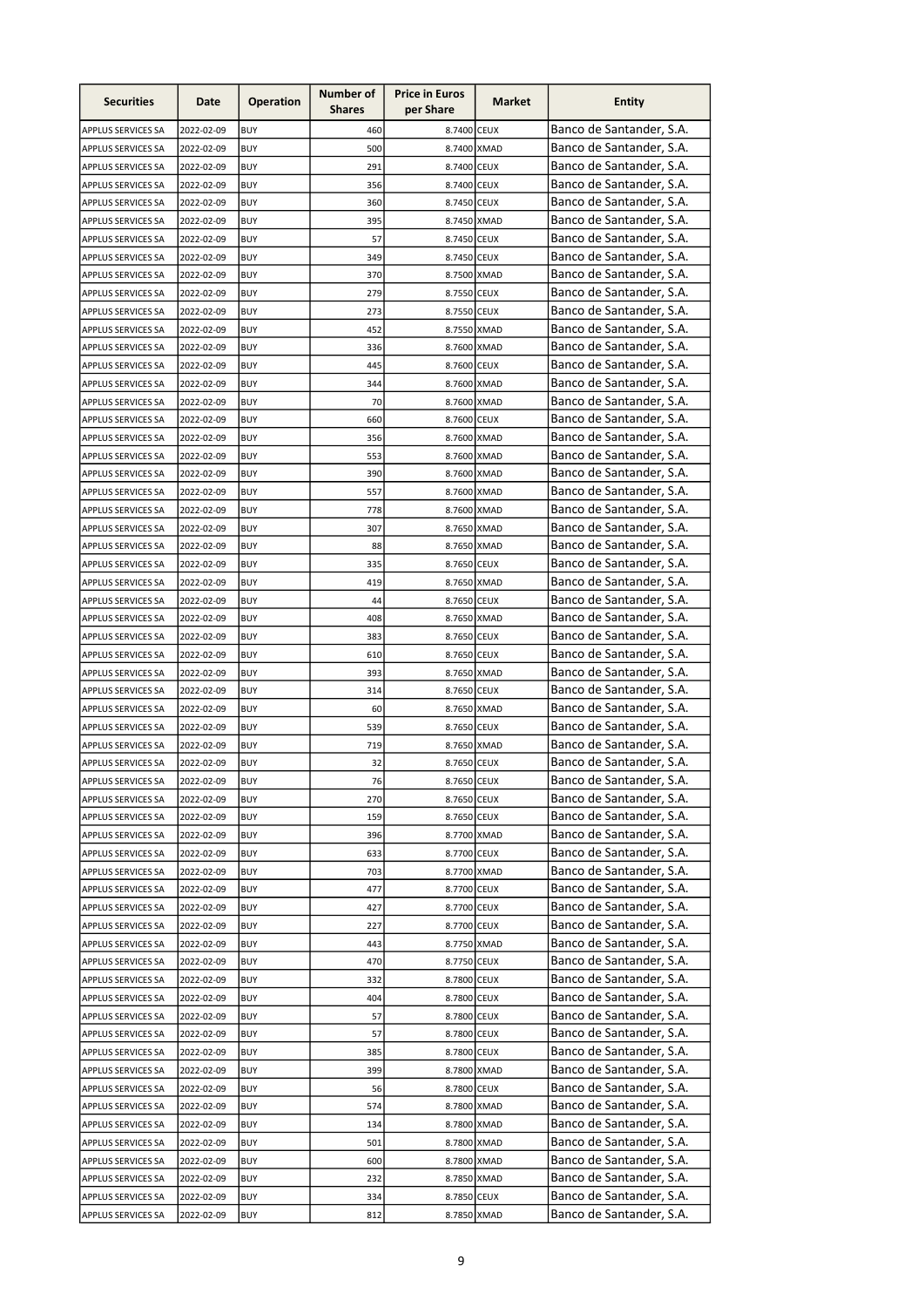| Banco de Santander, S.A.<br>460<br>8.7400 CEUX<br>2022-02-09<br><b>BUY</b><br>APPLUS SERVICES SA<br>Banco de Santander, S.A.<br>500<br>8.7400 XMAD<br><b>BUY</b><br>APPLUS SERVICES SA<br>2022-02-09<br>Banco de Santander, S.A.<br>291<br>8.7400 CEUX<br>APPLUS SERVICES SA<br>2022-02-09<br><b>BUY</b><br>Banco de Santander, S.A.<br>APPLUS SERVICES SA<br>2022-02-09<br><b>BUY</b><br>356<br>8.7400 CEUX<br>Banco de Santander, S.A.<br>8.7450 CEUX<br>2022-02-09<br><b>BUY</b><br>360<br><b>APPLUS SERVICES SA</b><br>Banco de Santander, S.A.<br><b>BUY</b><br>395<br>APPLUS SERVICES SA<br>2022-02-09<br>8.7450 XMAD<br>Banco de Santander, S.A.<br><b>BUY</b><br>57<br>APPLUS SERVICES SA<br>2022-02-09<br>8.7450 CEUX<br>Banco de Santander, S.A.<br>APPLUS SERVICES SA<br>2022-02-09<br><b>BUY</b><br>349<br>8.7450 CEUX<br>Banco de Santander, S.A.<br>8.7500 XMAD<br>2022-02-09<br><b>BUY</b><br>370<br><b>APPLUS SERVICES SA</b><br>Banco de Santander, S.A.<br>279<br>APPLUS SERVICES SA<br>2022-02-09<br><b>BUY</b><br>8.7550 CEUX<br>Banco de Santander, S.A.<br>8.7550 CEUX<br>APPLUS SERVICES SA<br>2022-02-09<br><b>BUY</b><br>273<br>Banco de Santander, S.A.<br>APPLUS SERVICES SA<br>2022-02-09<br><b>BUY</b><br>452<br>8.7550 XMAD<br>Banco de Santander, S.A.<br>APPLUS SERVICES SA<br>2022-02-09<br><b>BUY</b><br>336<br>8.7600 XMAD<br>Banco de Santander, S.A.<br>445<br>APPLUS SERVICES SA<br>2022-02-09<br><b>BUY</b><br>8.7600 CEUX<br>Banco de Santander, S.A.<br>344<br>APPLUS SERVICES SA<br>2022-02-09<br><b>BUY</b><br>8.7600 XMAD<br>Banco de Santander, S.A.<br>70<br>APPLUS SERVICES SA<br>2022-02-09<br><b>BUY</b><br>8.7600 XMAD<br>Banco de Santander, S.A.<br>APPLUS SERVICES SA<br>2022-02-09<br><b>BUY</b><br>660<br>8.7600 CEUX<br>Banco de Santander, S.A.<br>356<br>8.7600 XMAD<br>APPLUS SERVICES SA<br>2022-02-09<br>BUY<br>Banco de Santander, S.A.<br>2022-02-09<br><b>BUY</b><br>553<br>8.7600 XMAD<br><b>APPLUS SERVICES SA</b><br>Banco de Santander, S.A.<br>APPLUS SERVICES SA<br>2022-02-09<br><b>BUY</b><br>390<br>8.7600 XMAD<br>Banco de Santander, S.A.<br>557<br>APPLUS SERVICES SA<br>2022-02-09<br><b>BUY</b><br>8.7600 XMAD<br>Banco de Santander, S.A.<br>2022-02-09<br><b>BUY</b><br>778<br>8.7600 XMAD<br><b>APPLUS SERVICES SA</b><br>Banco de Santander, S.A.<br>307<br><b>BUY</b><br>8.7650 XMAD<br>APPLUS SERVICES SA<br>2022-02-09<br>Banco de Santander, S.A.<br>88<br>2022-02-09<br><b>BUY</b><br>8.7650 XMAD<br>APPLUS SERVICES SA<br>Banco de Santander, S.A.<br>2022-02-09<br><b>BUY</b><br>335<br>8.7650 CEUX<br><b>APPLUS SERVICES SA</b><br>Banco de Santander, S.A.<br>419<br>8.7650 XMAD<br>2022-02-09<br><b>BUY</b><br><b>APPLUS SERVICES SA</b><br>Banco de Santander, S.A.<br><b>BUY</b><br>44<br>8.7650 CEUX<br>APPLUS SERVICES SA<br>2022-02-09<br>Banco de Santander, S.A.<br>8.7650 XMAD<br>APPLUS SERVICES SA<br>2022-02-09<br><b>BUY</b><br>408<br>Banco de Santander, S.A.<br>APPLUS SERVICES SA<br>2022-02-09<br><b>BUY</b><br>383<br>8.7650 CEUX<br>Banco de Santander, S.A.<br>APPLUS SERVICES SA<br>2022-02-09<br><b>BUY</b><br>610<br>8.7650 CEUX<br>Banco de Santander, S.A.<br>393<br>APPLUS SERVICES SA<br>2022-02-09<br><b>BUY</b><br>8.7650 XMAD<br>Banco de Santander, S.A.<br>APPLUS SERVICES SA<br>2022-02-09<br><b>BUY</b><br>314<br>8.7650 CEUX<br>Banco de Santander, S.A.<br>60<br>APPLUS SERVICES SA<br>2022-02-09<br><b>BUY</b><br>8.7650 XMAD<br>Banco de Santander, S.A.<br>539<br>APPLUS SERVICES SA<br>2022-02-09<br><b>BUY</b><br>8.7650 CEUX<br>Banco de Santander, S.A.<br>719<br>8.7650 XMAD<br>APPLUS SERVICES SA<br>2022-02-09<br><b>BUY</b><br>Banco de Santander, S.A.<br>32<br>2022-02-09<br><b>BUY</b><br>8.7650 CEUX<br>APPLUS SERVICES SA<br>Banco de Santander, S.A.<br>2022-02-09<br>76<br>8.7650 CEUX<br>APPLUS SERVICES SA<br><b>BUY</b><br>Banco de Santander, S.A.<br>APPLUS SERVICES SA<br>2022-02-09<br><b>BUY</b><br>270<br>8.7650 CEUX<br>Banco de Santander, S.A.<br><b>BUY</b><br>8.7650 CEUX<br>APPLUS SERVICES SA<br>2022-02-09<br>159<br>Banco de Santander, S.A.<br><b>BUY</b><br>396<br>8.7700 XMAD<br>2022-02-09<br>APPLUS SERVICES SA<br>Banco de Santander, S.A.<br>2022-02-09<br><b>BUY</b><br>8.7700 CEUX<br>APPLUS SERVICES SA<br>633<br>Banco de Santander, S.A.<br>8.7700 XMAD<br>APPLUS SERVICES SA<br>2022-02-09<br><b>BUY</b><br>703<br>Banco de Santander, S.A.<br>8.7700 CEUX<br>2022-02-09<br><b>BUY</b><br>477<br>APPLUS SERVICES SA<br>Banco de Santander, S.A.<br>8.7700 CEUX<br>APPLUS SERVICES SA<br>2022-02-09<br><b>BUY</b><br>427<br>Banco de Santander, S.A.<br>8.7700 CEUX<br>APPLUS SERVICES SA<br>2022-02-09<br><b>BUY</b><br>227<br>Banco de Santander, S.A.<br>APPLUS SERVICES SA<br>2022-02-09<br><b>BUY</b><br>443<br>8.7750 XMAD<br>Banco de Santander, S.A.<br>470<br>8.7750 CEUX<br>APPLUS SERVICES SA<br>2022-02-09<br>BUY<br>Banco de Santander, S.A.<br>8.7800 CEUX<br>APPLUS SERVICES SA<br>2022-02-09<br>BUY<br>332<br>Banco de Santander, S.A.<br>404<br>8.7800 CEUX<br>APPLUS SERVICES SA<br>2022-02-09<br><b>BUY</b><br>Banco de Santander, S.A.<br>57<br>APPLUS SERVICES SA<br>2022-02-09<br>BUY<br>8.7800 CEUX<br>Banco de Santander, S.A.<br>57<br>8.7800 CEUX<br>APPLUS SERVICES SA<br>2022-02-09<br><b>BUY</b><br>Banco de Santander, S.A.<br>8.7800 CEUX<br>2022-02-09<br>BUY<br>385<br>APPLUS SERVICES SA<br>Banco de Santander, S.A.<br>399<br>8.7800 XMAD<br>APPLUS SERVICES SA<br>2022-02-09<br>BUY<br>Banco de Santander, S.A.<br>56<br>8.7800 CEUX<br>APPLUS SERVICES SA<br>2022-02-09<br><b>BUY</b><br>Banco de Santander, S.A.<br>574<br>8.7800 XMAD<br>APPLUS SERVICES SA<br>2022-02-09<br><b>BUY</b><br>Banco de Santander, S.A.<br><b>BUY</b><br>8.7800 XMAD<br>APPLUS SERVICES SA<br>2022-02-09<br>134<br>Banco de Santander, S.A.<br>501<br>8.7800 XMAD<br>APPLUS SERVICES SA<br>2022-02-09<br><b>BUY</b><br>Banco de Santander, S.A.<br>APPLUS SERVICES SA<br>2022-02-09<br><b>BUY</b><br>600<br>8.7800 XMAD<br>Banco de Santander, S.A.<br>8.7850 XMAD<br>APPLUS SERVICES SA<br>2022-02-09<br><b>BUY</b><br>232<br>Banco de Santander, S.A.<br>2022-02-09<br><b>BUY</b><br>8.7850 CEUX<br>APPLUS SERVICES SA<br>334<br>Banco de Santander, S.A.<br>8.7850 XMAD<br>APPLUS SERVICES SA<br>2022-02-09<br><b>BUY</b><br>812 | <b>Securities</b> | Date | <b>Operation</b> | Number of<br><b>Shares</b> | <b>Price in Euros</b><br>per Share | Market | <b>Entity</b> |
|----------------------------------------------------------------------------------------------------------------------------------------------------------------------------------------------------------------------------------------------------------------------------------------------------------------------------------------------------------------------------------------------------------------------------------------------------------------------------------------------------------------------------------------------------------------------------------------------------------------------------------------------------------------------------------------------------------------------------------------------------------------------------------------------------------------------------------------------------------------------------------------------------------------------------------------------------------------------------------------------------------------------------------------------------------------------------------------------------------------------------------------------------------------------------------------------------------------------------------------------------------------------------------------------------------------------------------------------------------------------------------------------------------------------------------------------------------------------------------------------------------------------------------------------------------------------------------------------------------------------------------------------------------------------------------------------------------------------------------------------------------------------------------------------------------------------------------------------------------------------------------------------------------------------------------------------------------------------------------------------------------------------------------------------------------------------------------------------------------------------------------------------------------------------------------------------------------------------------------------------------------------------------------------------------------------------------------------------------------------------------------------------------------------------------------------------------------------------------------------------------------------------------------------------------------------------------------------------------------------------------------------------------------------------------------------------------------------------------------------------------------------------------------------------------------------------------------------------------------------------------------------------------------------------------------------------------------------------------------------------------------------------------------------------------------------------------------------------------------------------------------------------------------------------------------------------------------------------------------------------------------------------------------------------------------------------------------------------------------------------------------------------------------------------------------------------------------------------------------------------------------------------------------------------------------------------------------------------------------------------------------------------------------------------------------------------------------------------------------------------------------------------------------------------------------------------------------------------------------------------------------------------------------------------------------------------------------------------------------------------------------------------------------------------------------------------------------------------------------------------------------------------------------------------------------------------------------------------------------------------------------------------------------------------------------------------------------------------------------------------------------------------------------------------------------------------------------------------------------------------------------------------------------------------------------------------------------------------------------------------------------------------------------------------------------------------------------------------------------------------------------------------------------------------------------------------------------------------------------------------------------------------------------------------------------------------------------------------------------------------------------------------------------------------------------------------------------------------------------------------------------------------------------------------------------------------------------------------------------------------------------------------------------------------------------------------------------------------------------------------------------------------------------------------------------------------------------------------------------------------------------------------------------------------------------------------------------------------------------------------------------------------------------------------------------------------------------------------------------------------------------------------------------------------------------------------------------------------------------------------------------------------------------------------------------------------------------------------------------------------------------------------------------------------------------------------------------------------------------------------------------------------------------------------------------------------------------------------------------------------------------------------------------------------------------------------------------------|-------------------|------|------------------|----------------------------|------------------------------------|--------|---------------|
|                                                                                                                                                                                                                                                                                                                                                                                                                                                                                                                                                                                                                                                                                                                                                                                                                                                                                                                                                                                                                                                                                                                                                                                                                                                                                                                                                                                                                                                                                                                                                                                                                                                                                                                                                                                                                                                                                                                                                                                                                                                                                                                                                                                                                                                                                                                                                                                                                                                                                                                                                                                                                                                                                                                                                                                                                                                                                                                                                                                                                                                                                                                                                                                                                                                                                                                                                                                                                                                                                                                                                                                                                                                                                                                                                                                                                                                                                                                                                                                                                                                                                                                                                                                                                                                                                                                                                                                                                                                                                                                                                                                                                                                                                                                                                                                                                                                                                                                                                                                                                                                                                                                                                                                                                                                                                                                                                                                                                                                                                                                                                                                                                                                                                                                                                                                                                                                                                                                                                                                                                                                                                                                                                                                                                                                                                                                                        |                   |      |                  |                            |                                    |        |               |
|                                                                                                                                                                                                                                                                                                                                                                                                                                                                                                                                                                                                                                                                                                                                                                                                                                                                                                                                                                                                                                                                                                                                                                                                                                                                                                                                                                                                                                                                                                                                                                                                                                                                                                                                                                                                                                                                                                                                                                                                                                                                                                                                                                                                                                                                                                                                                                                                                                                                                                                                                                                                                                                                                                                                                                                                                                                                                                                                                                                                                                                                                                                                                                                                                                                                                                                                                                                                                                                                                                                                                                                                                                                                                                                                                                                                                                                                                                                                                                                                                                                                                                                                                                                                                                                                                                                                                                                                                                                                                                                                                                                                                                                                                                                                                                                                                                                                                                                                                                                                                                                                                                                                                                                                                                                                                                                                                                                                                                                                                                                                                                                                                                                                                                                                                                                                                                                                                                                                                                                                                                                                                                                                                                                                                                                                                                                                        |                   |      |                  |                            |                                    |        |               |
|                                                                                                                                                                                                                                                                                                                                                                                                                                                                                                                                                                                                                                                                                                                                                                                                                                                                                                                                                                                                                                                                                                                                                                                                                                                                                                                                                                                                                                                                                                                                                                                                                                                                                                                                                                                                                                                                                                                                                                                                                                                                                                                                                                                                                                                                                                                                                                                                                                                                                                                                                                                                                                                                                                                                                                                                                                                                                                                                                                                                                                                                                                                                                                                                                                                                                                                                                                                                                                                                                                                                                                                                                                                                                                                                                                                                                                                                                                                                                                                                                                                                                                                                                                                                                                                                                                                                                                                                                                                                                                                                                                                                                                                                                                                                                                                                                                                                                                                                                                                                                                                                                                                                                                                                                                                                                                                                                                                                                                                                                                                                                                                                                                                                                                                                                                                                                                                                                                                                                                                                                                                                                                                                                                                                                                                                                                                                        |                   |      |                  |                            |                                    |        |               |
|                                                                                                                                                                                                                                                                                                                                                                                                                                                                                                                                                                                                                                                                                                                                                                                                                                                                                                                                                                                                                                                                                                                                                                                                                                                                                                                                                                                                                                                                                                                                                                                                                                                                                                                                                                                                                                                                                                                                                                                                                                                                                                                                                                                                                                                                                                                                                                                                                                                                                                                                                                                                                                                                                                                                                                                                                                                                                                                                                                                                                                                                                                                                                                                                                                                                                                                                                                                                                                                                                                                                                                                                                                                                                                                                                                                                                                                                                                                                                                                                                                                                                                                                                                                                                                                                                                                                                                                                                                                                                                                                                                                                                                                                                                                                                                                                                                                                                                                                                                                                                                                                                                                                                                                                                                                                                                                                                                                                                                                                                                                                                                                                                                                                                                                                                                                                                                                                                                                                                                                                                                                                                                                                                                                                                                                                                                                                        |                   |      |                  |                            |                                    |        |               |
|                                                                                                                                                                                                                                                                                                                                                                                                                                                                                                                                                                                                                                                                                                                                                                                                                                                                                                                                                                                                                                                                                                                                                                                                                                                                                                                                                                                                                                                                                                                                                                                                                                                                                                                                                                                                                                                                                                                                                                                                                                                                                                                                                                                                                                                                                                                                                                                                                                                                                                                                                                                                                                                                                                                                                                                                                                                                                                                                                                                                                                                                                                                                                                                                                                                                                                                                                                                                                                                                                                                                                                                                                                                                                                                                                                                                                                                                                                                                                                                                                                                                                                                                                                                                                                                                                                                                                                                                                                                                                                                                                                                                                                                                                                                                                                                                                                                                                                                                                                                                                                                                                                                                                                                                                                                                                                                                                                                                                                                                                                                                                                                                                                                                                                                                                                                                                                                                                                                                                                                                                                                                                                                                                                                                                                                                                                                                        |                   |      |                  |                            |                                    |        |               |
|                                                                                                                                                                                                                                                                                                                                                                                                                                                                                                                                                                                                                                                                                                                                                                                                                                                                                                                                                                                                                                                                                                                                                                                                                                                                                                                                                                                                                                                                                                                                                                                                                                                                                                                                                                                                                                                                                                                                                                                                                                                                                                                                                                                                                                                                                                                                                                                                                                                                                                                                                                                                                                                                                                                                                                                                                                                                                                                                                                                                                                                                                                                                                                                                                                                                                                                                                                                                                                                                                                                                                                                                                                                                                                                                                                                                                                                                                                                                                                                                                                                                                                                                                                                                                                                                                                                                                                                                                                                                                                                                                                                                                                                                                                                                                                                                                                                                                                                                                                                                                                                                                                                                                                                                                                                                                                                                                                                                                                                                                                                                                                                                                                                                                                                                                                                                                                                                                                                                                                                                                                                                                                                                                                                                                                                                                                                                        |                   |      |                  |                            |                                    |        |               |
|                                                                                                                                                                                                                                                                                                                                                                                                                                                                                                                                                                                                                                                                                                                                                                                                                                                                                                                                                                                                                                                                                                                                                                                                                                                                                                                                                                                                                                                                                                                                                                                                                                                                                                                                                                                                                                                                                                                                                                                                                                                                                                                                                                                                                                                                                                                                                                                                                                                                                                                                                                                                                                                                                                                                                                                                                                                                                                                                                                                                                                                                                                                                                                                                                                                                                                                                                                                                                                                                                                                                                                                                                                                                                                                                                                                                                                                                                                                                                                                                                                                                                                                                                                                                                                                                                                                                                                                                                                                                                                                                                                                                                                                                                                                                                                                                                                                                                                                                                                                                                                                                                                                                                                                                                                                                                                                                                                                                                                                                                                                                                                                                                                                                                                                                                                                                                                                                                                                                                                                                                                                                                                                                                                                                                                                                                                                                        |                   |      |                  |                            |                                    |        |               |
|                                                                                                                                                                                                                                                                                                                                                                                                                                                                                                                                                                                                                                                                                                                                                                                                                                                                                                                                                                                                                                                                                                                                                                                                                                                                                                                                                                                                                                                                                                                                                                                                                                                                                                                                                                                                                                                                                                                                                                                                                                                                                                                                                                                                                                                                                                                                                                                                                                                                                                                                                                                                                                                                                                                                                                                                                                                                                                                                                                                                                                                                                                                                                                                                                                                                                                                                                                                                                                                                                                                                                                                                                                                                                                                                                                                                                                                                                                                                                                                                                                                                                                                                                                                                                                                                                                                                                                                                                                                                                                                                                                                                                                                                                                                                                                                                                                                                                                                                                                                                                                                                                                                                                                                                                                                                                                                                                                                                                                                                                                                                                                                                                                                                                                                                                                                                                                                                                                                                                                                                                                                                                                                                                                                                                                                                                                                                        |                   |      |                  |                            |                                    |        |               |
|                                                                                                                                                                                                                                                                                                                                                                                                                                                                                                                                                                                                                                                                                                                                                                                                                                                                                                                                                                                                                                                                                                                                                                                                                                                                                                                                                                                                                                                                                                                                                                                                                                                                                                                                                                                                                                                                                                                                                                                                                                                                                                                                                                                                                                                                                                                                                                                                                                                                                                                                                                                                                                                                                                                                                                                                                                                                                                                                                                                                                                                                                                                                                                                                                                                                                                                                                                                                                                                                                                                                                                                                                                                                                                                                                                                                                                                                                                                                                                                                                                                                                                                                                                                                                                                                                                                                                                                                                                                                                                                                                                                                                                                                                                                                                                                                                                                                                                                                                                                                                                                                                                                                                                                                                                                                                                                                                                                                                                                                                                                                                                                                                                                                                                                                                                                                                                                                                                                                                                                                                                                                                                                                                                                                                                                                                                                                        |                   |      |                  |                            |                                    |        |               |
|                                                                                                                                                                                                                                                                                                                                                                                                                                                                                                                                                                                                                                                                                                                                                                                                                                                                                                                                                                                                                                                                                                                                                                                                                                                                                                                                                                                                                                                                                                                                                                                                                                                                                                                                                                                                                                                                                                                                                                                                                                                                                                                                                                                                                                                                                                                                                                                                                                                                                                                                                                                                                                                                                                                                                                                                                                                                                                                                                                                                                                                                                                                                                                                                                                                                                                                                                                                                                                                                                                                                                                                                                                                                                                                                                                                                                                                                                                                                                                                                                                                                                                                                                                                                                                                                                                                                                                                                                                                                                                                                                                                                                                                                                                                                                                                                                                                                                                                                                                                                                                                                                                                                                                                                                                                                                                                                                                                                                                                                                                                                                                                                                                                                                                                                                                                                                                                                                                                                                                                                                                                                                                                                                                                                                                                                                                                                        |                   |      |                  |                            |                                    |        |               |
|                                                                                                                                                                                                                                                                                                                                                                                                                                                                                                                                                                                                                                                                                                                                                                                                                                                                                                                                                                                                                                                                                                                                                                                                                                                                                                                                                                                                                                                                                                                                                                                                                                                                                                                                                                                                                                                                                                                                                                                                                                                                                                                                                                                                                                                                                                                                                                                                                                                                                                                                                                                                                                                                                                                                                                                                                                                                                                                                                                                                                                                                                                                                                                                                                                                                                                                                                                                                                                                                                                                                                                                                                                                                                                                                                                                                                                                                                                                                                                                                                                                                                                                                                                                                                                                                                                                                                                                                                                                                                                                                                                                                                                                                                                                                                                                                                                                                                                                                                                                                                                                                                                                                                                                                                                                                                                                                                                                                                                                                                                                                                                                                                                                                                                                                                                                                                                                                                                                                                                                                                                                                                                                                                                                                                                                                                                                                        |                   |      |                  |                            |                                    |        |               |
|                                                                                                                                                                                                                                                                                                                                                                                                                                                                                                                                                                                                                                                                                                                                                                                                                                                                                                                                                                                                                                                                                                                                                                                                                                                                                                                                                                                                                                                                                                                                                                                                                                                                                                                                                                                                                                                                                                                                                                                                                                                                                                                                                                                                                                                                                                                                                                                                                                                                                                                                                                                                                                                                                                                                                                                                                                                                                                                                                                                                                                                                                                                                                                                                                                                                                                                                                                                                                                                                                                                                                                                                                                                                                                                                                                                                                                                                                                                                                                                                                                                                                                                                                                                                                                                                                                                                                                                                                                                                                                                                                                                                                                                                                                                                                                                                                                                                                                                                                                                                                                                                                                                                                                                                                                                                                                                                                                                                                                                                                                                                                                                                                                                                                                                                                                                                                                                                                                                                                                                                                                                                                                                                                                                                                                                                                                                                        |                   |      |                  |                            |                                    |        |               |
|                                                                                                                                                                                                                                                                                                                                                                                                                                                                                                                                                                                                                                                                                                                                                                                                                                                                                                                                                                                                                                                                                                                                                                                                                                                                                                                                                                                                                                                                                                                                                                                                                                                                                                                                                                                                                                                                                                                                                                                                                                                                                                                                                                                                                                                                                                                                                                                                                                                                                                                                                                                                                                                                                                                                                                                                                                                                                                                                                                                                                                                                                                                                                                                                                                                                                                                                                                                                                                                                                                                                                                                                                                                                                                                                                                                                                                                                                                                                                                                                                                                                                                                                                                                                                                                                                                                                                                                                                                                                                                                                                                                                                                                                                                                                                                                                                                                                                                                                                                                                                                                                                                                                                                                                                                                                                                                                                                                                                                                                                                                                                                                                                                                                                                                                                                                                                                                                                                                                                                                                                                                                                                                                                                                                                                                                                                                                        |                   |      |                  |                            |                                    |        |               |
|                                                                                                                                                                                                                                                                                                                                                                                                                                                                                                                                                                                                                                                                                                                                                                                                                                                                                                                                                                                                                                                                                                                                                                                                                                                                                                                                                                                                                                                                                                                                                                                                                                                                                                                                                                                                                                                                                                                                                                                                                                                                                                                                                                                                                                                                                                                                                                                                                                                                                                                                                                                                                                                                                                                                                                                                                                                                                                                                                                                                                                                                                                                                                                                                                                                                                                                                                                                                                                                                                                                                                                                                                                                                                                                                                                                                                                                                                                                                                                                                                                                                                                                                                                                                                                                                                                                                                                                                                                                                                                                                                                                                                                                                                                                                                                                                                                                                                                                                                                                                                                                                                                                                                                                                                                                                                                                                                                                                                                                                                                                                                                                                                                                                                                                                                                                                                                                                                                                                                                                                                                                                                                                                                                                                                                                                                                                                        |                   |      |                  |                            |                                    |        |               |
|                                                                                                                                                                                                                                                                                                                                                                                                                                                                                                                                                                                                                                                                                                                                                                                                                                                                                                                                                                                                                                                                                                                                                                                                                                                                                                                                                                                                                                                                                                                                                                                                                                                                                                                                                                                                                                                                                                                                                                                                                                                                                                                                                                                                                                                                                                                                                                                                                                                                                                                                                                                                                                                                                                                                                                                                                                                                                                                                                                                                                                                                                                                                                                                                                                                                                                                                                                                                                                                                                                                                                                                                                                                                                                                                                                                                                                                                                                                                                                                                                                                                                                                                                                                                                                                                                                                                                                                                                                                                                                                                                                                                                                                                                                                                                                                                                                                                                                                                                                                                                                                                                                                                                                                                                                                                                                                                                                                                                                                                                                                                                                                                                                                                                                                                                                                                                                                                                                                                                                                                                                                                                                                                                                                                                                                                                                                                        |                   |      |                  |                            |                                    |        |               |
|                                                                                                                                                                                                                                                                                                                                                                                                                                                                                                                                                                                                                                                                                                                                                                                                                                                                                                                                                                                                                                                                                                                                                                                                                                                                                                                                                                                                                                                                                                                                                                                                                                                                                                                                                                                                                                                                                                                                                                                                                                                                                                                                                                                                                                                                                                                                                                                                                                                                                                                                                                                                                                                                                                                                                                                                                                                                                                                                                                                                                                                                                                                                                                                                                                                                                                                                                                                                                                                                                                                                                                                                                                                                                                                                                                                                                                                                                                                                                                                                                                                                                                                                                                                                                                                                                                                                                                                                                                                                                                                                                                                                                                                                                                                                                                                                                                                                                                                                                                                                                                                                                                                                                                                                                                                                                                                                                                                                                                                                                                                                                                                                                                                                                                                                                                                                                                                                                                                                                                                                                                                                                                                                                                                                                                                                                                                                        |                   |      |                  |                            |                                    |        |               |
|                                                                                                                                                                                                                                                                                                                                                                                                                                                                                                                                                                                                                                                                                                                                                                                                                                                                                                                                                                                                                                                                                                                                                                                                                                                                                                                                                                                                                                                                                                                                                                                                                                                                                                                                                                                                                                                                                                                                                                                                                                                                                                                                                                                                                                                                                                                                                                                                                                                                                                                                                                                                                                                                                                                                                                                                                                                                                                                                                                                                                                                                                                                                                                                                                                                                                                                                                                                                                                                                                                                                                                                                                                                                                                                                                                                                                                                                                                                                                                                                                                                                                                                                                                                                                                                                                                                                                                                                                                                                                                                                                                                                                                                                                                                                                                                                                                                                                                                                                                                                                                                                                                                                                                                                                                                                                                                                                                                                                                                                                                                                                                                                                                                                                                                                                                                                                                                                                                                                                                                                                                                                                                                                                                                                                                                                                                                                        |                   |      |                  |                            |                                    |        |               |
|                                                                                                                                                                                                                                                                                                                                                                                                                                                                                                                                                                                                                                                                                                                                                                                                                                                                                                                                                                                                                                                                                                                                                                                                                                                                                                                                                                                                                                                                                                                                                                                                                                                                                                                                                                                                                                                                                                                                                                                                                                                                                                                                                                                                                                                                                                                                                                                                                                                                                                                                                                                                                                                                                                                                                                                                                                                                                                                                                                                                                                                                                                                                                                                                                                                                                                                                                                                                                                                                                                                                                                                                                                                                                                                                                                                                                                                                                                                                                                                                                                                                                                                                                                                                                                                                                                                                                                                                                                                                                                                                                                                                                                                                                                                                                                                                                                                                                                                                                                                                                                                                                                                                                                                                                                                                                                                                                                                                                                                                                                                                                                                                                                                                                                                                                                                                                                                                                                                                                                                                                                                                                                                                                                                                                                                                                                                                        |                   |      |                  |                            |                                    |        |               |
|                                                                                                                                                                                                                                                                                                                                                                                                                                                                                                                                                                                                                                                                                                                                                                                                                                                                                                                                                                                                                                                                                                                                                                                                                                                                                                                                                                                                                                                                                                                                                                                                                                                                                                                                                                                                                                                                                                                                                                                                                                                                                                                                                                                                                                                                                                                                                                                                                                                                                                                                                                                                                                                                                                                                                                                                                                                                                                                                                                                                                                                                                                                                                                                                                                                                                                                                                                                                                                                                                                                                                                                                                                                                                                                                                                                                                                                                                                                                                                                                                                                                                                                                                                                                                                                                                                                                                                                                                                                                                                                                                                                                                                                                                                                                                                                                                                                                                                                                                                                                                                                                                                                                                                                                                                                                                                                                                                                                                                                                                                                                                                                                                                                                                                                                                                                                                                                                                                                                                                                                                                                                                                                                                                                                                                                                                                                                        |                   |      |                  |                            |                                    |        |               |
|                                                                                                                                                                                                                                                                                                                                                                                                                                                                                                                                                                                                                                                                                                                                                                                                                                                                                                                                                                                                                                                                                                                                                                                                                                                                                                                                                                                                                                                                                                                                                                                                                                                                                                                                                                                                                                                                                                                                                                                                                                                                                                                                                                                                                                                                                                                                                                                                                                                                                                                                                                                                                                                                                                                                                                                                                                                                                                                                                                                                                                                                                                                                                                                                                                                                                                                                                                                                                                                                                                                                                                                                                                                                                                                                                                                                                                                                                                                                                                                                                                                                                                                                                                                                                                                                                                                                                                                                                                                                                                                                                                                                                                                                                                                                                                                                                                                                                                                                                                                                                                                                                                                                                                                                                                                                                                                                                                                                                                                                                                                                                                                                                                                                                                                                                                                                                                                                                                                                                                                                                                                                                                                                                                                                                                                                                                                                        |                   |      |                  |                            |                                    |        |               |
|                                                                                                                                                                                                                                                                                                                                                                                                                                                                                                                                                                                                                                                                                                                                                                                                                                                                                                                                                                                                                                                                                                                                                                                                                                                                                                                                                                                                                                                                                                                                                                                                                                                                                                                                                                                                                                                                                                                                                                                                                                                                                                                                                                                                                                                                                                                                                                                                                                                                                                                                                                                                                                                                                                                                                                                                                                                                                                                                                                                                                                                                                                                                                                                                                                                                                                                                                                                                                                                                                                                                                                                                                                                                                                                                                                                                                                                                                                                                                                                                                                                                                                                                                                                                                                                                                                                                                                                                                                                                                                                                                                                                                                                                                                                                                                                                                                                                                                                                                                                                                                                                                                                                                                                                                                                                                                                                                                                                                                                                                                                                                                                                                                                                                                                                                                                                                                                                                                                                                                                                                                                                                                                                                                                                                                                                                                                                        |                   |      |                  |                            |                                    |        |               |
|                                                                                                                                                                                                                                                                                                                                                                                                                                                                                                                                                                                                                                                                                                                                                                                                                                                                                                                                                                                                                                                                                                                                                                                                                                                                                                                                                                                                                                                                                                                                                                                                                                                                                                                                                                                                                                                                                                                                                                                                                                                                                                                                                                                                                                                                                                                                                                                                                                                                                                                                                                                                                                                                                                                                                                                                                                                                                                                                                                                                                                                                                                                                                                                                                                                                                                                                                                                                                                                                                                                                                                                                                                                                                                                                                                                                                                                                                                                                                                                                                                                                                                                                                                                                                                                                                                                                                                                                                                                                                                                                                                                                                                                                                                                                                                                                                                                                                                                                                                                                                                                                                                                                                                                                                                                                                                                                                                                                                                                                                                                                                                                                                                                                                                                                                                                                                                                                                                                                                                                                                                                                                                                                                                                                                                                                                                                                        |                   |      |                  |                            |                                    |        |               |
|                                                                                                                                                                                                                                                                                                                                                                                                                                                                                                                                                                                                                                                                                                                                                                                                                                                                                                                                                                                                                                                                                                                                                                                                                                                                                                                                                                                                                                                                                                                                                                                                                                                                                                                                                                                                                                                                                                                                                                                                                                                                                                                                                                                                                                                                                                                                                                                                                                                                                                                                                                                                                                                                                                                                                                                                                                                                                                                                                                                                                                                                                                                                                                                                                                                                                                                                                                                                                                                                                                                                                                                                                                                                                                                                                                                                                                                                                                                                                                                                                                                                                                                                                                                                                                                                                                                                                                                                                                                                                                                                                                                                                                                                                                                                                                                                                                                                                                                                                                                                                                                                                                                                                                                                                                                                                                                                                                                                                                                                                                                                                                                                                                                                                                                                                                                                                                                                                                                                                                                                                                                                                                                                                                                                                                                                                                                                        |                   |      |                  |                            |                                    |        |               |
|                                                                                                                                                                                                                                                                                                                                                                                                                                                                                                                                                                                                                                                                                                                                                                                                                                                                                                                                                                                                                                                                                                                                                                                                                                                                                                                                                                                                                                                                                                                                                                                                                                                                                                                                                                                                                                                                                                                                                                                                                                                                                                                                                                                                                                                                                                                                                                                                                                                                                                                                                                                                                                                                                                                                                                                                                                                                                                                                                                                                                                                                                                                                                                                                                                                                                                                                                                                                                                                                                                                                                                                                                                                                                                                                                                                                                                                                                                                                                                                                                                                                                                                                                                                                                                                                                                                                                                                                                                                                                                                                                                                                                                                                                                                                                                                                                                                                                                                                                                                                                                                                                                                                                                                                                                                                                                                                                                                                                                                                                                                                                                                                                                                                                                                                                                                                                                                                                                                                                                                                                                                                                                                                                                                                                                                                                                                                        |                   |      |                  |                            |                                    |        |               |
|                                                                                                                                                                                                                                                                                                                                                                                                                                                                                                                                                                                                                                                                                                                                                                                                                                                                                                                                                                                                                                                                                                                                                                                                                                                                                                                                                                                                                                                                                                                                                                                                                                                                                                                                                                                                                                                                                                                                                                                                                                                                                                                                                                                                                                                                                                                                                                                                                                                                                                                                                                                                                                                                                                                                                                                                                                                                                                                                                                                                                                                                                                                                                                                                                                                                                                                                                                                                                                                                                                                                                                                                                                                                                                                                                                                                                                                                                                                                                                                                                                                                                                                                                                                                                                                                                                                                                                                                                                                                                                                                                                                                                                                                                                                                                                                                                                                                                                                                                                                                                                                                                                                                                                                                                                                                                                                                                                                                                                                                                                                                                                                                                                                                                                                                                                                                                                                                                                                                                                                                                                                                                                                                                                                                                                                                                                                                        |                   |      |                  |                            |                                    |        |               |
|                                                                                                                                                                                                                                                                                                                                                                                                                                                                                                                                                                                                                                                                                                                                                                                                                                                                                                                                                                                                                                                                                                                                                                                                                                                                                                                                                                                                                                                                                                                                                                                                                                                                                                                                                                                                                                                                                                                                                                                                                                                                                                                                                                                                                                                                                                                                                                                                                                                                                                                                                                                                                                                                                                                                                                                                                                                                                                                                                                                                                                                                                                                                                                                                                                                                                                                                                                                                                                                                                                                                                                                                                                                                                                                                                                                                                                                                                                                                                                                                                                                                                                                                                                                                                                                                                                                                                                                                                                                                                                                                                                                                                                                                                                                                                                                                                                                                                                                                                                                                                                                                                                                                                                                                                                                                                                                                                                                                                                                                                                                                                                                                                                                                                                                                                                                                                                                                                                                                                                                                                                                                                                                                                                                                                                                                                                                                        |                   |      |                  |                            |                                    |        |               |
|                                                                                                                                                                                                                                                                                                                                                                                                                                                                                                                                                                                                                                                                                                                                                                                                                                                                                                                                                                                                                                                                                                                                                                                                                                                                                                                                                                                                                                                                                                                                                                                                                                                                                                                                                                                                                                                                                                                                                                                                                                                                                                                                                                                                                                                                                                                                                                                                                                                                                                                                                                                                                                                                                                                                                                                                                                                                                                                                                                                                                                                                                                                                                                                                                                                                                                                                                                                                                                                                                                                                                                                                                                                                                                                                                                                                                                                                                                                                                                                                                                                                                                                                                                                                                                                                                                                                                                                                                                                                                                                                                                                                                                                                                                                                                                                                                                                                                                                                                                                                                                                                                                                                                                                                                                                                                                                                                                                                                                                                                                                                                                                                                                                                                                                                                                                                                                                                                                                                                                                                                                                                                                                                                                                                                                                                                                                                        |                   |      |                  |                            |                                    |        |               |
|                                                                                                                                                                                                                                                                                                                                                                                                                                                                                                                                                                                                                                                                                                                                                                                                                                                                                                                                                                                                                                                                                                                                                                                                                                                                                                                                                                                                                                                                                                                                                                                                                                                                                                                                                                                                                                                                                                                                                                                                                                                                                                                                                                                                                                                                                                                                                                                                                                                                                                                                                                                                                                                                                                                                                                                                                                                                                                                                                                                                                                                                                                                                                                                                                                                                                                                                                                                                                                                                                                                                                                                                                                                                                                                                                                                                                                                                                                                                                                                                                                                                                                                                                                                                                                                                                                                                                                                                                                                                                                                                                                                                                                                                                                                                                                                                                                                                                                                                                                                                                                                                                                                                                                                                                                                                                                                                                                                                                                                                                                                                                                                                                                                                                                                                                                                                                                                                                                                                                                                                                                                                                                                                                                                                                                                                                                                                        |                   |      |                  |                            |                                    |        |               |
|                                                                                                                                                                                                                                                                                                                                                                                                                                                                                                                                                                                                                                                                                                                                                                                                                                                                                                                                                                                                                                                                                                                                                                                                                                                                                                                                                                                                                                                                                                                                                                                                                                                                                                                                                                                                                                                                                                                                                                                                                                                                                                                                                                                                                                                                                                                                                                                                                                                                                                                                                                                                                                                                                                                                                                                                                                                                                                                                                                                                                                                                                                                                                                                                                                                                                                                                                                                                                                                                                                                                                                                                                                                                                                                                                                                                                                                                                                                                                                                                                                                                                                                                                                                                                                                                                                                                                                                                                                                                                                                                                                                                                                                                                                                                                                                                                                                                                                                                                                                                                                                                                                                                                                                                                                                                                                                                                                                                                                                                                                                                                                                                                                                                                                                                                                                                                                                                                                                                                                                                                                                                                                                                                                                                                                                                                                                                        |                   |      |                  |                            |                                    |        |               |
|                                                                                                                                                                                                                                                                                                                                                                                                                                                                                                                                                                                                                                                                                                                                                                                                                                                                                                                                                                                                                                                                                                                                                                                                                                                                                                                                                                                                                                                                                                                                                                                                                                                                                                                                                                                                                                                                                                                                                                                                                                                                                                                                                                                                                                                                                                                                                                                                                                                                                                                                                                                                                                                                                                                                                                                                                                                                                                                                                                                                                                                                                                                                                                                                                                                                                                                                                                                                                                                                                                                                                                                                                                                                                                                                                                                                                                                                                                                                                                                                                                                                                                                                                                                                                                                                                                                                                                                                                                                                                                                                                                                                                                                                                                                                                                                                                                                                                                                                                                                                                                                                                                                                                                                                                                                                                                                                                                                                                                                                                                                                                                                                                                                                                                                                                                                                                                                                                                                                                                                                                                                                                                                                                                                                                                                                                                                                        |                   |      |                  |                            |                                    |        |               |
|                                                                                                                                                                                                                                                                                                                                                                                                                                                                                                                                                                                                                                                                                                                                                                                                                                                                                                                                                                                                                                                                                                                                                                                                                                                                                                                                                                                                                                                                                                                                                                                                                                                                                                                                                                                                                                                                                                                                                                                                                                                                                                                                                                                                                                                                                                                                                                                                                                                                                                                                                                                                                                                                                                                                                                                                                                                                                                                                                                                                                                                                                                                                                                                                                                                                                                                                                                                                                                                                                                                                                                                                                                                                                                                                                                                                                                                                                                                                                                                                                                                                                                                                                                                                                                                                                                                                                                                                                                                                                                                                                                                                                                                                                                                                                                                                                                                                                                                                                                                                                                                                                                                                                                                                                                                                                                                                                                                                                                                                                                                                                                                                                                                                                                                                                                                                                                                                                                                                                                                                                                                                                                                                                                                                                                                                                                                                        |                   |      |                  |                            |                                    |        |               |
|                                                                                                                                                                                                                                                                                                                                                                                                                                                                                                                                                                                                                                                                                                                                                                                                                                                                                                                                                                                                                                                                                                                                                                                                                                                                                                                                                                                                                                                                                                                                                                                                                                                                                                                                                                                                                                                                                                                                                                                                                                                                                                                                                                                                                                                                                                                                                                                                                                                                                                                                                                                                                                                                                                                                                                                                                                                                                                                                                                                                                                                                                                                                                                                                                                                                                                                                                                                                                                                                                                                                                                                                                                                                                                                                                                                                                                                                                                                                                                                                                                                                                                                                                                                                                                                                                                                                                                                                                                                                                                                                                                                                                                                                                                                                                                                                                                                                                                                                                                                                                                                                                                                                                                                                                                                                                                                                                                                                                                                                                                                                                                                                                                                                                                                                                                                                                                                                                                                                                                                                                                                                                                                                                                                                                                                                                                                                        |                   |      |                  |                            |                                    |        |               |
|                                                                                                                                                                                                                                                                                                                                                                                                                                                                                                                                                                                                                                                                                                                                                                                                                                                                                                                                                                                                                                                                                                                                                                                                                                                                                                                                                                                                                                                                                                                                                                                                                                                                                                                                                                                                                                                                                                                                                                                                                                                                                                                                                                                                                                                                                                                                                                                                                                                                                                                                                                                                                                                                                                                                                                                                                                                                                                                                                                                                                                                                                                                                                                                                                                                                                                                                                                                                                                                                                                                                                                                                                                                                                                                                                                                                                                                                                                                                                                                                                                                                                                                                                                                                                                                                                                                                                                                                                                                                                                                                                                                                                                                                                                                                                                                                                                                                                                                                                                                                                                                                                                                                                                                                                                                                                                                                                                                                                                                                                                                                                                                                                                                                                                                                                                                                                                                                                                                                                                                                                                                                                                                                                                                                                                                                                                                                        |                   |      |                  |                            |                                    |        |               |
|                                                                                                                                                                                                                                                                                                                                                                                                                                                                                                                                                                                                                                                                                                                                                                                                                                                                                                                                                                                                                                                                                                                                                                                                                                                                                                                                                                                                                                                                                                                                                                                                                                                                                                                                                                                                                                                                                                                                                                                                                                                                                                                                                                                                                                                                                                                                                                                                                                                                                                                                                                                                                                                                                                                                                                                                                                                                                                                                                                                                                                                                                                                                                                                                                                                                                                                                                                                                                                                                                                                                                                                                                                                                                                                                                                                                                                                                                                                                                                                                                                                                                                                                                                                                                                                                                                                                                                                                                                                                                                                                                                                                                                                                                                                                                                                                                                                                                                                                                                                                                                                                                                                                                                                                                                                                                                                                                                                                                                                                                                                                                                                                                                                                                                                                                                                                                                                                                                                                                                                                                                                                                                                                                                                                                                                                                                                                        |                   |      |                  |                            |                                    |        |               |
|                                                                                                                                                                                                                                                                                                                                                                                                                                                                                                                                                                                                                                                                                                                                                                                                                                                                                                                                                                                                                                                                                                                                                                                                                                                                                                                                                                                                                                                                                                                                                                                                                                                                                                                                                                                                                                                                                                                                                                                                                                                                                                                                                                                                                                                                                                                                                                                                                                                                                                                                                                                                                                                                                                                                                                                                                                                                                                                                                                                                                                                                                                                                                                                                                                                                                                                                                                                                                                                                                                                                                                                                                                                                                                                                                                                                                                                                                                                                                                                                                                                                                                                                                                                                                                                                                                                                                                                                                                                                                                                                                                                                                                                                                                                                                                                                                                                                                                                                                                                                                                                                                                                                                                                                                                                                                                                                                                                                                                                                                                                                                                                                                                                                                                                                                                                                                                                                                                                                                                                                                                                                                                                                                                                                                                                                                                                                        |                   |      |                  |                            |                                    |        |               |
|                                                                                                                                                                                                                                                                                                                                                                                                                                                                                                                                                                                                                                                                                                                                                                                                                                                                                                                                                                                                                                                                                                                                                                                                                                                                                                                                                                                                                                                                                                                                                                                                                                                                                                                                                                                                                                                                                                                                                                                                                                                                                                                                                                                                                                                                                                                                                                                                                                                                                                                                                                                                                                                                                                                                                                                                                                                                                                                                                                                                                                                                                                                                                                                                                                                                                                                                                                                                                                                                                                                                                                                                                                                                                                                                                                                                                                                                                                                                                                                                                                                                                                                                                                                                                                                                                                                                                                                                                                                                                                                                                                                                                                                                                                                                                                                                                                                                                                                                                                                                                                                                                                                                                                                                                                                                                                                                                                                                                                                                                                                                                                                                                                                                                                                                                                                                                                                                                                                                                                                                                                                                                                                                                                                                                                                                                                                                        |                   |      |                  |                            |                                    |        |               |
|                                                                                                                                                                                                                                                                                                                                                                                                                                                                                                                                                                                                                                                                                                                                                                                                                                                                                                                                                                                                                                                                                                                                                                                                                                                                                                                                                                                                                                                                                                                                                                                                                                                                                                                                                                                                                                                                                                                                                                                                                                                                                                                                                                                                                                                                                                                                                                                                                                                                                                                                                                                                                                                                                                                                                                                                                                                                                                                                                                                                                                                                                                                                                                                                                                                                                                                                                                                                                                                                                                                                                                                                                                                                                                                                                                                                                                                                                                                                                                                                                                                                                                                                                                                                                                                                                                                                                                                                                                                                                                                                                                                                                                                                                                                                                                                                                                                                                                                                                                                                                                                                                                                                                                                                                                                                                                                                                                                                                                                                                                                                                                                                                                                                                                                                                                                                                                                                                                                                                                                                                                                                                                                                                                                                                                                                                                                                        |                   |      |                  |                            |                                    |        |               |
|                                                                                                                                                                                                                                                                                                                                                                                                                                                                                                                                                                                                                                                                                                                                                                                                                                                                                                                                                                                                                                                                                                                                                                                                                                                                                                                                                                                                                                                                                                                                                                                                                                                                                                                                                                                                                                                                                                                                                                                                                                                                                                                                                                                                                                                                                                                                                                                                                                                                                                                                                                                                                                                                                                                                                                                                                                                                                                                                                                                                                                                                                                                                                                                                                                                                                                                                                                                                                                                                                                                                                                                                                                                                                                                                                                                                                                                                                                                                                                                                                                                                                                                                                                                                                                                                                                                                                                                                                                                                                                                                                                                                                                                                                                                                                                                                                                                                                                                                                                                                                                                                                                                                                                                                                                                                                                                                                                                                                                                                                                                                                                                                                                                                                                                                                                                                                                                                                                                                                                                                                                                                                                                                                                                                                                                                                                                                        |                   |      |                  |                            |                                    |        |               |
|                                                                                                                                                                                                                                                                                                                                                                                                                                                                                                                                                                                                                                                                                                                                                                                                                                                                                                                                                                                                                                                                                                                                                                                                                                                                                                                                                                                                                                                                                                                                                                                                                                                                                                                                                                                                                                                                                                                                                                                                                                                                                                                                                                                                                                                                                                                                                                                                                                                                                                                                                                                                                                                                                                                                                                                                                                                                                                                                                                                                                                                                                                                                                                                                                                                                                                                                                                                                                                                                                                                                                                                                                                                                                                                                                                                                                                                                                                                                                                                                                                                                                                                                                                                                                                                                                                                                                                                                                                                                                                                                                                                                                                                                                                                                                                                                                                                                                                                                                                                                                                                                                                                                                                                                                                                                                                                                                                                                                                                                                                                                                                                                                                                                                                                                                                                                                                                                                                                                                                                                                                                                                                                                                                                                                                                                                                                                        |                   |      |                  |                            |                                    |        |               |
|                                                                                                                                                                                                                                                                                                                                                                                                                                                                                                                                                                                                                                                                                                                                                                                                                                                                                                                                                                                                                                                                                                                                                                                                                                                                                                                                                                                                                                                                                                                                                                                                                                                                                                                                                                                                                                                                                                                                                                                                                                                                                                                                                                                                                                                                                                                                                                                                                                                                                                                                                                                                                                                                                                                                                                                                                                                                                                                                                                                                                                                                                                                                                                                                                                                                                                                                                                                                                                                                                                                                                                                                                                                                                                                                                                                                                                                                                                                                                                                                                                                                                                                                                                                                                                                                                                                                                                                                                                                                                                                                                                                                                                                                                                                                                                                                                                                                                                                                                                                                                                                                                                                                                                                                                                                                                                                                                                                                                                                                                                                                                                                                                                                                                                                                                                                                                                                                                                                                                                                                                                                                                                                                                                                                                                                                                                                                        |                   |      |                  |                            |                                    |        |               |
|                                                                                                                                                                                                                                                                                                                                                                                                                                                                                                                                                                                                                                                                                                                                                                                                                                                                                                                                                                                                                                                                                                                                                                                                                                                                                                                                                                                                                                                                                                                                                                                                                                                                                                                                                                                                                                                                                                                                                                                                                                                                                                                                                                                                                                                                                                                                                                                                                                                                                                                                                                                                                                                                                                                                                                                                                                                                                                                                                                                                                                                                                                                                                                                                                                                                                                                                                                                                                                                                                                                                                                                                                                                                                                                                                                                                                                                                                                                                                                                                                                                                                                                                                                                                                                                                                                                                                                                                                                                                                                                                                                                                                                                                                                                                                                                                                                                                                                                                                                                                                                                                                                                                                                                                                                                                                                                                                                                                                                                                                                                                                                                                                                                                                                                                                                                                                                                                                                                                                                                                                                                                                                                                                                                                                                                                                                                                        |                   |      |                  |                            |                                    |        |               |
|                                                                                                                                                                                                                                                                                                                                                                                                                                                                                                                                                                                                                                                                                                                                                                                                                                                                                                                                                                                                                                                                                                                                                                                                                                                                                                                                                                                                                                                                                                                                                                                                                                                                                                                                                                                                                                                                                                                                                                                                                                                                                                                                                                                                                                                                                                                                                                                                                                                                                                                                                                                                                                                                                                                                                                                                                                                                                                                                                                                                                                                                                                                                                                                                                                                                                                                                                                                                                                                                                                                                                                                                                                                                                                                                                                                                                                                                                                                                                                                                                                                                                                                                                                                                                                                                                                                                                                                                                                                                                                                                                                                                                                                                                                                                                                                                                                                                                                                                                                                                                                                                                                                                                                                                                                                                                                                                                                                                                                                                                                                                                                                                                                                                                                                                                                                                                                                                                                                                                                                                                                                                                                                                                                                                                                                                                                                                        |                   |      |                  |                            |                                    |        |               |
|                                                                                                                                                                                                                                                                                                                                                                                                                                                                                                                                                                                                                                                                                                                                                                                                                                                                                                                                                                                                                                                                                                                                                                                                                                                                                                                                                                                                                                                                                                                                                                                                                                                                                                                                                                                                                                                                                                                                                                                                                                                                                                                                                                                                                                                                                                                                                                                                                                                                                                                                                                                                                                                                                                                                                                                                                                                                                                                                                                                                                                                                                                                                                                                                                                                                                                                                                                                                                                                                                                                                                                                                                                                                                                                                                                                                                                                                                                                                                                                                                                                                                                                                                                                                                                                                                                                                                                                                                                                                                                                                                                                                                                                                                                                                                                                                                                                                                                                                                                                                                                                                                                                                                                                                                                                                                                                                                                                                                                                                                                                                                                                                                                                                                                                                                                                                                                                                                                                                                                                                                                                                                                                                                                                                                                                                                                                                        |                   |      |                  |                            |                                    |        |               |
|                                                                                                                                                                                                                                                                                                                                                                                                                                                                                                                                                                                                                                                                                                                                                                                                                                                                                                                                                                                                                                                                                                                                                                                                                                                                                                                                                                                                                                                                                                                                                                                                                                                                                                                                                                                                                                                                                                                                                                                                                                                                                                                                                                                                                                                                                                                                                                                                                                                                                                                                                                                                                                                                                                                                                                                                                                                                                                                                                                                                                                                                                                                                                                                                                                                                                                                                                                                                                                                                                                                                                                                                                                                                                                                                                                                                                                                                                                                                                                                                                                                                                                                                                                                                                                                                                                                                                                                                                                                                                                                                                                                                                                                                                                                                                                                                                                                                                                                                                                                                                                                                                                                                                                                                                                                                                                                                                                                                                                                                                                                                                                                                                                                                                                                                                                                                                                                                                                                                                                                                                                                                                                                                                                                                                                                                                                                                        |                   |      |                  |                            |                                    |        |               |
|                                                                                                                                                                                                                                                                                                                                                                                                                                                                                                                                                                                                                                                                                                                                                                                                                                                                                                                                                                                                                                                                                                                                                                                                                                                                                                                                                                                                                                                                                                                                                                                                                                                                                                                                                                                                                                                                                                                                                                                                                                                                                                                                                                                                                                                                                                                                                                                                                                                                                                                                                                                                                                                                                                                                                                                                                                                                                                                                                                                                                                                                                                                                                                                                                                                                                                                                                                                                                                                                                                                                                                                                                                                                                                                                                                                                                                                                                                                                                                                                                                                                                                                                                                                                                                                                                                                                                                                                                                                                                                                                                                                                                                                                                                                                                                                                                                                                                                                                                                                                                                                                                                                                                                                                                                                                                                                                                                                                                                                                                                                                                                                                                                                                                                                                                                                                                                                                                                                                                                                                                                                                                                                                                                                                                                                                                                                                        |                   |      |                  |                            |                                    |        |               |
|                                                                                                                                                                                                                                                                                                                                                                                                                                                                                                                                                                                                                                                                                                                                                                                                                                                                                                                                                                                                                                                                                                                                                                                                                                                                                                                                                                                                                                                                                                                                                                                                                                                                                                                                                                                                                                                                                                                                                                                                                                                                                                                                                                                                                                                                                                                                                                                                                                                                                                                                                                                                                                                                                                                                                                                                                                                                                                                                                                                                                                                                                                                                                                                                                                                                                                                                                                                                                                                                                                                                                                                                                                                                                                                                                                                                                                                                                                                                                                                                                                                                                                                                                                                                                                                                                                                                                                                                                                                                                                                                                                                                                                                                                                                                                                                                                                                                                                                                                                                                                                                                                                                                                                                                                                                                                                                                                                                                                                                                                                                                                                                                                                                                                                                                                                                                                                                                                                                                                                                                                                                                                                                                                                                                                                                                                                                                        |                   |      |                  |                            |                                    |        |               |
|                                                                                                                                                                                                                                                                                                                                                                                                                                                                                                                                                                                                                                                                                                                                                                                                                                                                                                                                                                                                                                                                                                                                                                                                                                                                                                                                                                                                                                                                                                                                                                                                                                                                                                                                                                                                                                                                                                                                                                                                                                                                                                                                                                                                                                                                                                                                                                                                                                                                                                                                                                                                                                                                                                                                                                                                                                                                                                                                                                                                                                                                                                                                                                                                                                                                                                                                                                                                                                                                                                                                                                                                                                                                                                                                                                                                                                                                                                                                                                                                                                                                                                                                                                                                                                                                                                                                                                                                                                                                                                                                                                                                                                                                                                                                                                                                                                                                                                                                                                                                                                                                                                                                                                                                                                                                                                                                                                                                                                                                                                                                                                                                                                                                                                                                                                                                                                                                                                                                                                                                                                                                                                                                                                                                                                                                                                                                        |                   |      |                  |                            |                                    |        |               |
|                                                                                                                                                                                                                                                                                                                                                                                                                                                                                                                                                                                                                                                                                                                                                                                                                                                                                                                                                                                                                                                                                                                                                                                                                                                                                                                                                                                                                                                                                                                                                                                                                                                                                                                                                                                                                                                                                                                                                                                                                                                                                                                                                                                                                                                                                                                                                                                                                                                                                                                                                                                                                                                                                                                                                                                                                                                                                                                                                                                                                                                                                                                                                                                                                                                                                                                                                                                                                                                                                                                                                                                                                                                                                                                                                                                                                                                                                                                                                                                                                                                                                                                                                                                                                                                                                                                                                                                                                                                                                                                                                                                                                                                                                                                                                                                                                                                                                                                                                                                                                                                                                                                                                                                                                                                                                                                                                                                                                                                                                                                                                                                                                                                                                                                                                                                                                                                                                                                                                                                                                                                                                                                                                                                                                                                                                                                                        |                   |      |                  |                            |                                    |        |               |
|                                                                                                                                                                                                                                                                                                                                                                                                                                                                                                                                                                                                                                                                                                                                                                                                                                                                                                                                                                                                                                                                                                                                                                                                                                                                                                                                                                                                                                                                                                                                                                                                                                                                                                                                                                                                                                                                                                                                                                                                                                                                                                                                                                                                                                                                                                                                                                                                                                                                                                                                                                                                                                                                                                                                                                                                                                                                                                                                                                                                                                                                                                                                                                                                                                                                                                                                                                                                                                                                                                                                                                                                                                                                                                                                                                                                                                                                                                                                                                                                                                                                                                                                                                                                                                                                                                                                                                                                                                                                                                                                                                                                                                                                                                                                                                                                                                                                                                                                                                                                                                                                                                                                                                                                                                                                                                                                                                                                                                                                                                                                                                                                                                                                                                                                                                                                                                                                                                                                                                                                                                                                                                                                                                                                                                                                                                                                        |                   |      |                  |                            |                                    |        |               |
|                                                                                                                                                                                                                                                                                                                                                                                                                                                                                                                                                                                                                                                                                                                                                                                                                                                                                                                                                                                                                                                                                                                                                                                                                                                                                                                                                                                                                                                                                                                                                                                                                                                                                                                                                                                                                                                                                                                                                                                                                                                                                                                                                                                                                                                                                                                                                                                                                                                                                                                                                                                                                                                                                                                                                                                                                                                                                                                                                                                                                                                                                                                                                                                                                                                                                                                                                                                                                                                                                                                                                                                                                                                                                                                                                                                                                                                                                                                                                                                                                                                                                                                                                                                                                                                                                                                                                                                                                                                                                                                                                                                                                                                                                                                                                                                                                                                                                                                                                                                                                                                                                                                                                                                                                                                                                                                                                                                                                                                                                                                                                                                                                                                                                                                                                                                                                                                                                                                                                                                                                                                                                                                                                                                                                                                                                                                                        |                   |      |                  |                            |                                    |        |               |
|                                                                                                                                                                                                                                                                                                                                                                                                                                                                                                                                                                                                                                                                                                                                                                                                                                                                                                                                                                                                                                                                                                                                                                                                                                                                                                                                                                                                                                                                                                                                                                                                                                                                                                                                                                                                                                                                                                                                                                                                                                                                                                                                                                                                                                                                                                                                                                                                                                                                                                                                                                                                                                                                                                                                                                                                                                                                                                                                                                                                                                                                                                                                                                                                                                                                                                                                                                                                                                                                                                                                                                                                                                                                                                                                                                                                                                                                                                                                                                                                                                                                                                                                                                                                                                                                                                                                                                                                                                                                                                                                                                                                                                                                                                                                                                                                                                                                                                                                                                                                                                                                                                                                                                                                                                                                                                                                                                                                                                                                                                                                                                                                                                                                                                                                                                                                                                                                                                                                                                                                                                                                                                                                                                                                                                                                                                                                        |                   |      |                  |                            |                                    |        |               |
|                                                                                                                                                                                                                                                                                                                                                                                                                                                                                                                                                                                                                                                                                                                                                                                                                                                                                                                                                                                                                                                                                                                                                                                                                                                                                                                                                                                                                                                                                                                                                                                                                                                                                                                                                                                                                                                                                                                                                                                                                                                                                                                                                                                                                                                                                                                                                                                                                                                                                                                                                                                                                                                                                                                                                                                                                                                                                                                                                                                                                                                                                                                                                                                                                                                                                                                                                                                                                                                                                                                                                                                                                                                                                                                                                                                                                                                                                                                                                                                                                                                                                                                                                                                                                                                                                                                                                                                                                                                                                                                                                                                                                                                                                                                                                                                                                                                                                                                                                                                                                                                                                                                                                                                                                                                                                                                                                                                                                                                                                                                                                                                                                                                                                                                                                                                                                                                                                                                                                                                                                                                                                                                                                                                                                                                                                                                                        |                   |      |                  |                            |                                    |        |               |
|                                                                                                                                                                                                                                                                                                                                                                                                                                                                                                                                                                                                                                                                                                                                                                                                                                                                                                                                                                                                                                                                                                                                                                                                                                                                                                                                                                                                                                                                                                                                                                                                                                                                                                                                                                                                                                                                                                                                                                                                                                                                                                                                                                                                                                                                                                                                                                                                                                                                                                                                                                                                                                                                                                                                                                                                                                                                                                                                                                                                                                                                                                                                                                                                                                                                                                                                                                                                                                                                                                                                                                                                                                                                                                                                                                                                                                                                                                                                                                                                                                                                                                                                                                                                                                                                                                                                                                                                                                                                                                                                                                                                                                                                                                                                                                                                                                                                                                                                                                                                                                                                                                                                                                                                                                                                                                                                                                                                                                                                                                                                                                                                                                                                                                                                                                                                                                                                                                                                                                                                                                                                                                                                                                                                                                                                                                                                        |                   |      |                  |                            |                                    |        |               |
|                                                                                                                                                                                                                                                                                                                                                                                                                                                                                                                                                                                                                                                                                                                                                                                                                                                                                                                                                                                                                                                                                                                                                                                                                                                                                                                                                                                                                                                                                                                                                                                                                                                                                                                                                                                                                                                                                                                                                                                                                                                                                                                                                                                                                                                                                                                                                                                                                                                                                                                                                                                                                                                                                                                                                                                                                                                                                                                                                                                                                                                                                                                                                                                                                                                                                                                                                                                                                                                                                                                                                                                                                                                                                                                                                                                                                                                                                                                                                                                                                                                                                                                                                                                                                                                                                                                                                                                                                                                                                                                                                                                                                                                                                                                                                                                                                                                                                                                                                                                                                                                                                                                                                                                                                                                                                                                                                                                                                                                                                                                                                                                                                                                                                                                                                                                                                                                                                                                                                                                                                                                                                                                                                                                                                                                                                                                                        |                   |      |                  |                            |                                    |        |               |
|                                                                                                                                                                                                                                                                                                                                                                                                                                                                                                                                                                                                                                                                                                                                                                                                                                                                                                                                                                                                                                                                                                                                                                                                                                                                                                                                                                                                                                                                                                                                                                                                                                                                                                                                                                                                                                                                                                                                                                                                                                                                                                                                                                                                                                                                                                                                                                                                                                                                                                                                                                                                                                                                                                                                                                                                                                                                                                                                                                                                                                                                                                                                                                                                                                                                                                                                                                                                                                                                                                                                                                                                                                                                                                                                                                                                                                                                                                                                                                                                                                                                                                                                                                                                                                                                                                                                                                                                                                                                                                                                                                                                                                                                                                                                                                                                                                                                                                                                                                                                                                                                                                                                                                                                                                                                                                                                                                                                                                                                                                                                                                                                                                                                                                                                                                                                                                                                                                                                                                                                                                                                                                                                                                                                                                                                                                                                        |                   |      |                  |                            |                                    |        |               |
|                                                                                                                                                                                                                                                                                                                                                                                                                                                                                                                                                                                                                                                                                                                                                                                                                                                                                                                                                                                                                                                                                                                                                                                                                                                                                                                                                                                                                                                                                                                                                                                                                                                                                                                                                                                                                                                                                                                                                                                                                                                                                                                                                                                                                                                                                                                                                                                                                                                                                                                                                                                                                                                                                                                                                                                                                                                                                                                                                                                                                                                                                                                                                                                                                                                                                                                                                                                                                                                                                                                                                                                                                                                                                                                                                                                                                                                                                                                                                                                                                                                                                                                                                                                                                                                                                                                                                                                                                                                                                                                                                                                                                                                                                                                                                                                                                                                                                                                                                                                                                                                                                                                                                                                                                                                                                                                                                                                                                                                                                                                                                                                                                                                                                                                                                                                                                                                                                                                                                                                                                                                                                                                                                                                                                                                                                                                                        |                   |      |                  |                            |                                    |        |               |
|                                                                                                                                                                                                                                                                                                                                                                                                                                                                                                                                                                                                                                                                                                                                                                                                                                                                                                                                                                                                                                                                                                                                                                                                                                                                                                                                                                                                                                                                                                                                                                                                                                                                                                                                                                                                                                                                                                                                                                                                                                                                                                                                                                                                                                                                                                                                                                                                                                                                                                                                                                                                                                                                                                                                                                                                                                                                                                                                                                                                                                                                                                                                                                                                                                                                                                                                                                                                                                                                                                                                                                                                                                                                                                                                                                                                                                                                                                                                                                                                                                                                                                                                                                                                                                                                                                                                                                                                                                                                                                                                                                                                                                                                                                                                                                                                                                                                                                                                                                                                                                                                                                                                                                                                                                                                                                                                                                                                                                                                                                                                                                                                                                                                                                                                                                                                                                                                                                                                                                                                                                                                                                                                                                                                                                                                                                                                        |                   |      |                  |                            |                                    |        |               |
|                                                                                                                                                                                                                                                                                                                                                                                                                                                                                                                                                                                                                                                                                                                                                                                                                                                                                                                                                                                                                                                                                                                                                                                                                                                                                                                                                                                                                                                                                                                                                                                                                                                                                                                                                                                                                                                                                                                                                                                                                                                                                                                                                                                                                                                                                                                                                                                                                                                                                                                                                                                                                                                                                                                                                                                                                                                                                                                                                                                                                                                                                                                                                                                                                                                                                                                                                                                                                                                                                                                                                                                                                                                                                                                                                                                                                                                                                                                                                                                                                                                                                                                                                                                                                                                                                                                                                                                                                                                                                                                                                                                                                                                                                                                                                                                                                                                                                                                                                                                                                                                                                                                                                                                                                                                                                                                                                                                                                                                                                                                                                                                                                                                                                                                                                                                                                                                                                                                                                                                                                                                                                                                                                                                                                                                                                                                                        |                   |      |                  |                            |                                    |        |               |
|                                                                                                                                                                                                                                                                                                                                                                                                                                                                                                                                                                                                                                                                                                                                                                                                                                                                                                                                                                                                                                                                                                                                                                                                                                                                                                                                                                                                                                                                                                                                                                                                                                                                                                                                                                                                                                                                                                                                                                                                                                                                                                                                                                                                                                                                                                                                                                                                                                                                                                                                                                                                                                                                                                                                                                                                                                                                                                                                                                                                                                                                                                                                                                                                                                                                                                                                                                                                                                                                                                                                                                                                                                                                                                                                                                                                                                                                                                                                                                                                                                                                                                                                                                                                                                                                                                                                                                                                                                                                                                                                                                                                                                                                                                                                                                                                                                                                                                                                                                                                                                                                                                                                                                                                                                                                                                                                                                                                                                                                                                                                                                                                                                                                                                                                                                                                                                                                                                                                                                                                                                                                                                                                                                                                                                                                                                                                        |                   |      |                  |                            |                                    |        |               |
|                                                                                                                                                                                                                                                                                                                                                                                                                                                                                                                                                                                                                                                                                                                                                                                                                                                                                                                                                                                                                                                                                                                                                                                                                                                                                                                                                                                                                                                                                                                                                                                                                                                                                                                                                                                                                                                                                                                                                                                                                                                                                                                                                                                                                                                                                                                                                                                                                                                                                                                                                                                                                                                                                                                                                                                                                                                                                                                                                                                                                                                                                                                                                                                                                                                                                                                                                                                                                                                                                                                                                                                                                                                                                                                                                                                                                                                                                                                                                                                                                                                                                                                                                                                                                                                                                                                                                                                                                                                                                                                                                                                                                                                                                                                                                                                                                                                                                                                                                                                                                                                                                                                                                                                                                                                                                                                                                                                                                                                                                                                                                                                                                                                                                                                                                                                                                                                                                                                                                                                                                                                                                                                                                                                                                                                                                                                                        |                   |      |                  |                            |                                    |        |               |
|                                                                                                                                                                                                                                                                                                                                                                                                                                                                                                                                                                                                                                                                                                                                                                                                                                                                                                                                                                                                                                                                                                                                                                                                                                                                                                                                                                                                                                                                                                                                                                                                                                                                                                                                                                                                                                                                                                                                                                                                                                                                                                                                                                                                                                                                                                                                                                                                                                                                                                                                                                                                                                                                                                                                                                                                                                                                                                                                                                                                                                                                                                                                                                                                                                                                                                                                                                                                                                                                                                                                                                                                                                                                                                                                                                                                                                                                                                                                                                                                                                                                                                                                                                                                                                                                                                                                                                                                                                                                                                                                                                                                                                                                                                                                                                                                                                                                                                                                                                                                                                                                                                                                                                                                                                                                                                                                                                                                                                                                                                                                                                                                                                                                                                                                                                                                                                                                                                                                                                                                                                                                                                                                                                                                                                                                                                                                        |                   |      |                  |                            |                                    |        |               |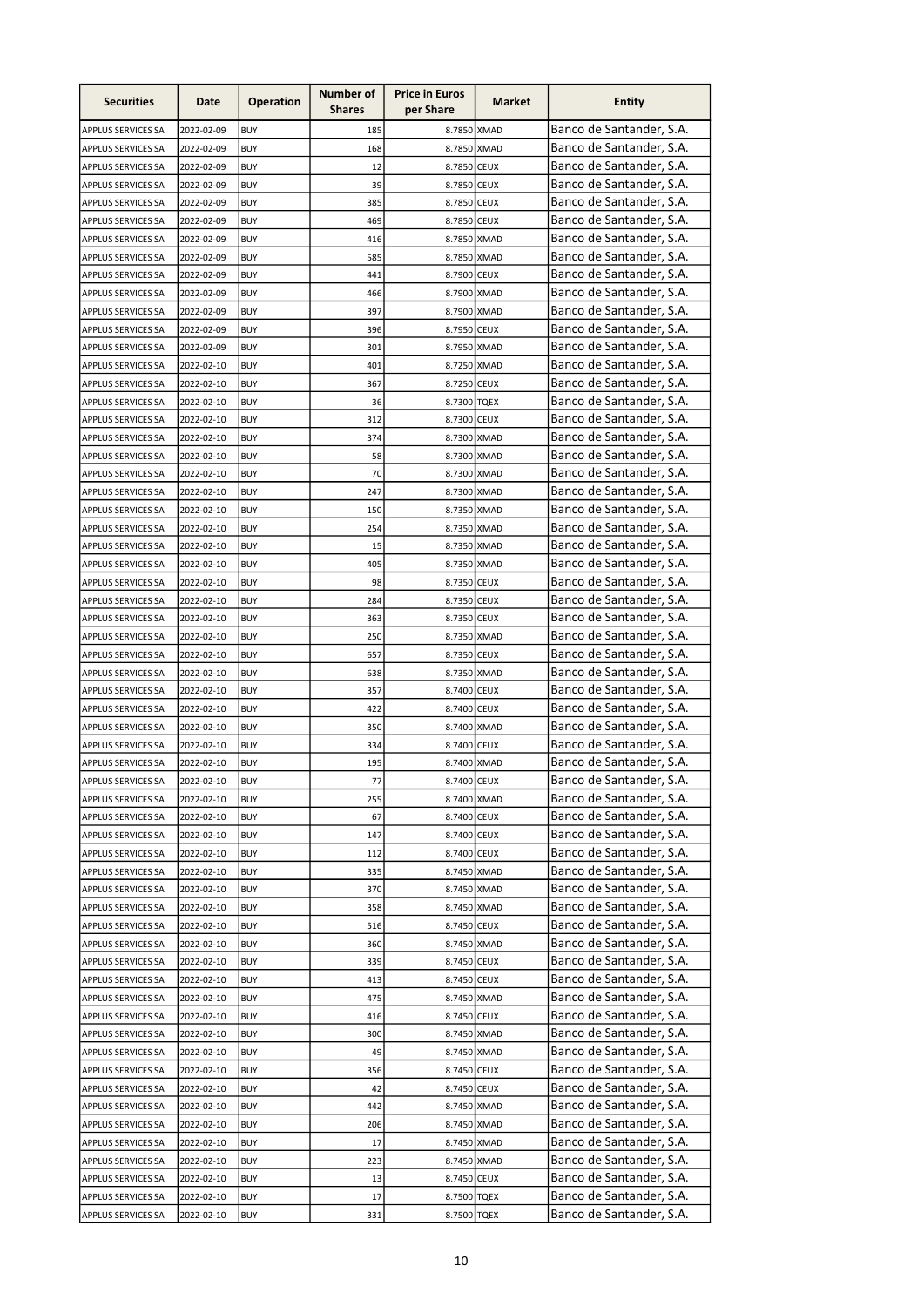| <b>Securities</b>         | Date       | <b>Operation</b> | Number of<br><b>Shares</b> | <b>Price in Euros</b><br>per Share | Market | <b>Entity</b>            |
|---------------------------|------------|------------------|----------------------------|------------------------------------|--------|--------------------------|
| APPLUS SERVICES SA        | 2022-02-09 | <b>BUY</b>       | 185                        | 8.7850 XMAD                        |        | Banco de Santander, S.A. |
| APPLUS SERVICES SA        | 2022-02-09 | <b>BUY</b>       | 168                        | 8.7850 XMAD                        |        | Banco de Santander, S.A. |
| APPLUS SERVICES SA        | 2022-02-09 | <b>BUY</b>       | 12                         | 8.7850 CEUX                        |        | Banco de Santander, S.A. |
| APPLUS SERVICES SA        | 2022-02-09 | <b>BUY</b>       | 39                         | 8.7850 CEUX                        |        | Banco de Santander, S.A. |
| APPLUS SERVICES SA        | 2022-02-09 | <b>BUY</b>       | 385                        | 8.7850 CEUX                        |        | Banco de Santander, S.A. |
| APPLUS SERVICES SA        | 2022-02-09 | <b>BUY</b>       | 469                        | 8.7850 CEUX                        |        | Banco de Santander, S.A. |
| <b>APPLUS SERVICES SA</b> | 2022-02-09 | <b>BUY</b>       | 416                        | 8.7850 XMAD                        |        | Banco de Santander, S.A. |
| APPLUS SERVICES SA        | 2022-02-09 | <b>BUY</b>       | 585                        | 8.7850 XMAD                        |        | Banco de Santander, S.A. |
| APPLUS SERVICES SA        | 2022-02-09 | <b>BUY</b>       | 441                        | 8.7900 CEUX                        |        | Banco de Santander, S.A. |
| APPLUS SERVICES SA        | 2022-02-09 | <b>BUY</b>       | 466                        | 8.7900 XMAD                        |        | Banco de Santander, S.A. |
| APPLUS SERVICES SA        | 2022-02-09 | <b>BUY</b>       | 397                        | 8.7900 XMAD                        |        | Banco de Santander, S.A. |
| <b>APPLUS SERVICES SA</b> | 2022-02-09 | <b>BUY</b>       | 396                        | 8.7950 CEUX                        |        | Banco de Santander, S.A. |
| <b>APPLUS SERVICES SA</b> | 2022-02-09 | <b>BUY</b>       | 301                        | 8.7950 XMAD                        |        | Banco de Santander, S.A. |
| APPLUS SERVICES SA        | 2022-02-10 | <b>BUY</b>       | 401                        | 8.7250 XMAD                        |        | Banco de Santander, S.A. |
| APPLUS SERVICES SA        | 2022-02-10 | <b>BUY</b>       | 367                        | 8.7250 CEUX                        |        | Banco de Santander, S.A. |
| APPLUS SERVICES SA        | 2022-02-10 | <b>BUY</b>       | 36                         | 8.7300 TQEX                        |        | Banco de Santander, S.A. |
| APPLUS SERVICES SA        | 2022-02-10 | <b>BUY</b>       | 312                        | 8.7300 CEUX                        |        | Banco de Santander, S.A. |
| APPLUS SERVICES SA        | 2022-02-10 | <b>BUY</b>       | 374                        | 8.7300 XMAD                        |        | Banco de Santander, S.A. |
| APPLUS SERVICES SA        | 2022-02-10 | <b>BUY</b>       | 58                         | 8.7300 XMAD                        |        | Banco de Santander, S.A. |
| APPLUS SERVICES SA        | 2022-02-10 | <b>BUY</b>       | 70                         | 8.7300 XMAD                        |        | Banco de Santander, S.A. |
| APPLUS SERVICES SA        | 2022-02-10 | <b>BUY</b>       | 247                        | 8.7300 XMAD                        |        | Banco de Santander, S.A. |
| <b>APPLUS SERVICES SA</b> | 2022-02-10 | <b>BUY</b>       | 150                        | 8.7350 XMAD                        |        | Banco de Santander, S.A. |
| APPLUS SERVICES SA        | 2022-02-10 | <b>BUY</b>       | 254                        | 8.7350 XMAD                        |        | Banco de Santander, S.A. |
| <b>APPLUS SERVICES SA</b> | 2022-02-10 | <b>BUY</b>       | 15                         | 8.7350 XMAD                        |        | Banco de Santander, S.A. |
| <b>APPLUS SERVICES SA</b> | 2022-02-10 | <b>BUY</b>       | 405                        | 8.7350 XMAD                        |        | Banco de Santander, S.A. |
| <b>APPLUS SERVICES SA</b> | 2022-02-10 | <b>BUY</b>       | 98                         | 8.7350 CEUX                        |        | Banco de Santander, S.A. |
| <b>APPLUS SERVICES SA</b> | 2022-02-10 | <b>BUY</b>       | 284                        | 8.7350 CEUX                        |        | Banco de Santander, S.A. |
| APPLUS SERVICES SA        | 2022-02-10 | <b>BUY</b>       | 363                        | 8.7350 CEUX                        |        | Banco de Santander, S.A. |
| APPLUS SERVICES SA        | 2022-02-10 | <b>BUY</b>       | 250                        | 8.7350 XMAD                        |        | Banco de Santander, S.A. |
| APPLUS SERVICES SA        | 2022-02-10 | <b>BUY</b>       | 657                        | 8.7350 CEUX                        |        | Banco de Santander, S.A. |
| <b>APPLUS SERVICES SA</b> | 2022-02-10 | <b>BUY</b>       | 638                        | 8.7350 XMAD                        |        | Banco de Santander, S.A. |
| APPLUS SERVICES SA        | 2022-02-10 | <b>BUY</b>       | 357                        | 8.7400 CEUX                        |        | Banco de Santander, S.A. |
| APPLUS SERVICES SA        | 2022-02-10 | <b>BUY</b>       | 422                        | 8.7400 CEUX                        |        | Banco de Santander, S.A. |
| APPLUS SERVICES SA        | 2022-02-10 | <b>BUY</b>       | 350                        | 8.7400 XMAD                        |        | Banco de Santander, S.A. |
| APPLUS SERVICES SA        | 2022-02-10 | <b>BUY</b>       | 334                        | 8.7400 CEUX                        |        | Banco de Santander, S.A. |
| <b>APPLUS SERVICES SA</b> | 2022-02-10 | <b>BUY</b>       | 195                        | 8.7400 XMAD                        |        | Banco de Santander, S.A. |
| APPLUS SERVICES SA        | 2022-02-10 | BUY              | 77                         | 8.7400 CEUX                        |        | Banco de Santander, S.A. |
| APPLUS SERVICES SA        | 2022-02-10 | <b>BUY</b>       | 255                        | 8.7400 XMAD                        |        | Banco de Santander, S.A. |
| APPLUS SERVICES SA        | 2022-02-10 | <b>BUY</b>       | 67                         | 8.7400 CEUX                        |        | Banco de Santander, S.A. |
| APPLUS SERVICES SA        | 2022-02-10 | <b>BUY</b>       | 147                        | 8.7400 CEUX                        |        | Banco de Santander, S.A. |
| APPLUS SERVICES SA        | 2022-02-10 | <b>BUY</b>       | 112                        | 8.7400 CEUX                        |        | Banco de Santander, S.A. |
| <b>APPLUS SERVICES SA</b> | 2022-02-10 | <b>BUY</b>       | 335                        | 8.7450 XMAD                        |        | Banco de Santander, S.A. |
| APPLUS SERVICES SA        | 2022-02-10 | <b>BUY</b>       | 370                        | 8.7450 XMAD                        |        | Banco de Santander, S.A. |
| APPLUS SERVICES SA        | 2022-02-10 | <b>BUY</b>       | 358                        | 8.7450 XMAD                        |        | Banco de Santander, S.A. |
| APPLUS SERVICES SA        | 2022-02-10 | <b>BUY</b>       | 516                        | 8.7450 CEUX                        |        | Banco de Santander, S.A. |
| APPLUS SERVICES SA        | 2022-02-10 | <b>BUY</b>       | 360                        | 8.7450 XMAD                        |        | Banco de Santander, S.A. |
| APPLUS SERVICES SA        | 2022-02-10 | <b>BUY</b>       | 339                        | 8.7450 CEUX                        |        | Banco de Santander, S.A. |
| APPLUS SERVICES SA        | 2022-02-10 | <b>BUY</b>       | 413                        | 8.7450 CEUX                        |        | Banco de Santander, S.A. |
| APPLUS SERVICES SA        | 2022-02-10 | <b>BUY</b>       | 475                        | 8.7450 XMAD                        |        | Banco de Santander, S.A. |
| APPLUS SERVICES SA        | 2022-02-10 | <b>BUY</b>       | 416                        | 8.7450 CEUX                        |        | Banco de Santander, S.A. |
| APPLUS SERVICES SA        | 2022-02-10 | <b>BUY</b>       | 300                        | 8.7450 XMAD                        |        | Banco de Santander, S.A. |
| APPLUS SERVICES SA        | 2022-02-10 | <b>BUY</b>       | 49                         | 8.7450 XMAD                        |        | Banco de Santander, S.A. |
| APPLUS SERVICES SA        | 2022-02-10 | <b>BUY</b>       | 356                        | 8.7450 CEUX                        |        | Banco de Santander, S.A. |
| APPLUS SERVICES SA        | 2022-02-10 | <b>BUY</b>       | 42                         | 8.7450 CEUX                        |        | Banco de Santander, S.A. |
| APPLUS SERVICES SA        | 2022-02-10 | <b>BUY</b>       | 442                        | 8.7450 XMAD                        |        | Banco de Santander, S.A. |
| APPLUS SERVICES SA        | 2022-02-10 | <b>BUY</b>       | 206                        | 8.7450 XMAD                        |        | Banco de Santander, S.A. |
|                           |            | <b>BUY</b>       | 17                         | 8.7450 XMAD                        |        | Banco de Santander, S.A. |
| <b>APPLUS SERVICES SA</b> | 2022-02-10 |                  |                            |                                    |        | Banco de Santander, S.A. |
| APPLUS SERVICES SA        | 2022-02-10 | <b>BUY</b>       | 223                        | 8.7450 XMAD                        |        | Banco de Santander, S.A. |
| APPLUS SERVICES SA        | 2022-02-10 | <b>BUY</b>       | 13                         | 8.7450 CEUX                        |        | Banco de Santander, S.A. |
| APPLUS SERVICES SA        | 2022-02-10 | <b>BUY</b>       | 17                         | 8.7500 TQEX                        |        |                          |
| APPLUS SERVICES SA        | 2022-02-10 | <b>BUY</b>       | 331                        | 8.7500 TQEX                        |        | Banco de Santander, S.A. |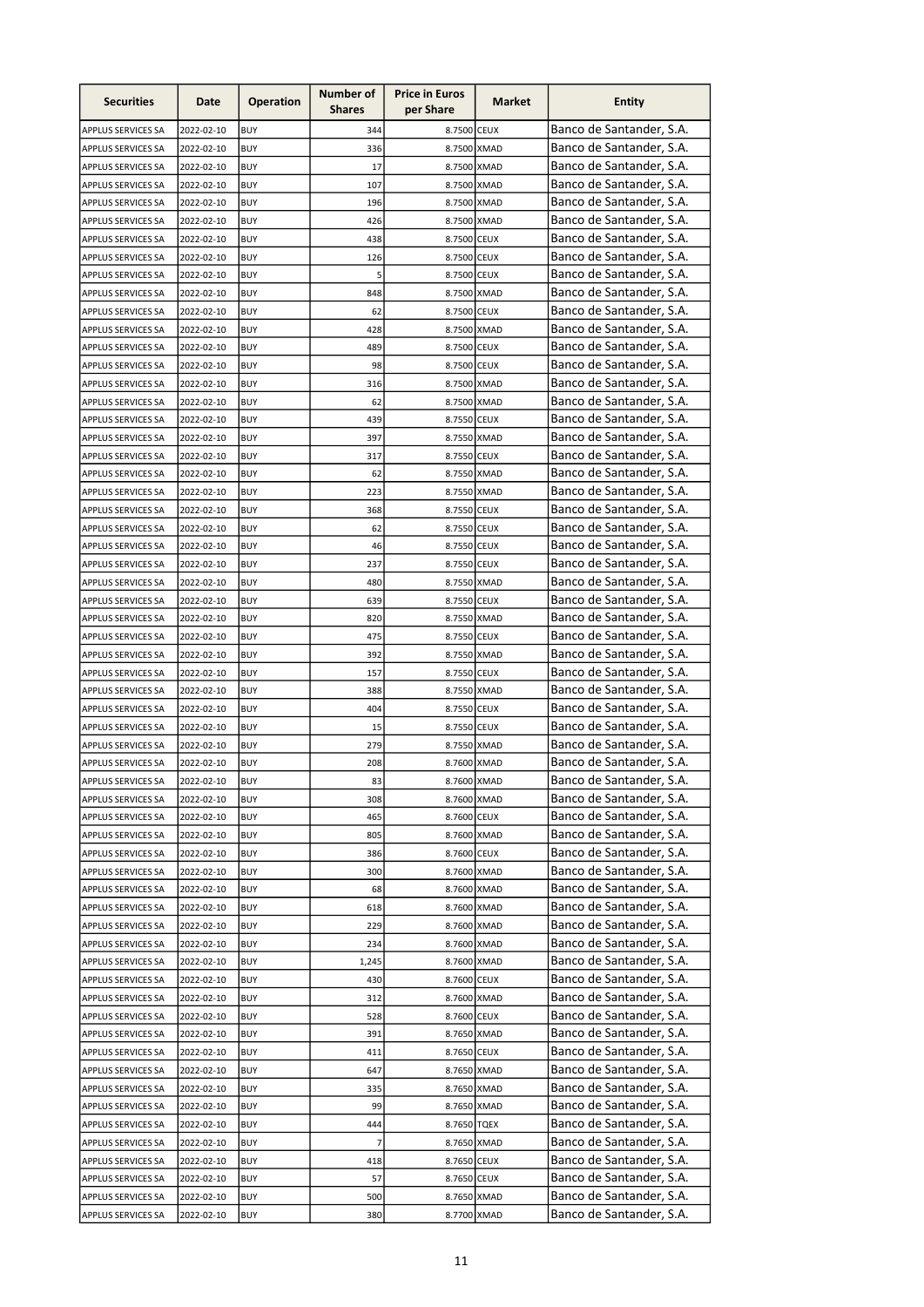| <b>Securities</b>         | Date       | <b>Operation</b> | Number of<br><b>Shares</b> | <b>Price in Euros</b><br>per Share | Market | <b>Entity</b>            |
|---------------------------|------------|------------------|----------------------------|------------------------------------|--------|--------------------------|
| APPLUS SERVICES SA        | 2022-02-10 | <b>BUY</b>       | 344                        | 8.7500 CEUX                        |        | Banco de Santander, S.A. |
| APPLUS SERVICES SA        | 2022-02-10 | <b>BUY</b>       | 336                        | 8.7500 XMAD                        |        | Banco de Santander, S.A. |
| <b>APPLUS SERVICES SA</b> | 2022-02-10 | <b>BUY</b>       | 17                         | 8.7500 XMAD                        |        | Banco de Santander, S.A. |
| APPLUS SERVICES SA        | 2022-02-10 | <b>BUY</b>       | 107                        | 8.7500 XMAD                        |        | Banco de Santander, S.A. |
| APPLUS SERVICES SA        | 2022-02-10 | <b>BUY</b>       | 196                        | 8.7500 XMAD                        |        | Banco de Santander, S.A. |
| APPLUS SERVICES SA        | 2022-02-10 | <b>BUY</b>       | 426                        | 8.7500 XMAD                        |        | Banco de Santander, S.A. |
| <b>APPLUS SERVICES SA</b> | 2022-02-10 | <b>BUY</b>       | 438                        | 8.7500 CEUX                        |        | Banco de Santander, S.A. |
| APPLUS SERVICES SA        | 2022-02-10 | <b>BUY</b>       | 126                        | 8.7500 CEUX                        |        | Banco de Santander, S.A. |
| APPLUS SERVICES SA        | 2022-02-10 | <b>BUY</b>       | 5                          | 8.7500 CEUX                        |        | Banco de Santander, S.A. |
| APPLUS SERVICES SA        | 2022-02-10 | <b>BUY</b>       | 848                        | 8.7500 XMAD                        |        | Banco de Santander, S.A. |
| APPLUS SERVICES SA        | 2022-02-10 | <b>BUY</b>       | 62                         | 8.7500 CEUX                        |        | Banco de Santander, S.A. |
| APPLUS SERVICES SA        | 2022-02-10 | <b>BUY</b>       | 428                        | 8.7500 XMAD                        |        | Banco de Santander, S.A. |
| APPLUS SERVICES SA        | 2022-02-10 | <b>BUY</b>       | 489                        | 8.7500 CEUX                        |        | Banco de Santander, S.A. |
| APPLUS SERVICES SA        | 2022-02-10 | <b>BUY</b>       | 98                         | 8.7500 CEUX                        |        | Banco de Santander, S.A. |
| APPLUS SERVICES SA        | 2022-02-10 | <b>BUY</b>       | 316                        | 8.7500 XMAD                        |        | Banco de Santander, S.A. |
| APPLUS SERVICES SA        | 2022-02-10 | <b>BUY</b>       | 62                         | 8.7500 XMAD                        |        | Banco de Santander, S.A. |
| APPLUS SERVICES SA        | 2022-02-10 | <b>BUY</b>       | 439                        | 8.7550 CEUX                        |        | Banco de Santander, S.A. |
| APPLUS SERVICES SA        | 2022-02-10 | <b>BUY</b>       | 397                        | 8.7550 XMAD                        |        | Banco de Santander, S.A. |
| APPLUS SERVICES SA        | 2022-02-10 | <b>BUY</b>       | 317                        | 8.7550 CEUX                        |        | Banco de Santander, S.A. |
| APPLUS SERVICES SA        | 2022-02-10 | <b>BUY</b>       | 62                         | 8.7550 XMAD                        |        | Banco de Santander, S.A. |
| APPLUS SERVICES SA        | 2022-02-10 | <b>BUY</b>       | 223                        | 8.7550 XMAD                        |        | Banco de Santander, S.A. |
| APPLUS SERVICES SA        | 2022-02-10 | <b>BUY</b>       | 368                        | 8.7550 CEUX                        |        | Banco de Santander, S.A. |
| APPLUS SERVICES SA        | 2022-02-10 | <b>BUY</b>       | 62                         | 8.7550 CEUX                        |        | Banco de Santander, S.A. |
| <b>APPLUS SERVICES SA</b> | 2022-02-10 | <b>BUY</b>       | 46                         | 8.7550 CEUX                        |        | Banco de Santander, S.A. |
| <b>APPLUS SERVICES SA</b> | 2022-02-10 | <b>BUY</b>       | 237                        | 8.7550 CEUX                        |        | Banco de Santander, S.A. |
| <b>APPLUS SERVICES SA</b> | 2022-02-10 | <b>BUY</b>       | 480                        | 8.7550 XMAD                        |        | Banco de Santander, S.A. |
| <b>APPLUS SERVICES SA</b> | 2022-02-10 | <b>BUY</b>       | 639                        | 8.7550 CEUX                        |        | Banco de Santander, S.A. |
| APPLUS SERVICES SA        | 2022-02-10 | <b>BUY</b>       | 820                        | 8.7550 XMAD                        |        | Banco de Santander, S.A. |
| APPLUS SERVICES SA        | 2022-02-10 | <b>BUY</b>       | 475                        | 8.7550 CEUX                        |        | Banco de Santander, S.A. |
| APPLUS SERVICES SA        | 2022-02-10 | <b>BUY</b>       | 392                        | 8.7550 XMAD                        |        | Banco de Santander, S.A. |
| <b>APPLUS SERVICES SA</b> | 2022-02-10 | <b>BUY</b>       | 157                        | 8.7550 CEUX                        |        | Banco de Santander, S.A. |
| APPLUS SERVICES SA        | 2022-02-10 | <b>BUY</b>       | 388                        | 8.7550 XMAD                        |        | Banco de Santander, S.A. |
| APPLUS SERVICES SA        | 2022-02-10 | <b>BUY</b>       | 404                        | 8.7550 CEUX                        |        | Banco de Santander, S.A. |
| APPLUS SERVICES SA        | 2022-02-10 | <b>BUY</b>       | 15                         | 8.7550 CEUX                        |        | Banco de Santander, S.A. |
| APPLUS SERVICES SA        | 2022-02-10 | <b>BUY</b>       | 279                        | 8.7550 XMAD                        |        | Banco de Santander, S.A. |
| <b>APPLUS SERVICES SA</b> | 2022-02-10 | <b>BUY</b>       | 208                        | 8.7600 XMAD                        |        | Banco de Santander, S.A. |
| APPLUS SERVICES SA        | 2022-02-10 | BUY              | 83                         | 8.7600 XMAD                        |        | Banco de Santander, S.A. |
| APPLUS SERVICES SA        | 2022-02-10 | <b>BUY</b>       | 308                        | 8.7600 XMAD                        |        | Banco de Santander, S.A. |
| APPLUS SERVICES SA        | 2022-02-10 | <b>BUY</b>       | 465                        | 8.7600 CEUX                        |        | Banco de Santander, S.A. |
| APPLUS SERVICES SA        | 2022-02-10 | <b>BUY</b>       | 805                        | 8.7600 XMAD                        |        | Banco de Santander, S.A. |
| APPLUS SERVICES SA        | 2022-02-10 | <b>BUY</b>       | 386                        | 8.7600 CEUX                        |        | Banco de Santander, S.A. |
| <b>APPLUS SERVICES SA</b> | 2022-02-10 | <b>BUY</b>       | 300                        | 8.7600 XMAD                        |        | Banco de Santander, S.A. |
| APPLUS SERVICES SA        | 2022-02-10 | <b>BUY</b>       | 68                         | 8.7600 XMAD                        |        | Banco de Santander, S.A. |
| APPLUS SERVICES SA        | 2022-02-10 | <b>BUY</b>       | 618                        | 8.7600 XMAD                        |        | Banco de Santander, S.A. |
| APPLUS SERVICES SA        | 2022-02-10 | <b>BUY</b>       | 229                        | 8.7600 XMAD                        |        | Banco de Santander, S.A. |
| APPLUS SERVICES SA        | 2022-02-10 | <b>BUY</b>       | 234                        | 8.7600 XMAD                        |        | Banco de Santander, S.A. |
| APPLUS SERVICES SA        | 2022-02-10 | <b>BUY</b>       | 1,245                      | 8.7600 XMAD                        |        | Banco de Santander, S.A. |
| APPLUS SERVICES SA        | 2022-02-10 | <b>BUY</b>       | 430                        | 8.7600 CEUX                        |        | Banco de Santander, S.A. |
| APPLUS SERVICES SA        | 2022-02-10 | <b>BUY</b>       | 312                        | 8.7600 XMAD                        |        | Banco de Santander, S.A. |
| APPLUS SERVICES SA        | 2022-02-10 | <b>BUY</b>       | 528                        | 8.7600 CEUX                        |        | Banco de Santander, S.A. |
| APPLUS SERVICES SA        | 2022-02-10 | <b>BUY</b>       | 391                        | 8.7650 XMAD                        |        | Banco de Santander, S.A. |
| APPLUS SERVICES SA        | 2022-02-10 | <b>BUY</b>       | 411                        | 8.7650 CEUX                        |        | Banco de Santander, S.A. |
| APPLUS SERVICES SA        | 2022-02-10 | <b>BUY</b>       | 647                        | 8.7650 XMAD                        |        | Banco de Santander, S.A. |
| APPLUS SERVICES SA        | 2022-02-10 | <b>BUY</b>       | 335                        | 8.7650 XMAD                        |        | Banco de Santander, S.A. |
| APPLUS SERVICES SA        | 2022-02-10 | <b>BUY</b>       | 99                         | 8.7650 XMAD                        |        | Banco de Santander, S.A. |
|                           | 2022-02-10 | <b>BUY</b>       | 444                        | 8.7650 TQEX                        |        | Banco de Santander, S.A. |
| APPLUS SERVICES SA        |            |                  | 7                          |                                    |        | Banco de Santander, S.A. |
| APPLUS SERVICES SA        | 2022-02-10 | <b>BUY</b>       |                            | 8.7650 XMAD                        |        | Banco de Santander, S.A. |
| APPLUS SERVICES SA        | 2022-02-10 | <b>BUY</b>       | 418                        | 8.7650 CEUX                        |        | Banco de Santander, S.A. |
| APPLUS SERVICES SA        | 2022-02-10 | <b>BUY</b>       | 57                         | 8.7650 CEUX                        |        | Banco de Santander, S.A. |
| APPLUS SERVICES SA        | 2022-02-10 | <b>BUY</b>       | 500                        | 8.7650 XMAD                        |        |                          |
| APPLUS SERVICES SA        | 2022-02-10 | <b>BUY</b>       | 380                        | 8.7700 XMAD                        |        | Banco de Santander, S.A. |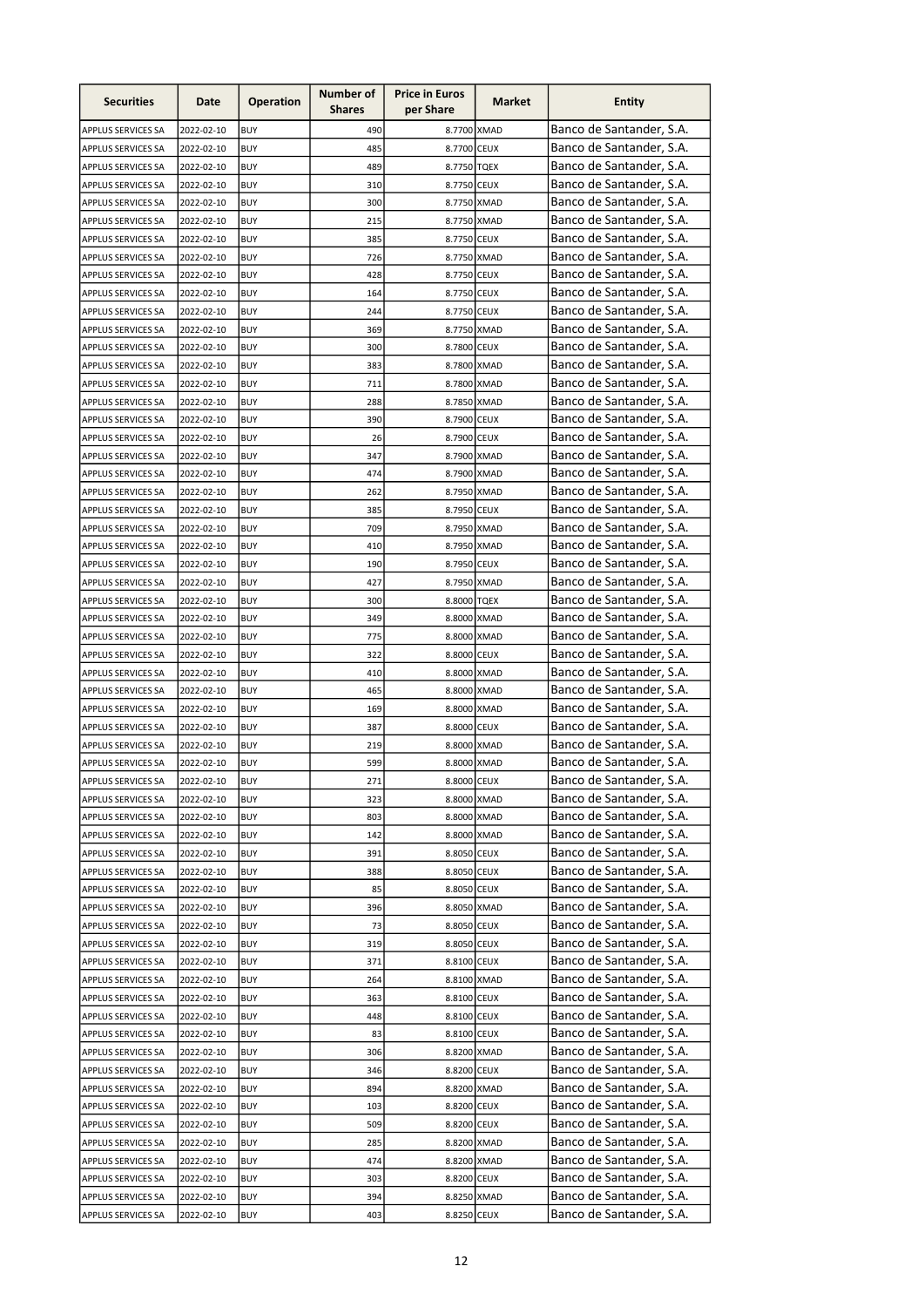| <b>Securities</b>         | Date       | <b>Operation</b> | Number of<br><b>Shares</b> | <b>Price in Euros</b><br>per Share | Market | <b>Entity</b>            |
|---------------------------|------------|------------------|----------------------------|------------------------------------|--------|--------------------------|
| APPLUS SERVICES SA        | 2022-02-10 | <b>BUY</b>       | 490                        | 8.7700 XMAD                        |        | Banco de Santander, S.A. |
| APPLUS SERVICES SA        | 2022-02-10 | <b>BUY</b>       | 485                        | 8.7700 CEUX                        |        | Banco de Santander, S.A. |
| APPLUS SERVICES SA        | 2022-02-10 | <b>BUY</b>       | 489                        | 8.7750 TQEX                        |        | Banco de Santander, S.A. |
| APPLUS SERVICES SA        | 2022-02-10 | <b>BUY</b>       | 310                        | 8.7750 CEUX                        |        | Banco de Santander, S.A. |
| APPLUS SERVICES SA        | 2022-02-10 | <b>BUY</b>       | 300                        | 8.7750 XMAD                        |        | Banco de Santander, S.A. |
| APPLUS SERVICES SA        | 2022-02-10 | <b>BUY</b>       | 215                        | 8.7750 XMAD                        |        | Banco de Santander, S.A. |
| <b>APPLUS SERVICES SA</b> | 2022-02-10 | <b>BUY</b>       | 385                        | 8.7750 CEUX                        |        | Banco de Santander, S.A. |
| APPLUS SERVICES SA        | 2022-02-10 | <b>BUY</b>       | 726                        | 8.7750 XMAD                        |        | Banco de Santander, S.A. |
| APPLUS SERVICES SA        | 2022-02-10 | <b>BUY</b>       | 428                        | 8.7750 CEUX                        |        | Banco de Santander, S.A. |
| APPLUS SERVICES SA        | 2022-02-10 | <b>BUY</b>       | 164                        | 8.7750 CEUX                        |        | Banco de Santander, S.A. |
| APPLUS SERVICES SA        | 2022-02-10 | <b>BUY</b>       | 244                        | 8.7750 CEUX                        |        | Banco de Santander, S.A. |
| <b>APPLUS SERVICES SA</b> | 2022-02-10 | <b>BUY</b>       | 369                        | 8.7750 XMAD                        |        | Banco de Santander, S.A. |
| <b>APPLUS SERVICES SA</b> | 2022-02-10 | <b>BUY</b>       | 300                        | 8.7800 CEUX                        |        | Banco de Santander, S.A. |
| APPLUS SERVICES SA        | 2022-02-10 | <b>BUY</b>       | 383                        | 8.7800 XMAD                        |        | Banco de Santander, S.A. |
| APPLUS SERVICES SA        | 2022-02-10 | <b>BUY</b>       | 711                        | 8.7800 XMAD                        |        | Banco de Santander, S.A. |
| APPLUS SERVICES SA        | 2022-02-10 | <b>BUY</b>       | 288                        | 8.7850 XMAD                        |        | Banco de Santander, S.A. |
| APPLUS SERVICES SA        | 2022-02-10 | <b>BUY</b>       | 390                        | 8.7900 CEUX                        |        | Banco de Santander, S.A. |
| APPLUS SERVICES SA        | 2022-02-10 | <b>BUY</b>       | 26                         | 8.7900 CEUX                        |        | Banco de Santander, S.A. |
| APPLUS SERVICES SA        | 2022-02-10 | <b>BUY</b>       | 347                        | 8.7900 XMAD                        |        | Banco de Santander, S.A. |
| APPLUS SERVICES SA        | 2022-02-10 | <b>BUY</b>       | 474                        | 8.7900 XMAD                        |        | Banco de Santander, S.A. |
| APPLUS SERVICES SA        | 2022-02-10 | <b>BUY</b>       | 262                        | 8.7950 XMAD                        |        | Banco de Santander, S.A. |
| APPLUS SERVICES SA        | 2022-02-10 | <b>BUY</b>       | 385                        | 8.7950 CEUX                        |        | Banco de Santander, S.A. |
| APPLUS SERVICES SA        | 2022-02-10 | <b>BUY</b>       | 709                        | 8.7950 XMAD                        |        | Banco de Santander, S.A. |
| <b>APPLUS SERVICES SA</b> | 2022-02-10 | <b>BUY</b>       | 410                        | 8.7950 XMAD                        |        | Banco de Santander, S.A. |
| <b>APPLUS SERVICES SA</b> | 2022-02-10 | <b>BUY</b>       | 190                        | 8.7950 CEUX                        |        | Banco de Santander, S.A. |
| <b>APPLUS SERVICES SA</b> | 2022-02-10 | <b>BUY</b>       | 427                        | 8.7950 XMAD                        |        | Banco de Santander, S.A. |
| <b>APPLUS SERVICES SA</b> | 2022-02-10 | <b>BUY</b>       | 300                        | 8.8000 TQEX                        |        | Banco de Santander, S.A. |
| APPLUS SERVICES SA        | 2022-02-10 | <b>BUY</b>       | 349                        | 8.8000 XMAD                        |        | Banco de Santander, S.A. |
| APPLUS SERVICES SA        | 2022-02-10 | <b>BUY</b>       | 775                        | 8.8000 XMAD                        |        | Banco de Santander, S.A. |
| APPLUS SERVICES SA        | 2022-02-10 | <b>BUY</b>       | 322                        | 8.8000 CEUX                        |        | Banco de Santander, S.A. |
| <b>APPLUS SERVICES SA</b> | 2022-02-10 | <b>BUY</b>       | 410                        | 8.8000 XMAD                        |        | Banco de Santander, S.A. |
| APPLUS SERVICES SA        | 2022-02-10 | <b>BUY</b>       | 465                        | 8.8000 XMAD                        |        | Banco de Santander, S.A. |
| <b>APPLUS SERVICES SA</b> | 2022-02-10 | <b>BUY</b>       | 169                        | 8.8000 XMAD                        |        | Banco de Santander, S.A. |
| APPLUS SERVICES SA        | 2022-02-10 | <b>BUY</b>       | 387                        | 8.8000 CEUX                        |        | Banco de Santander, S.A. |
| APPLUS SERVICES SA        | 2022-02-10 | <b>BUY</b>       | 219                        | 8.8000 XMAD                        |        | Banco de Santander, S.A. |
| <b>APPLUS SERVICES SA</b> | 2022-02-10 | <b>BUY</b>       | 599                        | 8.8000 XMAD                        |        | Banco de Santander, S.A. |
| APPLUS SERVICES SA        | 2022-02-10 | BUY              | 271                        | 8.8000 CEUX                        |        | Banco de Santander, S.A. |
| APPLUS SERVICES SA        | 2022-02-10 | <b>BUY</b>       | 323                        | 8.8000 XMAD                        |        | Banco de Santander, S.A. |
| APPLUS SERVICES SA        | 2022-02-10 | <b>BUY</b>       | 803                        | 8.8000 XMAD                        |        | Banco de Santander, S.A. |
| APPLUS SERVICES SA        | 2022-02-10 | <b>BUY</b>       | 142                        | 8.8000 XMAD                        |        | Banco de Santander, S.A. |
| APPLUS SERVICES SA        | 2022-02-10 | <b>BUY</b>       | 391                        | 8.8050 CEUX                        |        | Banco de Santander, S.A. |
| <b>APPLUS SERVICES SA</b> | 2022-02-10 | <b>BUY</b>       | 388                        | 8.8050 CEUX                        |        | Banco de Santander, S.A. |
| APPLUS SERVICES SA        | 2022-02-10 | <b>BUY</b>       | 85                         | 8.8050 CEUX                        |        | Banco de Santander, S.A. |
| APPLUS SERVICES SA        | 2022-02-10 | <b>BUY</b>       | 396                        | 8.8050 XMAD                        |        | Banco de Santander, S.A. |
| APPLUS SERVICES SA        | 2022-02-10 | <b>BUY</b>       | 73                         | 8.8050 CEUX                        |        | Banco de Santander, S.A. |
| APPLUS SERVICES SA        | 2022-02-10 | <b>BUY</b>       | 319                        | 8.8050 CEUX                        |        | Banco de Santander, S.A. |
| APPLUS SERVICES SA        | 2022-02-10 | <b>BUY</b>       | 371                        | 8.8100 CEUX                        |        | Banco de Santander, S.A. |
| APPLUS SERVICES SA        | 2022-02-10 | <b>BUY</b>       | 264                        | 8.8100 XMAD                        |        | Banco de Santander, S.A. |
| APPLUS SERVICES SA        | 2022-02-10 | <b>BUY</b>       | 363                        | 8.8100 CEUX                        |        | Banco de Santander, S.A. |
| APPLUS SERVICES SA        | 2022-02-10 | <b>BUY</b>       | 448                        | 8.8100 CEUX                        |        | Banco de Santander, S.A. |
| APPLUS SERVICES SA        | 2022-02-10 | <b>BUY</b>       | 83                         | 8.8100 CEUX                        |        | Banco de Santander, S.A. |
| APPLUS SERVICES SA        | 2022-02-10 | <b>BUY</b>       | 306                        | 8.8200 XMAD                        |        | Banco de Santander, S.A. |
| APPLUS SERVICES SA        | 2022-02-10 | <b>BUY</b>       | 346                        | 8.8200 CEUX                        |        | Banco de Santander, S.A. |
| APPLUS SERVICES SA        | 2022-02-10 | <b>BUY</b>       | 894                        | 8.8200 XMAD                        |        | Banco de Santander, S.A. |
| APPLUS SERVICES SA        | 2022-02-10 | <b>BUY</b>       | 103                        | 8.8200 CEUX                        |        | Banco de Santander, S.A. |
| APPLUS SERVICES SA        | 2022-02-10 | <b>BUY</b>       | 509                        | 8.8200 CEUX                        |        | Banco de Santander, S.A. |
| <b>APPLUS SERVICES SA</b> | 2022-02-10 | <b>BUY</b>       | 285                        | 8.8200 XMAD                        |        | Banco de Santander, S.A. |
| APPLUS SERVICES SA        | 2022-02-10 | <b>BUY</b>       | 474                        | 8.8200 XMAD                        |        | Banco de Santander, S.A. |
| APPLUS SERVICES SA        | 2022-02-10 | <b>BUY</b>       | 303                        | 8.8200 CEUX                        |        | Banco de Santander, S.A. |
| APPLUS SERVICES SA        | 2022-02-10 | <b>BUY</b>       | 394                        | 8.8250 XMAD                        |        | Banco de Santander, S.A. |
| APPLUS SERVICES SA        | 2022-02-10 | <b>BUY</b>       | 403                        | 8.8250 CEUX                        |        | Banco de Santander, S.A. |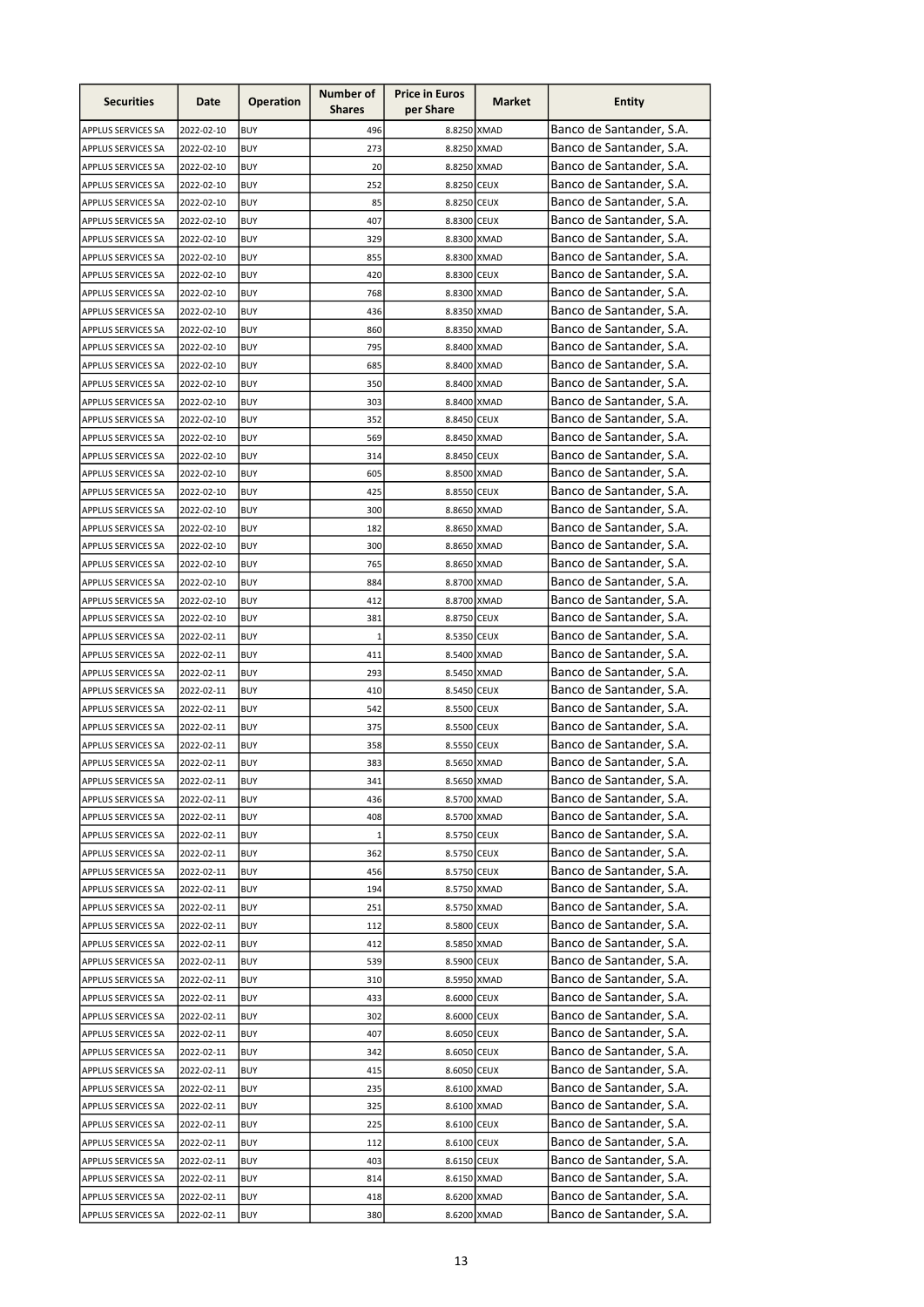| <b>Securities</b>         | Date       | <b>Operation</b> | Number of<br><b>Shares</b> | <b>Price in Euros</b><br>per Share | Market | <b>Entity</b>            |
|---------------------------|------------|------------------|----------------------------|------------------------------------|--------|--------------------------|
| <b>APPLUS SERVICES SA</b> | 2022-02-10 | <b>BUY</b>       | 496                        | 8.8250 XMAD                        |        | Banco de Santander, S.A. |
| APPLUS SERVICES SA        | 2022-02-10 | <b>BUY</b>       | 273                        | 8.8250 XMAD                        |        | Banco de Santander, S.A. |
| APPLUS SERVICES SA        | 2022-02-10 | <b>BUY</b>       | 20                         | 8.8250 XMAD                        |        | Banco de Santander, S.A. |
| APPLUS SERVICES SA        | 2022-02-10 | <b>BUY</b>       | 252                        | 8.8250 CEUX                        |        | Banco de Santander, S.A. |
| APPLUS SERVICES SA        | 2022-02-10 | <b>BUY</b>       | 85                         | 8.8250 CEUX                        |        | Banco de Santander, S.A. |
| APPLUS SERVICES SA        | 2022-02-10 | <b>BUY</b>       | 407                        | 8.8300 CEUX                        |        | Banco de Santander, S.A. |
| <b>APPLUS SERVICES SA</b> | 2022-02-10 | <b>BUY</b>       | 329                        | 8.8300 XMAD                        |        | Banco de Santander, S.A. |
| <b>APPLUS SERVICES SA</b> | 2022-02-10 | <b>BUY</b>       | 855                        | 8.8300 XMAD                        |        | Banco de Santander, S.A. |
| <b>APPLUS SERVICES SA</b> | 2022-02-10 | <b>BUY</b>       | 420                        | 8.8300 CEUX                        |        | Banco de Santander, S.A. |
| APPLUS SERVICES SA        | 2022-02-10 | <b>BUY</b>       | 768                        | 8.8300 XMAD                        |        | Banco de Santander, S.A. |
| APPLUS SERVICES SA        | 2022-02-10 | <b>BUY</b>       | 436                        | 8.8350 XMAD                        |        | Banco de Santander, S.A. |
| <b>APPLUS SERVICES SA</b> | 2022-02-10 | <b>BUY</b>       | 860                        | 8.8350 XMAD                        |        | Banco de Santander, S.A. |
| <b>APPLUS SERVICES SA</b> | 2022-02-10 | <b>BUY</b>       | 795                        | 8.8400 XMAD                        |        | Banco de Santander, S.A. |
| APPLUS SERVICES SA        | 2022-02-10 | <b>BUY</b>       | 685                        | 8.8400 XMAD                        |        | Banco de Santander, S.A. |
| APPLUS SERVICES SA        | 2022-02-10 | <b>BUY</b>       | 350                        | 8.8400 XMAD                        |        | Banco de Santander, S.A. |
| APPLUS SERVICES SA        | 2022-02-10 | <b>BUY</b>       | 303                        | 8.8400 XMAD                        |        | Banco de Santander, S.A. |
| APPLUS SERVICES SA        | 2022-02-10 | <b>BUY</b>       | 352                        | 8.8450 CEUX                        |        | Banco de Santander, S.A. |
| <b>APPLUS SERVICES SA</b> | 2022-02-10 | <b>BUY</b>       | 569                        | 8.8450 XMAD                        |        | Banco de Santander, S.A. |
| APPLUS SERVICES SA        | 2022-02-10 | <b>BUY</b>       | 314                        | 8.8450 CEUX                        |        | Banco de Santander, S.A. |
| APPLUS SERVICES SA        | 2022-02-10 | <b>BUY</b>       | 605                        | 8.8500 XMAD                        |        | Banco de Santander, S.A. |
| APPLUS SERVICES SA        | 2022-02-10 | <b>BUY</b>       | 425                        | 8.8550 CEUX                        |        | Banco de Santander, S.A. |
| APPLUS SERVICES SA        | 2022-02-10 | <b>BUY</b>       | 300                        | 8.8650 XMAD                        |        | Banco de Santander, S.A. |
| APPLUS SERVICES SA        | 2022-02-10 | <b>BUY</b>       | 182                        | 8.8650 XMAD                        |        | Banco de Santander, S.A. |
| <b>APPLUS SERVICES SA</b> | 2022-02-10 | <b>BUY</b>       | 300                        | 8.8650 XMAD                        |        | Banco de Santander, S.A. |
| <b>APPLUS SERVICES SA</b> | 2022-02-10 | <b>BUY</b>       | 765                        | 8.8650 XMAD                        |        | Banco de Santander, S.A. |
| <b>APPLUS SERVICES SA</b> | 2022-02-10 | <b>BUY</b>       | 884                        | 8.8700 XMAD                        |        | Banco de Santander, S.A. |
| APPLUS SERVICES SA        | 2022-02-10 | <b>BUY</b>       | 412                        | 8.8700 XMAD                        |        | Banco de Santander, S.A. |
| APPLUS SERVICES SA        | 2022-02-10 | <b>BUY</b>       | 381                        | 8.8750 CEUX                        |        | Banco de Santander, S.A. |
| APPLUS SERVICES SA        | 2022-02-11 | <b>BUY</b>       | $\mathbf{1}$               | 8.5350 CEUX                        |        | Banco de Santander, S.A. |
| APPLUS SERVICES SA        | 2022-02-11 | <b>BUY</b>       | 411                        | 8.5400 XMAD                        |        | Banco de Santander, S.A. |
| APPLUS SERVICES SA        | 2022-02-11 | <b>BUY</b>       | 293                        | 8.5450 XMAD                        |        | Banco de Santander, S.A. |
| <b>APPLUS SERVICES SA</b> | 2022-02-11 | <b>BUY</b>       | 410                        | 8.5450 CEUX                        |        | Banco de Santander, S.A. |
| APPLUS SERVICES SA        | 2022-02-11 | <b>BUY</b>       | 542                        | 8.5500 CEUX                        |        | Banco de Santander, S.A. |
| APPLUS SERVICES SA        | 2022-02-11 | <b>BUY</b>       | 375                        | 8.5500 CEUX                        |        | Banco de Santander, S.A. |
| APPLUS SERVICES SA        | 2022-02-11 | <b>BUY</b>       | 358                        | 8.5550 CEUX                        |        | Banco de Santander, S.A. |
| APPLUS SERVICES SA        | 2022-02-11 | <b>BUY</b>       | 383                        | 8.5650 XMAD                        |        | Banco de Santander, S.A. |
| APPLUS SERVICES SA        | 2022-02-11 | <b>BUY</b>       | 341                        | 8.5650 XMAD                        |        | Banco de Santander, S.A. |
| APPLUS SERVICES SA        | 2022-02-11 | BUY              | 436                        | 8.5700 XMAD                        |        | Banco de Santander, S.A. |
| APPLUS SERVICES SA        | 2022-02-11 | <b>BUY</b>       | 408                        | 8.5700 XMAD                        |        | Banco de Santander, S.A. |
| APPLUS SERVICES SA        | 2022-02-11 | <b>BUY</b>       | 1                          | 8.5750 CEUX                        |        | Banco de Santander, S.A. |
| APPLUS SERVICES SA        | 2022-02-11 | <b>BUY</b>       | 362                        | 8.5750 CEUX                        |        | Banco de Santander, S.A. |
| APPLUS SERVICES SA        | 2022-02-11 | <b>BUY</b>       | 456                        | 8.5750 CEUX                        |        | Banco de Santander, S.A. |
| APPLUS SERVICES SA        | 2022-02-11 | <b>BUY</b>       | 194                        | 8.5750 XMAD                        |        | Banco de Santander, S.A. |
| APPLUS SERVICES SA        | 2022-02-11 | <b>BUY</b>       | 251                        | 8.5750 XMAD                        |        | Banco de Santander, S.A. |
| APPLUS SERVICES SA        | 2022-02-11 | <b>BUY</b>       | 112                        | 8.5800 CEUX                        |        | Banco de Santander, S.A. |
| APPLUS SERVICES SA        | 2022-02-11 | <b>BUY</b>       | 412                        | 8.5850 XMAD                        |        | Banco de Santander, S.A. |
| APPLUS SERVICES SA        | 2022-02-11 | BUY              | 539                        | 8.5900 CEUX                        |        | Banco de Santander, S.A. |
| APPLUS SERVICES SA        | 2022-02-11 | <b>BUY</b>       | 310                        | 8.5950 XMAD                        |        | Banco de Santander, S.A. |
| APPLUS SERVICES SA        | 2022-02-11 | <b>BUY</b>       | 433                        | 8.6000 CEUX                        |        | Banco de Santander, S.A. |
| APPLUS SERVICES SA        | 2022-02-11 | <b>BUY</b>       | 302                        | 8.6000 CEUX                        |        | Banco de Santander, S.A. |
| APPLUS SERVICES SA        | 2022-02-11 | BUY              | 407                        | 8.6050 CEUX                        |        | Banco de Santander, S.A. |
| APPLUS SERVICES SA        | 2022-02-11 | <b>BUY</b>       | 342                        | 8.6050 CEUX                        |        | Banco de Santander, S.A. |
| APPLUS SERVICES SA        | 2022-02-11 | BUY              | 415                        | 8.6050 CEUX                        |        | Banco de Santander, S.A. |
| APPLUS SERVICES SA        | 2022-02-11 | BUY              | 235                        | 8.6100 XMAD                        |        | Banco de Santander, S.A. |
| APPLUS SERVICES SA        | 2022-02-11 | BUY              | 325                        | 8.6100 XMAD                        |        | Banco de Santander, S.A. |
| APPLUS SERVICES SA        | 2022-02-11 | <b>BUY</b>       | 225                        | 8.6100 CEUX                        |        | Banco de Santander, S.A. |
|                           |            | <b>BUY</b>       | 112                        | 8.6100 CEUX                        |        | Banco de Santander, S.A. |
| <b>APPLUS SERVICES SA</b> | 2022-02-11 |                  |                            |                                    |        | Banco de Santander, S.A. |
| APPLUS SERVICES SA        | 2022-02-11 | <b>BUY</b>       | 403                        | 8.6150 CEUX                        |        | Banco de Santander, S.A. |
| APPLUS SERVICES SA        | 2022-02-11 | <b>BUY</b>       | 814                        | 8.6150 XMAD                        |        | Banco de Santander, S.A. |
| APPLUS SERVICES SA        | 2022-02-11 | <b>BUY</b>       | 418                        | 8.6200 XMAD                        |        |                          |
| APPLUS SERVICES SA        | 2022-02-11 | <b>BUY</b>       | 380                        | 8.6200 XMAD                        |        | Banco de Santander, S.A. |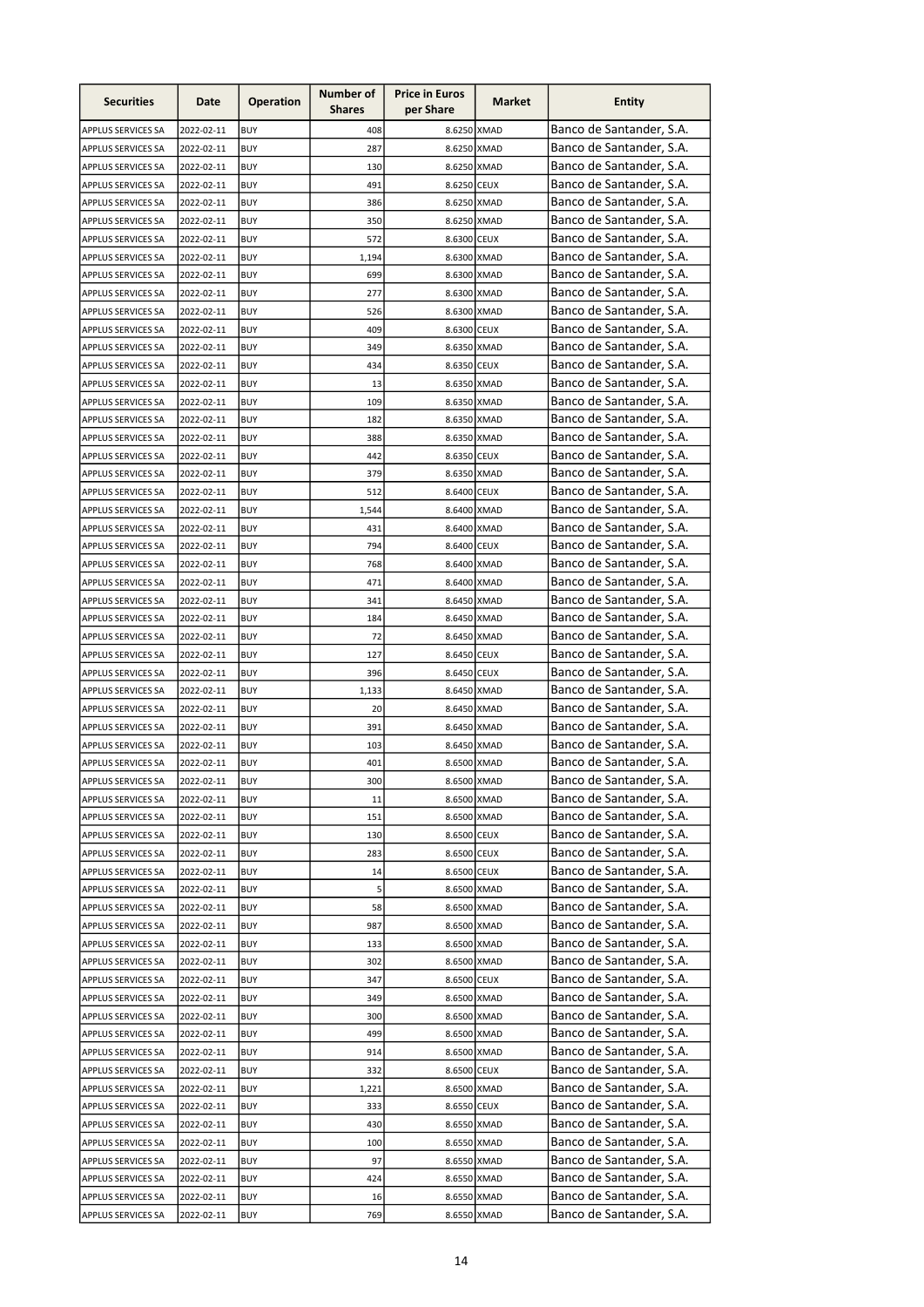| <b>Securities</b>         | Date       | <b>Operation</b> | Number of<br><b>Shares</b> | <b>Price in Euros</b><br>per Share | Market | <b>Entity</b>            |
|---------------------------|------------|------------------|----------------------------|------------------------------------|--------|--------------------------|
| <b>APPLUS SERVICES SA</b> | 2022-02-11 | <b>BUY</b>       | 408                        | 8.6250 XMAD                        |        | Banco de Santander, S.A. |
| APPLUS SERVICES SA        | 2022-02-11 | <b>BUY</b>       | 287                        | 8.6250 XMAD                        |        | Banco de Santander, S.A. |
| APPLUS SERVICES SA        | 2022-02-11 | <b>BUY</b>       | 130                        | 8.6250 XMAD                        |        | Banco de Santander, S.A. |
| APPLUS SERVICES SA        | 2022-02-11 | <b>BUY</b>       | 491                        | 8.6250 CEUX                        |        | Banco de Santander, S.A. |
| APPLUS SERVICES SA        | 2022-02-11 | <b>BUY</b>       | 386                        | 8.6250 XMAD                        |        | Banco de Santander, S.A. |
| APPLUS SERVICES SA        | 2022-02-11 | <b>BUY</b>       | 350                        | 8.6250 XMAD                        |        | Banco de Santander, S.A. |
| APPLUS SERVICES SA        | 2022-02-11 | <b>BUY</b>       | 572                        | 8.6300 CEUX                        |        | Banco de Santander, S.A. |
| APPLUS SERVICES SA        | 2022-02-11 | <b>BUY</b>       | 1,194                      | 8.6300 XMAD                        |        | Banco de Santander, S.A. |
| APPLUS SERVICES SA        | 2022-02-11 | <b>BUY</b>       | 699                        | 8.6300 XMAD                        |        | Banco de Santander, S.A. |
| APPLUS SERVICES SA        | 2022-02-11 | <b>BUY</b>       | 277                        | 8.6300 XMAD                        |        | Banco de Santander, S.A. |
| APPLUS SERVICES SA        | 2022-02-11 | <b>BUY</b>       | 526                        | 8.6300 XMAD                        |        | Banco de Santander, S.A. |
| APPLUS SERVICES SA        | 2022-02-11 | <b>BUY</b>       | 409                        | 8.6300 CEUX                        |        | Banco de Santander, S.A. |
| APPLUS SERVICES SA        | 2022-02-11 | <b>BUY</b>       | 349                        | 8.6350 XMAD                        |        | Banco de Santander, S.A. |
| APPLUS SERVICES SA        | 2022-02-11 | <b>BUY</b>       | 434                        | 8.6350 CEUX                        |        | Banco de Santander, S.A. |
| APPLUS SERVICES SA        | 2022-02-11 | <b>BUY</b>       | 13                         | 8.6350 XMAD                        |        | Banco de Santander, S.A. |
| APPLUS SERVICES SA        | 2022-02-11 | <b>BUY</b>       | 109                        | 8.6350 XMAD                        |        | Banco de Santander, S.A. |
| APPLUS SERVICES SA        | 2022-02-11 | <b>BUY</b>       | 182                        | 8.6350 XMAD                        |        | Banco de Santander, S.A. |
| APPLUS SERVICES SA        | 2022-02-11 | <b>BUY</b>       | 388                        | 8.6350 XMAD                        |        | Banco de Santander, S.A. |
| APPLUS SERVICES SA        | 2022-02-11 | <b>BUY</b>       | 442                        | 8.6350 CEUX                        |        | Banco de Santander, S.A. |
| APPLUS SERVICES SA        | 2022-02-11 | <b>BUY</b>       | 379                        | 8.6350 XMAD                        |        | Banco de Santander, S.A. |
| APPLUS SERVICES SA        | 2022-02-11 | <b>BUY</b>       | 512                        | 8.6400 CEUX                        |        | Banco de Santander, S.A. |
| APPLUS SERVICES SA        | 2022-02-11 | <b>BUY</b>       | 1,544                      | 8.6400 XMAD                        |        | Banco de Santander, S.A. |
| <b>APPLUS SERVICES SA</b> | 2022-02-11 | <b>BUY</b>       | 431                        | 8.6400 XMAD                        |        | Banco de Santander, S.A. |
| APPLUS SERVICES SA        | 2022-02-11 | <b>BUY</b>       | 794                        | 8.6400 CEUX                        |        | Banco de Santander, S.A. |
| APPLUS SERVICES SA        | 2022-02-11 | <b>BUY</b>       | 768                        | 8.6400 XMAD                        |        | Banco de Santander, S.A. |
| <b>APPLUS SERVICES SA</b> | 2022-02-11 | <b>BUY</b>       | 471                        | 8.6400 XMAD                        |        | Banco de Santander, S.A. |
| <b>APPLUS SERVICES SA</b> | 2022-02-11 | <b>BUY</b>       | 341                        | 8.6450 XMAD                        |        | Banco de Santander, S.A. |
| APPLUS SERVICES SA        | 2022-02-11 | <b>BUY</b>       | 184                        | 8.6450 XMAD                        |        | Banco de Santander, S.A. |
| APPLUS SERVICES SA        | 2022-02-11 | <b>BUY</b>       | 72                         | 8.6450 XMAD                        |        | Banco de Santander, S.A. |
| APPLUS SERVICES SA        | 2022-02-11 | <b>BUY</b>       | 127                        | 8.6450 CEUX                        |        | Banco de Santander, S.A. |
| APPLUS SERVICES SA        | 2022-02-11 | <b>BUY</b>       | 396                        | 8.6450 CEUX                        |        | Banco de Santander, S.A. |
| APPLUS SERVICES SA        | 2022-02-11 | <b>BUY</b>       | 1,133                      | 8.6450 XMAD                        |        | Banco de Santander, S.A. |
| APPLUS SERVICES SA        | 2022-02-11 | <b>BUY</b>       | 20                         | 8.6450 XMAD                        |        | Banco de Santander, S.A. |
| APPLUS SERVICES SA        | 2022-02-11 | <b>BUY</b>       | 391                        | 8.6450 XMAD                        |        | Banco de Santander, S.A. |
| APPLUS SERVICES SA        | 2022-02-11 | <b>BUY</b>       | 103                        | 8.6450 XMAD                        |        | Banco de Santander, S.A. |
| APPLUS SERVICES SA        | 2022-02-11 | <b>BUY</b>       | 401                        | 8.6500 XMAD                        |        | Banco de Santander, S.A. |
| <b>APPLUS SERVICES SA</b> | 2022-02-11 | <b>BUY</b>       | 300                        | 8.6500 XMAD                        |        | Banco de Santander, S.A. |
| APPLUS SERVICES SA        | 2022-02-11 | BUY              | 11                         | 8.6500 XMAD                        |        | Banco de Santander, S.A. |
| APPLUS SERVICES SA        | 2022-02-11 | BUY              | 151                        | 8.6500 XMAD                        |        | Banco de Santander, S.A. |
| <b>APPLUS SERVICES SA</b> | 2022-02-11 | BUY              | 130                        | 8.6500 CEUX                        |        | Banco de Santander, S.A. |
| APPLUS SERVICES SA        | 2022-02-11 | <b>BUY</b>       | 283                        | 8.6500 CEUX                        |        | Banco de Santander, S.A. |
| <b>APPLUS SERVICES SA</b> | 2022-02-11 | <b>BUY</b>       | 14                         | 8.6500 CEUX                        |        | Banco de Santander, S.A. |
| <b>APPLUS SERVICES SA</b> | 2022-02-11 | <b>BUY</b>       | 5                          | 8.6500 XMAD                        |        | Banco de Santander, S.A. |
| <b>APPLUS SERVICES SA</b> | 2022-02-11 | <b>BUY</b>       | 58                         | 8.6500 XMAD                        |        | Banco de Santander, S.A. |
| APPLUS SERVICES SA        | 2022-02-11 | <b>BUY</b>       | 987                        | 8.6500 XMAD                        |        | Banco de Santander, S.A. |
| APPLUS SERVICES SA        | 2022-02-11 | <b>BUY</b>       | 133                        | 8.6500 XMAD                        |        | Banco de Santander, S.A. |
| APPLUS SERVICES SA        | 2022-02-11 | <b>BUY</b>       | 302                        | 8.6500 XMAD                        |        | Banco de Santander, S.A. |
| APPLUS SERVICES SA        | 2022-02-11 | BUY              | 347                        | 8.6500 CEUX                        |        | Banco de Santander, S.A. |
| APPLUS SERVICES SA        | 2022-02-11 | <b>BUY</b>       | 349                        | 8.6500 XMAD                        |        | Banco de Santander, S.A. |
| APPLUS SERVICES SA        | 2022-02-11 | <b>BUY</b>       | 300                        | 8.6500 XMAD                        |        | Banco de Santander, S.A. |
| APPLUS SERVICES SA        | 2022-02-11 | <b>BUY</b>       | 499                        | 8.6500 XMAD                        |        | Banco de Santander, S.A. |
| APPLUS SERVICES SA        | 2022-02-11 | BUY              | 914                        | 8.6500 XMAD                        |        | Banco de Santander, S.A. |
| APPLUS SERVICES SA        | 2022-02-11 | <b>BUY</b>       | 332                        | 8.6500 CEUX                        |        | Banco de Santander, S.A. |
| APPLUS SERVICES SA        | 2022-02-11 | BUY              | 1,221                      | 8.6500 XMAD                        |        | Banco de Santander, S.A. |
| APPLUS SERVICES SA        | 2022-02-11 | BUY              | 333                        | 8.6550 CEUX                        |        | Banco de Santander, S.A. |
| APPLUS SERVICES SA        | 2022-02-11 | BUY              | 430                        | 8.6550 XMAD                        |        | Banco de Santander, S.A. |
| APPLUS SERVICES SA        | 2022-02-11 | <b>BUY</b>       | 100                        | 8.6550 XMAD                        |        | Banco de Santander, S.A. |
| <b>APPLUS SERVICES SA</b> | 2022-02-11 | <b>BUY</b>       | 97                         | 8.6550 XMAD                        |        | Banco de Santander, S.A. |
| APPLUS SERVICES SA        | 2022-02-11 | <b>BUY</b>       | 424                        | 8.6550 XMAD                        |        | Banco de Santander, S.A. |
| APPLUS SERVICES SA        | 2022-02-11 | <b>BUY</b>       | 16                         | 8.6550 XMAD                        |        | Banco de Santander, S.A. |
| <b>APPLUS SERVICES SA</b> | 2022-02-11 | <b>BUY</b>       | 769                        | 8.6550 XMAD                        |        | Banco de Santander, S.A. |
|                           |            |                  |                            |                                    |        |                          |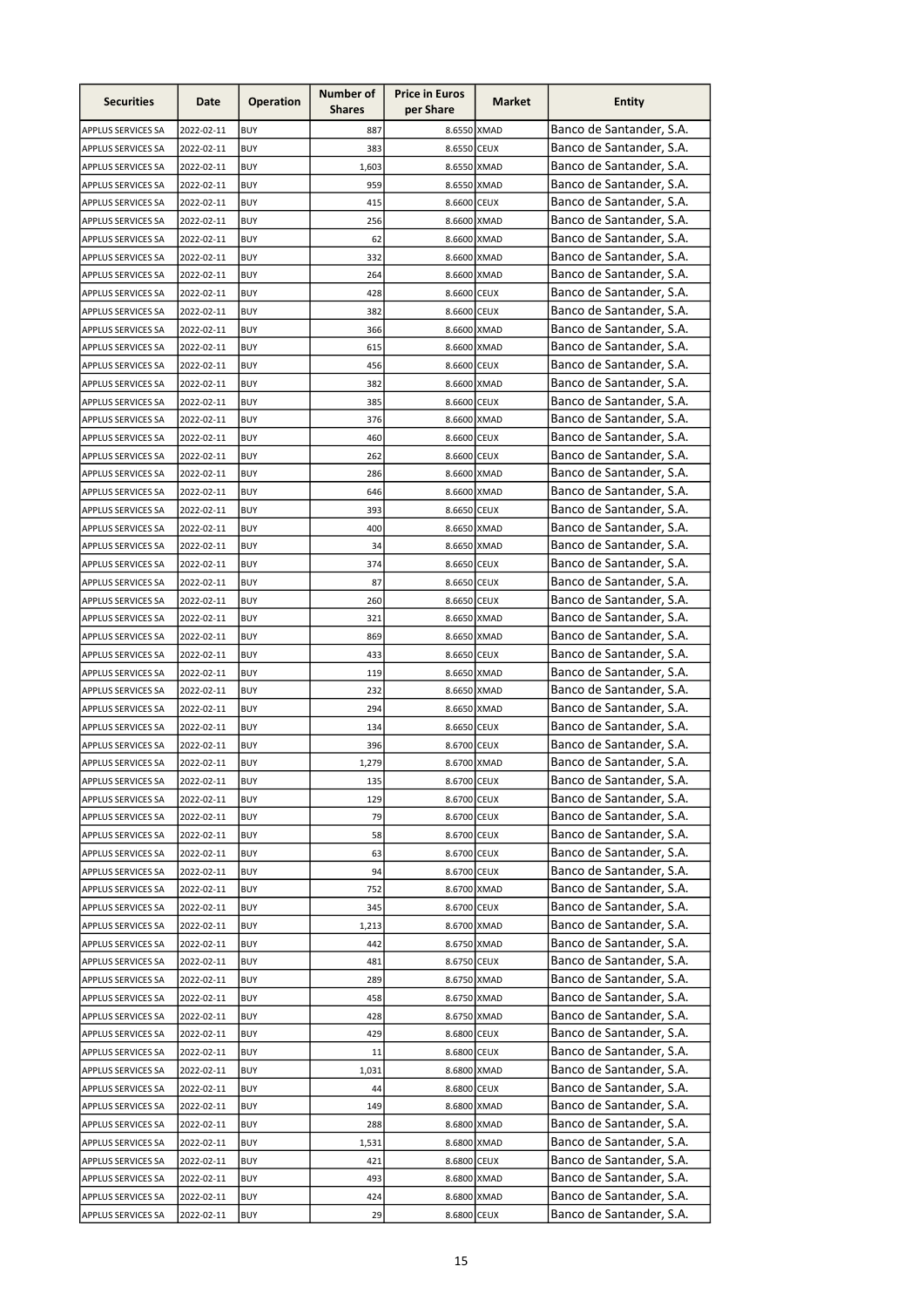| <b>Securities</b>         | Date       | <b>Operation</b> | Number of<br><b>Shares</b> | <b>Price in Euros</b><br>per Share | Market | <b>Entity</b>            |
|---------------------------|------------|------------------|----------------------------|------------------------------------|--------|--------------------------|
| <b>APPLUS SERVICES SA</b> | 2022-02-11 | <b>BUY</b>       | 887                        | 8.6550 XMAD                        |        | Banco de Santander, S.A. |
| APPLUS SERVICES SA        | 2022-02-11 | <b>BUY</b>       | 383                        | 8.6550 CEUX                        |        | Banco de Santander, S.A. |
| <b>APPLUS SERVICES SA</b> | 2022-02-11 | <b>BUY</b>       | 1,603                      | 8.6550 XMAD                        |        | Banco de Santander, S.A. |
| APPLUS SERVICES SA        | 2022-02-11 | <b>BUY</b>       | 959                        | 8.6550 XMAD                        |        | Banco de Santander, S.A. |
| <b>APPLUS SERVICES SA</b> | 2022-02-11 | <b>BUY</b>       | 415                        | 8.6600 CEUX                        |        | Banco de Santander, S.A. |
| APPLUS SERVICES SA        | 2022-02-11 | <b>BUY</b>       | 256                        | 8.6600 XMAD                        |        | Banco de Santander, S.A. |
| <b>APPLUS SERVICES SA</b> | 2022-02-11 | <b>BUY</b>       | 62                         | 8.6600 XMAD                        |        | Banco de Santander, S.A. |
| <b>APPLUS SERVICES SA</b> | 2022-02-11 | <b>BUY</b>       | 332                        | 8.6600 XMAD                        |        | Banco de Santander, S.A. |
| <b>APPLUS SERVICES SA</b> | 2022-02-11 | <b>BUY</b>       | 264                        | 8.6600 XMAD                        |        | Banco de Santander, S.A. |
| APPLUS SERVICES SA        | 2022-02-11 | <b>BUY</b>       | 428                        | 8.6600 CEUX                        |        | Banco de Santander, S.A. |
| APPLUS SERVICES SA        | 2022-02-11 | <b>BUY</b>       | 382                        | 8.6600 CEUX                        |        | Banco de Santander, S.A. |
| <b>APPLUS SERVICES SA</b> | 2022-02-11 | <b>BUY</b>       | 366                        | 8.6600 XMAD                        |        | Banco de Santander, S.A. |
| <b>APPLUS SERVICES SA</b> | 2022-02-11 | <b>BUY</b>       | 615                        | 8.6600 XMAD                        |        | Banco de Santander, S.A. |
| APPLUS SERVICES SA        | 2022-02-11 | <b>BUY</b>       | 456                        | 8.6600 CEUX                        |        | Banco de Santander, S.A. |
| APPLUS SERVICES SA        | 2022-02-11 | <b>BUY</b>       | 382                        | 8.6600 XMAD                        |        | Banco de Santander, S.A. |
| APPLUS SERVICES SA        | 2022-02-11 | <b>BUY</b>       | 385                        | 8.6600 CEUX                        |        | Banco de Santander, S.A. |
| APPLUS SERVICES SA        | 2022-02-11 | <b>BUY</b>       | 376                        | 8.6600 XMAD                        |        | Banco de Santander, S.A. |
| APPLUS SERVICES SA        | 2022-02-11 | <b>BUY</b>       | 460                        | 8.6600 CEUX                        |        | Banco de Santander, S.A. |
| APPLUS SERVICES SA        | 2022-02-11 | <b>BUY</b>       | 262                        | 8.6600 CEUX                        |        | Banco de Santander, S.A. |
| APPLUS SERVICES SA        | 2022-02-11 | <b>BUY</b>       | 286                        | 8.6600 XMAD                        |        | Banco de Santander, S.A. |
| APPLUS SERVICES SA        | 2022-02-11 | <b>BUY</b>       | 646                        | 8.6600 XMAD                        |        | Banco de Santander, S.A. |
| <b>APPLUS SERVICES SA</b> | 2022-02-11 | <b>BUY</b>       | 393                        | 8.6650 CEUX                        |        | Banco de Santander, S.A. |
| APPLUS SERVICES SA        | 2022-02-11 | <b>BUY</b>       | 400                        | 8.6650 XMAD                        |        | Banco de Santander, S.A. |
| APPLUS SERVICES SA        | 2022-02-11 | <b>BUY</b>       | 34                         | 8.6650 XMAD                        |        | Banco de Santander, S.A. |
| <b>APPLUS SERVICES SA</b> | 2022-02-11 | <b>BUY</b>       | 374                        | 8.6650 CEUX                        |        | Banco de Santander, S.A. |
| <b>APPLUS SERVICES SA</b> | 2022-02-11 | <b>BUY</b>       | 87                         | 8.6650 CEUX                        |        | Banco de Santander, S.A. |
| APPLUS SERVICES SA        | 2022-02-11 | <b>BUY</b>       | 260                        | 8.6650 CEUX                        |        | Banco de Santander, S.A. |
| APPLUS SERVICES SA        | 2022-02-11 | <b>BUY</b>       | 321                        | 8.6650 XMAD                        |        | Banco de Santander, S.A. |
| APPLUS SERVICES SA        | 2022-02-11 | <b>BUY</b>       | 869                        | 8.6650 XMAD                        |        | Banco de Santander, S.A. |
| APPLUS SERVICES SA        | 2022-02-11 | <b>BUY</b>       | 433                        | 8.6650 CEUX                        |        | Banco de Santander, S.A. |
| APPLUS SERVICES SA        | 2022-02-11 | <b>BUY</b>       | 119                        | 8.6650 XMAD                        |        | Banco de Santander, S.A. |
| APPLUS SERVICES SA        | 2022-02-11 | <b>BUY</b>       | 232                        | 8.6650 XMAD                        |        | Banco de Santander, S.A. |
| APPLUS SERVICES SA        | 2022-02-11 | <b>BUY</b>       | 294                        | 8.6650 XMAD                        |        | Banco de Santander, S.A. |
| APPLUS SERVICES SA        | 2022-02-11 | <b>BUY</b>       | 134                        | 8.6650 CEUX                        |        | Banco de Santander, S.A. |
| APPLUS SERVICES SA        | 2022-02-11 | <b>BUY</b>       | 396                        | 8.6700 CEUX                        |        | Banco de Santander, S.A. |
| APPLUS SERVICES SA        | 2022-02-11 | <b>BUY</b>       | 1,279                      | 8.6700 XMAD                        |        | Banco de Santander, S.A. |
| APPLUS SERVICES SA        | 2022-02-11 | BUY              | 135                        | 8.6700 CEUX                        |        | Banco de Santander, S.A. |
| APPLUS SERVICES SA        | 2022-02-11 | BUY              | 129                        | 8.6700 CEUX                        |        | Banco de Santander, S.A. |
| APPLUS SERVICES SA        | 2022-02-11 | <b>BUY</b>       | 79                         | 8.6700 CEUX                        |        | Banco de Santander, S.A. |
| APPLUS SERVICES SA        | 2022-02-11 | <b>BUY</b>       | 58                         | 8.6700 CEUX                        |        | Banco de Santander, S.A. |
| APPLUS SERVICES SA        | 2022-02-11 | <b>BUY</b>       | 63                         | 8.6700 CEUX                        |        | Banco de Santander, S.A. |
| <b>APPLUS SERVICES SA</b> | 2022-02-11 | <b>BUY</b>       | 94                         | 8.6700 CEUX                        |        | Banco de Santander, S.A. |
| APPLUS SERVICES SA        | 2022-02-11 | <b>BUY</b>       | 752                        | 8.6700 XMAD                        |        | Banco de Santander, S.A. |
| APPLUS SERVICES SA        | 2022-02-11 | <b>BUY</b>       | 345                        | 8.6700 CEUX                        |        | Banco de Santander, S.A. |
| APPLUS SERVICES SA        | 2022-02-11 | <b>BUY</b>       | 1,213                      | 8.6700 XMAD                        |        | Banco de Santander, S.A. |
| APPLUS SERVICES SA        | 2022-02-11 | <b>BUY</b>       | 442                        | 8.6750 XMAD                        |        | Banco de Santander, S.A. |
| APPLUS SERVICES SA        | 2022-02-11 | BUY              | 481                        | 8.6750 CEUX                        |        | Banco de Santander, S.A. |
| APPLUS SERVICES SA        | 2022-02-11 | <b>BUY</b>       | 289                        | 8.6750 XMAD                        |        | Banco de Santander, S.A. |
| APPLUS SERVICES SA        | 2022-02-11 | <b>BUY</b>       | 458                        | 8.6750 XMAD                        |        | Banco de Santander, S.A. |
| APPLUS SERVICES SA        | 2022-02-11 | <b>BUY</b>       | 428                        | 8.6750 XMAD                        |        | Banco de Santander, S.A. |
| APPLUS SERVICES SA        | 2022-02-11 | BUY              | 429                        | 8.6800 CEUX                        |        | Banco de Santander, S.A. |
| APPLUS SERVICES SA        | 2022-02-11 | <b>BUY</b>       | 11                         | 8.6800 CEUX                        |        | Banco de Santander, S.A. |
| APPLUS SERVICES SA        | 2022-02-11 | BUY              | 1,031                      | 8.6800 XMAD                        |        | Banco de Santander, S.A. |
| APPLUS SERVICES SA        | 2022-02-11 | BUY              | 44                         | 8.6800 CEUX                        |        | Banco de Santander, S.A. |
| APPLUS SERVICES SA        | 2022-02-11 | BUY              | 149                        | 8.6800 XMAD                        |        | Banco de Santander, S.A. |
|                           | 2022-02-11 | <b>BUY</b>       | 288                        |                                    |        | Banco de Santander, S.A. |
| APPLUS SERVICES SA        |            | <b>BUY</b>       |                            | 8.6800 XMAD<br>8.6800 XMAD         |        | Banco de Santander, S.A. |
| <b>APPLUS SERVICES SA</b> | 2022-02-11 |                  | 1,531                      |                                    |        | Banco de Santander, S.A. |
| APPLUS SERVICES SA        | 2022-02-11 | <b>BUY</b>       | 421                        | 8.6800 CEUX                        |        | Banco de Santander, S.A. |
| APPLUS SERVICES SA        | 2022-02-11 | <b>BUY</b>       | 493                        | 8.6800 XMAD                        |        | Banco de Santander, S.A. |
| APPLUS SERVICES SA        | 2022-02-11 | <b>BUY</b>       | 424                        | 8.6800 XMAD                        |        |                          |
| APPLUS SERVICES SA        | 2022-02-11 | <b>BUY</b>       | 29                         | 8.6800 CEUX                        |        | Banco de Santander, S.A. |